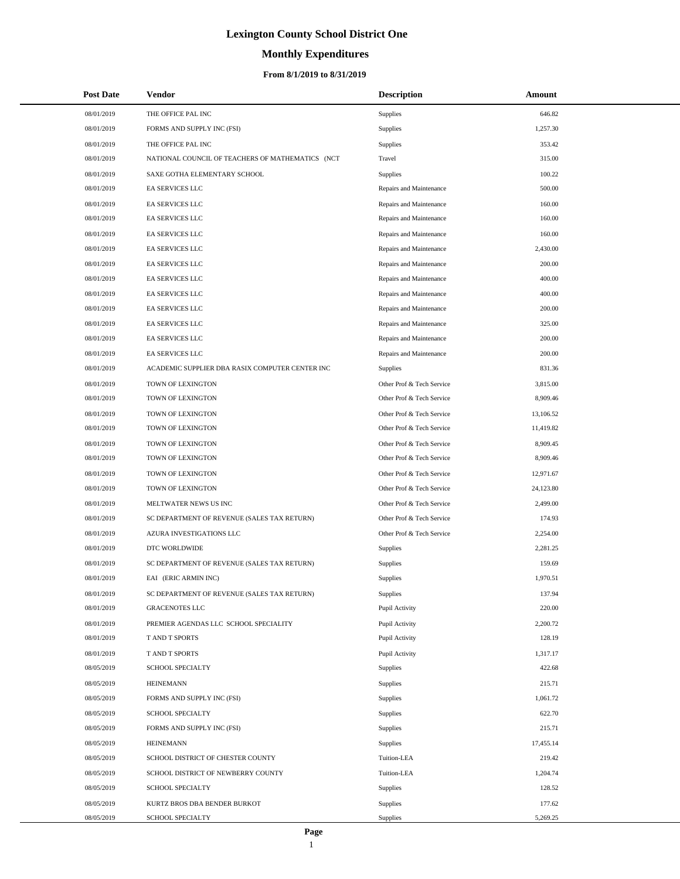# **Monthly Expenditures**

## **From 8/1/2019 to 8/31/2019**

| <b>Post Date</b> | <b>Vendor</b>                                    | <b>Description</b>        | Amount    |
|------------------|--------------------------------------------------|---------------------------|-----------|
| 08/01/2019       | THE OFFICE PAL INC                               | Supplies                  | 646.82    |
| 08/01/2019       | FORMS AND SUPPLY INC (FSI)                       | Supplies                  | 1,257.30  |
| 08/01/2019       | THE OFFICE PAL INC                               | Supplies                  | 353.42    |
| 08/01/2019       | NATIONAL COUNCIL OF TEACHERS OF MATHEMATICS (NCT | Travel                    | 315.00    |
| 08/01/2019       | SAXE GOTHA ELEMENTARY SCHOOL                     | <b>Supplies</b>           | 100.22    |
| 08/01/2019       | EA SERVICES LLC                                  | Repairs and Maintenance   | 500.00    |
| 08/01/2019       | EA SERVICES LLC                                  | Repairs and Maintenance   | 160.00    |
| 08/01/2019       | EA SERVICES LLC                                  | Repairs and Maintenance   | 160.00    |
| 08/01/2019       | EA SERVICES LLC                                  | Repairs and Maintenance   | 160.00    |
| 08/01/2019       | EA SERVICES LLC                                  | Repairs and Maintenance   | 2,430.00  |
| 08/01/2019       | EA SERVICES LLC                                  | Repairs and Maintenance   | 200.00    |
| 08/01/2019       | EA SERVICES LLC                                  | Repairs and Maintenance   | 400.00    |
| 08/01/2019       | EA SERVICES LLC                                  | Repairs and Maintenance   | 400.00    |
| 08/01/2019       | EA SERVICES LLC                                  | Repairs and Maintenance   | 200.00    |
| 08/01/2019       | EA SERVICES LLC                                  | Repairs and Maintenance   | 325.00    |
| 08/01/2019       | EA SERVICES LLC                                  | Repairs and Maintenance   | 200.00    |
| 08/01/2019       | <b>EA SERVICES LLC</b>                           | Repairs and Maintenance   | 200.00    |
| 08/01/2019       | ACADEMIC SUPPLIER DBA RASIX COMPUTER CENTER INC  | Supplies                  | 831.36    |
| 08/01/2019       | TOWN OF LEXINGTON                                | Other Prof & Tech Service | 3,815.00  |
| 08/01/2019       | TOWN OF LEXINGTON                                | Other Prof & Tech Service | 8,909.46  |
| 08/01/2019       | TOWN OF LEXINGTON                                | Other Prof & Tech Service | 13,106.52 |
| 08/01/2019       | TOWN OF LEXINGTON                                | Other Prof & Tech Service | 11,419.82 |
| 08/01/2019       | TOWN OF LEXINGTON                                | Other Prof & Tech Service | 8,909.45  |
| 08/01/2019       | TOWN OF LEXINGTON                                | Other Prof & Tech Service | 8,909.46  |
| 08/01/2019       | TOWN OF LEXINGTON                                | Other Prof & Tech Service | 12,971.67 |
| 08/01/2019       | TOWN OF LEXINGTON                                | Other Prof & Tech Service | 24,123.80 |
| 08/01/2019       | MELTWATER NEWS US INC                            | Other Prof & Tech Service | 2,499.00  |
| 08/01/2019       | SC DEPARTMENT OF REVENUE (SALES TAX RETURN)      | Other Prof & Tech Service | 174.93    |
| 08/01/2019       | AZURA INVESTIGATIONS LLC                         | Other Prof & Tech Service | 2,254.00  |
| 08/01/2019       | DTC WORLDWIDE                                    | Supplies                  | 2,281.25  |
| 08/01/2019       | SC DEPARTMENT OF REVENUE (SALES TAX RETURN)      | Supplies                  | 159.69    |
| 08/01/2019       | EAI (ERIC ARMIN INC)                             | Supplies                  | 1,970.51  |
| 08/01/2019       | SC DEPARTMENT OF REVENUE (SALES TAX RETURN)      | <b>Supplies</b>           | 137.94    |
| 08/01/2019       | <b>GRACENOTES LLC</b>                            | Pupil Activity            | 220.00    |
| 08/01/2019       | PREMIER AGENDAS LLC SCHOOL SPECIALITY            | Pupil Activity            | 2,200.72  |
| 08/01/2019       | T AND T SPORTS                                   | Pupil Activity            | 128.19    |
| 08/01/2019       | T AND T SPORTS                                   | Pupil Activity            | 1,317.17  |
| 08/05/2019       | SCHOOL SPECIALTY                                 | Supplies                  | 422.68    |
| 08/05/2019       | <b>HEINEMANN</b>                                 | Supplies                  | 215.71    |
| 08/05/2019       | FORMS AND SUPPLY INC (FSI)                       | Supplies                  | 1,061.72  |
| 08/05/2019       | SCHOOL SPECIALTY                                 | Supplies                  | 622.70    |
| 08/05/2019       | FORMS AND SUPPLY INC (FSI)                       | Supplies                  | 215.71    |
| 08/05/2019       | <b>HEINEMANN</b>                                 | Supplies                  | 17,455.14 |
| 08/05/2019       | SCHOOL DISTRICT OF CHESTER COUNTY                | Tuition-LEA               | 219.42    |
| 08/05/2019       | SCHOOL DISTRICT OF NEWBERRY COUNTY               | Tuition-LEA               | 1,204.74  |
| 08/05/2019       | SCHOOL SPECIALTY                                 | Supplies                  | 128.52    |
| 08/05/2019       | KURTZ BROS DBA BENDER BURKOT                     | Supplies                  | 177.62    |
| 08/05/2019       | SCHOOL SPECIALTY                                 | Supplies                  | 5,269.25  |

 $\overline{\phantom{0}}$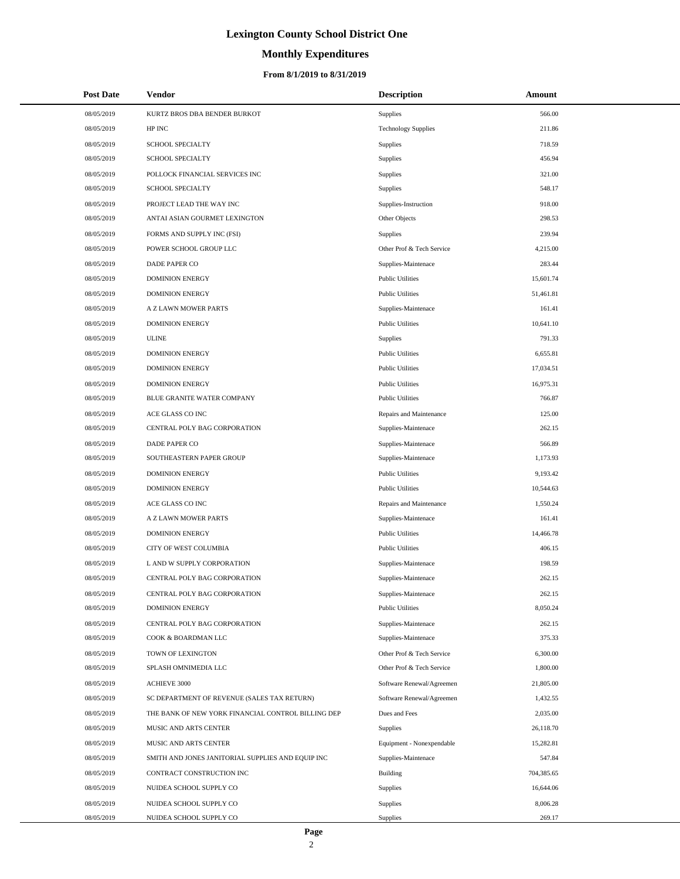# **Monthly Expenditures**

### **From 8/1/2019 to 8/31/2019**

| <b>Post Date</b> | <b>Vendor</b>                                      | <b>Description</b>         | Amount     |
|------------------|----------------------------------------------------|----------------------------|------------|
| 08/05/2019       | KURTZ BROS DBA BENDER BURKOT                       | Supplies                   | 566.00     |
| 08/05/2019       | HP INC                                             | <b>Technology Supplies</b> | 211.86     |
| 08/05/2019       | <b>SCHOOL SPECIALTY</b>                            | Supplies                   | 718.59     |
| 08/05/2019       | <b>SCHOOL SPECIALTY</b>                            | Supplies                   | 456.94     |
| 08/05/2019       | POLLOCK FINANCIAL SERVICES INC                     | Supplies                   | 321.00     |
| 08/05/2019       | SCHOOL SPECIALTY                                   | Supplies                   | 548.17     |
| 08/05/2019       | PROJECT LEAD THE WAY INC                           | Supplies-Instruction       | 918.00     |
| 08/05/2019       | ANTAI ASIAN GOURMET LEXINGTON                      | Other Objects              | 298.53     |
| 08/05/2019       | FORMS AND SUPPLY INC (FSI)                         | Supplies                   | 239.94     |
| 08/05/2019       | POWER SCHOOL GROUP LLC                             | Other Prof & Tech Service  | 4,215.00   |
| 08/05/2019       | DADE PAPER CO                                      | Supplies-Maintenace        | 283.44     |
| 08/05/2019       | <b>DOMINION ENERGY</b>                             | <b>Public Utilities</b>    | 15,601.74  |
| 08/05/2019       | <b>DOMINION ENERGY</b>                             | <b>Public Utilities</b>    | 51,461.81  |
| 08/05/2019       | A Z LAWN MOWER PARTS                               | Supplies-Maintenace        | 161.41     |
| 08/05/2019       | <b>DOMINION ENERGY</b>                             | <b>Public Utilities</b>    | 10,641.10  |
| 08/05/2019       | <b>ULINE</b>                                       | Supplies                   | 791.33     |
| 08/05/2019       | <b>DOMINION ENERGY</b>                             | <b>Public Utilities</b>    | 6,655.81   |
| 08/05/2019       | <b>DOMINION ENERGY</b>                             | <b>Public Utilities</b>    | 17,034.51  |
| 08/05/2019       | <b>DOMINION ENERGY</b>                             | <b>Public Utilities</b>    | 16,975.31  |
| 08/05/2019       | BLUE GRANITE WATER COMPANY                         | <b>Public Utilities</b>    | 766.87     |
| 08/05/2019       | ACE GLASS CO INC                                   | Repairs and Maintenance    | 125.00     |
| 08/05/2019       | CENTRAL POLY BAG CORPORATION                       | Supplies-Maintenace        | 262.15     |
| 08/05/2019       | DADE PAPER CO                                      | Supplies-Maintenace        | 566.89     |
| 08/05/2019       | SOUTHEASTERN PAPER GROUP                           | Supplies-Maintenace        | 1,173.93   |
| 08/05/2019       | <b>DOMINION ENERGY</b>                             | <b>Public Utilities</b>    | 9,193.42   |
| 08/05/2019       | <b>DOMINION ENERGY</b>                             | <b>Public Utilities</b>    | 10,544.63  |
| 08/05/2019       | ACE GLASS CO INC                                   | Repairs and Maintenance    | 1,550.24   |
| 08/05/2019       | A Z LAWN MOWER PARTS                               | Supplies-Maintenace        | 161.41     |
| 08/05/2019       | <b>DOMINION ENERGY</b>                             | <b>Public Utilities</b>    | 14,466.78  |
| 08/05/2019       | CITY OF WEST COLUMBIA                              | <b>Public Utilities</b>    | 406.15     |
| 08/05/2019       | L AND W SUPPLY CORPORATION                         | Supplies-Maintenace        | 198.59     |
| 08/05/2019       | CENTRAL POLY BAG CORPORATION                       | Supplies-Maintenace        | 262.15     |
| 08/05/2019       | CENTRAL POLY BAG CORPORATION                       | Supplies-Maintenace        | 262.15     |
| 08/05/2019       | <b>DOMINION ENERGY</b>                             | <b>Public Utilities</b>    | 8,050.24   |
| 08/05/2019       | CENTRAL POLY BAG CORPORATION                       | Supplies-Maintenace        | 262.15     |
| 08/05/2019       | COOK & BOARDMAN LLC                                | Supplies-Maintenace        | 375.33     |
| 08/05/2019       | TOWN OF LEXINGTON                                  | Other Prof & Tech Service  | 6,300.00   |
| 08/05/2019       | SPLASH OMNIMEDIA LLC                               | Other Prof & Tech Service  | 1,800.00   |
| 08/05/2019       | ACHIEVE 3000                                       | Software Renewal/Agreemen  | 21,805.00  |
| 08/05/2019       | SC DEPARTMENT OF REVENUE (SALES TAX RETURN)        | Software Renewal/Agreemen  | 1,432.55   |
| 08/05/2019       | THE BANK OF NEW YORK FINANCIAL CONTROL BILLING DEP | Dues and Fees              | 2,035.00   |
| 08/05/2019       | MUSIC AND ARTS CENTER                              | <b>Supplies</b>            | 26,118.70  |
| 08/05/2019       | MUSIC AND ARTS CENTER                              | Equipment - Nonexpendable  | 15,282.81  |
| 08/05/2019       | SMITH AND JONES JANITORIAL SUPPLIES AND EQUIP INC  | Supplies-Maintenace        | 547.84     |
| 08/05/2019       | CONTRACT CONSTRUCTION INC                          | Building                   | 704,385.65 |
| 08/05/2019       | NUIDEA SCHOOL SUPPLY CO                            | Supplies                   | 16,644.06  |
| 08/05/2019       | NUIDEA SCHOOL SUPPLY CO                            | Supplies                   | 8,006.28   |
| 08/05/2019       | NUIDEA SCHOOL SUPPLY CO                            | Supplies                   | 269.17     |

 $\overline{a}$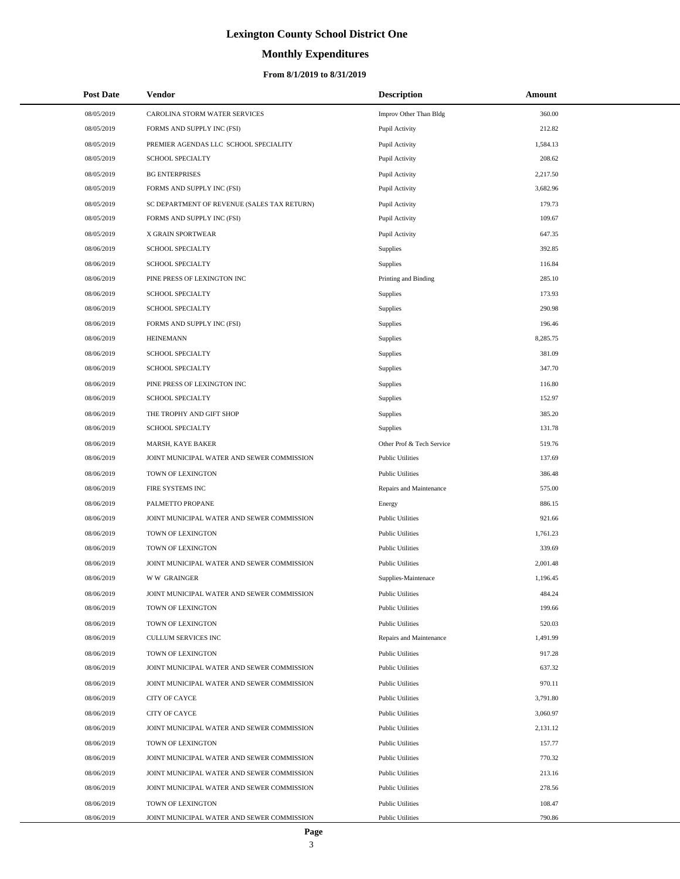# **Monthly Expenditures**

## **From 8/1/2019 to 8/31/2019**

| <b>Post Date</b> | Vendor                                      | <b>Description</b>        | Amount   |  |
|------------------|---------------------------------------------|---------------------------|----------|--|
| 08/05/2019       | CAROLINA STORM WATER SERVICES               | Improv Other Than Bldg    | 360.00   |  |
| 08/05/2019       | FORMS AND SUPPLY INC (FSI)                  | Pupil Activity            | 212.82   |  |
| 08/05/2019       | PREMIER AGENDAS LLC SCHOOL SPECIALITY       | Pupil Activity            | 1,584.13 |  |
| 08/05/2019       | <b>SCHOOL SPECIALTY</b>                     | Pupil Activity            | 208.62   |  |
| 08/05/2019       | <b>BG ENTERPRISES</b>                       | Pupil Activity            | 2,217.50 |  |
| 08/05/2019       | FORMS AND SUPPLY INC (FSI)                  | Pupil Activity            | 3,682.96 |  |
| 08/05/2019       | SC DEPARTMENT OF REVENUE (SALES TAX RETURN) | Pupil Activity            | 179.73   |  |
| 08/05/2019       | FORMS AND SUPPLY INC (FSI)                  | Pupil Activity            | 109.67   |  |
| 08/05/2019       | X GRAIN SPORTWEAR                           | Pupil Activity            | 647.35   |  |
| 08/06/2019       | SCHOOL SPECIALTY                            | Supplies                  | 392.85   |  |
| 08/06/2019       | <b>SCHOOL SPECIALTY</b>                     | Supplies                  | 116.84   |  |
| 08/06/2019       | PINE PRESS OF LEXINGTON INC                 | Printing and Binding      | 285.10   |  |
| 08/06/2019       | SCHOOL SPECIALTY                            | Supplies                  | 173.93   |  |
| 08/06/2019       | SCHOOL SPECIALTY                            | Supplies                  | 290.98   |  |
| 08/06/2019       | FORMS AND SUPPLY INC (FSI)                  | Supplies                  | 196.46   |  |
| 08/06/2019       | <b>HEINEMANN</b>                            | Supplies                  | 8,285.75 |  |
| 08/06/2019       | SCHOOL SPECIALTY                            | Supplies                  | 381.09   |  |
| 08/06/2019       | SCHOOL SPECIALTY                            | Supplies                  | 347.70   |  |
| 08/06/2019       | PINE PRESS OF LEXINGTON INC                 | Supplies                  | 116.80   |  |
| 08/06/2019       | <b>SCHOOL SPECIALTY</b>                     | Supplies                  | 152.97   |  |
| 08/06/2019       | THE TROPHY AND GIFT SHOP                    | Supplies                  | 385.20   |  |
| 08/06/2019       | <b>SCHOOL SPECIALTY</b>                     | Supplies                  | 131.78   |  |
| 08/06/2019       | MARSH, KAYE BAKER                           | Other Prof & Tech Service | 519.76   |  |
| 08/06/2019       | JOINT MUNICIPAL WATER AND SEWER COMMISSION  | <b>Public Utilities</b>   | 137.69   |  |
| 08/06/2019       | TOWN OF LEXINGTON                           | <b>Public Utilities</b>   | 386.48   |  |
| 08/06/2019       | FIRE SYSTEMS INC                            | Repairs and Maintenance   | 575.00   |  |
| 08/06/2019       | PALMETTO PROPANE                            | Energy                    | 886.15   |  |
| 08/06/2019       | JOINT MUNICIPAL WATER AND SEWER COMMISSION  | <b>Public Utilities</b>   | 921.66   |  |
| 08/06/2019       | TOWN OF LEXINGTON                           | <b>Public Utilities</b>   | 1,761.23 |  |
| 08/06/2019       | TOWN OF LEXINGTON                           | <b>Public Utilities</b>   | 339.69   |  |
| 08/06/2019       | JOINT MUNICIPAL WATER AND SEWER COMMISSION  | <b>Public Utilities</b>   | 2,001.48 |  |
| 08/06/2019       | <b>WW GRAINGER</b>                          | Supplies-Maintenace       | 1,196.45 |  |
| 08/06/2019       | JOINT MUNICIPAL WATER AND SEWER COMMISSION  | <b>Public Utilities</b>   | 484.24   |  |
| 08/06/2019       | TOWN OF LEXINGTON                           | <b>Public Utilities</b>   | 199.66   |  |
| 08/06/2019       | TOWN OF LEXINGTON                           | <b>Public Utilities</b>   | 520.03   |  |
| 08/06/2019       | CULLUM SERVICES INC                         | Repairs and Maintenance   | 1,491.99 |  |
| 08/06/2019       | TOWN OF LEXINGTON                           | <b>Public Utilities</b>   | 917.28   |  |
| 08/06/2019       | JOINT MUNICIPAL WATER AND SEWER COMMISSION  | <b>Public Utilities</b>   | 637.32   |  |
| 08/06/2019       | JOINT MUNICIPAL WATER AND SEWER COMMISSION  | <b>Public Utilities</b>   | 970.11   |  |
| 08/06/2019       | CITY OF CAYCE                               | <b>Public Utilities</b>   | 3,791.80 |  |
| 08/06/2019       | <b>CITY OF CAYCE</b>                        | <b>Public Utilities</b>   | 3,060.97 |  |
| 08/06/2019       | JOINT MUNICIPAL WATER AND SEWER COMMISSION  | <b>Public Utilities</b>   | 2,131.12 |  |
| 08/06/2019       | TOWN OF LEXINGTON                           | <b>Public Utilities</b>   | 157.77   |  |
| 08/06/2019       | JOINT MUNICIPAL WATER AND SEWER COMMISSION  | <b>Public Utilities</b>   | 770.32   |  |
| 08/06/2019       | JOINT MUNICIPAL WATER AND SEWER COMMISSION  | <b>Public Utilities</b>   | 213.16   |  |
| 08/06/2019       | JOINT MUNICIPAL WATER AND SEWER COMMISSION  | <b>Public Utilities</b>   | 278.56   |  |
| 08/06/2019       | TOWN OF LEXINGTON                           | <b>Public Utilities</b>   | 108.47   |  |
| 08/06/2019       | JOINT MUNICIPAL WATER AND SEWER COMMISSION  | <b>Public Utilities</b>   | 790.86   |  |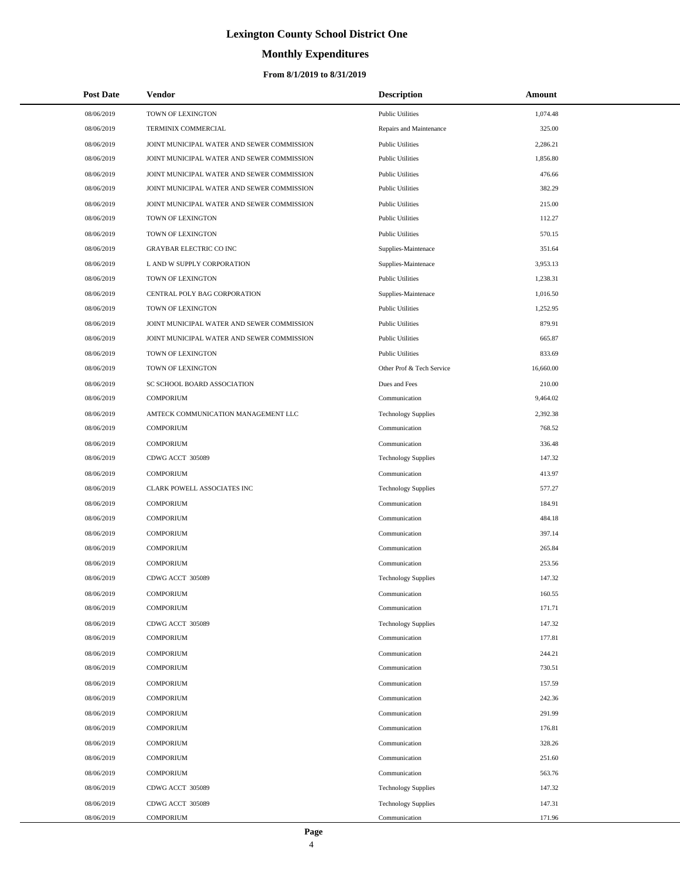# **Monthly Expenditures**

### **From 8/1/2019 to 8/31/2019**

| <b>Post Date</b> | <b>Vendor</b>                              | <b>Description</b>         | <b>Amount</b> |
|------------------|--------------------------------------------|----------------------------|---------------|
| 08/06/2019       | TOWN OF LEXINGTON                          | <b>Public Utilities</b>    | 1,074.48      |
| 08/06/2019       | TERMINIX COMMERCIAL                        | Repairs and Maintenance    | 325.00        |
| 08/06/2019       | JOINT MUNICIPAL WATER AND SEWER COMMISSION | <b>Public Utilities</b>    | 2,286.21      |
| 08/06/2019       | JOINT MUNICIPAL WATER AND SEWER COMMISSION | <b>Public Utilities</b>    | 1,856.80      |
| 08/06/2019       | JOINT MUNICIPAL WATER AND SEWER COMMISSION | <b>Public Utilities</b>    | 476.66        |
| 08/06/2019       | JOINT MUNICIPAL WATER AND SEWER COMMISSION | <b>Public Utilities</b>    | 382.29        |
| 08/06/2019       | JOINT MUNICIPAL WATER AND SEWER COMMISSION | <b>Public Utilities</b>    | 215.00        |
| 08/06/2019       | TOWN OF LEXINGTON                          | <b>Public Utilities</b>    | 112.27        |
| 08/06/2019       | TOWN OF LEXINGTON                          | <b>Public Utilities</b>    | 570.15        |
| 08/06/2019       | <b>GRAYBAR ELECTRIC CO INC</b>             | Supplies-Maintenace        | 351.64        |
| 08/06/2019       | L AND W SUPPLY CORPORATION                 | Supplies-Maintenace        | 3,953.13      |
| 08/06/2019       | TOWN OF LEXINGTON                          | <b>Public Utilities</b>    | 1,238.31      |
| 08/06/2019       | CENTRAL POLY BAG CORPORATION               | Supplies-Maintenace        | 1,016.50      |
| 08/06/2019       | TOWN OF LEXINGTON                          | <b>Public Utilities</b>    | 1,252.95      |
| 08/06/2019       | JOINT MUNICIPAL WATER AND SEWER COMMISSION | <b>Public Utilities</b>    | 879.91        |
| 08/06/2019       | JOINT MUNICIPAL WATER AND SEWER COMMISSION | <b>Public Utilities</b>    | 665.87        |
| 08/06/2019       | TOWN OF LEXINGTON                          | <b>Public Utilities</b>    | 833.69        |
| 08/06/2019       | TOWN OF LEXINGTON                          | Other Prof & Tech Service  | 16,660.00     |
| 08/06/2019       | SC SCHOOL BOARD ASSOCIATION                | Dues and Fees              | 210.00        |
| 08/06/2019       | <b>COMPORIUM</b>                           | Communication              | 9,464.02      |
| 08/06/2019       | AMTECK COMMUNICATION MANAGEMENT LLC        | <b>Technology Supplies</b> | 2,392.38      |
| 08/06/2019       | <b>COMPORIUM</b>                           | Communication              | 768.52        |
| 08/06/2019       | <b>COMPORIUM</b>                           | Communication              | 336.48        |
| 08/06/2019       | CDWG ACCT 305089                           | <b>Technology Supplies</b> | 147.32        |
| 08/06/2019       | <b>COMPORIUM</b>                           | Communication              | 413.97        |
| 08/06/2019       | CLARK POWELL ASSOCIATES INC                | <b>Technology Supplies</b> | 577.27        |
| 08/06/2019       | <b>COMPORIUM</b>                           | Communication              | 184.91        |
| 08/06/2019       | <b>COMPORIUM</b>                           | Communication              | 484.18        |
| 08/06/2019       | <b>COMPORIUM</b>                           | Communication              | 397.14        |
| 08/06/2019       | <b>COMPORIUM</b>                           | Communication              | 265.84        |
| 08/06/2019       | <b>COMPORIUM</b>                           | Communication              | 253.56        |
| 08/06/2019       | CDWG ACCT 305089                           | <b>Technology Supplies</b> | 147.32        |
| 08/06/2019       | <b>COMPORIUM</b>                           | Communication              | 160.55        |
| 08/06/2019       | <b>COMPORIUM</b>                           | Communication              | 171.71        |
| 08/06/2019       | CDWG ACCT 305089                           | <b>Technology Supplies</b> | 147.32        |
| 08/06/2019       | <b>COMPORIUM</b>                           | Communication              | 177.81        |
| 08/06/2019       | <b>COMPORIUM</b>                           | Communication              | 244.21        |
| 08/06/2019       | <b>COMPORIUM</b>                           | Communication              | 730.51        |
| 08/06/2019       | <b>COMPORIUM</b>                           | Communication              | 157.59        |
| 08/06/2019       | <b>COMPORIUM</b>                           | Communication              | 242.36        |
| 08/06/2019       | <b>COMPORIUM</b>                           | Communication              | 291.99        |
| 08/06/2019       | <b>COMPORIUM</b>                           | Communication              | 176.81        |
| 08/06/2019       | <b>COMPORIUM</b>                           | Communication              | 328.26        |
| 08/06/2019       | <b>COMPORIUM</b>                           | Communication              | 251.60        |
| 08/06/2019       | <b>COMPORIUM</b>                           | Communication              | 563.76        |
| 08/06/2019       | CDWG ACCT 305089                           | <b>Technology Supplies</b> | 147.32        |
| 08/06/2019       | CDWG ACCT 305089                           | <b>Technology Supplies</b> | 147.31        |
| 08/06/2019       | <b>COMPORIUM</b>                           | Communication              | 171.96        |

 $\overline{\phantom{0}}$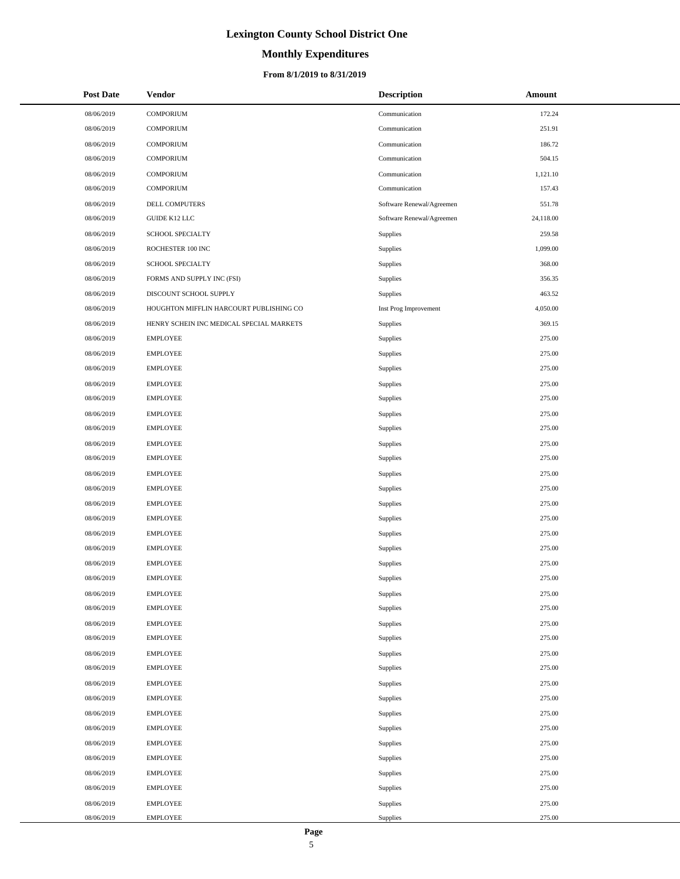# **Monthly Expenditures**

### **From 8/1/2019 to 8/31/2019**

| <b>Post Date</b> | <b>Vendor</b>                            | <b>Description</b>        | Amount    |
|------------------|------------------------------------------|---------------------------|-----------|
| 08/06/2019       | <b>COMPORIUM</b>                         | Communication             | 172.24    |
| 08/06/2019       | <b>COMPORIUM</b>                         | Communication             | 251.91    |
| 08/06/2019       | <b>COMPORIUM</b>                         | Communication             | 186.72    |
| 08/06/2019       | <b>COMPORIUM</b>                         | Communication             | 504.15    |
| 08/06/2019       | <b>COMPORIUM</b>                         | Communication             | 1,121.10  |
| 08/06/2019       | <b>COMPORIUM</b>                         | Communication             | 157.43    |
| 08/06/2019       | DELL COMPUTERS                           | Software Renewal/Agreemen | 551.78    |
| 08/06/2019       | GUIDE K12 LLC                            | Software Renewal/Agreemen | 24,118.00 |
| 08/06/2019       | <b>SCHOOL SPECIALTY</b>                  | Supplies                  | 259.58    |
| 08/06/2019       | ROCHESTER 100 INC                        | Supplies                  | 1,099.00  |
| 08/06/2019       | SCHOOL SPECIALTY                         | <b>Supplies</b>           | 368.00    |
| 08/06/2019       | FORMS AND SUPPLY INC (FSI)               | Supplies                  | 356.35    |
| 08/06/2019       | DISCOUNT SCHOOL SUPPLY                   | <b>Supplies</b>           | 463.52    |
| 08/06/2019       | HOUGHTON MIFFLIN HARCOURT PUBLISHING CO  | Inst Prog Improvement     | 4,050.00  |
| 08/06/2019       | HENRY SCHEIN INC MEDICAL SPECIAL MARKETS | <b>Supplies</b>           | 369.15    |
| 08/06/2019       | <b>EMPLOYEE</b>                          | Supplies                  | 275.00    |
| 08/06/2019       | <b>EMPLOYEE</b>                          | Supplies                  | 275.00    |
| 08/06/2019       | <b>EMPLOYEE</b>                          | Supplies                  | 275.00    |
| 08/06/2019       | <b>EMPLOYEE</b>                          | Supplies                  | 275.00    |
| 08/06/2019       | <b>EMPLOYEE</b>                          | Supplies                  | 275.00    |
| 08/06/2019       | <b>EMPLOYEE</b>                          | Supplies                  | 275.00    |
| 08/06/2019       | <b>EMPLOYEE</b>                          | Supplies                  | 275.00    |
| 08/06/2019       | <b>EMPLOYEE</b>                          | <b>Supplies</b>           | 275.00    |
| 08/06/2019       | <b>EMPLOYEE</b>                          | Supplies                  | 275.00    |
| 08/06/2019       | <b>EMPLOYEE</b>                          | Supplies                  | 275.00    |
| 08/06/2019       | <b>EMPLOYEE</b>                          | Supplies                  | 275.00    |
| 08/06/2019       | <b>EMPLOYEE</b>                          | <b>Supplies</b>           | 275.00    |
| 08/06/2019       | <b>EMPLOYEE</b>                          | Supplies                  | 275.00    |
| 08/06/2019       | <b>EMPLOYEE</b>                          | Supplies                  | 275.00    |
| 08/06/2019       | <b>EMPLOYEE</b>                          | Supplies                  | 275.00    |
| 08/06/2019       | <b>EMPLOYEE</b>                          | Supplies                  | 275.00    |
| 08/06/2019       | <b>EMPLOYEE</b>                          | <b>Supplies</b>           | 275.00    |
| 08/06/2019       | <b>EMPLOYEE</b>                          | Supplies                  | 275.00    |
| 08/06/2019       | <b>EMPLOYEE</b>                          | Supplies                  | 275.00    |
| 08/06/2019       | <b>EMPLOYEE</b>                          | Supplies                  | 275.00    |
| 08/06/2019       | <b>EMPLOYEE</b>                          | Supplies                  | 275.00    |
| 08/06/2019       | <b>EMPLOYEE</b>                          | Supplies                  | 275.00    |
| 08/06/2019       | <b>EMPLOYEE</b>                          | Supplies                  | 275.00    |
| 08/06/2019       | <b>EMPLOYEE</b>                          | Supplies                  | 275.00    |
| 08/06/2019       | <b>EMPLOYEE</b>                          | Supplies                  | 275.00    |
| 08/06/2019       | <b>EMPLOYEE</b>                          | Supplies                  | 275.00    |
| 08/06/2019       | <b>EMPLOYEE</b>                          | Supplies                  | 275.00    |
| 08/06/2019       | <b>EMPLOYEE</b>                          | Supplies                  | 275.00    |
| 08/06/2019       | <b>EMPLOYEE</b>                          | Supplies                  | 275.00    |
| 08/06/2019       | <b>EMPLOYEE</b>                          | Supplies                  | 275.00    |
| 08/06/2019       | <b>EMPLOYEE</b>                          | Supplies                  | 275.00    |
| 08/06/2019       | <b>EMPLOYEE</b>                          | Supplies                  | 275.00    |
| 08/06/2019       | <b>EMPLOYEE</b>                          | Supplies                  | 275.00    |

 $\overline{\phantom{0}}$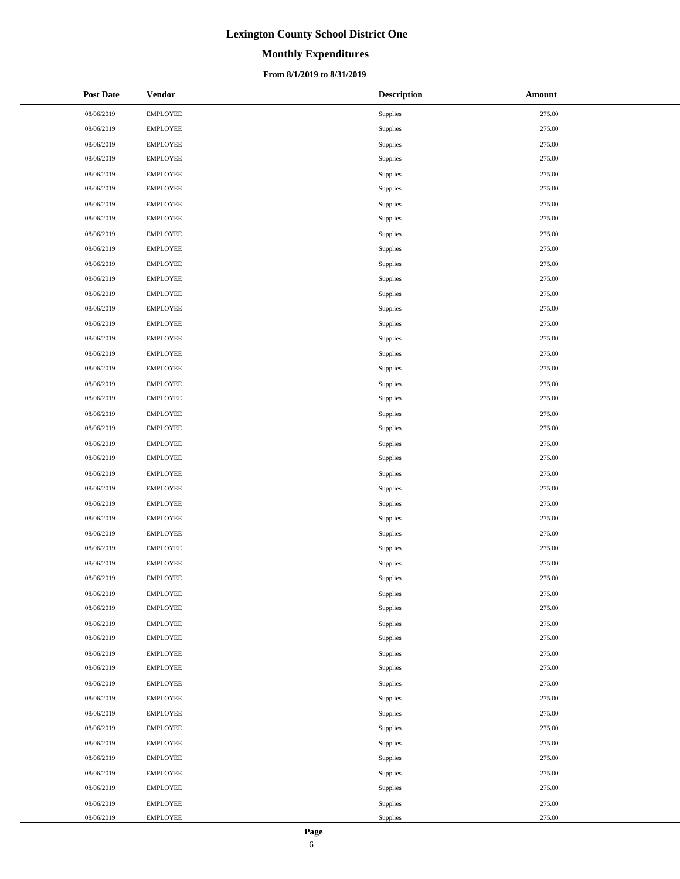# **Monthly Expenditures**

### **From 8/1/2019 to 8/31/2019**

| <b>Post Date</b> | <b>Vendor</b>   | <b>Description</b> | Amount |
|------------------|-----------------|--------------------|--------|
| 08/06/2019       | <b>EMPLOYEE</b> | Supplies           | 275.00 |
| 08/06/2019       | <b>EMPLOYEE</b> | Supplies           | 275.00 |
| 08/06/2019       | <b>EMPLOYEE</b> | Supplies           | 275.00 |
| 08/06/2019       | <b>EMPLOYEE</b> | Supplies           | 275.00 |
| 08/06/2019       | <b>EMPLOYEE</b> | Supplies           | 275.00 |
| 08/06/2019       | <b>EMPLOYEE</b> | Supplies           | 275.00 |
| 08/06/2019       | <b>EMPLOYEE</b> | Supplies           | 275.00 |
| 08/06/2019       | <b>EMPLOYEE</b> | Supplies           | 275.00 |
| 08/06/2019       | <b>EMPLOYEE</b> | Supplies           | 275.00 |
| 08/06/2019       | <b>EMPLOYEE</b> | Supplies           | 275.00 |
| 08/06/2019       | <b>EMPLOYEE</b> | Supplies           | 275.00 |
| 08/06/2019       | <b>EMPLOYEE</b> | Supplies           | 275.00 |
| 08/06/2019       | <b>EMPLOYEE</b> | Supplies           | 275.00 |
| 08/06/2019       | <b>EMPLOYEE</b> | Supplies           | 275.00 |
| 08/06/2019       | <b>EMPLOYEE</b> | Supplies           | 275.00 |
| 08/06/2019       | <b>EMPLOYEE</b> | Supplies           | 275.00 |
| 08/06/2019       | <b>EMPLOYEE</b> | Supplies           | 275.00 |
| 08/06/2019       | <b>EMPLOYEE</b> | Supplies           | 275.00 |
| 08/06/2019       | <b>EMPLOYEE</b> | Supplies           | 275.00 |
| 08/06/2019       | <b>EMPLOYEE</b> | Supplies           | 275.00 |
| 08/06/2019       | <b>EMPLOYEE</b> | Supplies           | 275.00 |
| 08/06/2019       | <b>EMPLOYEE</b> | Supplies           | 275.00 |
| 08/06/2019       | <b>EMPLOYEE</b> | Supplies           | 275.00 |
| 08/06/2019       | <b>EMPLOYEE</b> | Supplies           | 275.00 |
| 08/06/2019       | <b>EMPLOYEE</b> | Supplies           | 275.00 |
| 08/06/2019       | <b>EMPLOYEE</b> | Supplies           | 275.00 |
| 08/06/2019       | <b>EMPLOYEE</b> | Supplies           | 275.00 |
| 08/06/2019       | <b>EMPLOYEE</b> | Supplies           | 275.00 |
| 08/06/2019       | <b>EMPLOYEE</b> | Supplies           | 275.00 |
| 08/06/2019       | <b>EMPLOYEE</b> | Supplies           | 275.00 |
| 08/06/2019       | <b>EMPLOYEE</b> | Supplies           | 275.00 |
| 08/06/2019       | <b>EMPLOYEE</b> | Supplies           | 275.00 |
| 08/06/2019       | <b>EMPLOYEE</b> | Supplies           | 275.00 |
| 08/06/2019       | <b>EMPLOYEE</b> | Supplies           | 275.00 |
| 08/06/2019       | <b>EMPLOYEE</b> | Supplies           | 275.00 |
| 08/06/2019       | <b>EMPLOYEE</b> | Supplies           | 275.00 |
| 08/06/2019       | <b>EMPLOYEE</b> | Supplies           | 275.00 |
| 08/06/2019       | <b>EMPLOYEE</b> | Supplies           | 275.00 |
| 08/06/2019       | <b>EMPLOYEE</b> | Supplies           | 275.00 |
| 08/06/2019       | <b>EMPLOYEE</b> | Supplies           | 275.00 |
| 08/06/2019       | <b>EMPLOYEE</b> | Supplies           | 275.00 |
| 08/06/2019       | <b>EMPLOYEE</b> | Supplies           | 275.00 |
| 08/06/2019       | <b>EMPLOYEE</b> | Supplies           | 275.00 |
| 08/06/2019       | <b>EMPLOYEE</b> | Supplies           | 275.00 |
| 08/06/2019       | <b>EMPLOYEE</b> | Supplies           | 275.00 |
| 08/06/2019       | <b>EMPLOYEE</b> | Supplies           | 275.00 |
| 08/06/2019       | <b>EMPLOYEE</b> | Supplies           | 275.00 |
| 08/06/2019       | <b>EMPLOYEE</b> | Supplies           | 275.00 |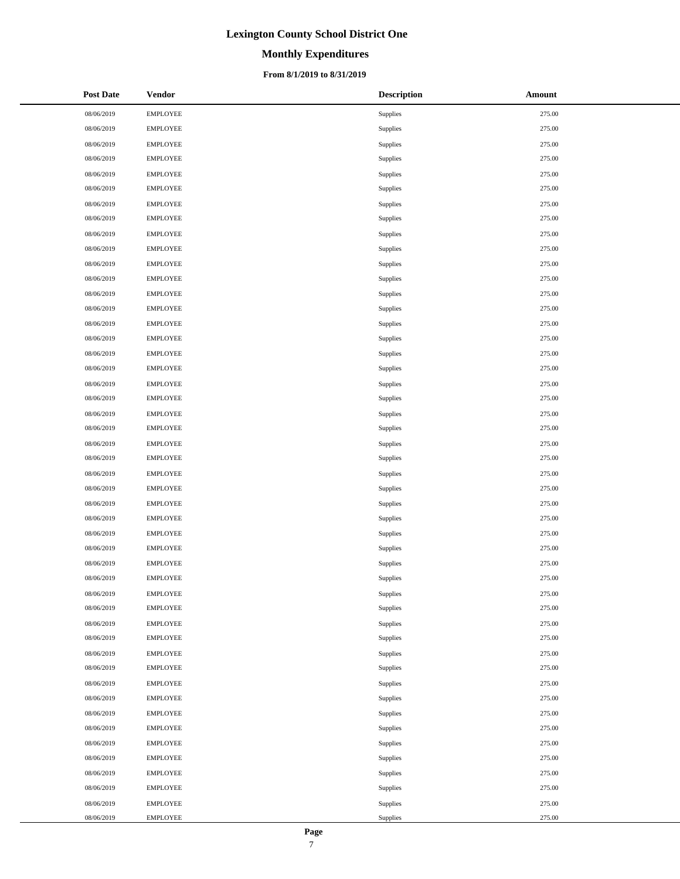## **Monthly Expenditures**

### **From 8/1/2019 to 8/31/2019**

| <b>Post Date</b> | <b>Vendor</b>   | <b>Description</b> | Amount |
|------------------|-----------------|--------------------|--------|
| 08/06/2019       | <b>EMPLOYEE</b> | Supplies           | 275.00 |
| 08/06/2019       | <b>EMPLOYEE</b> | Supplies           | 275.00 |
| 08/06/2019       | <b>EMPLOYEE</b> | Supplies           | 275.00 |
| 08/06/2019       | <b>EMPLOYEE</b> | Supplies           | 275.00 |
| 08/06/2019       | <b>EMPLOYEE</b> | Supplies           | 275.00 |
| 08/06/2019       | <b>EMPLOYEE</b> | Supplies           | 275.00 |
| 08/06/2019       | <b>EMPLOYEE</b> | Supplies           | 275.00 |
| 08/06/2019       | <b>EMPLOYEE</b> | Supplies           | 275.00 |
| 08/06/2019       | <b>EMPLOYEE</b> | Supplies           | 275.00 |
| 08/06/2019       | <b>EMPLOYEE</b> | Supplies           | 275.00 |
| 08/06/2019       | <b>EMPLOYEE</b> | Supplies           | 275.00 |
| 08/06/2019       | <b>EMPLOYEE</b> | Supplies           | 275.00 |
| 08/06/2019       | <b>EMPLOYEE</b> | Supplies           | 275.00 |
| 08/06/2019       | <b>EMPLOYEE</b> | Supplies           | 275.00 |
| 08/06/2019       | <b>EMPLOYEE</b> | Supplies           | 275.00 |
| 08/06/2019       | <b>EMPLOYEE</b> | Supplies           | 275.00 |
| 08/06/2019       | <b>EMPLOYEE</b> | Supplies           | 275.00 |
| 08/06/2019       | <b>EMPLOYEE</b> | Supplies           | 275.00 |
| 08/06/2019       | <b>EMPLOYEE</b> | Supplies           | 275.00 |
| 08/06/2019       | <b>EMPLOYEE</b> | Supplies           | 275.00 |
| 08/06/2019       | <b>EMPLOYEE</b> | Supplies           | 275.00 |
| 08/06/2019       | <b>EMPLOYEE</b> | Supplies           | 275.00 |
| 08/06/2019       | <b>EMPLOYEE</b> | Supplies           | 275.00 |
| 08/06/2019       | <b>EMPLOYEE</b> | Supplies           | 275.00 |
| 08/06/2019       | <b>EMPLOYEE</b> | Supplies           | 275.00 |
| 08/06/2019       | <b>EMPLOYEE</b> | Supplies           | 275.00 |
| 08/06/2019       | <b>EMPLOYEE</b> | Supplies           | 275.00 |
| 08/06/2019       | <b>EMPLOYEE</b> | Supplies           | 275.00 |
| 08/06/2019       | <b>EMPLOYEE</b> | Supplies           | 275.00 |
| 08/06/2019       | <b>EMPLOYEE</b> | Supplies           | 275.00 |
| 08/06/2019       | <b>EMPLOYEE</b> | Supplies           | 275.00 |
| 08/06/2019       | <b>EMPLOYEE</b> | Supplies           | 275.00 |
| 08/06/2019       | <b>EMPLOYEE</b> | Supplies           | 275.00 |
| 08/06/2019       | <b>EMPLOYEE</b> | Supplies           | 275.00 |
| 08/06/2019       | <b>EMPLOYEE</b> | Supplies           | 275.00 |
| 08/06/2019       | <b>EMPLOYEE</b> | Supplies           | 275.00 |
| 08/06/2019       | <b>EMPLOYEE</b> | Supplies           | 275.00 |
| 08/06/2019       | <b>EMPLOYEE</b> | Supplies           | 275.00 |
| 08/06/2019       | <b>EMPLOYEE</b> | Supplies           | 275.00 |
| 08/06/2019       | <b>EMPLOYEE</b> | Supplies           | 275.00 |
| 08/06/2019       | <b>EMPLOYEE</b> | Supplies           | 275.00 |
| 08/06/2019       | <b>EMPLOYEE</b> | Supplies           | 275.00 |
| 08/06/2019       | <b>EMPLOYEE</b> | Supplies           | 275.00 |
| 08/06/2019       | <b>EMPLOYEE</b> | Supplies           | 275.00 |
| 08/06/2019       | <b>EMPLOYEE</b> | Supplies           | 275.00 |
| 08/06/2019       | <b>EMPLOYEE</b> | Supplies           | 275.00 |
| 08/06/2019       | <b>EMPLOYEE</b> | Supplies           | 275.00 |
| 08/06/2019       | <b>EMPLOYEE</b> | Supplies           | 275.00 |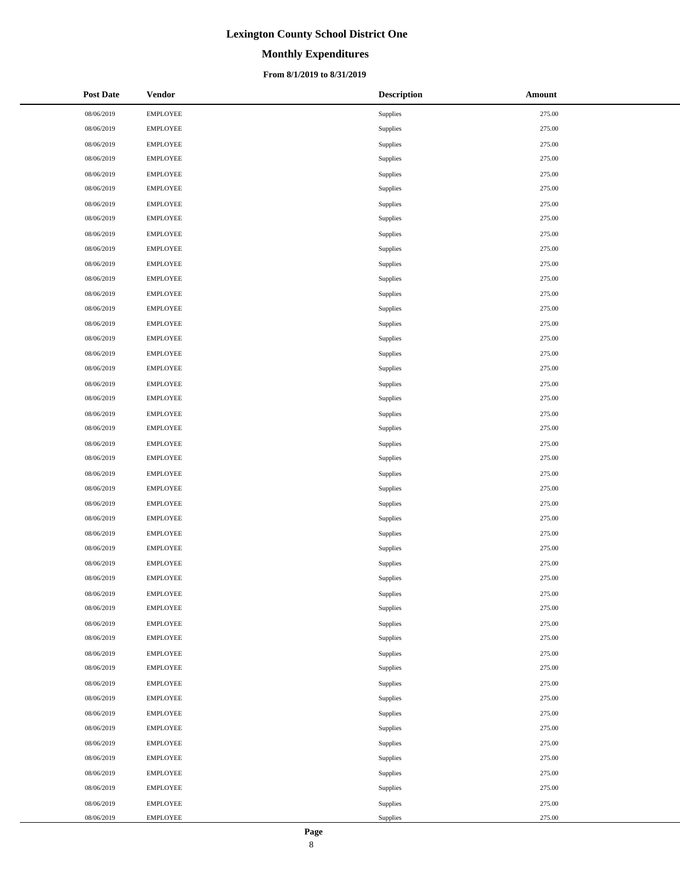## **Monthly Expenditures**

### **From 8/1/2019 to 8/31/2019**

| <b>Post Date</b> | <b>Vendor</b>   | <b>Description</b> | Amount |
|------------------|-----------------|--------------------|--------|
| 08/06/2019       | <b>EMPLOYEE</b> | Supplies           | 275.00 |
| 08/06/2019       | <b>EMPLOYEE</b> | Supplies           | 275.00 |
| 08/06/2019       | <b>EMPLOYEE</b> | Supplies           | 275.00 |
| 08/06/2019       | <b>EMPLOYEE</b> | Supplies           | 275.00 |
| 08/06/2019       | <b>EMPLOYEE</b> | Supplies           | 275.00 |
| 08/06/2019       | <b>EMPLOYEE</b> | Supplies           | 275.00 |
| 08/06/2019       | <b>EMPLOYEE</b> | Supplies           | 275.00 |
| 08/06/2019       | <b>EMPLOYEE</b> | Supplies           | 275.00 |
| 08/06/2019       | <b>EMPLOYEE</b> | Supplies           | 275.00 |
| 08/06/2019       | <b>EMPLOYEE</b> | Supplies           | 275.00 |
| 08/06/2019       | <b>EMPLOYEE</b> | Supplies           | 275.00 |
| 08/06/2019       | <b>EMPLOYEE</b> | Supplies           | 275.00 |
| 08/06/2019       | <b>EMPLOYEE</b> | Supplies           | 275.00 |
| 08/06/2019       | <b>EMPLOYEE</b> | Supplies           | 275.00 |
| 08/06/2019       | <b>EMPLOYEE</b> | Supplies           | 275.00 |
| 08/06/2019       | <b>EMPLOYEE</b> | Supplies           | 275.00 |
| 08/06/2019       | <b>EMPLOYEE</b> | Supplies           | 275.00 |
| 08/06/2019       | <b>EMPLOYEE</b> | Supplies           | 275.00 |
| 08/06/2019       | <b>EMPLOYEE</b> | Supplies           | 275.00 |
| 08/06/2019       | <b>EMPLOYEE</b> | Supplies           | 275.00 |
| 08/06/2019       | <b>EMPLOYEE</b> | Supplies           | 275.00 |
| 08/06/2019       | <b>EMPLOYEE</b> | Supplies           | 275.00 |
| 08/06/2019       | <b>EMPLOYEE</b> | Supplies           | 275.00 |
| 08/06/2019       | <b>EMPLOYEE</b> | Supplies           | 275.00 |
| 08/06/2019       | <b>EMPLOYEE</b> | Supplies           | 275.00 |
| 08/06/2019       | <b>EMPLOYEE</b> | Supplies           | 275.00 |
| 08/06/2019       | <b>EMPLOYEE</b> | Supplies           | 275.00 |
| 08/06/2019       | <b>EMPLOYEE</b> | Supplies           | 275.00 |
| 08/06/2019       | <b>EMPLOYEE</b> | Supplies           | 275.00 |
| 08/06/2019       | <b>EMPLOYEE</b> | Supplies           | 275.00 |
| 08/06/2019       | <b>EMPLOYEE</b> | Supplies           | 275.00 |
| 08/06/2019       | <b>EMPLOYEE</b> | Supplies           | 275.00 |
| 08/06/2019       | <b>EMPLOYEE</b> | Supplies           | 275.00 |
| 08/06/2019       | <b>EMPLOYEE</b> | Supplies           | 275.00 |
| 08/06/2019       | <b>EMPLOYEE</b> | Supplies           | 275.00 |
| 08/06/2019       | <b>EMPLOYEE</b> | Supplies           | 275.00 |
| 08/06/2019       | <b>EMPLOYEE</b> | Supplies           | 275.00 |
| 08/06/2019       | <b>EMPLOYEE</b> | Supplies           | 275.00 |
| 08/06/2019       | <b>EMPLOYEE</b> | Supplies           | 275.00 |
| 08/06/2019       | <b>EMPLOYEE</b> | Supplies           | 275.00 |
| 08/06/2019       | <b>EMPLOYEE</b> | Supplies           | 275.00 |
| 08/06/2019       | <b>EMPLOYEE</b> | Supplies           | 275.00 |
| 08/06/2019       | <b>EMPLOYEE</b> | Supplies           | 275.00 |
| 08/06/2019       | <b>EMPLOYEE</b> | Supplies           | 275.00 |
| 08/06/2019       | <b>EMPLOYEE</b> | Supplies           | 275.00 |
| 08/06/2019       | <b>EMPLOYEE</b> | Supplies           | 275.00 |
| 08/06/2019       | <b>EMPLOYEE</b> | Supplies           | 275.00 |
| 08/06/2019       | <b>EMPLOYEE</b> | Supplies           | 275.00 |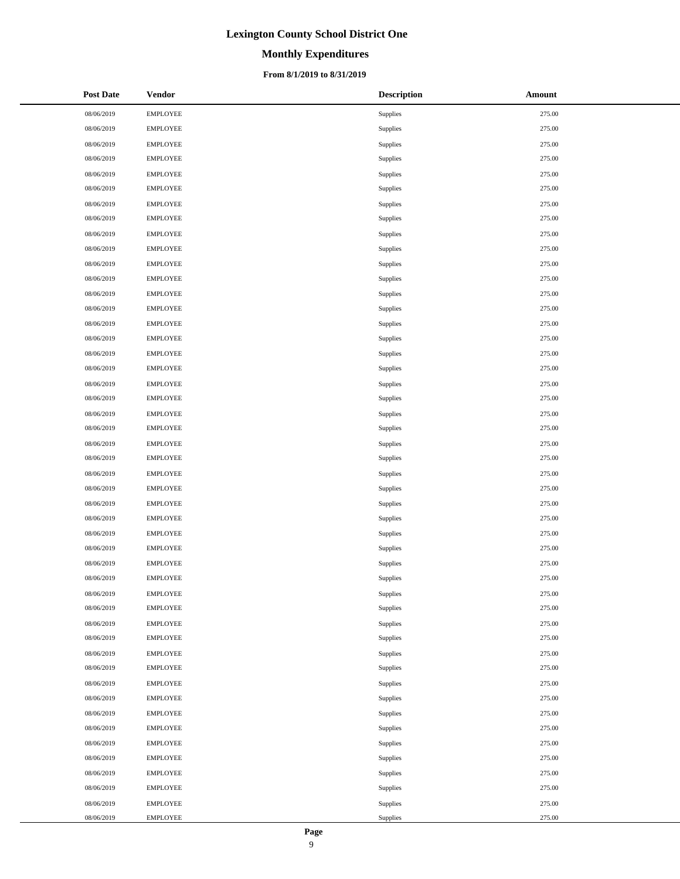## **Monthly Expenditures**

### **From 8/1/2019 to 8/31/2019**

| <b>Post Date</b> | <b>Vendor</b>   | <b>Description</b> | Amount |
|------------------|-----------------|--------------------|--------|
| 08/06/2019       | <b>EMPLOYEE</b> | Supplies           | 275.00 |
| 08/06/2019       | <b>EMPLOYEE</b> | Supplies           | 275.00 |
| 08/06/2019       | <b>EMPLOYEE</b> | Supplies           | 275.00 |
| 08/06/2019       | <b>EMPLOYEE</b> | Supplies           | 275.00 |
| 08/06/2019       | <b>EMPLOYEE</b> | Supplies           | 275.00 |
| 08/06/2019       | <b>EMPLOYEE</b> | Supplies           | 275.00 |
| 08/06/2019       | <b>EMPLOYEE</b> | Supplies           | 275.00 |
| 08/06/2019       | <b>EMPLOYEE</b> | Supplies           | 275.00 |
| 08/06/2019       | <b>EMPLOYEE</b> | Supplies           | 275.00 |
| 08/06/2019       | <b>EMPLOYEE</b> | Supplies           | 275.00 |
| 08/06/2019       | <b>EMPLOYEE</b> | Supplies           | 275.00 |
| 08/06/2019       | <b>EMPLOYEE</b> | Supplies           | 275.00 |
| 08/06/2019       | <b>EMPLOYEE</b> | Supplies           | 275.00 |
| 08/06/2019       | <b>EMPLOYEE</b> | Supplies           | 275.00 |
| 08/06/2019       | <b>EMPLOYEE</b> | Supplies           | 275.00 |
| 08/06/2019       | <b>EMPLOYEE</b> | Supplies           | 275.00 |
| 08/06/2019       | <b>EMPLOYEE</b> | Supplies           | 275.00 |
| 08/06/2019       | <b>EMPLOYEE</b> | Supplies           | 275.00 |
| 08/06/2019       | <b>EMPLOYEE</b> | Supplies           | 275.00 |
| 08/06/2019       | <b>EMPLOYEE</b> | Supplies           | 275.00 |
| 08/06/2019       | <b>EMPLOYEE</b> | Supplies           | 275.00 |
| 08/06/2019       | <b>EMPLOYEE</b> | Supplies           | 275.00 |
| 08/06/2019       | <b>EMPLOYEE</b> | Supplies           | 275.00 |
| 08/06/2019       | <b>EMPLOYEE</b> | Supplies           | 275.00 |
| 08/06/2019       | <b>EMPLOYEE</b> | Supplies           | 275.00 |
| 08/06/2019       | <b>EMPLOYEE</b> | Supplies           | 275.00 |
| 08/06/2019       | <b>EMPLOYEE</b> | Supplies           | 275.00 |
| 08/06/2019       | <b>EMPLOYEE</b> | Supplies           | 275.00 |
| 08/06/2019       | <b>EMPLOYEE</b> | Supplies           | 275.00 |
| 08/06/2019       | <b>EMPLOYEE</b> | Supplies           | 275.00 |
| 08/06/2019       | <b>EMPLOYEE</b> | Supplies           | 275.00 |
| 08/06/2019       | <b>EMPLOYEE</b> | Supplies           | 275.00 |
| 08/06/2019       | <b>EMPLOYEE</b> | Supplies           | 275.00 |
| 08/06/2019       | <b>EMPLOYEE</b> | Supplies           | 275.00 |
| 08/06/2019       | <b>EMPLOYEE</b> | Supplies           | 275.00 |
| 08/06/2019       | <b>EMPLOYEE</b> | Supplies           | 275.00 |
| 08/06/2019       | <b>EMPLOYEE</b> | Supplies           | 275.00 |
| 08/06/2019       | <b>EMPLOYEE</b> | Supplies           | 275.00 |
| 08/06/2019       | <b>EMPLOYEE</b> | Supplies           | 275.00 |
| 08/06/2019       | <b>EMPLOYEE</b> | Supplies           | 275.00 |
| 08/06/2019       | <b>EMPLOYEE</b> | Supplies           | 275.00 |
| 08/06/2019       | <b>EMPLOYEE</b> | Supplies           | 275.00 |
| 08/06/2019       | <b>EMPLOYEE</b> | Supplies           | 275.00 |
| 08/06/2019       | <b>EMPLOYEE</b> | Supplies           | 275.00 |
| 08/06/2019       | <b>EMPLOYEE</b> | Supplies           | 275.00 |
| 08/06/2019       | <b>EMPLOYEE</b> | Supplies           | 275.00 |
| 08/06/2019       | <b>EMPLOYEE</b> | Supplies           | 275.00 |
| 08/06/2019       | <b>EMPLOYEE</b> | Supplies           | 275.00 |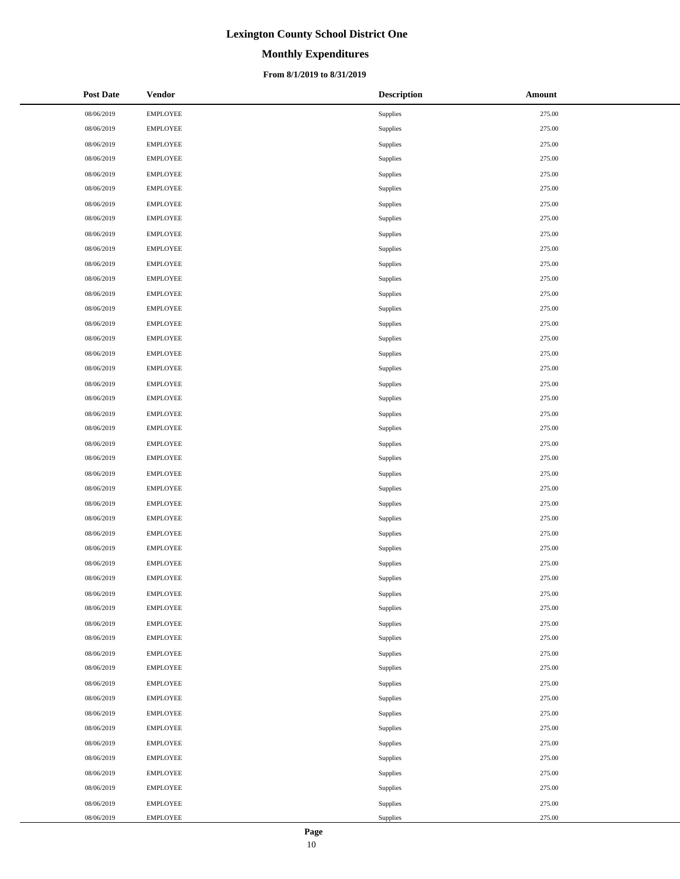# **Monthly Expenditures**

### **From 8/1/2019 to 8/31/2019**

| <b>Post Date</b> | Vendor          | <b>Description</b> | Amount |
|------------------|-----------------|--------------------|--------|
| 08/06/2019       | <b>EMPLOYEE</b> | Supplies           | 275.00 |
| 08/06/2019       | <b>EMPLOYEE</b> | Supplies           | 275.00 |
| 08/06/2019       | <b>EMPLOYEE</b> | Supplies           | 275.00 |
| 08/06/2019       | <b>EMPLOYEE</b> | Supplies           | 275.00 |
| 08/06/2019       | <b>EMPLOYEE</b> | Supplies           | 275.00 |
| 08/06/2019       | <b>EMPLOYEE</b> | Supplies           | 275.00 |
| 08/06/2019       | <b>EMPLOYEE</b> | Supplies           | 275.00 |
| 08/06/2019       | <b>EMPLOYEE</b> | Supplies           | 275.00 |
| 08/06/2019       | <b>EMPLOYEE</b> | Supplies           | 275.00 |
| 08/06/2019       | <b>EMPLOYEE</b> | Supplies           | 275.00 |
| 08/06/2019       | <b>EMPLOYEE</b> | Supplies           | 275.00 |
| 08/06/2019       | <b>EMPLOYEE</b> | Supplies           | 275.00 |
| 08/06/2019       | <b>EMPLOYEE</b> | Supplies           | 275.00 |
| 08/06/2019       | <b>EMPLOYEE</b> | Supplies           | 275.00 |
| 08/06/2019       | <b>EMPLOYEE</b> | Supplies           | 275.00 |
| 08/06/2019       | <b>EMPLOYEE</b> | Supplies           | 275.00 |
| 08/06/2019       | <b>EMPLOYEE</b> | Supplies           | 275.00 |
| 08/06/2019       | <b>EMPLOYEE</b> | Supplies           | 275.00 |
| 08/06/2019       | <b>EMPLOYEE</b> | Supplies           | 275.00 |
| 08/06/2019       | <b>EMPLOYEE</b> | Supplies           | 275.00 |
| 08/06/2019       | <b>EMPLOYEE</b> | Supplies           | 275.00 |
| 08/06/2019       | <b>EMPLOYEE</b> | <b>Supplies</b>    | 275.00 |
| 08/06/2019       | <b>EMPLOYEE</b> | Supplies           | 275.00 |
| 08/06/2019       | <b>EMPLOYEE</b> | <b>Supplies</b>    | 275.00 |
| 08/06/2019       | <b>EMPLOYEE</b> | Supplies           | 275.00 |
| 08/06/2019       | <b>EMPLOYEE</b> | Supplies           | 275.00 |
| 08/06/2019       | <b>EMPLOYEE</b> | Supplies           | 275.00 |
| 08/06/2019       | <b>EMPLOYEE</b> | Supplies           | 275.00 |
| 08/06/2019       | <b>EMPLOYEE</b> | Supplies           | 275.00 |
| 08/06/2019       | <b>EMPLOYEE</b> | Supplies           | 275.00 |
| 08/06/2019       | <b>EMPLOYEE</b> | <b>Supplies</b>    | 275.00 |
| 08/06/2019       | <b>EMPLOYEE</b> | Supplies           | 275.00 |
| 08/06/2019       | <b>EMPLOYEE</b> | Supplies           | 275.00 |
| 08/06/2019       | <b>EMPLOYEE</b> | Supplies           | 275.00 |
| 08/06/2019       | <b>EMPLOYEE</b> | Supplies           | 275.00 |
| 08/06/2019       | <b>EMPLOYEE</b> | Supplies           | 275.00 |
| 08/06/2019       | <b>EMPLOYEE</b> | Supplies           | 275.00 |
| 08/06/2019       | <b>EMPLOYEE</b> | Supplies           | 275.00 |
| 08/06/2019       | <b>EMPLOYEE</b> | Supplies           | 275.00 |
| 08/06/2019       | <b>EMPLOYEE</b> | Supplies           | 275.00 |
| 08/06/2019       | <b>EMPLOYEE</b> | Supplies           | 275.00 |
| 08/06/2019       | <b>EMPLOYEE</b> | Supplies           | 275.00 |
| 08/06/2019       | <b>EMPLOYEE</b> | Supplies           | 275.00 |
| 08/06/2019       | <b>EMPLOYEE</b> | Supplies           | 275.00 |
| 08/06/2019       | <b>EMPLOYEE</b> | Supplies           | 275.00 |
| 08/06/2019       | <b>EMPLOYEE</b> | Supplies           | 275.00 |
| 08/06/2019       | <b>EMPLOYEE</b> | Supplies           | 275.00 |
| 08/06/2019       | <b>EMPLOYEE</b> | Supplies           | 275.00 |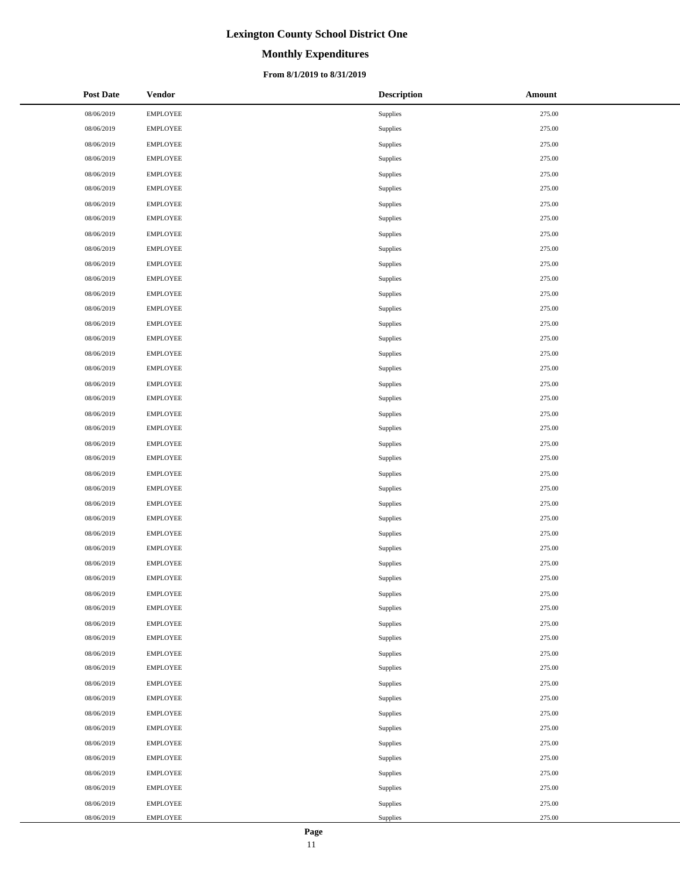# **Monthly Expenditures**

### **From 8/1/2019 to 8/31/2019**

| <b>Post Date</b> | <b>Vendor</b>   | <b>Description</b> | Amount |
|------------------|-----------------|--------------------|--------|
| 08/06/2019       | <b>EMPLOYEE</b> | Supplies           | 275.00 |
| 08/06/2019       | <b>EMPLOYEE</b> | Supplies           | 275.00 |
| 08/06/2019       | <b>EMPLOYEE</b> | Supplies           | 275.00 |
| 08/06/2019       | <b>EMPLOYEE</b> | Supplies           | 275.00 |
| 08/06/2019       | <b>EMPLOYEE</b> | Supplies           | 275.00 |
| 08/06/2019       | <b>EMPLOYEE</b> | Supplies           | 275.00 |
| 08/06/2019       | <b>EMPLOYEE</b> | <b>Supplies</b>    | 275.00 |
| 08/06/2019       | <b>EMPLOYEE</b> | Supplies           | 275.00 |
| 08/06/2019       | <b>EMPLOYEE</b> | Supplies           | 275.00 |
| 08/06/2019       | <b>EMPLOYEE</b> | Supplies           | 275.00 |
| 08/06/2019       | <b>EMPLOYEE</b> | Supplies           | 275.00 |
| 08/06/2019       | <b>EMPLOYEE</b> | Supplies           | 275.00 |
| 08/06/2019       | <b>EMPLOYEE</b> | Supplies           | 275.00 |
| 08/06/2019       | <b>EMPLOYEE</b> | Supplies           | 275.00 |
| 08/06/2019       | <b>EMPLOYEE</b> | <b>Supplies</b>    | 275.00 |
| 08/06/2019       | <b>EMPLOYEE</b> | Supplies           | 275.00 |
| 08/06/2019       | <b>EMPLOYEE</b> | Supplies           | 275.00 |
| 08/06/2019       | <b>EMPLOYEE</b> | Supplies           | 275.00 |
| 08/06/2019       | <b>EMPLOYEE</b> | Supplies           | 275.00 |
| 08/06/2019       | <b>EMPLOYEE</b> | Supplies           | 275.00 |
| 08/06/2019       | <b>EMPLOYEE</b> | Supplies           | 275.00 |
| 08/06/2019       | <b>EMPLOYEE</b> | Supplies           | 275.00 |
| 08/06/2019       | <b>EMPLOYEE</b> | Supplies           | 275.00 |
| 08/06/2019       | <b>EMPLOYEE</b> | Supplies           | 275.00 |
| 08/06/2019       | <b>EMPLOYEE</b> | Supplies           | 275.00 |
| 08/06/2019       | <b>EMPLOYEE</b> | Supplies           | 275.00 |
| 08/06/2019       | <b>EMPLOYEE</b> | Supplies           | 275.00 |
| 08/06/2019       | <b>EMPLOYEE</b> | Supplies           | 275.00 |
| 08/06/2019       | <b>EMPLOYEE</b> | Supplies           | 275.00 |
| 08/06/2019       | <b>EMPLOYEE</b> | Supplies           | 275.00 |
| 08/06/2019       | <b>EMPLOYEE</b> | Supplies           | 275.00 |
| 08/06/2019       | <b>EMPLOYEE</b> | <b>Supplies</b>    | 275.00 |
| 08/06/2019       | <b>EMPLOYEE</b> | Supplies           | 275.00 |
| 08/06/2019       | <b>EMPLOYEE</b> | Supplies           | 275.00 |
| 08/06/2019       | <b>EMPLOYEE</b> | Supplies           | 275.00 |
| 08/06/2019       | <b>EMPLOYEE</b> | Supplies           | 275.00 |
| 08/06/2019       | <b>EMPLOYEE</b> | Supplies           | 275.00 |
| 08/06/2019       | <b>EMPLOYEE</b> | Supplies           | 275.00 |
| 08/06/2019       | <b>EMPLOYEE</b> | Supplies           | 275.00 |
| 08/06/2019       | <b>EMPLOYEE</b> | Supplies           | 275.00 |
| 08/06/2019       | <b>EMPLOYEE</b> | Supplies           | 275.00 |
| 08/06/2019       | <b>EMPLOYEE</b> | Supplies           | 275.00 |
| 08/06/2019       | <b>EMPLOYEE</b> | Supplies           | 275.00 |
| 08/06/2019       | <b>EMPLOYEE</b> | Supplies           | 275.00 |
| 08/06/2019       | <b>EMPLOYEE</b> | Supplies           | 275.00 |
| 08/06/2019       | <b>EMPLOYEE</b> | Supplies           | 275.00 |
| 08/06/2019       | <b>EMPLOYEE</b> | Supplies           | 275.00 |
| 08/06/2019       | <b>EMPLOYEE</b> | Supplies           | 275.00 |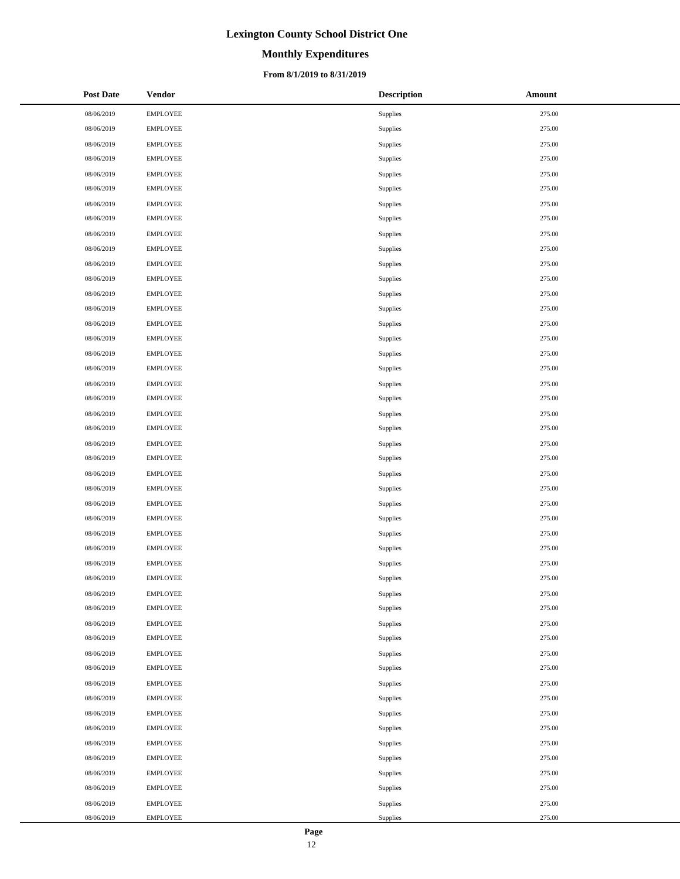# **Monthly Expenditures**

### **From 8/1/2019 to 8/31/2019**

| <b>Post Date</b> | <b>Vendor</b>   | <b>Description</b> | Amount |
|------------------|-----------------|--------------------|--------|
| 08/06/2019       | <b>EMPLOYEE</b> | Supplies           | 275.00 |
| 08/06/2019       | <b>EMPLOYEE</b> | Supplies           | 275.00 |
| 08/06/2019       | <b>EMPLOYEE</b> | Supplies           | 275.00 |
| 08/06/2019       | <b>EMPLOYEE</b> | Supplies           | 275.00 |
| 08/06/2019       | <b>EMPLOYEE</b> | Supplies           | 275.00 |
| 08/06/2019       | <b>EMPLOYEE</b> | Supplies           | 275.00 |
| 08/06/2019       | <b>EMPLOYEE</b> | Supplies           | 275.00 |
| 08/06/2019       | <b>EMPLOYEE</b> | <b>Supplies</b>    | 275.00 |
| 08/06/2019       | <b>EMPLOYEE</b> | Supplies           | 275.00 |
| 08/06/2019       | <b>EMPLOYEE</b> | Supplies           | 275.00 |
| 08/06/2019       | <b>EMPLOYEE</b> | Supplies           | 275.00 |
| 08/06/2019       | <b>EMPLOYEE</b> | Supplies           | 275.00 |
| 08/06/2019       | <b>EMPLOYEE</b> | Supplies           | 275.00 |
| 08/06/2019       | <b>EMPLOYEE</b> | Supplies           | 275.00 |
| 08/06/2019       | <b>EMPLOYEE</b> | Supplies           | 275.00 |
| 08/06/2019       | <b>EMPLOYEE</b> | <b>Supplies</b>    | 275.00 |
| 08/06/2019       | <b>EMPLOYEE</b> | Supplies           | 275.00 |
| 08/06/2019       | <b>EMPLOYEE</b> | Supplies           | 275.00 |
| 08/06/2019       | <b>EMPLOYEE</b> | Supplies           | 275.00 |
| 08/06/2019       | <b>EMPLOYEE</b> | Supplies           | 275.00 |
| 08/06/2019       | <b>EMPLOYEE</b> | Supplies           | 275.00 |
| 08/06/2019       | <b>EMPLOYEE</b> | Supplies           | 275.00 |
| 08/06/2019       | <b>EMPLOYEE</b> | Supplies           | 275.00 |
| 08/06/2019       | <b>EMPLOYEE</b> | Supplies           | 275.00 |
| 08/06/2019       | <b>EMPLOYEE</b> | Supplies           | 275.00 |
| 08/06/2019       | <b>EMPLOYEE</b> | Supplies           | 275.00 |
| 08/06/2019       | <b>EMPLOYEE</b> | Supplies           | 275.00 |
| 08/06/2019       | <b>EMPLOYEE</b> | Supplies           | 275.00 |
| 08/06/2019       | <b>EMPLOYEE</b> | Supplies           | 275.00 |
| 08/06/2019       | <b>EMPLOYEE</b> | Supplies           | 275.00 |
| 08/06/2019       | <b>EMPLOYEE</b> | Supplies           | 275.00 |
| 08/06/2019       | <b>EMPLOYEE</b> | Supplies           | 275.00 |
| 08/06/2019       | <b>EMPLOYEE</b> | Supplies           | 275.00 |
| 08/06/2019       | <b>EMPLOYEE</b> | Supplies           | 275.00 |
| 08/06/2019       | <b>EMPLOYEE</b> | Supplies           | 275.00 |
| 08/06/2019       | <b>EMPLOYEE</b> | Supplies           | 275.00 |
| 08/06/2019       | <b>EMPLOYEE</b> | Supplies           | 275.00 |
| 08/06/2019       | <b>EMPLOYEE</b> | Supplies           | 275.00 |
| 08/06/2019       | <b>EMPLOYEE</b> | Supplies           | 275.00 |
| 08/06/2019       | <b>EMPLOYEE</b> | Supplies           | 275.00 |
| 08/06/2019       | <b>EMPLOYEE</b> | Supplies           | 275.00 |
| 08/06/2019       | <b>EMPLOYEE</b> | Supplies           | 275.00 |
| 08/06/2019       | <b>EMPLOYEE</b> | Supplies           | 275.00 |
| 08/06/2019       | <b>EMPLOYEE</b> | Supplies           | 275.00 |
| 08/06/2019       | <b>EMPLOYEE</b> | Supplies           | 275.00 |
| 08/06/2019       | <b>EMPLOYEE</b> | Supplies           | 275.00 |
| 08/06/2019       | <b>EMPLOYEE</b> | Supplies           | 275.00 |
| 08/06/2019       | <b>EMPLOYEE</b> | Supplies           | 275.00 |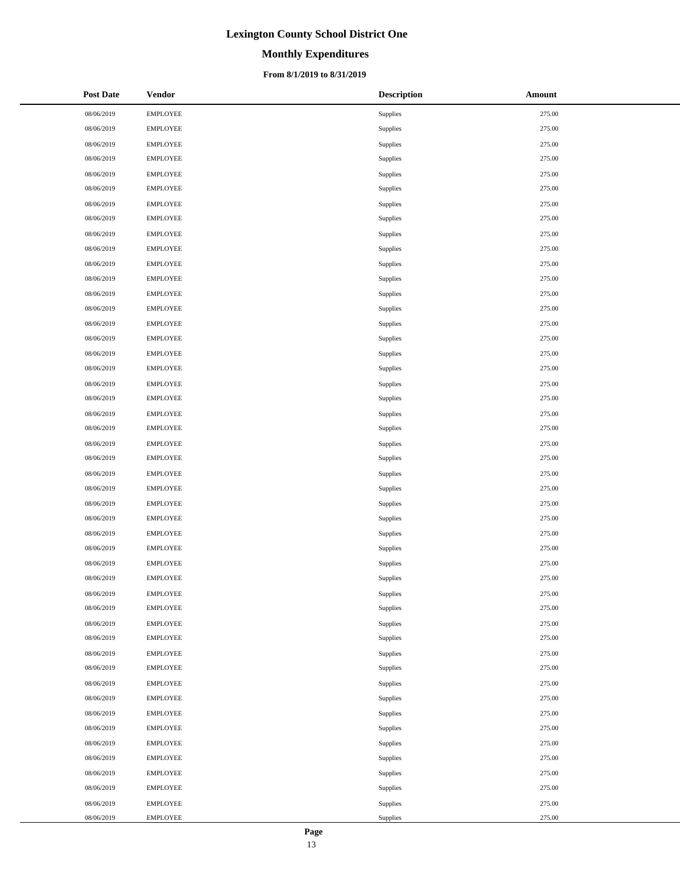# **Monthly Expenditures**

### **From 8/1/2019 to 8/31/2019**

| <b>Post Date</b> | <b>Vendor</b>   | <b>Description</b> | Amount |
|------------------|-----------------|--------------------|--------|
| 08/06/2019       | <b>EMPLOYEE</b> | Supplies           | 275.00 |
| 08/06/2019       | <b>EMPLOYEE</b> | Supplies           | 275.00 |
| 08/06/2019       | <b>EMPLOYEE</b> | Supplies           | 275.00 |
| 08/06/2019       | <b>EMPLOYEE</b> | Supplies           | 275.00 |
| 08/06/2019       | <b>EMPLOYEE</b> | Supplies           | 275.00 |
| 08/06/2019       | <b>EMPLOYEE</b> | Supplies           | 275.00 |
| 08/06/2019       | <b>EMPLOYEE</b> | Supplies           | 275.00 |
| 08/06/2019       | <b>EMPLOYEE</b> | Supplies           | 275.00 |
| 08/06/2019       | <b>EMPLOYEE</b> | Supplies           | 275.00 |
| 08/06/2019       | <b>EMPLOYEE</b> | Supplies           | 275.00 |
| 08/06/2019       | <b>EMPLOYEE</b> | Supplies           | 275.00 |
| 08/06/2019       | <b>EMPLOYEE</b> | Supplies           | 275.00 |
| 08/06/2019       | <b>EMPLOYEE</b> | Supplies           | 275.00 |
| 08/06/2019       | <b>EMPLOYEE</b> | Supplies           | 275.00 |
| 08/06/2019       | <b>EMPLOYEE</b> | Supplies           | 275.00 |
| 08/06/2019       | <b>EMPLOYEE</b> | Supplies           | 275.00 |
| 08/06/2019       | <b>EMPLOYEE</b> | Supplies           | 275.00 |
| 08/06/2019       | <b>EMPLOYEE</b> | Supplies           | 275.00 |
| 08/06/2019       | <b>EMPLOYEE</b> | Supplies           | 275.00 |
| 08/06/2019       | <b>EMPLOYEE</b> | Supplies           | 275.00 |
| 08/06/2019       | <b>EMPLOYEE</b> | Supplies           | 275.00 |
| 08/06/2019       | <b>EMPLOYEE</b> | Supplies           | 275.00 |
| 08/06/2019       | <b>EMPLOYEE</b> | Supplies           | 275.00 |
| 08/06/2019       | <b>EMPLOYEE</b> | Supplies           | 275.00 |
| 08/06/2019       | <b>EMPLOYEE</b> | Supplies           | 275.00 |
| 08/06/2019       | <b>EMPLOYEE</b> | Supplies           | 275.00 |
| 08/06/2019       | <b>EMPLOYEE</b> | Supplies           | 275.00 |
| 08/06/2019       | <b>EMPLOYEE</b> | Supplies           | 275.00 |
| 08/06/2019       | <b>EMPLOYEE</b> | Supplies           | 275.00 |
| 08/06/2019       | <b>EMPLOYEE</b> | Supplies           | 275.00 |
| 08/06/2019       | <b>EMPLOYEE</b> | Supplies           | 275.00 |
| 08/06/2019       | <b>EMPLOYEE</b> | Supplies           | 275.00 |
| 08/06/2019       | <b>EMPLOYEE</b> | Supplies           | 275.00 |
| 08/06/2019       | <b>EMPLOYEE</b> | Supplies           | 275.00 |
| 08/06/2019       | <b>EMPLOYEE</b> | Supplies           | 275.00 |
| 08/06/2019       | <b>EMPLOYEE</b> | Supplies           | 275.00 |
| 08/06/2019       | <b>EMPLOYEE</b> | Supplies           | 275.00 |
| 08/06/2019       | <b>EMPLOYEE</b> | Supplies           | 275.00 |
| 08/06/2019       | <b>EMPLOYEE</b> | Supplies           | 275.00 |
| 08/06/2019       | <b>EMPLOYEE</b> | Supplies           | 275.00 |
| 08/06/2019       | <b>EMPLOYEE</b> | Supplies           | 275.00 |
| 08/06/2019       | <b>EMPLOYEE</b> | Supplies           | 275.00 |
| 08/06/2019       | <b>EMPLOYEE</b> | Supplies           | 275.00 |
| 08/06/2019       | <b>EMPLOYEE</b> | Supplies           | 275.00 |
| 08/06/2019       | <b>EMPLOYEE</b> | Supplies           | 275.00 |
| 08/06/2019       | <b>EMPLOYEE</b> | Supplies           | 275.00 |
| 08/06/2019       | <b>EMPLOYEE</b> | Supplies           | 275.00 |
| 08/06/2019       | <b>EMPLOYEE</b> | Supplies           | 275.00 |

 $\overline{\phantom{a}}$  $\overline{\phantom{0}}$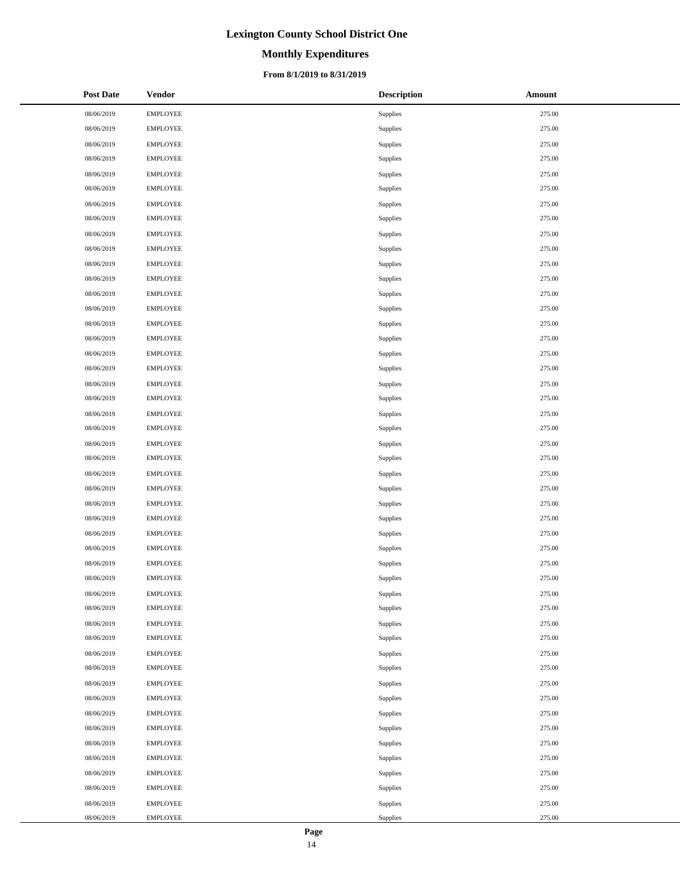# **Monthly Expenditures**

### **From 8/1/2019 to 8/31/2019**

| <b>Post Date</b> | <b>Vendor</b>   | <b>Description</b> | Amount |
|------------------|-----------------|--------------------|--------|
| 08/06/2019       | <b>EMPLOYEE</b> | Supplies           | 275.00 |
| 08/06/2019       | <b>EMPLOYEE</b> | Supplies           | 275.00 |
| 08/06/2019       | <b>EMPLOYEE</b> | Supplies           | 275.00 |
| 08/06/2019       | <b>EMPLOYEE</b> | Supplies           | 275.00 |
| 08/06/2019       | <b>EMPLOYEE</b> | Supplies           | 275.00 |
| 08/06/2019       | <b>EMPLOYEE</b> | Supplies           | 275.00 |
| 08/06/2019       | <b>EMPLOYEE</b> | Supplies           | 275.00 |
| 08/06/2019       | <b>EMPLOYEE</b> | <b>Supplies</b>    | 275.00 |
| 08/06/2019       | <b>EMPLOYEE</b> | Supplies           | 275.00 |
| 08/06/2019       | <b>EMPLOYEE</b> | Supplies           | 275.00 |
| 08/06/2019       | <b>EMPLOYEE</b> | Supplies           | 275.00 |
| 08/06/2019       | <b>EMPLOYEE</b> | Supplies           | 275.00 |
| 08/06/2019       | <b>EMPLOYEE</b> | Supplies           | 275.00 |
| 08/06/2019       | <b>EMPLOYEE</b> | Supplies           | 275.00 |
| 08/06/2019       | <b>EMPLOYEE</b> | Supplies           | 275.00 |
| 08/06/2019       | <b>EMPLOYEE</b> | <b>Supplies</b>    | 275.00 |
| 08/06/2019       | <b>EMPLOYEE</b> | Supplies           | 275.00 |
| 08/06/2019       | <b>EMPLOYEE</b> | Supplies           | 275.00 |
| 08/06/2019       | <b>EMPLOYEE</b> | Supplies           | 275.00 |
| 08/06/2019       | <b>EMPLOYEE</b> | Supplies           | 275.00 |
| 08/06/2019       | <b>EMPLOYEE</b> | Supplies           | 275.00 |
| 08/06/2019       | <b>EMPLOYEE</b> | Supplies           | 275.00 |
| 08/06/2019       | <b>EMPLOYEE</b> | Supplies           | 275.00 |
| 08/06/2019       | <b>EMPLOYEE</b> | Supplies           | 275.00 |
| 08/06/2019       | <b>EMPLOYEE</b> | Supplies           | 275.00 |
| 08/06/2019       | <b>EMPLOYEE</b> | Supplies           | 275.00 |
| 08/06/2019       | <b>EMPLOYEE</b> | Supplies           | 275.00 |
| 08/06/2019       | <b>EMPLOYEE</b> | Supplies           | 275.00 |
| 08/06/2019       | <b>EMPLOYEE</b> | Supplies           | 275.00 |
| 08/06/2019       | <b>EMPLOYEE</b> | Supplies           | 275.00 |
| 08/06/2019       | <b>EMPLOYEE</b> | Supplies           | 275.00 |
| 08/06/2019       | <b>EMPLOYEE</b> | Supplies           | 275.00 |
| 08/06/2019       | <b>EMPLOYEE</b> | Supplies           | 275.00 |
| 08/06/2019       | <b>EMPLOYEE</b> | Supplies           | 275.00 |
| 08/06/2019       | <b>EMPLOYEE</b> | Supplies           | 275.00 |
| 08/06/2019       | <b>EMPLOYEE</b> | Supplies           | 275.00 |
| 08/06/2019       | <b>EMPLOYEE</b> | Supplies           | 275.00 |
| 08/06/2019       | <b>EMPLOYEE</b> | Supplies           | 275.00 |
| 08/06/2019       | <b>EMPLOYEE</b> | Supplies           | 275.00 |
| 08/06/2019       | <b>EMPLOYEE</b> | Supplies           | 275.00 |
| 08/06/2019       | <b>EMPLOYEE</b> | Supplies           | 275.00 |
| 08/06/2019       | <b>EMPLOYEE</b> | Supplies           | 275.00 |
| 08/06/2019       | <b>EMPLOYEE</b> | Supplies           | 275.00 |
| 08/06/2019       | <b>EMPLOYEE</b> | Supplies           | 275.00 |
| 08/06/2019       | <b>EMPLOYEE</b> | Supplies           | 275.00 |
| 08/06/2019       | <b>EMPLOYEE</b> | Supplies           | 275.00 |
| 08/06/2019       | <b>EMPLOYEE</b> | Supplies           | 275.00 |
| 08/06/2019       | <b>EMPLOYEE</b> | Supplies           | 275.00 |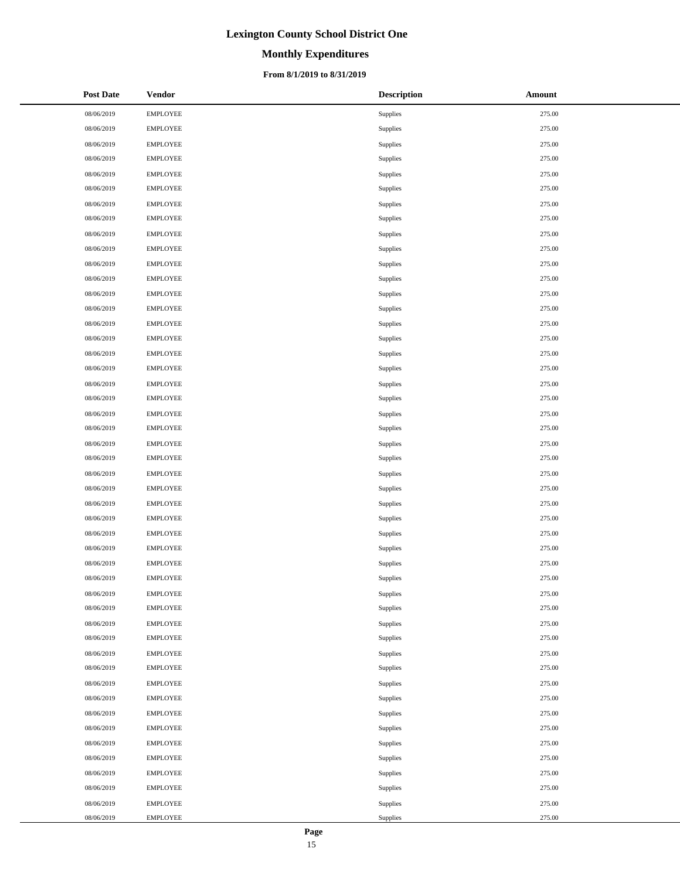# **Monthly Expenditures**

### **From 8/1/2019 to 8/31/2019**

| <b>Post Date</b> | <b>Vendor</b>   | <b>Description</b> | Amount |
|------------------|-----------------|--------------------|--------|
| 08/06/2019       | <b>EMPLOYEE</b> | Supplies           | 275.00 |
| 08/06/2019       | <b>EMPLOYEE</b> | Supplies           | 275.00 |
| 08/06/2019       | <b>EMPLOYEE</b> | Supplies           | 275.00 |
| 08/06/2019       | <b>EMPLOYEE</b> | Supplies           | 275.00 |
| 08/06/2019       | <b>EMPLOYEE</b> | Supplies           | 275.00 |
| 08/06/2019       | <b>EMPLOYEE</b> | Supplies           | 275.00 |
| 08/06/2019       | <b>EMPLOYEE</b> | Supplies           | 275.00 |
| 08/06/2019       | <b>EMPLOYEE</b> | Supplies           | 275.00 |
| 08/06/2019       | <b>EMPLOYEE</b> | Supplies           | 275.00 |
| 08/06/2019       | <b>EMPLOYEE</b> | Supplies           | 275.00 |
| 08/06/2019       | <b>EMPLOYEE</b> | Supplies           | 275.00 |
| 08/06/2019       | <b>EMPLOYEE</b> | Supplies           | 275.00 |
| 08/06/2019       | <b>EMPLOYEE</b> | Supplies           | 275.00 |
| 08/06/2019       | <b>EMPLOYEE</b> | Supplies           | 275.00 |
| 08/06/2019       | <b>EMPLOYEE</b> | Supplies           | 275.00 |
| 08/06/2019       | <b>EMPLOYEE</b> | Supplies           | 275.00 |
| 08/06/2019       | <b>EMPLOYEE</b> | Supplies           | 275.00 |
| 08/06/2019       | <b>EMPLOYEE</b> | Supplies           | 275.00 |
| 08/06/2019       | <b>EMPLOYEE</b> | Supplies           | 275.00 |
| 08/06/2019       | <b>EMPLOYEE</b> | Supplies           | 275.00 |
| 08/06/2019       | <b>EMPLOYEE</b> | Supplies           | 275.00 |
| 08/06/2019       | <b>EMPLOYEE</b> | Supplies           | 275.00 |
| 08/06/2019       | <b>EMPLOYEE</b> | Supplies           | 275.00 |
| 08/06/2019       | <b>EMPLOYEE</b> | Supplies           | 275.00 |
| 08/06/2019       | <b>EMPLOYEE</b> | Supplies           | 275.00 |
| 08/06/2019       | <b>EMPLOYEE</b> | Supplies           | 275.00 |
| 08/06/2019       | <b>EMPLOYEE</b> | Supplies           | 275.00 |
| 08/06/2019       | <b>EMPLOYEE</b> | Supplies           | 275.00 |
| 08/06/2019       | <b>EMPLOYEE</b> | Supplies           | 275.00 |
| 08/06/2019       | <b>EMPLOYEE</b> | Supplies           | 275.00 |
| 08/06/2019       | <b>EMPLOYEE</b> | Supplies           | 275.00 |
| 08/06/2019       | <b>EMPLOYEE</b> | Supplies           | 275.00 |
| 08/06/2019       | <b>EMPLOYEE</b> | Supplies           | 275.00 |
| 08/06/2019       | <b>EMPLOYEE</b> | Supplies           | 275.00 |
| 08/06/2019       | <b>EMPLOYEE</b> | Supplies           | 275.00 |
| 08/06/2019       | <b>EMPLOYEE</b> | Supplies           | 275.00 |
| 08/06/2019       | <b>EMPLOYEE</b> | Supplies           | 275.00 |
| 08/06/2019       | <b>EMPLOYEE</b> | Supplies           | 275.00 |
| 08/06/2019       | <b>EMPLOYEE</b> | Supplies           | 275.00 |
| 08/06/2019       | <b>EMPLOYEE</b> | Supplies           | 275.00 |
| 08/06/2019       | <b>EMPLOYEE</b> | Supplies           | 275.00 |
| 08/06/2019       | <b>EMPLOYEE</b> | Supplies           | 275.00 |
| 08/06/2019       | <b>EMPLOYEE</b> | Supplies           | 275.00 |
| 08/06/2019       | <b>EMPLOYEE</b> | Supplies           | 275.00 |
| 08/06/2019       | <b>EMPLOYEE</b> | Supplies           | 275.00 |
| 08/06/2019       | <b>EMPLOYEE</b> | Supplies           | 275.00 |
| 08/06/2019       | <b>EMPLOYEE</b> | Supplies           | 275.00 |
| 08/06/2019       | <b>EMPLOYEE</b> | Supplies           | 275.00 |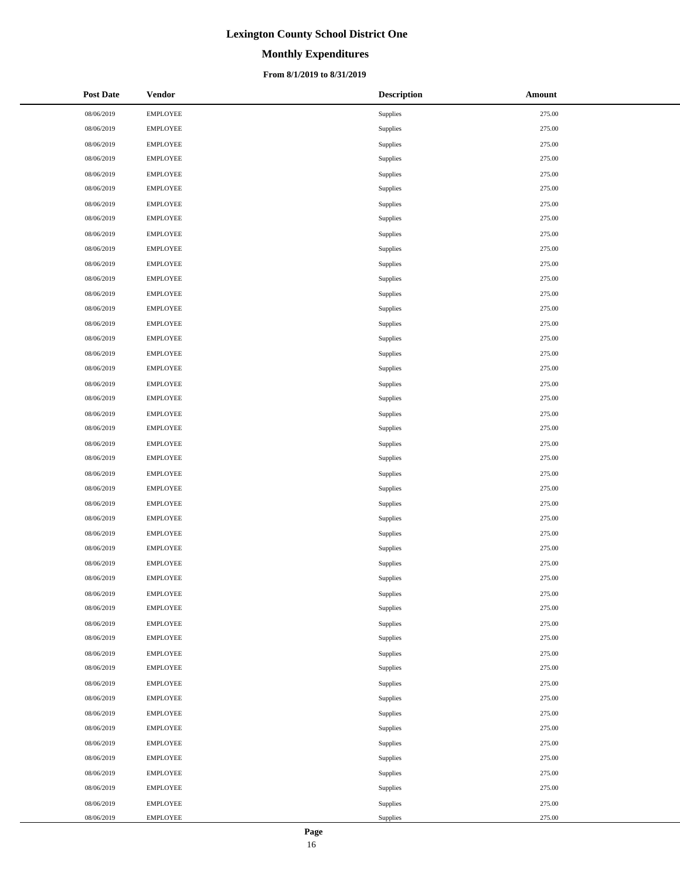# **Monthly Expenditures**

### **From 8/1/2019 to 8/31/2019**

| <b>Post Date</b> | <b>Vendor</b>   | <b>Description</b> | Amount |
|------------------|-----------------|--------------------|--------|
| 08/06/2019       | <b>EMPLOYEE</b> | Supplies           | 275.00 |
| 08/06/2019       | <b>EMPLOYEE</b> | Supplies           | 275.00 |
| 08/06/2019       | <b>EMPLOYEE</b> | Supplies           | 275.00 |
| 08/06/2019       | <b>EMPLOYEE</b> | Supplies           | 275.00 |
| 08/06/2019       | <b>EMPLOYEE</b> | Supplies           | 275.00 |
| 08/06/2019       | <b>EMPLOYEE</b> | Supplies           | 275.00 |
| 08/06/2019       | <b>EMPLOYEE</b> | Supplies           | 275.00 |
| 08/06/2019       | <b>EMPLOYEE</b> | <b>Supplies</b>    | 275.00 |
| 08/06/2019       | <b>EMPLOYEE</b> | Supplies           | 275.00 |
| 08/06/2019       | <b>EMPLOYEE</b> | Supplies           | 275.00 |
| 08/06/2019       | <b>EMPLOYEE</b> | Supplies           | 275.00 |
| 08/06/2019       | <b>EMPLOYEE</b> | Supplies           | 275.00 |
| 08/06/2019       | <b>EMPLOYEE</b> | Supplies           | 275.00 |
| 08/06/2019       | <b>EMPLOYEE</b> | Supplies           | 275.00 |
| 08/06/2019       | <b>EMPLOYEE</b> | Supplies           | 275.00 |
| 08/06/2019       | <b>EMPLOYEE</b> | <b>Supplies</b>    | 275.00 |
| 08/06/2019       | <b>EMPLOYEE</b> | Supplies           | 275.00 |
| 08/06/2019       | <b>EMPLOYEE</b> | Supplies           | 275.00 |
| 08/06/2019       | <b>EMPLOYEE</b> | Supplies           | 275.00 |
| 08/06/2019       | <b>EMPLOYEE</b> | Supplies           | 275.00 |
| 08/06/2019       | <b>EMPLOYEE</b> | Supplies           | 275.00 |
| 08/06/2019       | <b>EMPLOYEE</b> | Supplies           | 275.00 |
| 08/06/2019       | <b>EMPLOYEE</b> | Supplies           | 275.00 |
| 08/06/2019       | <b>EMPLOYEE</b> | Supplies           | 275.00 |
| 08/06/2019       | <b>EMPLOYEE</b> | Supplies           | 275.00 |
| 08/06/2019       | <b>EMPLOYEE</b> | Supplies           | 275.00 |
| 08/06/2019       | <b>EMPLOYEE</b> | Supplies           | 275.00 |
| 08/06/2019       | <b>EMPLOYEE</b> | Supplies           | 275.00 |
| 08/06/2019       | <b>EMPLOYEE</b> | Supplies           | 275.00 |
| 08/06/2019       | <b>EMPLOYEE</b> | Supplies           | 275.00 |
| 08/06/2019       | <b>EMPLOYEE</b> | Supplies           | 275.00 |
| 08/06/2019       | <b>EMPLOYEE</b> | Supplies           | 275.00 |
| 08/06/2019       | <b>EMPLOYEE</b> | Supplies           | 275.00 |
| 08/06/2019       | <b>EMPLOYEE</b> | Supplies           | 275.00 |
| 08/06/2019       | <b>EMPLOYEE</b> | Supplies           | 275.00 |
| 08/06/2019       | <b>EMPLOYEE</b> | Supplies           | 275.00 |
| 08/06/2019       | <b>EMPLOYEE</b> | Supplies           | 275.00 |
| 08/06/2019       | <b>EMPLOYEE</b> | Supplies           | 275.00 |
| 08/06/2019       | <b>EMPLOYEE</b> | Supplies           | 275.00 |
| 08/06/2019       | <b>EMPLOYEE</b> | Supplies           | 275.00 |
| 08/06/2019       | <b>EMPLOYEE</b> | Supplies           | 275.00 |
| 08/06/2019       | <b>EMPLOYEE</b> | Supplies           | 275.00 |
| 08/06/2019       | <b>EMPLOYEE</b> | Supplies           | 275.00 |
| 08/06/2019       | <b>EMPLOYEE</b> | Supplies           | 275.00 |
| 08/06/2019       | <b>EMPLOYEE</b> | Supplies           | 275.00 |
| 08/06/2019       | <b>EMPLOYEE</b> | Supplies           | 275.00 |
| 08/06/2019       | <b>EMPLOYEE</b> | Supplies           | 275.00 |
| 08/06/2019       | <b>EMPLOYEE</b> | Supplies           | 275.00 |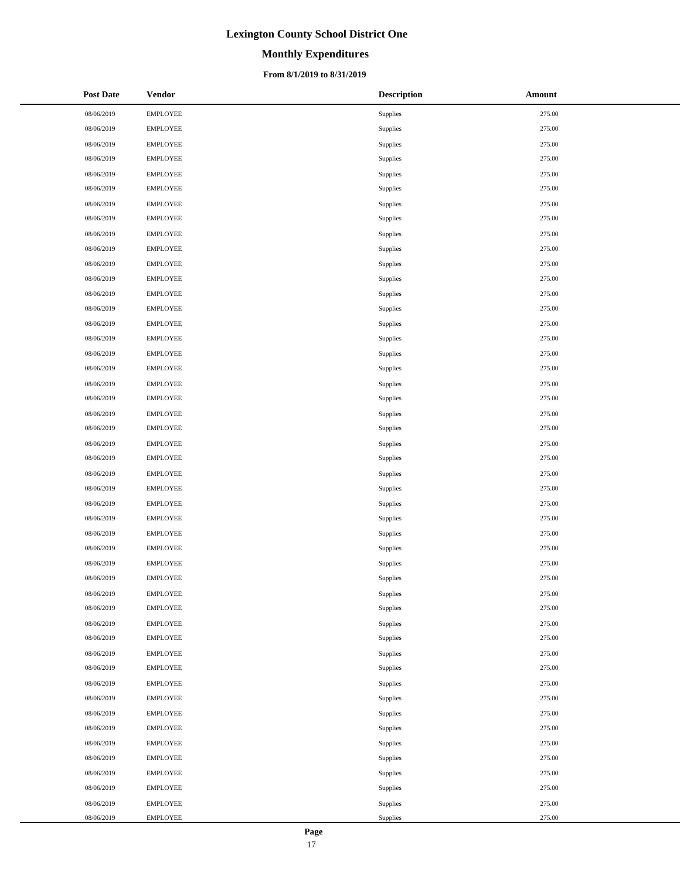# **Monthly Expenditures**

### **From 8/1/2019 to 8/31/2019**

| <b>Post Date</b> | Vendor          | <b>Description</b> | Amount |
|------------------|-----------------|--------------------|--------|
| 08/06/2019       | <b>EMPLOYEE</b> | Supplies           | 275.00 |
| 08/06/2019       | <b>EMPLOYEE</b> | <b>Supplies</b>    | 275.00 |
| 08/06/2019       | <b>EMPLOYEE</b> | Supplies           | 275.00 |
| 08/06/2019       | <b>EMPLOYEE</b> | Supplies           | 275.00 |
| 08/06/2019       | <b>EMPLOYEE</b> | Supplies           | 275.00 |
| 08/06/2019       | <b>EMPLOYEE</b> | <b>Supplies</b>    | 275.00 |
| 08/06/2019       | <b>EMPLOYEE</b> | Supplies           | 275.00 |
| 08/06/2019       | <b>EMPLOYEE</b> | <b>Supplies</b>    | 275.00 |
| 08/06/2019       | <b>EMPLOYEE</b> | Supplies           | 275.00 |
| 08/06/2019       | <b>EMPLOYEE</b> | Supplies           | 275.00 |
| 08/06/2019       | <b>EMPLOYEE</b> | Supplies           | 275.00 |
| 08/06/2019       | <b>EMPLOYEE</b> | Supplies           | 275.00 |
| 08/06/2019       | <b>EMPLOYEE</b> | Supplies           | 275.00 |
| 08/06/2019       | <b>EMPLOYEE</b> | Supplies           | 275.00 |
| 08/06/2019       | <b>EMPLOYEE</b> | Supplies           | 275.00 |
| 08/06/2019       | <b>EMPLOYEE</b> | Supplies           | 275.00 |
| 08/06/2019       | <b>EMPLOYEE</b> | Supplies           | 275.00 |
| 08/06/2019       | <b>EMPLOYEE</b> | Supplies           | 275.00 |
| 08/06/2019       | <b>EMPLOYEE</b> | Supplies           | 275.00 |
| 08/06/2019       | <b>EMPLOYEE</b> | Supplies           | 275.00 |
| 08/06/2019       | <b>EMPLOYEE</b> | Supplies           | 275.00 |
| 08/06/2019       | <b>EMPLOYEE</b> | Supplies           | 275.00 |
| 08/06/2019       | <b>EMPLOYEE</b> | Supplies           | 275.00 |
| 08/06/2019       | <b>EMPLOYEE</b> | Supplies           | 275.00 |
| 08/06/2019       | <b>EMPLOYEE</b> | Supplies           | 275.00 |
| 08/06/2019       | <b>EMPLOYEE</b> | Supplies           | 275.00 |
| 08/06/2019       | <b>EMPLOYEE</b> | Supplies           | 275.00 |
| 08/06/2019       | <b>EMPLOYEE</b> | Supplies           | 275.00 |
| 08/06/2019       | <b>EMPLOYEE</b> | Supplies           | 275.00 |
| 08/06/2019       | <b>EMPLOYEE</b> | Supplies           | 275.00 |
| 08/06/2019       | <b>EMPLOYEE</b> | Supplies           | 275.00 |
| 08/06/2019       | <b>EMPLOYEE</b> | Supplies           | 275.00 |
| 08/06/2019       | <b>EMPLOYEE</b> | Supplies           | 275.00 |
| 08/06/2019       | <b>EMPLOYEE</b> | Supplies           | 275.00 |
| 08/06/2019       | <b>EMPLOYEE</b> | Supplies           | 275.00 |
| 08/06/2019       | <b>EMPLOYEE</b> | Supplies           | 275.00 |
| 08/06/2019       | <b>EMPLOYEE</b> | Supplies           | 275.00 |
| 08/06/2019       | <b>EMPLOYEE</b> | Supplies           | 275.00 |
| 08/06/2019       | <b>EMPLOYEE</b> | Supplies           | 275.00 |
| 08/06/2019       | <b>EMPLOYEE</b> | Supplies           | 275.00 |
| 08/06/2019       | <b>EMPLOYEE</b> | Supplies           | 275.00 |
| 08/06/2019       | <b>EMPLOYEE</b> | Supplies           | 275.00 |
| 08/06/2019       | <b>EMPLOYEE</b> | Supplies           | 275.00 |
| 08/06/2019       | <b>EMPLOYEE</b> | Supplies           | 275.00 |
| 08/06/2019       | <b>EMPLOYEE</b> | Supplies           | 275.00 |
| 08/06/2019       | <b>EMPLOYEE</b> | Supplies           | 275.00 |
| 08/06/2019       | <b>EMPLOYEE</b> | Supplies           | 275.00 |
| 08/06/2019       | <b>EMPLOYEE</b> | Supplies           | 275.00 |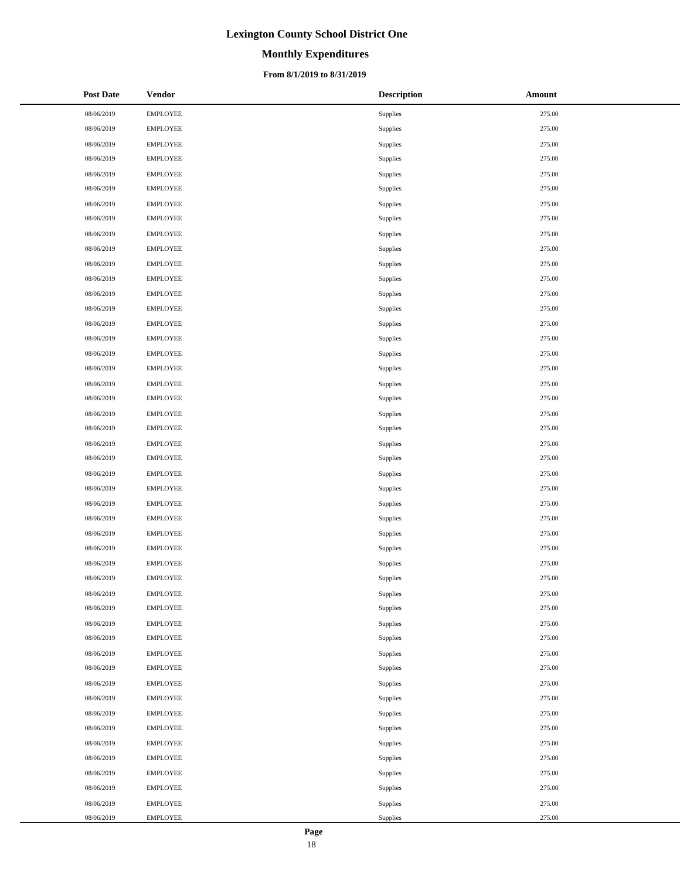# **Monthly Expenditures**

### **From 8/1/2019 to 8/31/2019**

| <b>Post Date</b> | <b>Vendor</b>   | <b>Description</b> | Amount |
|------------------|-----------------|--------------------|--------|
| 08/06/2019       | <b>EMPLOYEE</b> | Supplies           | 275.00 |
| 08/06/2019       | <b>EMPLOYEE</b> | Supplies           | 275.00 |
| 08/06/2019       | <b>EMPLOYEE</b> | Supplies           | 275.00 |
| 08/06/2019       | <b>EMPLOYEE</b> | Supplies           | 275.00 |
| 08/06/2019       | <b>EMPLOYEE</b> | Supplies           | 275.00 |
| 08/06/2019       | <b>EMPLOYEE</b> | Supplies           | 275.00 |
| 08/06/2019       | <b>EMPLOYEE</b> | Supplies           | 275.00 |
| 08/06/2019       | <b>EMPLOYEE</b> | Supplies           | 275.00 |
| 08/06/2019       | <b>EMPLOYEE</b> | Supplies           | 275.00 |
| 08/06/2019       | <b>EMPLOYEE</b> | Supplies           | 275.00 |
| 08/06/2019       | <b>EMPLOYEE</b> | Supplies           | 275.00 |
| 08/06/2019       | <b>EMPLOYEE</b> | Supplies           | 275.00 |
| 08/06/2019       | <b>EMPLOYEE</b> | Supplies           | 275.00 |
| 08/06/2019       | <b>EMPLOYEE</b> | Supplies           | 275.00 |
| 08/06/2019       | <b>EMPLOYEE</b> | Supplies           | 275.00 |
| 08/06/2019       | <b>EMPLOYEE</b> | Supplies           | 275.00 |
| 08/06/2019       | <b>EMPLOYEE</b> | Supplies           | 275.00 |
| 08/06/2019       | <b>EMPLOYEE</b> | Supplies           | 275.00 |
| 08/06/2019       | <b>EMPLOYEE</b> | Supplies           | 275.00 |
| 08/06/2019       | <b>EMPLOYEE</b> | Supplies           | 275.00 |
| 08/06/2019       | <b>EMPLOYEE</b> | Supplies           | 275.00 |
| 08/06/2019       | <b>EMPLOYEE</b> | Supplies           | 275.00 |
| 08/06/2019       | <b>EMPLOYEE</b> | Supplies           | 275.00 |
| 08/06/2019       | <b>EMPLOYEE</b> | Supplies           | 275.00 |
| 08/06/2019       | <b>EMPLOYEE</b> | Supplies           | 275.00 |
| 08/06/2019       | <b>EMPLOYEE</b> | Supplies           | 275.00 |
| 08/06/2019       | <b>EMPLOYEE</b> | Supplies           | 275.00 |
| 08/06/2019       | <b>EMPLOYEE</b> | Supplies           | 275.00 |
| 08/06/2019       | <b>EMPLOYEE</b> | Supplies           | 275.00 |
| 08/06/2019       | <b>EMPLOYEE</b> | Supplies           | 275.00 |
| 08/06/2019       | <b>EMPLOYEE</b> | Supplies           | 275.00 |
| 08/06/2019       | <b>EMPLOYEE</b> | Supplies           | 275.00 |
| 08/06/2019       | <b>EMPLOYEE</b> | Supplies           | 275.00 |
| 08/06/2019       | <b>EMPLOYEE</b> | Supplies           | 275.00 |
| 08/06/2019       | <b>EMPLOYEE</b> | Supplies           | 275.00 |
| 08/06/2019       | <b>EMPLOYEE</b> | Supplies           | 275.00 |
| 08/06/2019       | <b>EMPLOYEE</b> | Supplies           | 275.00 |
| 08/06/2019       | <b>EMPLOYEE</b> | Supplies           | 275.00 |
| 08/06/2019       | <b>EMPLOYEE</b> | Supplies           | 275.00 |
| 08/06/2019       | <b>EMPLOYEE</b> | Supplies           | 275.00 |
| 08/06/2019       | <b>EMPLOYEE</b> | Supplies           | 275.00 |
| 08/06/2019       | <b>EMPLOYEE</b> | Supplies           | 275.00 |
| 08/06/2019       | <b>EMPLOYEE</b> | Supplies           | 275.00 |
| 08/06/2019       | <b>EMPLOYEE</b> | Supplies           | 275.00 |
| 08/06/2019       | <b>EMPLOYEE</b> | Supplies           | 275.00 |
| 08/06/2019       | <b>EMPLOYEE</b> | Supplies           | 275.00 |
| 08/06/2019       | <b>EMPLOYEE</b> | Supplies           | 275.00 |
| 08/06/2019       | <b>EMPLOYEE</b> | Supplies           | 275.00 |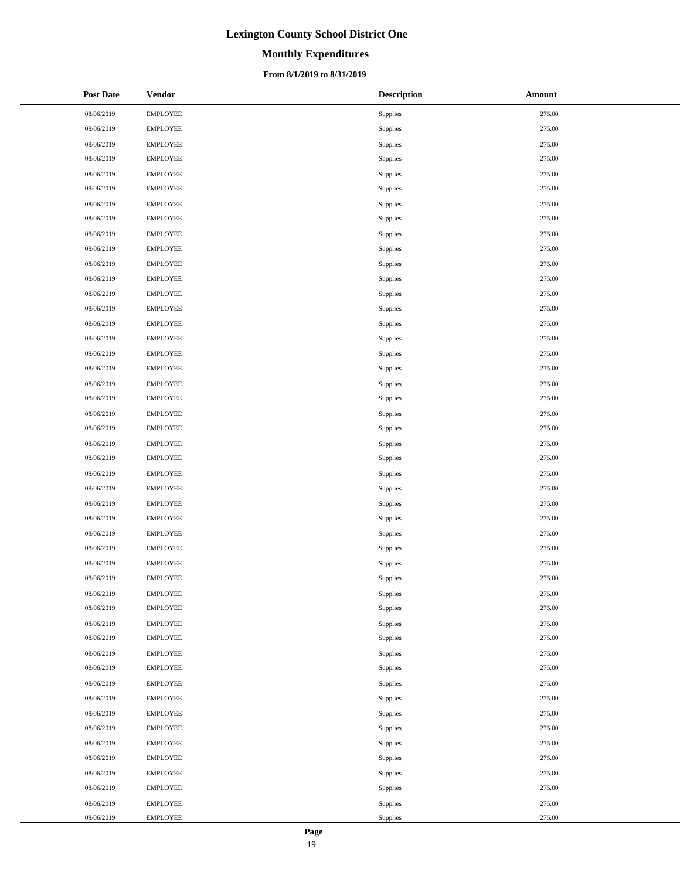# **Monthly Expenditures**

### **From 8/1/2019 to 8/31/2019**

| <b>Post Date</b> | <b>Vendor</b>   | <b>Description</b> | Amount |
|------------------|-----------------|--------------------|--------|
| 08/06/2019       | <b>EMPLOYEE</b> | Supplies           | 275.00 |
| 08/06/2019       | <b>EMPLOYEE</b> | Supplies           | 275.00 |
| 08/06/2019       | <b>EMPLOYEE</b> | Supplies           | 275.00 |
| 08/06/2019       | <b>EMPLOYEE</b> | Supplies           | 275.00 |
| 08/06/2019       | <b>EMPLOYEE</b> | Supplies           | 275.00 |
| 08/06/2019       | <b>EMPLOYEE</b> | Supplies           | 275.00 |
| 08/06/2019       | <b>EMPLOYEE</b> | Supplies           | 275.00 |
| 08/06/2019       | <b>EMPLOYEE</b> | Supplies           | 275.00 |
| 08/06/2019       | <b>EMPLOYEE</b> | Supplies           | 275.00 |
| 08/06/2019       | <b>EMPLOYEE</b> | Supplies           | 275.00 |
| 08/06/2019       | <b>EMPLOYEE</b> | Supplies           | 275.00 |
| 08/06/2019       | <b>EMPLOYEE</b> | Supplies           | 275.00 |
| 08/06/2019       | <b>EMPLOYEE</b> | Supplies           | 275.00 |
| 08/06/2019       | <b>EMPLOYEE</b> | Supplies           | 275.00 |
| 08/06/2019       | <b>EMPLOYEE</b> | Supplies           | 275.00 |
| 08/06/2019       | <b>EMPLOYEE</b> | Supplies           | 275.00 |
| 08/06/2019       | <b>EMPLOYEE</b> | Supplies           | 275.00 |
| 08/06/2019       | <b>EMPLOYEE</b> | Supplies           | 275.00 |
| 08/06/2019       | <b>EMPLOYEE</b> | Supplies           | 275.00 |
| 08/06/2019       | <b>EMPLOYEE</b> | Supplies           | 275.00 |
| 08/06/2019       | <b>EMPLOYEE</b> | Supplies           | 275.00 |
| 08/06/2019       | <b>EMPLOYEE</b> | Supplies           | 275.00 |
| 08/06/2019       | <b>EMPLOYEE</b> | Supplies           | 275.00 |
| 08/06/2019       | <b>EMPLOYEE</b> | Supplies           | 275.00 |
| 08/06/2019       | <b>EMPLOYEE</b> | Supplies           | 275.00 |
| 08/06/2019       | <b>EMPLOYEE</b> | Supplies           | 275.00 |
| 08/06/2019       | <b>EMPLOYEE</b> | Supplies           | 275.00 |
| 08/06/2019       | <b>EMPLOYEE</b> | Supplies           | 275.00 |
| 08/06/2019       | <b>EMPLOYEE</b> | Supplies           | 275.00 |
| 08/06/2019       | <b>EMPLOYEE</b> | Supplies           | 275.00 |
| 08/06/2019       | <b>EMPLOYEE</b> | Supplies           | 275.00 |
| 08/06/2019       | <b>EMPLOYEE</b> | Supplies           | 275.00 |
| 08/06/2019       | <b>EMPLOYEE</b> | Supplies           | 275.00 |
| 08/06/2019       | <b>EMPLOYEE</b> | Supplies           | 275.00 |
| 08/06/2019       | <b>EMPLOYEE</b> | Supplies           | 275.00 |
| 08/06/2019       | <b>EMPLOYEE</b> | Supplies           | 275.00 |
| 08/06/2019       | <b>EMPLOYEE</b> | Supplies           | 275.00 |
| 08/06/2019       | <b>EMPLOYEE</b> | Supplies           | 275.00 |
| 08/06/2019       | <b>EMPLOYEE</b> | Supplies           | 275.00 |
| 08/06/2019       | <b>EMPLOYEE</b> | Supplies           | 275.00 |
| 08/06/2019       | <b>EMPLOYEE</b> | Supplies           | 275.00 |
| 08/06/2019       | <b>EMPLOYEE</b> | Supplies           | 275.00 |
| 08/06/2019       | <b>EMPLOYEE</b> | Supplies           | 275.00 |
| 08/06/2019       | <b>EMPLOYEE</b> | Supplies           | 275.00 |
| 08/06/2019       | <b>EMPLOYEE</b> | Supplies           | 275.00 |
| 08/06/2019       | <b>EMPLOYEE</b> | Supplies           | 275.00 |
| 08/06/2019       | <b>EMPLOYEE</b> | Supplies           | 275.00 |
| 08/06/2019       | <b>EMPLOYEE</b> | Supplies           | 275.00 |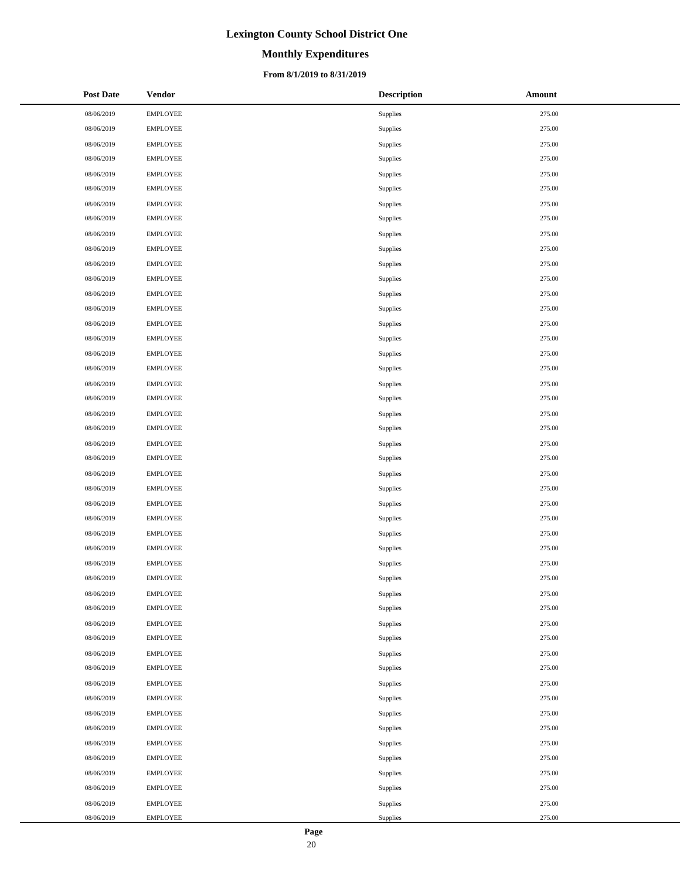# **Monthly Expenditures**

### **From 8/1/2019 to 8/31/2019**

| <b>Post Date</b> | <b>Vendor</b>   | <b>Description</b> | Amount |
|------------------|-----------------|--------------------|--------|
| 08/06/2019       | <b>EMPLOYEE</b> | Supplies           | 275.00 |
| 08/06/2019       | <b>EMPLOYEE</b> | Supplies           | 275.00 |
| 08/06/2019       | <b>EMPLOYEE</b> | Supplies           | 275.00 |
| 08/06/2019       | <b>EMPLOYEE</b> | Supplies           | 275.00 |
| 08/06/2019       | <b>EMPLOYEE</b> | Supplies           | 275.00 |
| 08/06/2019       | <b>EMPLOYEE</b> | Supplies           | 275.00 |
| 08/06/2019       | <b>EMPLOYEE</b> | Supplies           | 275.00 |
| 08/06/2019       | <b>EMPLOYEE</b> | Supplies           | 275.00 |
| 08/06/2019       | <b>EMPLOYEE</b> | Supplies           | 275.00 |
| 08/06/2019       | <b>EMPLOYEE</b> | Supplies           | 275.00 |
| 08/06/2019       | <b>EMPLOYEE</b> | Supplies           | 275.00 |
| 08/06/2019       | <b>EMPLOYEE</b> | Supplies           | 275.00 |
| 08/06/2019       | <b>EMPLOYEE</b> | Supplies           | 275.00 |
| 08/06/2019       | <b>EMPLOYEE</b> | Supplies           | 275.00 |
| 08/06/2019       | <b>EMPLOYEE</b> | Supplies           | 275.00 |
| 08/06/2019       | <b>EMPLOYEE</b> | Supplies           | 275.00 |
| 08/06/2019       | <b>EMPLOYEE</b> | Supplies           | 275.00 |
| 08/06/2019       | <b>EMPLOYEE</b> | Supplies           | 275.00 |
| 08/06/2019       | <b>EMPLOYEE</b> | Supplies           | 275.00 |
| 08/06/2019       | <b>EMPLOYEE</b> | Supplies           | 275.00 |
| 08/06/2019       | <b>EMPLOYEE</b> | Supplies           | 275.00 |
| 08/06/2019       | <b>EMPLOYEE</b> | Supplies           | 275.00 |
| 08/06/2019       | <b>EMPLOYEE</b> | Supplies           | 275.00 |
| 08/06/2019       | <b>EMPLOYEE</b> | Supplies           | 275.00 |
| 08/06/2019       | <b>EMPLOYEE</b> | Supplies           | 275.00 |
| 08/06/2019       | <b>EMPLOYEE</b> | Supplies           | 275.00 |
| 08/06/2019       | <b>EMPLOYEE</b> | Supplies           | 275.00 |
| 08/06/2019       | <b>EMPLOYEE</b> | Supplies           | 275.00 |
| 08/06/2019       | <b>EMPLOYEE</b> | Supplies           | 275.00 |
| 08/06/2019       | <b>EMPLOYEE</b> | Supplies           | 275.00 |
| 08/06/2019       | <b>EMPLOYEE</b> | Supplies           | 275.00 |
| 08/06/2019       | <b>EMPLOYEE</b> | Supplies           | 275.00 |
| 08/06/2019       | <b>EMPLOYEE</b> | Supplies           | 275.00 |
| 08/06/2019       | <b>EMPLOYEE</b> | Supplies           | 275.00 |
| 08/06/2019       | <b>EMPLOYEE</b> | Supplies           | 275.00 |
| 08/06/2019       | <b>EMPLOYEE</b> | Supplies           | 275.00 |
| 08/06/2019       | <b>EMPLOYEE</b> | Supplies           | 275.00 |
| 08/06/2019       | <b>EMPLOYEE</b> | Supplies           | 275.00 |
| 08/06/2019       | <b>EMPLOYEE</b> | Supplies           | 275.00 |
| 08/06/2019       | <b>EMPLOYEE</b> | Supplies           | 275.00 |
| 08/06/2019       | <b>EMPLOYEE</b> | Supplies           | 275.00 |
| 08/06/2019       | <b>EMPLOYEE</b> | Supplies           | 275.00 |
| 08/06/2019       | <b>EMPLOYEE</b> | Supplies           | 275.00 |
| 08/06/2019       | <b>EMPLOYEE</b> | Supplies           | 275.00 |
| 08/06/2019       | <b>EMPLOYEE</b> | Supplies           | 275.00 |
| 08/06/2019       | <b>EMPLOYEE</b> | Supplies           | 275.00 |
| 08/06/2019       | <b>EMPLOYEE</b> | Supplies           | 275.00 |
| 08/06/2019       | <b>EMPLOYEE</b> | Supplies           | 275.00 |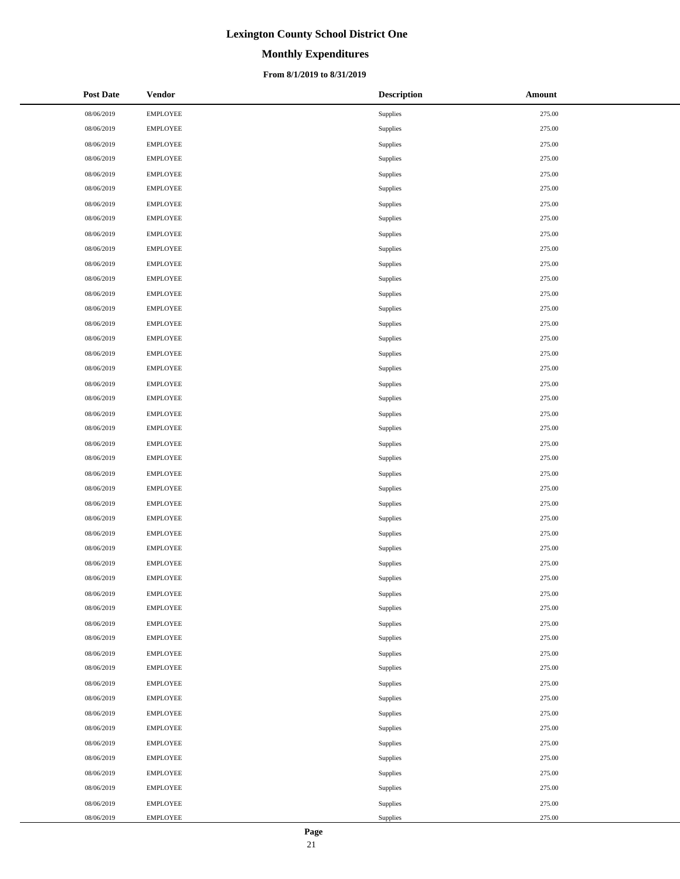# **Monthly Expenditures**

### **From 8/1/2019 to 8/31/2019**

| <b>Post Date</b> | <b>Vendor</b>   | <b>Description</b> | <b>Amount</b> |
|------------------|-----------------|--------------------|---------------|
| 08/06/2019       | <b>EMPLOYEE</b> | Supplies           | 275.00        |
| 08/06/2019       | <b>EMPLOYEE</b> | Supplies           | 275.00        |
| 08/06/2019       | <b>EMPLOYEE</b> | Supplies           | 275.00        |
| 08/06/2019       | <b>EMPLOYEE</b> | Supplies           | 275.00        |
| 08/06/2019       | <b>EMPLOYEE</b> | Supplies           | 275.00        |
| 08/06/2019       | <b>EMPLOYEE</b> | Supplies           | 275.00        |
| 08/06/2019       | <b>EMPLOYEE</b> | Supplies           | 275.00        |
| 08/06/2019       | <b>EMPLOYEE</b> | Supplies           | 275.00        |
| 08/06/2019       | <b>EMPLOYEE</b> | Supplies           | 275.00        |
| 08/06/2019       | <b>EMPLOYEE</b> | Supplies           | 275.00        |
| 08/06/2019       | <b>EMPLOYEE</b> | Supplies           | 275.00        |
| 08/06/2019       | <b>EMPLOYEE</b> | Supplies           | 275.00        |
| 08/06/2019       | <b>EMPLOYEE</b> | Supplies           | 275.00        |
| 08/06/2019       | <b>EMPLOYEE</b> | Supplies           | 275.00        |
| 08/06/2019       | <b>EMPLOYEE</b> | Supplies           | 275.00        |
| 08/06/2019       | <b>EMPLOYEE</b> | Supplies           | 275.00        |
| 08/06/2019       | <b>EMPLOYEE</b> | Supplies           | 275.00        |
| 08/06/2019       | <b>EMPLOYEE</b> | Supplies           | 275.00        |
| 08/06/2019       | <b>EMPLOYEE</b> | Supplies           | 275.00        |
| 08/06/2019       | <b>EMPLOYEE</b> | Supplies           | 275.00        |
| 08/06/2019       | <b>EMPLOYEE</b> | Supplies           | 275.00        |
| 08/06/2019       | <b>EMPLOYEE</b> | Supplies           | 275.00        |
| 08/06/2019       | <b>EMPLOYEE</b> | Supplies           | 275.00        |
| 08/06/2019       | <b>EMPLOYEE</b> | Supplies           | 275.00        |
| 08/06/2019       | <b>EMPLOYEE</b> | Supplies           | 275.00        |
| 08/06/2019       | <b>EMPLOYEE</b> | Supplies           | 275.00        |
| 08/06/2019       | <b>EMPLOYEE</b> | Supplies           | 275.00        |
| 08/06/2019       | <b>EMPLOYEE</b> | Supplies           | 275.00        |
| 08/06/2019       | <b>EMPLOYEE</b> | Supplies           | 275.00        |
| 08/06/2019       | <b>EMPLOYEE</b> | Supplies           | 275.00        |
| 08/06/2019       | <b>EMPLOYEE</b> | Supplies           | 275.00        |
| 08/06/2019       | <b>EMPLOYEE</b> | Supplies           | 275.00        |
| 08/06/2019       | <b>EMPLOYEE</b> | Supplies           | 275.00        |
| 08/06/2019       | <b>EMPLOYEE</b> | Supplies           | 275.00        |
| 08/06/2019       | <b>EMPLOYEE</b> | Supplies           | 275.00        |
| 08/06/2019       | <b>EMPLOYEE</b> | Supplies           | 275.00        |
| 08/06/2019       | <b>EMPLOYEE</b> | Supplies           | 275.00        |
| 08/06/2019       | <b>EMPLOYEE</b> | Supplies           | 275.00        |
| 08/06/2019       | <b>EMPLOYEE</b> | Supplies           | 275.00        |
| 08/06/2019       | <b>EMPLOYEE</b> | Supplies           | 275.00        |
| 08/06/2019       | <b>EMPLOYEE</b> | Supplies           | 275.00        |
| 08/06/2019       | <b>EMPLOYEE</b> | Supplies           | 275.00        |
| 08/06/2019       | <b>EMPLOYEE</b> | Supplies           | 275.00        |
| 08/06/2019       | <b>EMPLOYEE</b> | Supplies           | 275.00        |
| 08/06/2019       | <b>EMPLOYEE</b> | Supplies           | 275.00        |
| 08/06/2019       | <b>EMPLOYEE</b> | Supplies           | 275.00        |
| 08/06/2019       | <b>EMPLOYEE</b> | Supplies           | 275.00        |
| 08/06/2019       | <b>EMPLOYEE</b> | Supplies           | 275.00        |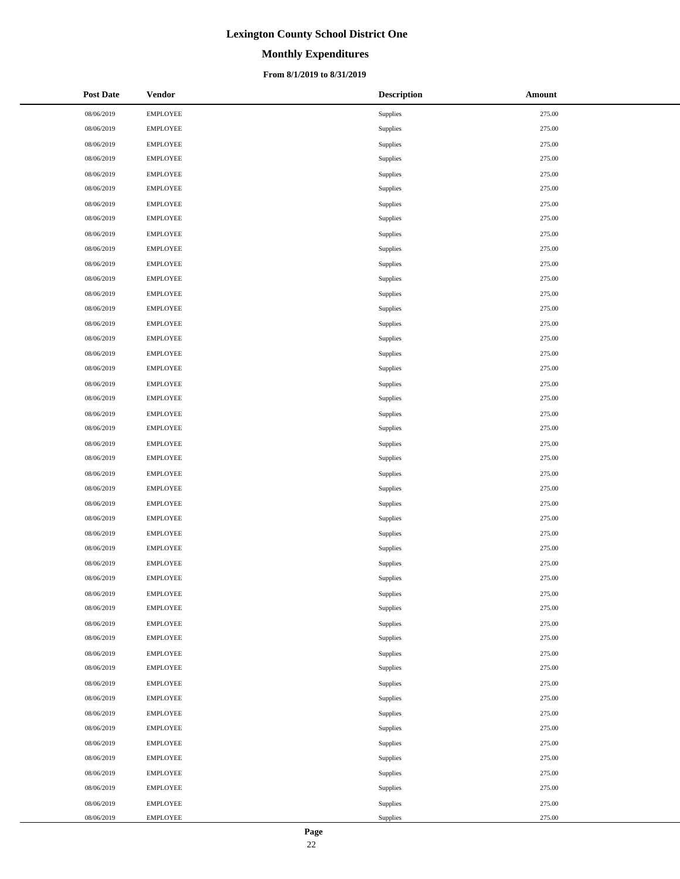# **Monthly Expenditures**

### **From 8/1/2019 to 8/31/2019**

| <b>Post Date</b> | <b>Vendor</b>   | <b>Description</b> | <b>Amount</b> |
|------------------|-----------------|--------------------|---------------|
| 08/06/2019       | <b>EMPLOYEE</b> | Supplies           | 275.00        |
| 08/06/2019       | <b>EMPLOYEE</b> | Supplies           | 275.00        |
| 08/06/2019       | <b>EMPLOYEE</b> | Supplies           | 275.00        |
| 08/06/2019       | <b>EMPLOYEE</b> | Supplies           | 275.00        |
| 08/06/2019       | <b>EMPLOYEE</b> | Supplies           | 275.00        |
| 08/06/2019       | <b>EMPLOYEE</b> | Supplies           | 275.00        |
| 08/06/2019       | <b>EMPLOYEE</b> | Supplies           | 275.00        |
| 08/06/2019       | <b>EMPLOYEE</b> | Supplies           | 275.00        |
| 08/06/2019       | <b>EMPLOYEE</b> | Supplies           | 275.00        |
| 08/06/2019       | <b>EMPLOYEE</b> | Supplies           | 275.00        |
| 08/06/2019       | <b>EMPLOYEE</b> | Supplies           | 275.00        |
| 08/06/2019       | <b>EMPLOYEE</b> | Supplies           | 275.00        |
| 08/06/2019       | <b>EMPLOYEE</b> | Supplies           | 275.00        |
| 08/06/2019       | <b>EMPLOYEE</b> | Supplies           | 275.00        |
| 08/06/2019       | <b>EMPLOYEE</b> | Supplies           | 275.00        |
| 08/06/2019       | <b>EMPLOYEE</b> | Supplies           | 275.00        |
| 08/06/2019       | <b>EMPLOYEE</b> | Supplies           | 275.00        |
| 08/06/2019       | <b>EMPLOYEE</b> | Supplies           | 275.00        |
| 08/06/2019       | <b>EMPLOYEE</b> | Supplies           | 275.00        |
| 08/06/2019       | <b>EMPLOYEE</b> | Supplies           | 275.00        |
| 08/06/2019       | <b>EMPLOYEE</b> | Supplies           | 275.00        |
| 08/06/2019       | <b>EMPLOYEE</b> | Supplies           | 275.00        |
| 08/06/2019       | <b>EMPLOYEE</b> | Supplies           | 275.00        |
| 08/06/2019       | <b>EMPLOYEE</b> | Supplies           | 275.00        |
| 08/06/2019       | <b>EMPLOYEE</b> | Supplies           | 275.00        |
| 08/06/2019       | <b>EMPLOYEE</b> | Supplies           | 275.00        |
| 08/06/2019       | <b>EMPLOYEE</b> | Supplies           | 275.00        |
| 08/06/2019       | <b>EMPLOYEE</b> | Supplies           | 275.00        |
| 08/06/2019       | <b>EMPLOYEE</b> | Supplies           | 275.00        |
| 08/06/2019       | <b>EMPLOYEE</b> | Supplies           | 275.00        |
| 08/06/2019       | <b>EMPLOYEE</b> | Supplies           | 275.00        |
| 08/06/2019       | <b>EMPLOYEE</b> | Supplies           | 275.00        |
| 08/06/2019       | <b>EMPLOYEE</b> | Supplies           | 275.00        |
| 08/06/2019       | <b>EMPLOYEE</b> | Supplies           | 275.00        |
| 08/06/2019       | <b>EMPLOYEE</b> | Supplies           | 275.00        |
| 08/06/2019       | <b>EMPLOYEE</b> | Supplies           | 275.00        |
| 08/06/2019       | <b>EMPLOYEE</b> | Supplies           | 275.00        |
| 08/06/2019       | <b>EMPLOYEE</b> | Supplies           | 275.00        |
| 08/06/2019       | <b>EMPLOYEE</b> | Supplies           | 275.00        |
| 08/06/2019       | <b>EMPLOYEE</b> | Supplies           | 275.00        |
| 08/06/2019       | <b>EMPLOYEE</b> | Supplies           | 275.00        |
| 08/06/2019       | <b>EMPLOYEE</b> | Supplies           | 275.00        |
| 08/06/2019       | <b>EMPLOYEE</b> | Supplies           | 275.00        |
| 08/06/2019       | <b>EMPLOYEE</b> | Supplies           | 275.00        |
| 08/06/2019       | <b>EMPLOYEE</b> | Supplies           | 275.00        |
| 08/06/2019       | <b>EMPLOYEE</b> | Supplies           | 275.00        |
| 08/06/2019       | <b>EMPLOYEE</b> | Supplies           | 275.00        |
| 08/06/2019       | <b>EMPLOYEE</b> | Supplies           | 275.00        |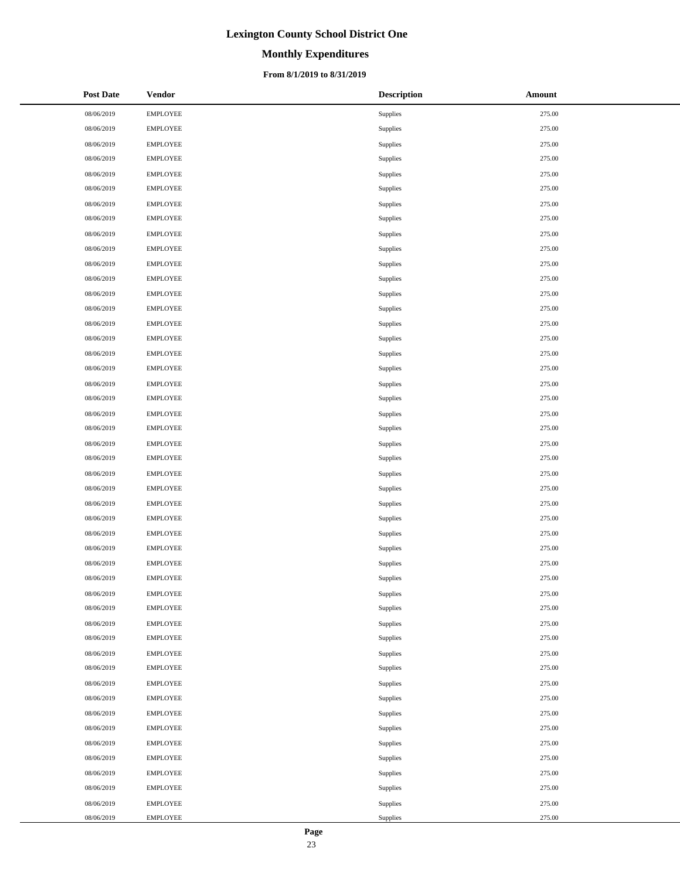# **Monthly Expenditures**

### **From 8/1/2019 to 8/31/2019**

| <b>Post Date</b> | <b>Vendor</b>   | <b>Description</b> | Amount |
|------------------|-----------------|--------------------|--------|
| 08/06/2019       | <b>EMPLOYEE</b> | Supplies           | 275.00 |
| 08/06/2019       | <b>EMPLOYEE</b> | Supplies           | 275.00 |
| 08/06/2019       | <b>EMPLOYEE</b> | Supplies           | 275.00 |
| 08/06/2019       | <b>EMPLOYEE</b> | Supplies           | 275.00 |
| 08/06/2019       | <b>EMPLOYEE</b> | Supplies           | 275.00 |
| 08/06/2019       | <b>EMPLOYEE</b> | Supplies           | 275.00 |
| 08/06/2019       | <b>EMPLOYEE</b> | Supplies           | 275.00 |
| 08/06/2019       | <b>EMPLOYEE</b> | Supplies           | 275.00 |
| 08/06/2019       | <b>EMPLOYEE</b> | Supplies           | 275.00 |
| 08/06/2019       | <b>EMPLOYEE</b> | Supplies           | 275.00 |
| 08/06/2019       | <b>EMPLOYEE</b> | Supplies           | 275.00 |
| 08/06/2019       | <b>EMPLOYEE</b> | Supplies           | 275.00 |
| 08/06/2019       | <b>EMPLOYEE</b> | Supplies           | 275.00 |
| 08/06/2019       | <b>EMPLOYEE</b> | Supplies           | 275.00 |
| 08/06/2019       | <b>EMPLOYEE</b> | Supplies           | 275.00 |
| 08/06/2019       | <b>EMPLOYEE</b> | Supplies           | 275.00 |
| 08/06/2019       | <b>EMPLOYEE</b> | Supplies           | 275.00 |
| 08/06/2019       | <b>EMPLOYEE</b> | Supplies           | 275.00 |
| 08/06/2019       | <b>EMPLOYEE</b> | Supplies           | 275.00 |
| 08/06/2019       | <b>EMPLOYEE</b> | Supplies           | 275.00 |
| 08/06/2019       | <b>EMPLOYEE</b> | Supplies           | 275.00 |
| 08/06/2019       | <b>EMPLOYEE</b> | Supplies           | 275.00 |
| 08/06/2019       | <b>EMPLOYEE</b> | Supplies           | 275.00 |
| 08/06/2019       | <b>EMPLOYEE</b> | Supplies           | 275.00 |
| 08/06/2019       | <b>EMPLOYEE</b> | Supplies           | 275.00 |
| 08/06/2019       | <b>EMPLOYEE</b> | Supplies           | 275.00 |
| 08/06/2019       | <b>EMPLOYEE</b> | Supplies           | 275.00 |
| 08/06/2019       | <b>EMPLOYEE</b> | Supplies           | 275.00 |
| 08/06/2019       | <b>EMPLOYEE</b> | Supplies           | 275.00 |
| 08/06/2019       | <b>EMPLOYEE</b> | Supplies           | 275.00 |
| 08/06/2019       | <b>EMPLOYEE</b> | Supplies           | 275.00 |
| 08/06/2019       | <b>EMPLOYEE</b> | Supplies           | 275.00 |
| 08/06/2019       | <b>EMPLOYEE</b> | Supplies           | 275.00 |
| 08/06/2019       | <b>EMPLOYEE</b> | Supplies           | 275.00 |
| 08/06/2019       | <b>EMPLOYEE</b> | Supplies           | 275.00 |
| 08/06/2019       | <b>EMPLOYEE</b> | Supplies           | 275.00 |
| 08/06/2019       | <b>EMPLOYEE</b> | Supplies           | 275.00 |
| 08/06/2019       | <b>EMPLOYEE</b> | Supplies           | 275.00 |
| 08/06/2019       | <b>EMPLOYEE</b> | Supplies           | 275.00 |
| 08/06/2019       | <b>EMPLOYEE</b> | Supplies           | 275.00 |
| 08/06/2019       | <b>EMPLOYEE</b> | Supplies           | 275.00 |
| 08/06/2019       | <b>EMPLOYEE</b> | Supplies           | 275.00 |
| 08/06/2019       | <b>EMPLOYEE</b> | Supplies           | 275.00 |
| 08/06/2019       | <b>EMPLOYEE</b> | Supplies           | 275.00 |
| 08/06/2019       | <b>EMPLOYEE</b> | Supplies           | 275.00 |
| 08/06/2019       | <b>EMPLOYEE</b> | Supplies           | 275.00 |
| 08/06/2019       | <b>EMPLOYEE</b> | Supplies           | 275.00 |
| 08/06/2019       | <b>EMPLOYEE</b> | Supplies           | 275.00 |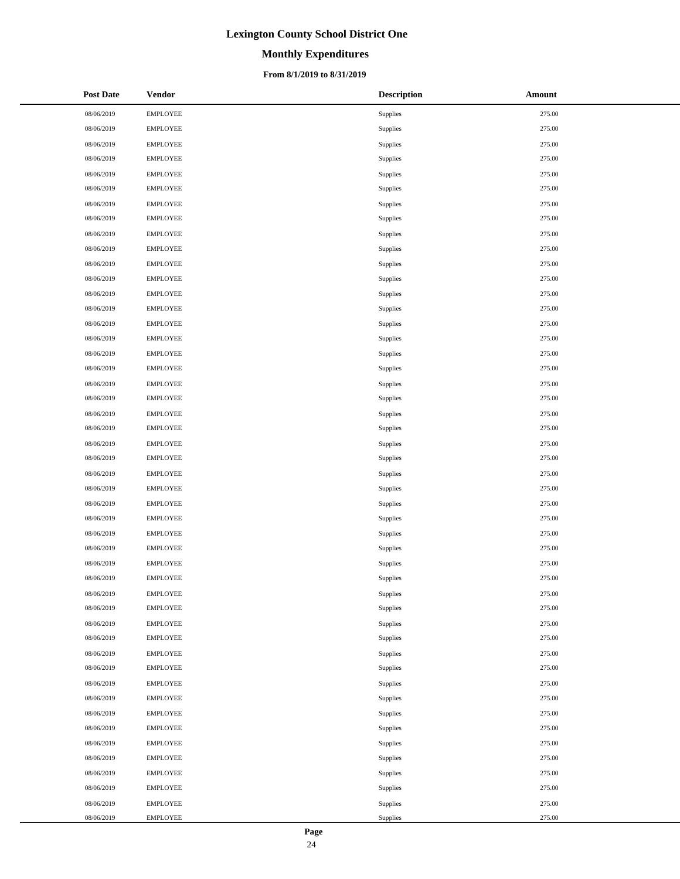# **Monthly Expenditures**

### **From 8/1/2019 to 8/31/2019**

| <b>Post Date</b> | <b>Vendor</b>   | <b>Description</b> | Amount |
|------------------|-----------------|--------------------|--------|
| 08/06/2019       | <b>EMPLOYEE</b> | Supplies           | 275.00 |
| 08/06/2019       | <b>EMPLOYEE</b> | Supplies           | 275.00 |
| 08/06/2019       | <b>EMPLOYEE</b> | Supplies           | 275.00 |
| 08/06/2019       | <b>EMPLOYEE</b> | Supplies           | 275.00 |
| 08/06/2019       | <b>EMPLOYEE</b> | Supplies           | 275.00 |
| 08/06/2019       | <b>EMPLOYEE</b> | Supplies           | 275.00 |
| 08/06/2019       | <b>EMPLOYEE</b> | Supplies           | 275.00 |
| 08/06/2019       | <b>EMPLOYEE</b> | Supplies           | 275.00 |
| 08/06/2019       | <b>EMPLOYEE</b> | Supplies           | 275.00 |
| 08/06/2019       | <b>EMPLOYEE</b> | Supplies           | 275.00 |
| 08/06/2019       | <b>EMPLOYEE</b> | Supplies           | 275.00 |
| 08/06/2019       | <b>EMPLOYEE</b> | Supplies           | 275.00 |
| 08/06/2019       | <b>EMPLOYEE</b> | Supplies           | 275.00 |
| 08/06/2019       | <b>EMPLOYEE</b> | Supplies           | 275.00 |
| 08/06/2019       | <b>EMPLOYEE</b> | Supplies           | 275.00 |
| 08/06/2019       | <b>EMPLOYEE</b> | <b>Supplies</b>    | 275.00 |
| 08/06/2019       | <b>EMPLOYEE</b> | Supplies           | 275.00 |
| 08/06/2019       | <b>EMPLOYEE</b> | Supplies           | 275.00 |
| 08/06/2019       | <b>EMPLOYEE</b> | Supplies           | 275.00 |
| 08/06/2019       | <b>EMPLOYEE</b> | Supplies           | 275.00 |
| 08/06/2019       | <b>EMPLOYEE</b> | Supplies           | 275.00 |
| 08/06/2019       | <b>EMPLOYEE</b> | Supplies           | 275.00 |
| 08/06/2019       | <b>EMPLOYEE</b> | Supplies           | 275.00 |
| 08/06/2019       | <b>EMPLOYEE</b> | Supplies           | 275.00 |
| 08/06/2019       | <b>EMPLOYEE</b> | Supplies           | 275.00 |
| 08/06/2019       | <b>EMPLOYEE</b> | Supplies           | 275.00 |
| 08/06/2019       | <b>EMPLOYEE</b> | Supplies           | 275.00 |
| 08/06/2019       | <b>EMPLOYEE</b> | Supplies           | 275.00 |
| 08/06/2019       | <b>EMPLOYEE</b> | Supplies           | 275.00 |
| 08/06/2019       | <b>EMPLOYEE</b> | Supplies           | 275.00 |
| 08/06/2019       | <b>EMPLOYEE</b> | Supplies           | 275.00 |
| 08/06/2019       | <b>EMPLOYEE</b> | Supplies           | 275.00 |
| 08/06/2019       | <b>EMPLOYEE</b> | Supplies           | 275.00 |
| 08/06/2019       | <b>EMPLOYEE</b> | Supplies           | 275.00 |
| 08/06/2019       | <b>EMPLOYEE</b> | Supplies           | 275.00 |
| 08/06/2019       | <b>EMPLOYEE</b> | Supplies           | 275.00 |
| 08/06/2019       | <b>EMPLOYEE</b> | Supplies           | 275.00 |
| 08/06/2019       | <b>EMPLOYEE</b> | Supplies           | 275.00 |
| 08/06/2019       | <b>EMPLOYEE</b> | Supplies           | 275.00 |
| 08/06/2019       | <b>EMPLOYEE</b> | Supplies           | 275.00 |
| 08/06/2019       | <b>EMPLOYEE</b> | Supplies           | 275.00 |
| 08/06/2019       | <b>EMPLOYEE</b> | Supplies           | 275.00 |
| 08/06/2019       | <b>EMPLOYEE</b> | Supplies           | 275.00 |
| 08/06/2019       | <b>EMPLOYEE</b> | Supplies           | 275.00 |
| 08/06/2019       | <b>EMPLOYEE</b> | Supplies           | 275.00 |
| 08/06/2019       | <b>EMPLOYEE</b> | Supplies           | 275.00 |
| 08/06/2019       | <b>EMPLOYEE</b> | Supplies           | 275.00 |
| 08/06/2019       | <b>EMPLOYEE</b> | Supplies           | 275.00 |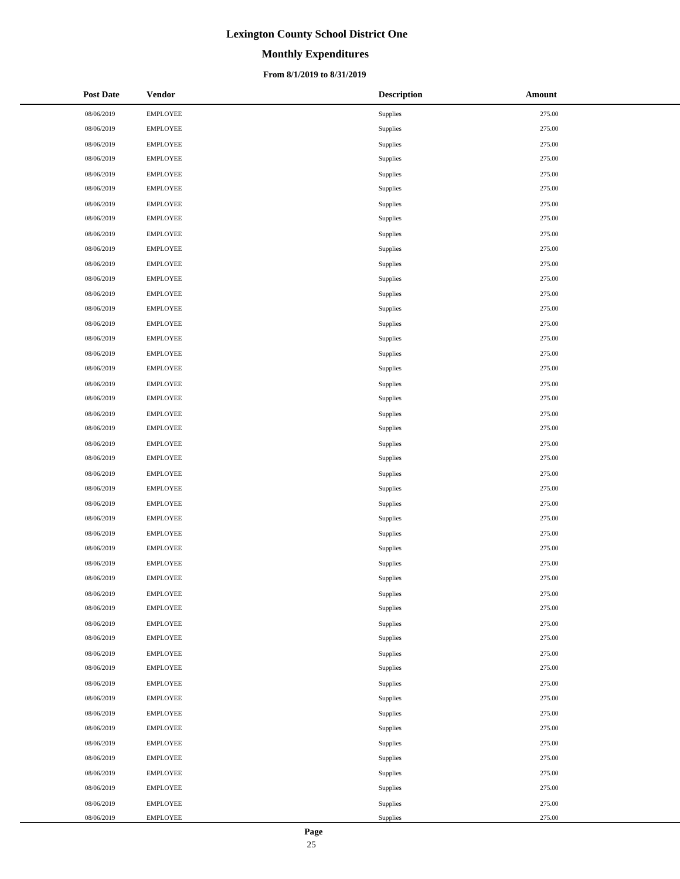# **Monthly Expenditures**

### **From 8/1/2019 to 8/31/2019**

| <b>Post Date</b> | Vendor          | <b>Description</b> | Amount |
|------------------|-----------------|--------------------|--------|
| 08/06/2019       | <b>EMPLOYEE</b> | Supplies           | 275.00 |
| 08/06/2019       | <b>EMPLOYEE</b> | Supplies           | 275.00 |
| 08/06/2019       | <b>EMPLOYEE</b> | Supplies           | 275.00 |
| 08/06/2019       | <b>EMPLOYEE</b> | Supplies           | 275.00 |
| 08/06/2019       | <b>EMPLOYEE</b> | Supplies           | 275.00 |
| 08/06/2019       | <b>EMPLOYEE</b> | Supplies           | 275.00 |
| 08/06/2019       | <b>EMPLOYEE</b> | Supplies           | 275.00 |
| 08/06/2019       | <b>EMPLOYEE</b> | Supplies           | 275.00 |
| 08/06/2019       | <b>EMPLOYEE</b> | Supplies           | 275.00 |
| 08/06/2019       | <b>EMPLOYEE</b> | Supplies           | 275.00 |
| 08/06/2019       | <b>EMPLOYEE</b> | Supplies           | 275.00 |
| 08/06/2019       | <b>EMPLOYEE</b> | Supplies           | 275.00 |
| 08/06/2019       | <b>EMPLOYEE</b> | Supplies           | 275.00 |
| 08/06/2019       | <b>EMPLOYEE</b> | Supplies           | 275.00 |
| 08/06/2019       | <b>EMPLOYEE</b> | Supplies           | 275.00 |
| 08/06/2019       | <b>EMPLOYEE</b> | Supplies           | 275.00 |
| 08/06/2019       | <b>EMPLOYEE</b> | Supplies           | 275.00 |
| 08/06/2019       | <b>EMPLOYEE</b> | Supplies           | 275.00 |
| 08/06/2019       | <b>EMPLOYEE</b> | Supplies           | 275.00 |
| 08/06/2019       | <b>EMPLOYEE</b> | Supplies           | 275.00 |
| 08/06/2019       | <b>EMPLOYEE</b> | Supplies           | 275.00 |
| 08/06/2019       | <b>EMPLOYEE</b> | Supplies           | 275.00 |
| 08/06/2019       | <b>EMPLOYEE</b> | Supplies           | 275.00 |
| 08/06/2019       | <b>EMPLOYEE</b> | Supplies           | 275.00 |
| 08/06/2019       | <b>EMPLOYEE</b> | Supplies           | 275.00 |
| 08/06/2019       | <b>EMPLOYEE</b> | Supplies           | 275.00 |
| 08/06/2019       | <b>EMPLOYEE</b> | Supplies           | 275.00 |
| 08/06/2019       | <b>EMPLOYEE</b> | Supplies           | 275.00 |
| 08/06/2019       | <b>EMPLOYEE</b> | Supplies           | 275.00 |
| 08/06/2019       | <b>EMPLOYEE</b> | Supplies           | 275.00 |
| 08/06/2019       | <b>EMPLOYEE</b> | Supplies           | 275.00 |
| 08/06/2019       | <b>EMPLOYEE</b> | Supplies           | 275.00 |
| 08/06/2019       | <b>EMPLOYEE</b> | Supplies           | 275.00 |
| 08/06/2019       | <b>EMPLOYEE</b> | Supplies           | 275.00 |
| 08/06/2019       | <b>EMPLOYEE</b> | Supplies           | 275.00 |
| 08/06/2019       | <b>EMPLOYEE</b> | Supplies           | 275.00 |
| 08/06/2019       | <b>EMPLOYEE</b> | Supplies           | 275.00 |
| 08/06/2019       | <b>EMPLOYEE</b> | Supplies           | 275.00 |
| 08/06/2019       | <b>EMPLOYEE</b> | Supplies           | 275.00 |
| 08/06/2019       | <b>EMPLOYEE</b> | Supplies           | 275.00 |
| 08/06/2019       | <b>EMPLOYEE</b> | Supplies           | 275.00 |
| 08/06/2019       | <b>EMPLOYEE</b> | Supplies           | 275.00 |
| 08/06/2019       | <b>EMPLOYEE</b> | Supplies           | 275.00 |
| 08/06/2019       | <b>EMPLOYEE</b> | Supplies           | 275.00 |
| 08/06/2019       | <b>EMPLOYEE</b> | Supplies           | 275.00 |
| 08/06/2019       | <b>EMPLOYEE</b> | Supplies           | 275.00 |
| 08/06/2019       | <b>EMPLOYEE</b> | Supplies           | 275.00 |
| 08/06/2019       | <b>EMPLOYEE</b> | Supplies           | 275.00 |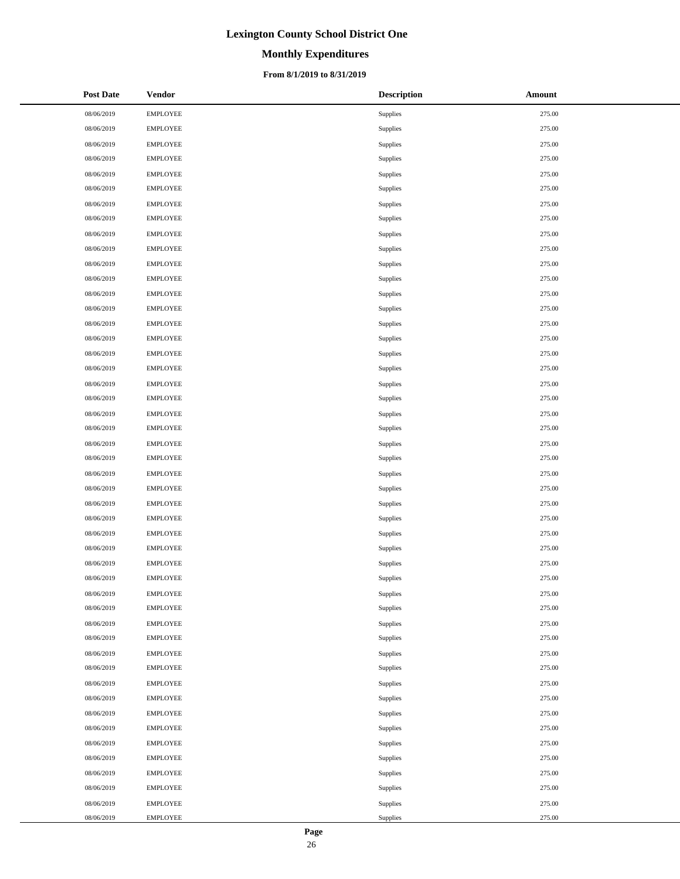# **Monthly Expenditures**

### **From 8/1/2019 to 8/31/2019**

| <b>Post Date</b> | Vendor          | <b>Description</b> | Amount |
|------------------|-----------------|--------------------|--------|
| 08/06/2019       | <b>EMPLOYEE</b> | Supplies           | 275.00 |
| 08/06/2019       | <b>EMPLOYEE</b> | Supplies           | 275.00 |
| 08/06/2019       | <b>EMPLOYEE</b> | Supplies           | 275.00 |
| 08/06/2019       | <b>EMPLOYEE</b> | Supplies           | 275.00 |
| 08/06/2019       | <b>EMPLOYEE</b> | Supplies           | 275.00 |
| 08/06/2019       | <b>EMPLOYEE</b> | Supplies           | 275.00 |
| 08/06/2019       | <b>EMPLOYEE</b> | Supplies           | 275.00 |
| 08/06/2019       | <b>EMPLOYEE</b> | Supplies           | 275.00 |
| 08/06/2019       | <b>EMPLOYEE</b> | Supplies           | 275.00 |
| 08/06/2019       | <b>EMPLOYEE</b> | Supplies           | 275.00 |
| 08/06/2019       | <b>EMPLOYEE</b> | Supplies           | 275.00 |
| 08/06/2019       | <b>EMPLOYEE</b> | Supplies           | 275.00 |
| 08/06/2019       | <b>EMPLOYEE</b> | Supplies           | 275.00 |
| 08/06/2019       | <b>EMPLOYEE</b> | Supplies           | 275.00 |
| 08/06/2019       | <b>EMPLOYEE</b> | Supplies           | 275.00 |
| 08/06/2019       | <b>EMPLOYEE</b> | Supplies           | 275.00 |
| 08/06/2019       | <b>EMPLOYEE</b> | Supplies           | 275.00 |
| 08/06/2019       | <b>EMPLOYEE</b> | Supplies           | 275.00 |
| 08/06/2019       | <b>EMPLOYEE</b> | Supplies           | 275.00 |
| 08/06/2019       | <b>EMPLOYEE</b> | Supplies           | 275.00 |
| 08/06/2019       | <b>EMPLOYEE</b> | Supplies           | 275.00 |
| 08/06/2019       | <b>EMPLOYEE</b> | Supplies           | 275.00 |
| 08/06/2019       | <b>EMPLOYEE</b> | Supplies           | 275.00 |
| 08/06/2019       | <b>EMPLOYEE</b> | Supplies           | 275.00 |
| 08/06/2019       | <b>EMPLOYEE</b> | Supplies           | 275.00 |
| 08/06/2019       | <b>EMPLOYEE</b> | Supplies           | 275.00 |
| 08/06/2019       | <b>EMPLOYEE</b> | Supplies           | 275.00 |
| 08/06/2019       | <b>EMPLOYEE</b> | Supplies           | 275.00 |
| 08/06/2019       | <b>EMPLOYEE</b> | Supplies           | 275.00 |
| 08/06/2019       | <b>EMPLOYEE</b> | Supplies           | 275.00 |
| 08/06/2019       | <b>EMPLOYEE</b> | Supplies           | 275.00 |
| 08/06/2019       | <b>EMPLOYEE</b> | Supplies           | 275.00 |
| 08/06/2019       | <b>EMPLOYEE</b> | Supplies           | 275.00 |
| 08/06/2019       | <b>EMPLOYEE</b> | Supplies           | 275.00 |
| 08/06/2019       | <b>EMPLOYEE</b> | Supplies           | 275.00 |
| 08/06/2019       | <b>EMPLOYEE</b> | Supplies           | 275.00 |
| 08/06/2019       | <b>EMPLOYEE</b> | Supplies           | 275.00 |
| 08/06/2019       | <b>EMPLOYEE</b> | Supplies           | 275.00 |
| 08/06/2019       | <b>EMPLOYEE</b> | Supplies           | 275.00 |
| 08/06/2019       | <b>EMPLOYEE</b> | Supplies           | 275.00 |
| 08/06/2019       | <b>EMPLOYEE</b> | Supplies           | 275.00 |
| 08/06/2019       | <b>EMPLOYEE</b> | Supplies           | 275.00 |
| 08/06/2019       | <b>EMPLOYEE</b> | Supplies           | 275.00 |
| 08/06/2019       | <b>EMPLOYEE</b> | Supplies           | 275.00 |
| 08/06/2019       | <b>EMPLOYEE</b> | Supplies           | 275.00 |
| 08/06/2019       | <b>EMPLOYEE</b> | Supplies           | 275.00 |
| 08/06/2019       | <b>EMPLOYEE</b> | Supplies           | 275.00 |
| 08/06/2019       | <b>EMPLOYEE</b> | Supplies           | 275.00 |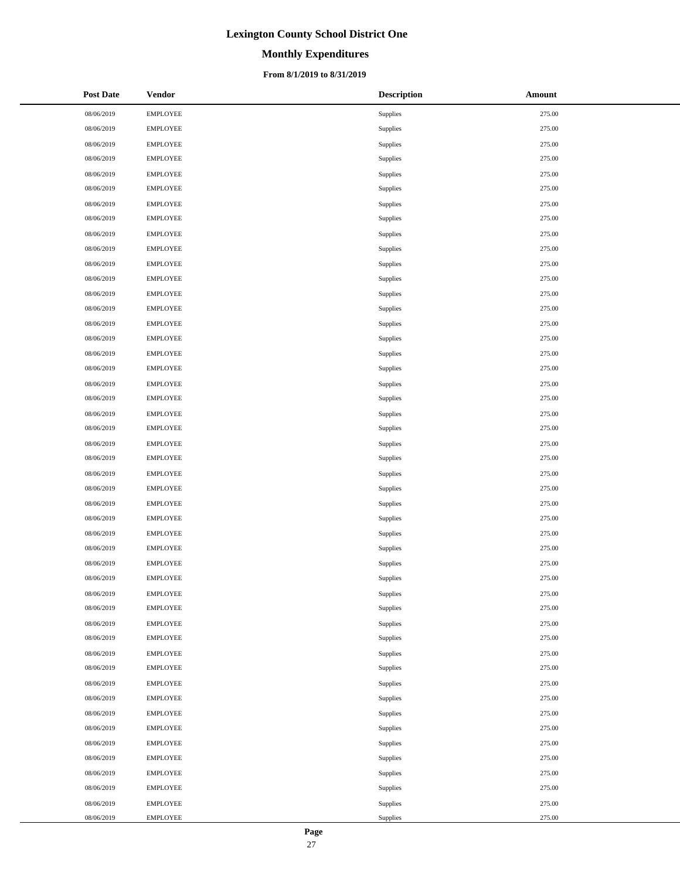# **Monthly Expenditures**

### **From 8/1/2019 to 8/31/2019**

| <b>Post Date</b> | <b>Vendor</b>   | <b>Description</b> | Amount |
|------------------|-----------------|--------------------|--------|
| 08/06/2019       | <b>EMPLOYEE</b> | Supplies           | 275.00 |
| 08/06/2019       | <b>EMPLOYEE</b> | Supplies           | 275.00 |
| 08/06/2019       | <b>EMPLOYEE</b> | Supplies           | 275.00 |
| 08/06/2019       | <b>EMPLOYEE</b> | Supplies           | 275.00 |
| 08/06/2019       | <b>EMPLOYEE</b> | Supplies           | 275.00 |
| 08/06/2019       | <b>EMPLOYEE</b> | Supplies           | 275.00 |
| 08/06/2019       | <b>EMPLOYEE</b> | Supplies           | 275.00 |
| 08/06/2019       | <b>EMPLOYEE</b> | Supplies           | 275.00 |
| 08/06/2019       | <b>EMPLOYEE</b> | Supplies           | 275.00 |
| 08/06/2019       | <b>EMPLOYEE</b> | Supplies           | 275.00 |
| 08/06/2019       | <b>EMPLOYEE</b> | Supplies           | 275.00 |
| 08/06/2019       | <b>EMPLOYEE</b> | Supplies           | 275.00 |
| 08/06/2019       | <b>EMPLOYEE</b> | Supplies           | 275.00 |
| 08/06/2019       | <b>EMPLOYEE</b> | Supplies           | 275.00 |
| 08/06/2019       | <b>EMPLOYEE</b> | Supplies           | 275.00 |
| 08/06/2019       | <b>EMPLOYEE</b> | Supplies           | 275.00 |
| 08/06/2019       | <b>EMPLOYEE</b> | Supplies           | 275.00 |
| 08/06/2019       | <b>EMPLOYEE</b> | Supplies           | 275.00 |
| 08/06/2019       | <b>EMPLOYEE</b> | Supplies           | 275.00 |
| 08/06/2019       | <b>EMPLOYEE</b> | Supplies           | 275.00 |
| 08/06/2019       | <b>EMPLOYEE</b> | Supplies           | 275.00 |
| 08/06/2019       | <b>EMPLOYEE</b> | Supplies           | 275.00 |
| 08/06/2019       | <b>EMPLOYEE</b> | Supplies           | 275.00 |
| 08/06/2019       | <b>EMPLOYEE</b> | Supplies           | 275.00 |
| 08/06/2019       | <b>EMPLOYEE</b> | Supplies           | 275.00 |
| 08/06/2019       | <b>EMPLOYEE</b> | Supplies           | 275.00 |
| 08/06/2019       | <b>EMPLOYEE</b> | Supplies           | 275.00 |
| 08/06/2019       | <b>EMPLOYEE</b> | Supplies           | 275.00 |
| 08/06/2019       | <b>EMPLOYEE</b> | Supplies           | 275.00 |
| 08/06/2019       | <b>EMPLOYEE</b> | Supplies           | 275.00 |
| 08/06/2019       | <b>EMPLOYEE</b> | Supplies           | 275.00 |
| 08/06/2019       | <b>EMPLOYEE</b> | Supplies           | 275.00 |
| 08/06/2019       | <b>EMPLOYEE</b> | Supplies           | 275.00 |
| 08/06/2019       | <b>EMPLOYEE</b> | Supplies           | 275.00 |
| 08/06/2019       | <b>EMPLOYEE</b> | Supplies           | 275.00 |
| 08/06/2019       | <b>EMPLOYEE</b> | Supplies           | 275.00 |
| 08/06/2019       | <b>EMPLOYEE</b> | Supplies           | 275.00 |
| 08/06/2019       | <b>EMPLOYEE</b> | Supplies           | 275.00 |
| 08/06/2019       | <b>EMPLOYEE</b> | Supplies           | 275.00 |
| 08/06/2019       | <b>EMPLOYEE</b> | Supplies           | 275.00 |
| 08/06/2019       | <b>EMPLOYEE</b> | Supplies           | 275.00 |
| 08/06/2019       | <b>EMPLOYEE</b> | Supplies           | 275.00 |
| 08/06/2019       | <b>EMPLOYEE</b> | Supplies           | 275.00 |
| 08/06/2019       | <b>EMPLOYEE</b> | Supplies           | 275.00 |
| 08/06/2019       | <b>EMPLOYEE</b> | Supplies           | 275.00 |
| 08/06/2019       | <b>EMPLOYEE</b> | Supplies           | 275.00 |
| 08/06/2019       | <b>EMPLOYEE</b> | Supplies           | 275.00 |
| 08/06/2019       | <b>EMPLOYEE</b> | Supplies           | 275.00 |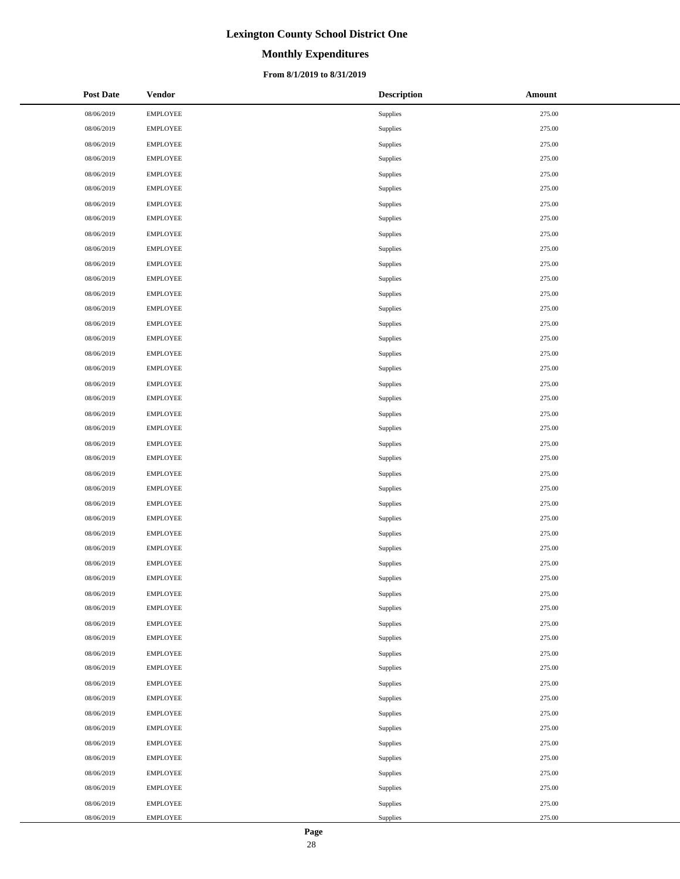# **Monthly Expenditures**

### **From 8/1/2019 to 8/31/2019**

| <b>Post Date</b> | <b>Vendor</b>   | <b>Description</b> | Amount |
|------------------|-----------------|--------------------|--------|
| 08/06/2019       | <b>EMPLOYEE</b> | Supplies           | 275.00 |
| 08/06/2019       | <b>EMPLOYEE</b> | Supplies           | 275.00 |
| 08/06/2019       | <b>EMPLOYEE</b> | Supplies           | 275.00 |
| 08/06/2019       | <b>EMPLOYEE</b> | Supplies           | 275.00 |
| 08/06/2019       | <b>EMPLOYEE</b> | Supplies           | 275.00 |
| 08/06/2019       | <b>EMPLOYEE</b> | Supplies           | 275.00 |
| 08/06/2019       | <b>EMPLOYEE</b> | Supplies           | 275.00 |
| 08/06/2019       | <b>EMPLOYEE</b> | Supplies           | 275.00 |
| 08/06/2019       | <b>EMPLOYEE</b> | Supplies           | 275.00 |
| 08/06/2019       | <b>EMPLOYEE</b> | Supplies           | 275.00 |
| 08/06/2019       | <b>EMPLOYEE</b> | Supplies           | 275.00 |
| 08/06/2019       | <b>EMPLOYEE</b> | Supplies           | 275.00 |
| 08/06/2019       | <b>EMPLOYEE</b> | Supplies           | 275.00 |
| 08/06/2019       | <b>EMPLOYEE</b> | Supplies           | 275.00 |
| 08/06/2019       | <b>EMPLOYEE</b> | Supplies           | 275.00 |
| 08/06/2019       | <b>EMPLOYEE</b> | Supplies           | 275.00 |
| 08/06/2019       | <b>EMPLOYEE</b> | Supplies           | 275.00 |
| 08/06/2019       | <b>EMPLOYEE</b> | Supplies           | 275.00 |
| 08/06/2019       | <b>EMPLOYEE</b> | Supplies           | 275.00 |
| 08/06/2019       | <b>EMPLOYEE</b> | Supplies           | 275.00 |
| 08/06/2019       | <b>EMPLOYEE</b> | Supplies           | 275.00 |
| 08/06/2019       | <b>EMPLOYEE</b> | Supplies           | 275.00 |
| 08/06/2019       | <b>EMPLOYEE</b> | Supplies           | 275.00 |
| 08/06/2019       | <b>EMPLOYEE</b> | Supplies           | 275.00 |
| 08/06/2019       | <b>EMPLOYEE</b> | Supplies           | 275.00 |
| 08/06/2019       | <b>EMPLOYEE</b> | Supplies           | 275.00 |
| 08/06/2019       | <b>EMPLOYEE</b> | Supplies           | 275.00 |
| 08/06/2019       | <b>EMPLOYEE</b> | Supplies           | 275.00 |
| 08/06/2019       | <b>EMPLOYEE</b> | Supplies           | 275.00 |
| 08/06/2019       | <b>EMPLOYEE</b> | Supplies           | 275.00 |
| 08/06/2019       | <b>EMPLOYEE</b> | Supplies           | 275.00 |
| 08/06/2019       | <b>EMPLOYEE</b> | Supplies           | 275.00 |
| 08/06/2019       | <b>EMPLOYEE</b> | Supplies           | 275.00 |
| 08/06/2019       | <b>EMPLOYEE</b> | Supplies           | 275.00 |
| 08/06/2019       | <b>EMPLOYEE</b> | Supplies           | 275.00 |
| 08/06/2019       | <b>EMPLOYEE</b> | Supplies           | 275.00 |
| 08/06/2019       | <b>EMPLOYEE</b> | Supplies           | 275.00 |
| 08/06/2019       | <b>EMPLOYEE</b> | Supplies           | 275.00 |
| 08/06/2019       | <b>EMPLOYEE</b> | Supplies           | 275.00 |
| 08/06/2019       | <b>EMPLOYEE</b> | Supplies           | 275.00 |
| 08/06/2019       | <b>EMPLOYEE</b> | Supplies           | 275.00 |
| 08/06/2019       | <b>EMPLOYEE</b> | Supplies           | 275.00 |
| 08/06/2019       | <b>EMPLOYEE</b> | Supplies           | 275.00 |
| 08/06/2019       | <b>EMPLOYEE</b> | Supplies           | 275.00 |
| 08/06/2019       | <b>EMPLOYEE</b> | Supplies           | 275.00 |
| 08/06/2019       | <b>EMPLOYEE</b> | Supplies           | 275.00 |
| 08/06/2019       | <b>EMPLOYEE</b> | Supplies           | 275.00 |
| 08/06/2019       | <b>EMPLOYEE</b> | Supplies           | 275.00 |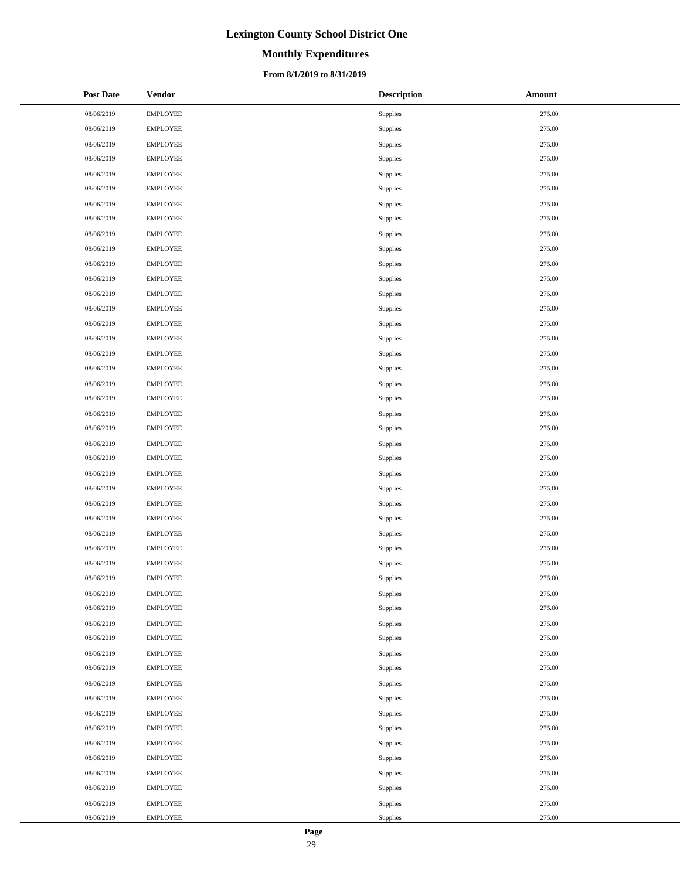# **Monthly Expenditures**

### **From 8/1/2019 to 8/31/2019**

| <b>Post Date</b> | <b>Vendor</b>   | <b>Description</b> | <b>Amount</b> |
|------------------|-----------------|--------------------|---------------|
| 08/06/2019       | <b>EMPLOYEE</b> | Supplies           | 275.00        |
| 08/06/2019       | <b>EMPLOYEE</b> | Supplies           | 275.00        |
| 08/06/2019       | <b>EMPLOYEE</b> | Supplies           | 275.00        |
| 08/06/2019       | <b>EMPLOYEE</b> | Supplies           | 275.00        |
| 08/06/2019       | <b>EMPLOYEE</b> | Supplies           | 275.00        |
| 08/06/2019       | <b>EMPLOYEE</b> | Supplies           | 275.00        |
| 08/06/2019       | <b>EMPLOYEE</b> | Supplies           | 275.00        |
| 08/06/2019       | <b>EMPLOYEE</b> | Supplies           | 275.00        |
| 08/06/2019       | <b>EMPLOYEE</b> | Supplies           | 275.00        |
| 08/06/2019       | <b>EMPLOYEE</b> | Supplies           | 275.00        |
| 08/06/2019       | <b>EMPLOYEE</b> | Supplies           | 275.00        |
| 08/06/2019       | <b>EMPLOYEE</b> | Supplies           | 275.00        |
| 08/06/2019       | <b>EMPLOYEE</b> | Supplies           | 275.00        |
| 08/06/2019       | <b>EMPLOYEE</b> | Supplies           | 275.00        |
| 08/06/2019       | <b>EMPLOYEE</b> | Supplies           | 275.00        |
| 08/06/2019       | <b>EMPLOYEE</b> | <b>Supplies</b>    | 275.00        |
| 08/06/2019       | <b>EMPLOYEE</b> | Supplies           | 275.00        |
| 08/06/2019       | <b>EMPLOYEE</b> | Supplies           | 275.00        |
| 08/06/2019       | <b>EMPLOYEE</b> | Supplies           | 275.00        |
| 08/06/2019       | <b>EMPLOYEE</b> | Supplies           | 275.00        |
| 08/06/2019       | <b>EMPLOYEE</b> | Supplies           | 275.00        |
| 08/06/2019       | <b>EMPLOYEE</b> | Supplies           | 275.00        |
| 08/06/2019       | <b>EMPLOYEE</b> | Supplies           | 275.00        |
| 08/06/2019       | <b>EMPLOYEE</b> | Supplies           | 275.00        |
| 08/06/2019       | <b>EMPLOYEE</b> | Supplies           | 275.00        |
| 08/06/2019       | <b>EMPLOYEE</b> | Supplies           | 275.00        |
| 08/06/2019       | <b>EMPLOYEE</b> | Supplies           | 275.00        |
| 08/06/2019       | <b>EMPLOYEE</b> | Supplies           | 275.00        |
| 08/06/2019       | <b>EMPLOYEE</b> | Supplies           | 275.00        |
| 08/06/2019       | <b>EMPLOYEE</b> | Supplies           | 275.00        |
| 08/06/2019       | <b>EMPLOYEE</b> | Supplies           | 275.00        |
| 08/06/2019       | <b>EMPLOYEE</b> | Supplies           | 275.00        |
| 08/06/2019       | <b>EMPLOYEE</b> | Supplies           | 275.00        |
| 08/06/2019       | <b>EMPLOYEE</b> | Supplies           | 275.00        |
| 08/06/2019       | <b>EMPLOYEE</b> | Supplies           | 275.00        |
| 08/06/2019       | <b>EMPLOYEE</b> | Supplies           | 275.00        |
| 08/06/2019       | <b>EMPLOYEE</b> | Supplies           | 275.00        |
| 08/06/2019       | <b>EMPLOYEE</b> | Supplies           | 275.00        |
| 08/06/2019       | <b>EMPLOYEE</b> | Supplies           | 275.00        |
| 08/06/2019       | <b>EMPLOYEE</b> | Supplies           | 275.00        |
| 08/06/2019       | <b>EMPLOYEE</b> | Supplies           | 275.00        |
| 08/06/2019       | <b>EMPLOYEE</b> | Supplies           | 275.00        |
| 08/06/2019       | <b>EMPLOYEE</b> | Supplies           | 275.00        |
| 08/06/2019       | <b>EMPLOYEE</b> | Supplies           | 275.00        |
| 08/06/2019       | <b>EMPLOYEE</b> | Supplies           | 275.00        |
| 08/06/2019       | <b>EMPLOYEE</b> | Supplies           | 275.00        |
| 08/06/2019       | <b>EMPLOYEE</b> | Supplies           | 275.00        |
| 08/06/2019       | <b>EMPLOYEE</b> | Supplies           | 275.00        |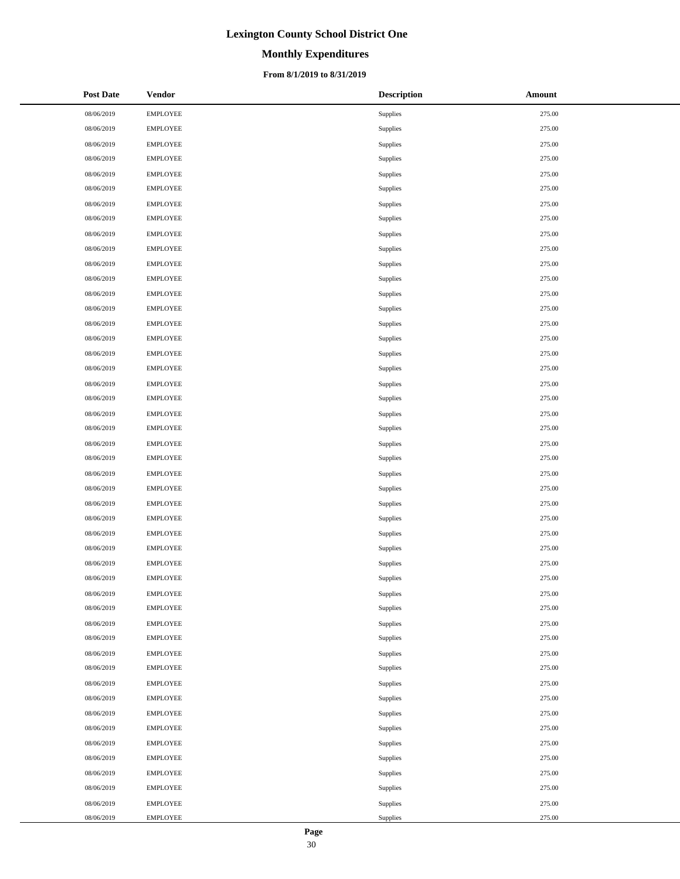# **Monthly Expenditures**

### **From 8/1/2019 to 8/31/2019**

| <b>Post Date</b> | <b>Vendor</b>   | <b>Description</b> | Amount |
|------------------|-----------------|--------------------|--------|
| 08/06/2019       | <b>EMPLOYEE</b> | Supplies           | 275.00 |
| 08/06/2019       | <b>EMPLOYEE</b> | Supplies           | 275.00 |
| 08/06/2019       | <b>EMPLOYEE</b> | Supplies           | 275.00 |
| 08/06/2019       | <b>EMPLOYEE</b> | Supplies           | 275.00 |
| 08/06/2019       | <b>EMPLOYEE</b> | Supplies           | 275.00 |
| 08/06/2019       | <b>EMPLOYEE</b> | Supplies           | 275.00 |
| 08/06/2019       | <b>EMPLOYEE</b> | Supplies           | 275.00 |
| 08/06/2019       | <b>EMPLOYEE</b> | Supplies           | 275.00 |
| 08/06/2019       | <b>EMPLOYEE</b> | Supplies           | 275.00 |
| 08/06/2019       | <b>EMPLOYEE</b> | Supplies           | 275.00 |
| 08/06/2019       | <b>EMPLOYEE</b> | Supplies           | 275.00 |
| 08/06/2019       | <b>EMPLOYEE</b> | Supplies           | 275.00 |
| 08/06/2019       | <b>EMPLOYEE</b> | Supplies           | 275.00 |
| 08/06/2019       | <b>EMPLOYEE</b> | Supplies           | 275.00 |
| 08/06/2019       | <b>EMPLOYEE</b> | Supplies           | 275.00 |
| 08/06/2019       | <b>EMPLOYEE</b> | Supplies           | 275.00 |
| 08/06/2019       | <b>EMPLOYEE</b> | Supplies           | 275.00 |
| 08/06/2019       | <b>EMPLOYEE</b> | Supplies           | 275.00 |
| 08/06/2019       | <b>EMPLOYEE</b> | Supplies           | 275.00 |
| 08/06/2019       | <b>EMPLOYEE</b> | Supplies           | 275.00 |
| 08/06/2019       | <b>EMPLOYEE</b> | Supplies           | 275.00 |
| 08/06/2019       | <b>EMPLOYEE</b> | Supplies           | 275.00 |
| 08/06/2019       | <b>EMPLOYEE</b> | Supplies           | 275.00 |
| 08/06/2019       | <b>EMPLOYEE</b> | Supplies           | 275.00 |
| 08/06/2019       | <b>EMPLOYEE</b> | Supplies           | 275.00 |
| 08/06/2019       | <b>EMPLOYEE</b> | Supplies           | 275.00 |
| 08/06/2019       | <b>EMPLOYEE</b> | Supplies           | 275.00 |
| 08/06/2019       | <b>EMPLOYEE</b> | Supplies           | 275.00 |
| 08/06/2019       | <b>EMPLOYEE</b> | Supplies           | 275.00 |
| 08/06/2019       | <b>EMPLOYEE</b> | Supplies           | 275.00 |
| 08/06/2019       | <b>EMPLOYEE</b> | Supplies           | 275.00 |
| 08/06/2019       | <b>EMPLOYEE</b> | Supplies           | 275.00 |
| 08/06/2019       | <b>EMPLOYEE</b> | Supplies           | 275.00 |
| 08/06/2019       | <b>EMPLOYEE</b> | Supplies           | 275.00 |
| 08/06/2019       | <b>EMPLOYEE</b> | Supplies           | 275.00 |
| 08/06/2019       | <b>EMPLOYEE</b> | Supplies           | 275.00 |
| 08/06/2019       | <b>EMPLOYEE</b> | Supplies           | 275.00 |
| 08/06/2019       | <b>EMPLOYEE</b> | Supplies           | 275.00 |
| 08/06/2019       | <b>EMPLOYEE</b> | Supplies           | 275.00 |
| 08/06/2019       | <b>EMPLOYEE</b> | Supplies           | 275.00 |
| 08/06/2019       | <b>EMPLOYEE</b> | Supplies           | 275.00 |
| 08/06/2019       | <b>EMPLOYEE</b> | Supplies           | 275.00 |
| 08/06/2019       | <b>EMPLOYEE</b> | Supplies           | 275.00 |
| 08/06/2019       | <b>EMPLOYEE</b> | Supplies           | 275.00 |
| 08/06/2019       | <b>EMPLOYEE</b> | Supplies           | 275.00 |
| 08/06/2019       | <b>EMPLOYEE</b> | Supplies           | 275.00 |
| 08/06/2019       | <b>EMPLOYEE</b> | Supplies           | 275.00 |
| 08/06/2019       | <b>EMPLOYEE</b> | Supplies           | 275.00 |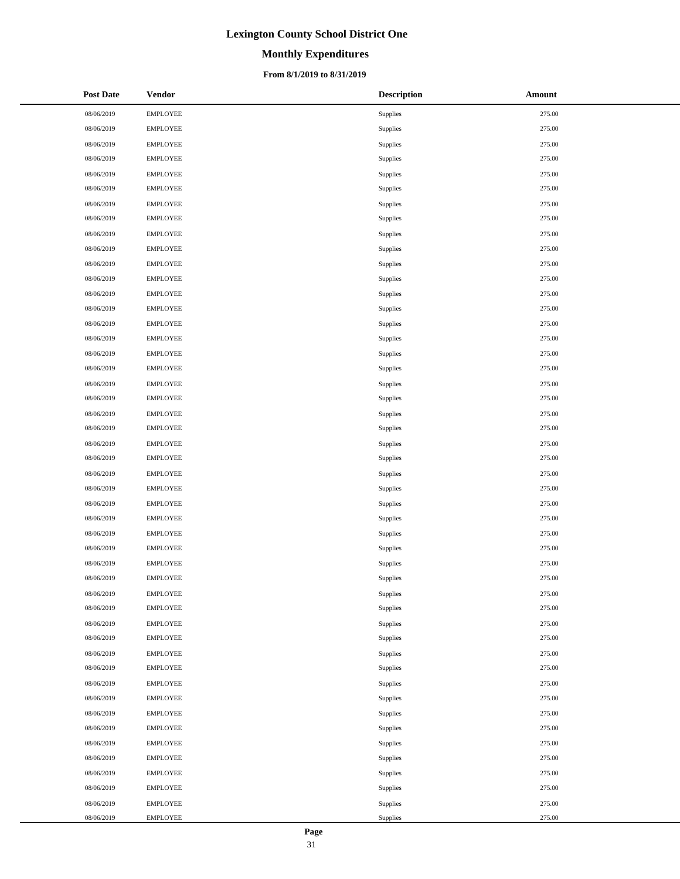# **Monthly Expenditures**

### **From 8/1/2019 to 8/31/2019**

| <b>Post Date</b> | <b>Vendor</b>   | <b>Description</b> | <b>Amount</b> |
|------------------|-----------------|--------------------|---------------|
| 08/06/2019       | <b>EMPLOYEE</b> | Supplies           | 275.00        |
| 08/06/2019       | <b>EMPLOYEE</b> | Supplies           | 275.00        |
| 08/06/2019       | <b>EMPLOYEE</b> | Supplies           | 275.00        |
| 08/06/2019       | <b>EMPLOYEE</b> | Supplies           | 275.00        |
| 08/06/2019       | <b>EMPLOYEE</b> | Supplies           | 275.00        |
| 08/06/2019       | <b>EMPLOYEE</b> | Supplies           | 275.00        |
| 08/06/2019       | <b>EMPLOYEE</b> | Supplies           | 275.00        |
| 08/06/2019       | <b>EMPLOYEE</b> | Supplies           | 275.00        |
| 08/06/2019       | <b>EMPLOYEE</b> | Supplies           | 275.00        |
| 08/06/2019       | <b>EMPLOYEE</b> | Supplies           | 275.00        |
| 08/06/2019       | <b>EMPLOYEE</b> | Supplies           | 275.00        |
| 08/06/2019       | <b>EMPLOYEE</b> | Supplies           | 275.00        |
| 08/06/2019       | <b>EMPLOYEE</b> | Supplies           | 275.00        |
| 08/06/2019       | <b>EMPLOYEE</b> | Supplies           | 275.00        |
| 08/06/2019       | <b>EMPLOYEE</b> | Supplies           | 275.00        |
| 08/06/2019       | <b>EMPLOYEE</b> | <b>Supplies</b>    | 275.00        |
| 08/06/2019       | <b>EMPLOYEE</b> | Supplies           | 275.00        |
| 08/06/2019       | <b>EMPLOYEE</b> | Supplies           | 275.00        |
| 08/06/2019       | <b>EMPLOYEE</b> | Supplies           | 275.00        |
| 08/06/2019       | <b>EMPLOYEE</b> | Supplies           | 275.00        |
| 08/06/2019       | <b>EMPLOYEE</b> | Supplies           | 275.00        |
| 08/06/2019       | <b>EMPLOYEE</b> | Supplies           | 275.00        |
| 08/06/2019       | <b>EMPLOYEE</b> | Supplies           | 275.00        |
| 08/06/2019       | <b>EMPLOYEE</b> | Supplies           | 275.00        |
| 08/06/2019       | <b>EMPLOYEE</b> | Supplies           | 275.00        |
| 08/06/2019       | <b>EMPLOYEE</b> | Supplies           | 275.00        |
| 08/06/2019       | <b>EMPLOYEE</b> | Supplies           | 275.00        |
| 08/06/2019       | <b>EMPLOYEE</b> | Supplies           | 275.00        |
| 08/06/2019       | <b>EMPLOYEE</b> | Supplies           | 275.00        |
| 08/06/2019       | <b>EMPLOYEE</b> | Supplies           | 275.00        |
| 08/06/2019       | <b>EMPLOYEE</b> | Supplies           | 275.00        |
| 08/06/2019       | <b>EMPLOYEE</b> | Supplies           | 275.00        |
| 08/06/2019       | <b>EMPLOYEE</b> | Supplies           | 275.00        |
| 08/06/2019       | <b>EMPLOYEE</b> | Supplies           | 275.00        |
| 08/06/2019       | <b>EMPLOYEE</b> | Supplies           | 275.00        |
| 08/06/2019       | <b>EMPLOYEE</b> | Supplies           | 275.00        |
| 08/06/2019       | <b>EMPLOYEE</b> | Supplies           | 275.00        |
| 08/06/2019       | <b>EMPLOYEE</b> | Supplies           | 275.00        |
| 08/06/2019       | <b>EMPLOYEE</b> | Supplies           | 275.00        |
| 08/06/2019       | <b>EMPLOYEE</b> | Supplies           | 275.00        |
| 08/06/2019       | <b>EMPLOYEE</b> | Supplies           | 275.00        |
| 08/06/2019       | <b>EMPLOYEE</b> | Supplies           | 275.00        |
| 08/06/2019       | <b>EMPLOYEE</b> | Supplies           | 275.00        |
| 08/06/2019       | <b>EMPLOYEE</b> | Supplies           | 275.00        |
| 08/06/2019       | <b>EMPLOYEE</b> | Supplies           | 275.00        |
| 08/06/2019       | <b>EMPLOYEE</b> | Supplies           | 275.00        |
| 08/06/2019       | <b>EMPLOYEE</b> | Supplies           | 275.00        |
| 08/06/2019       | <b>EMPLOYEE</b> | Supplies           | 275.00        |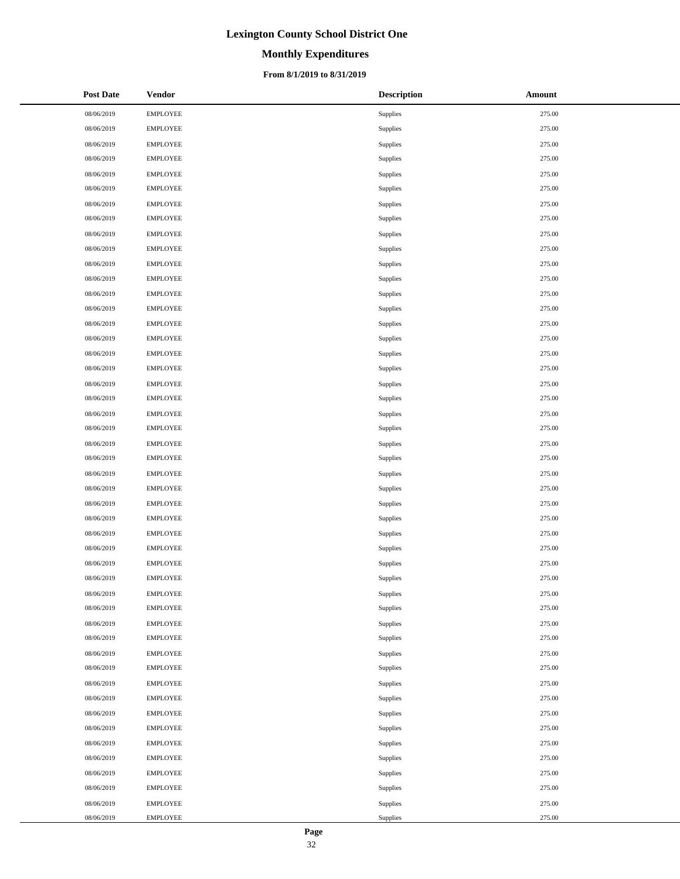# **Monthly Expenditures**

### **From 8/1/2019 to 8/31/2019**

| <b>Post Date</b> | <b>Vendor</b>   | <b>Description</b> | <b>Amount</b> |
|------------------|-----------------|--------------------|---------------|
| 08/06/2019       | <b>EMPLOYEE</b> | Supplies           | 275.00        |
| 08/06/2019       | <b>EMPLOYEE</b> | Supplies           | 275.00        |
| 08/06/2019       | <b>EMPLOYEE</b> | Supplies           | 275.00        |
| 08/06/2019       | <b>EMPLOYEE</b> | Supplies           | 275.00        |
| 08/06/2019       | <b>EMPLOYEE</b> | Supplies           | 275.00        |
| 08/06/2019       | <b>EMPLOYEE</b> | Supplies           | 275.00        |
| 08/06/2019       | <b>EMPLOYEE</b> | Supplies           | 275.00        |
| 08/06/2019       | <b>EMPLOYEE</b> | Supplies           | 275.00        |
| 08/06/2019       | <b>EMPLOYEE</b> | Supplies           | 275.00        |
| 08/06/2019       | <b>EMPLOYEE</b> | Supplies           | 275.00        |
| 08/06/2019       | <b>EMPLOYEE</b> | Supplies           | 275.00        |
| 08/06/2019       | <b>EMPLOYEE</b> | Supplies           | 275.00        |
| 08/06/2019       | <b>EMPLOYEE</b> | Supplies           | 275.00        |
| 08/06/2019       | <b>EMPLOYEE</b> | Supplies           | 275.00        |
| 08/06/2019       | <b>EMPLOYEE</b> | Supplies           | 275.00        |
| 08/06/2019       | <b>EMPLOYEE</b> | <b>Supplies</b>    | 275.00        |
| 08/06/2019       | <b>EMPLOYEE</b> | Supplies           | 275.00        |
| 08/06/2019       | <b>EMPLOYEE</b> | Supplies           | 275.00        |
| 08/06/2019       | <b>EMPLOYEE</b> | Supplies           | 275.00        |
| 08/06/2019       | <b>EMPLOYEE</b> | Supplies           | 275.00        |
| 08/06/2019       | <b>EMPLOYEE</b> | Supplies           | 275.00        |
| 08/06/2019       | <b>EMPLOYEE</b> | Supplies           | 275.00        |
| 08/06/2019       | <b>EMPLOYEE</b> | Supplies           | 275.00        |
| 08/06/2019       | <b>EMPLOYEE</b> | Supplies           | 275.00        |
| 08/06/2019       | <b>EMPLOYEE</b> | Supplies           | 275.00        |
| 08/06/2019       | <b>EMPLOYEE</b> | Supplies           | 275.00        |
| 08/06/2019       | <b>EMPLOYEE</b> | Supplies           | 275.00        |
| 08/06/2019       | <b>EMPLOYEE</b> | Supplies           | 275.00        |
| 08/06/2019       | <b>EMPLOYEE</b> | Supplies           | 275.00        |
| 08/06/2019       | <b>EMPLOYEE</b> | Supplies           | 275.00        |
| 08/06/2019       | <b>EMPLOYEE</b> | Supplies           | 275.00        |
| 08/06/2019       | <b>EMPLOYEE</b> | Supplies           | 275.00        |
| 08/06/2019       | <b>EMPLOYEE</b> | Supplies           | 275.00        |
| 08/06/2019       | <b>EMPLOYEE</b> | Supplies           | 275.00        |
| 08/06/2019       | <b>EMPLOYEE</b> | Supplies           | 275.00        |
| 08/06/2019       | <b>EMPLOYEE</b> | Supplies           | 275.00        |
| 08/06/2019       | <b>EMPLOYEE</b> | Supplies           | 275.00        |
| 08/06/2019       | <b>EMPLOYEE</b> | Supplies           | 275.00        |
| 08/06/2019       | <b>EMPLOYEE</b> | Supplies           | 275.00        |
| 08/06/2019       | <b>EMPLOYEE</b> | Supplies           | 275.00        |
| 08/06/2019       | <b>EMPLOYEE</b> | Supplies           | 275.00        |
| 08/06/2019       | <b>EMPLOYEE</b> | Supplies           | 275.00        |
| 08/06/2019       | <b>EMPLOYEE</b> | Supplies           | 275.00        |
| 08/06/2019       | <b>EMPLOYEE</b> | Supplies           | 275.00        |
| 08/06/2019       | <b>EMPLOYEE</b> | Supplies           | 275.00        |
| 08/06/2019       | <b>EMPLOYEE</b> | Supplies           | 275.00        |
| 08/06/2019       | <b>EMPLOYEE</b> | Supplies           | 275.00        |
| 08/06/2019       | <b>EMPLOYEE</b> | Supplies           | 275.00        |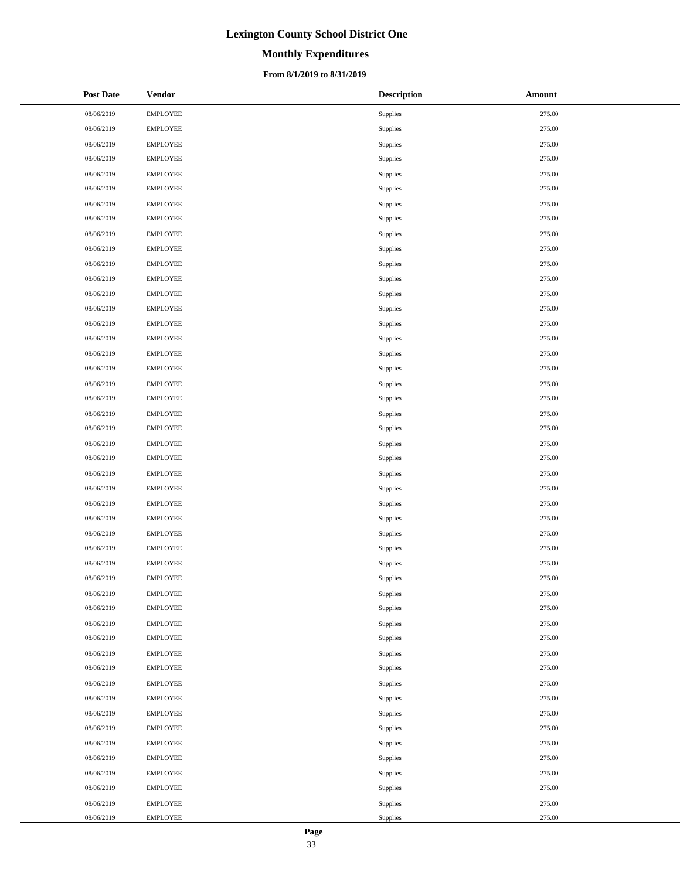# **Monthly Expenditures**

### **From 8/1/2019 to 8/31/2019**

| <b>Post Date</b> | <b>Vendor</b>   | <b>Description</b> | Amount |
|------------------|-----------------|--------------------|--------|
| 08/06/2019       | <b>EMPLOYEE</b> | Supplies           | 275.00 |
| 08/06/2019       | <b>EMPLOYEE</b> | Supplies           | 275.00 |
| 08/06/2019       | <b>EMPLOYEE</b> | Supplies           | 275.00 |
| 08/06/2019       | <b>EMPLOYEE</b> | Supplies           | 275.00 |
| 08/06/2019       | <b>EMPLOYEE</b> | Supplies           | 275.00 |
| 08/06/2019       | <b>EMPLOYEE</b> | Supplies           | 275.00 |
| 08/06/2019       | <b>EMPLOYEE</b> | Supplies           | 275.00 |
| 08/06/2019       | <b>EMPLOYEE</b> | Supplies           | 275.00 |
| 08/06/2019       | <b>EMPLOYEE</b> | Supplies           | 275.00 |
| 08/06/2019       | <b>EMPLOYEE</b> | Supplies           | 275.00 |
| 08/06/2019       | <b>EMPLOYEE</b> | Supplies           | 275.00 |
| 08/06/2019       | <b>EMPLOYEE</b> | Supplies           | 275.00 |
| 08/06/2019       | <b>EMPLOYEE</b> | Supplies           | 275.00 |
| 08/06/2019       | <b>EMPLOYEE</b> | Supplies           | 275.00 |
| 08/06/2019       | <b>EMPLOYEE</b> | Supplies           | 275.00 |
| 08/06/2019       | <b>EMPLOYEE</b> | Supplies           | 275.00 |
| 08/06/2019       | <b>EMPLOYEE</b> | Supplies           | 275.00 |
| 08/06/2019       | <b>EMPLOYEE</b> | Supplies           | 275.00 |
| 08/06/2019       | <b>EMPLOYEE</b> | Supplies           | 275.00 |
| 08/06/2019       | <b>EMPLOYEE</b> | Supplies           | 275.00 |
| 08/06/2019       | <b>EMPLOYEE</b> | Supplies           | 275.00 |
| 08/06/2019       | <b>EMPLOYEE</b> | Supplies           | 275.00 |
| 08/06/2019       | <b>EMPLOYEE</b> | Supplies           | 275.00 |
| 08/06/2019       | <b>EMPLOYEE</b> | Supplies           | 275.00 |
| 08/06/2019       | <b>EMPLOYEE</b> | Supplies           | 275.00 |
| 08/06/2019       | <b>EMPLOYEE</b> | Supplies           | 275.00 |
| 08/06/2019       | <b>EMPLOYEE</b> | Supplies           | 275.00 |
| 08/06/2019       | <b>EMPLOYEE</b> | Supplies           | 275.00 |
| 08/06/2019       | <b>EMPLOYEE</b> | Supplies           | 275.00 |
| 08/06/2019       | <b>EMPLOYEE</b> | Supplies           | 275.00 |
| 08/06/2019       | <b>EMPLOYEE</b> | Supplies           | 275.00 |
| 08/06/2019       | <b>EMPLOYEE</b> | Supplies           | 275.00 |
| 08/06/2019       | <b>EMPLOYEE</b> | Supplies           | 275.00 |
| 08/06/2019       | <b>EMPLOYEE</b> | Supplies           | 275.00 |
| 08/06/2019       | <b>EMPLOYEE</b> | Supplies           | 275.00 |
| 08/06/2019       | <b>EMPLOYEE</b> | Supplies           | 275.00 |
| 08/06/2019       | <b>EMPLOYEE</b> | Supplies           | 275.00 |
| 08/06/2019       | <b>EMPLOYEE</b> | Supplies           | 275.00 |
| 08/06/2019       | <b>EMPLOYEE</b> | Supplies           | 275.00 |
| 08/06/2019       | <b>EMPLOYEE</b> | Supplies           | 275.00 |
| 08/06/2019       | <b>EMPLOYEE</b> | Supplies           | 275.00 |
| 08/06/2019       | <b>EMPLOYEE</b> | Supplies           | 275.00 |
| 08/06/2019       | <b>EMPLOYEE</b> | Supplies           | 275.00 |
| 08/06/2019       | <b>EMPLOYEE</b> | Supplies           | 275.00 |
| 08/06/2019       | <b>EMPLOYEE</b> | Supplies           | 275.00 |
| 08/06/2019       | <b>EMPLOYEE</b> | Supplies           | 275.00 |
| 08/06/2019       | <b>EMPLOYEE</b> | Supplies           | 275.00 |
| 08/06/2019       | <b>EMPLOYEE</b> | Supplies           | 275.00 |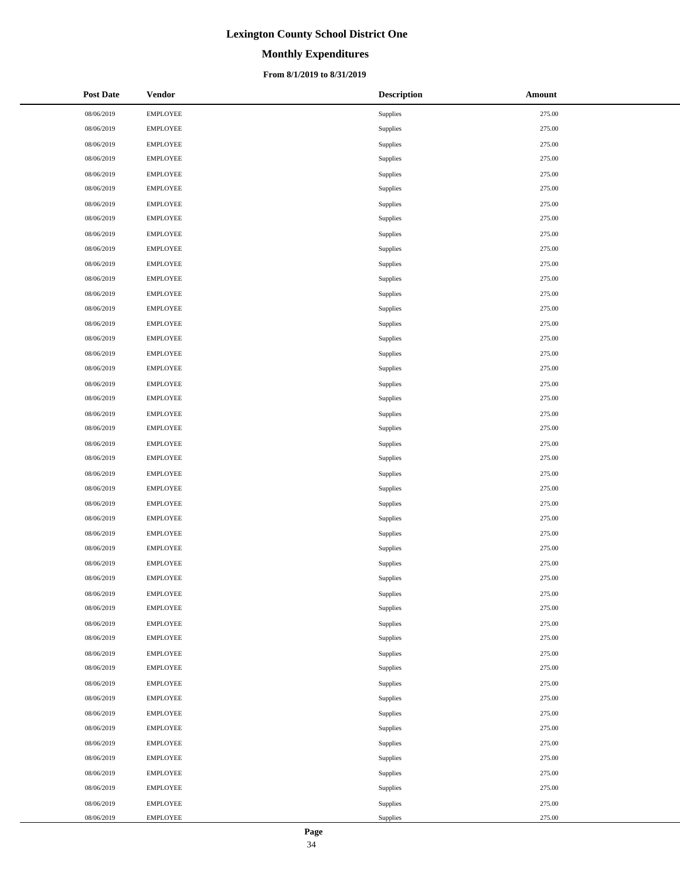# **Monthly Expenditures**

### **From 8/1/2019 to 8/31/2019**

| <b>Post Date</b> | <b>Vendor</b>   | <b>Description</b> | <b>Amount</b> |
|------------------|-----------------|--------------------|---------------|
| 08/06/2019       | <b>EMPLOYEE</b> | Supplies           | 275.00        |
| 08/06/2019       | <b>EMPLOYEE</b> | Supplies           | 275.00        |
| 08/06/2019       | <b>EMPLOYEE</b> | Supplies           | 275.00        |
| 08/06/2019       | <b>EMPLOYEE</b> | Supplies           | 275.00        |
| 08/06/2019       | <b>EMPLOYEE</b> | Supplies           | 275.00        |
| 08/06/2019       | <b>EMPLOYEE</b> | Supplies           | 275.00        |
| 08/06/2019       | <b>EMPLOYEE</b> | Supplies           | 275.00        |
| 08/06/2019       | <b>EMPLOYEE</b> | Supplies           | 275.00        |
| 08/06/2019       | <b>EMPLOYEE</b> | Supplies           | 275.00        |
| 08/06/2019       | <b>EMPLOYEE</b> | Supplies           | 275.00        |
| 08/06/2019       | <b>EMPLOYEE</b> | Supplies           | 275.00        |
| 08/06/2019       | <b>EMPLOYEE</b> | Supplies           | 275.00        |
| 08/06/2019       | <b>EMPLOYEE</b> | Supplies           | 275.00        |
| 08/06/2019       | <b>EMPLOYEE</b> | Supplies           | 275.00        |
| 08/06/2019       | <b>EMPLOYEE</b> | Supplies           | 275.00        |
| 08/06/2019       | <b>EMPLOYEE</b> | <b>Supplies</b>    | 275.00        |
| 08/06/2019       | <b>EMPLOYEE</b> | Supplies           | 275.00        |
| 08/06/2019       | <b>EMPLOYEE</b> | Supplies           | 275.00        |
| 08/06/2019       | <b>EMPLOYEE</b> | Supplies           | 275.00        |
| 08/06/2019       | <b>EMPLOYEE</b> | Supplies           | 275.00        |
| 08/06/2019       | <b>EMPLOYEE</b> | Supplies           | 275.00        |
| 08/06/2019       | <b>EMPLOYEE</b> | Supplies           | 275.00        |
| 08/06/2019       | <b>EMPLOYEE</b> | Supplies           | 275.00        |
| 08/06/2019       | <b>EMPLOYEE</b> | Supplies           | 275.00        |
| 08/06/2019       | <b>EMPLOYEE</b> | Supplies           | 275.00        |
| 08/06/2019       | <b>EMPLOYEE</b> | Supplies           | 275.00        |
| 08/06/2019       | <b>EMPLOYEE</b> | Supplies           | 275.00        |
| 08/06/2019       | <b>EMPLOYEE</b> | Supplies           | 275.00        |
| 08/06/2019       | <b>EMPLOYEE</b> | Supplies           | 275.00        |
| 08/06/2019       | <b>EMPLOYEE</b> | Supplies           | 275.00        |
| 08/06/2019       | <b>EMPLOYEE</b> | Supplies           | 275.00        |
| 08/06/2019       | <b>EMPLOYEE</b> | Supplies           | 275.00        |
| 08/06/2019       | <b>EMPLOYEE</b> | Supplies           | 275.00        |
| 08/06/2019       | <b>EMPLOYEE</b> | Supplies           | 275.00        |
| 08/06/2019       | <b>EMPLOYEE</b> | Supplies           | 275.00        |
| 08/06/2019       | <b>EMPLOYEE</b> | Supplies           | 275.00        |
| 08/06/2019       | <b>EMPLOYEE</b> | Supplies           | 275.00        |
| 08/06/2019       | <b>EMPLOYEE</b> | Supplies           | 275.00        |
| 08/06/2019       | <b>EMPLOYEE</b> | Supplies           | 275.00        |
| 08/06/2019       | <b>EMPLOYEE</b> | Supplies           | 275.00        |
| 08/06/2019       | <b>EMPLOYEE</b> | Supplies           | 275.00        |
| 08/06/2019       | <b>EMPLOYEE</b> | Supplies           | 275.00        |
| 08/06/2019       | <b>EMPLOYEE</b> | Supplies           | 275.00        |
| 08/06/2019       | <b>EMPLOYEE</b> | Supplies           | 275.00        |
| 08/06/2019       | <b>EMPLOYEE</b> | Supplies           | 275.00        |
| 08/06/2019       | <b>EMPLOYEE</b> | Supplies           | 275.00        |
| 08/06/2019       | <b>EMPLOYEE</b> | Supplies           | 275.00        |
| 08/06/2019       | <b>EMPLOYEE</b> | Supplies           | 275.00        |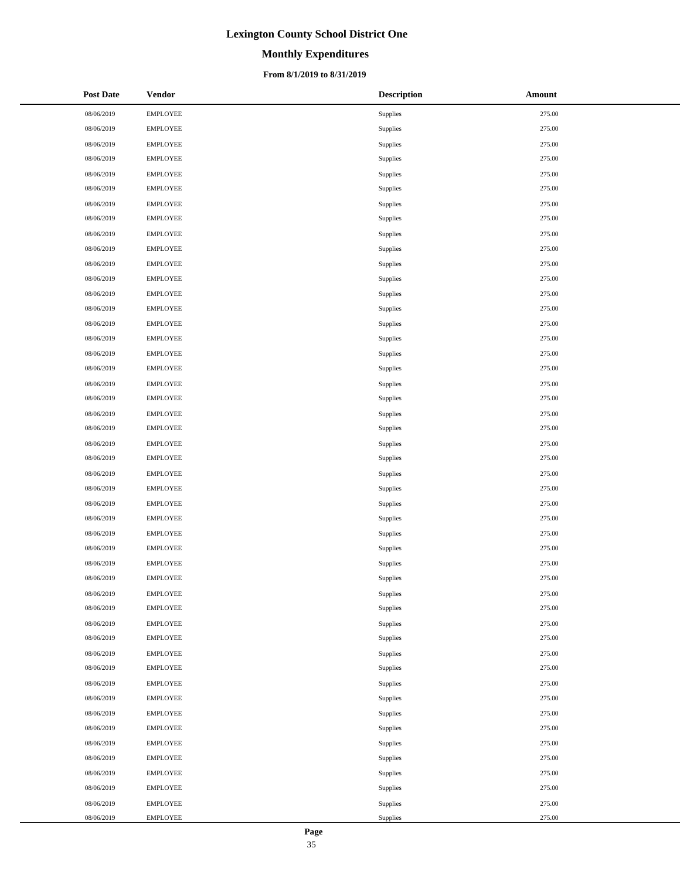# **Monthly Expenditures**

### **From 8/1/2019 to 8/31/2019**

| <b>Post Date</b> | Vendor          | <b>Description</b> | Amount |
|------------------|-----------------|--------------------|--------|
| 08/06/2019       | <b>EMPLOYEE</b> | Supplies           | 275.00 |
| 08/06/2019       | <b>EMPLOYEE</b> | Supplies           | 275.00 |
| 08/06/2019       | <b>EMPLOYEE</b> | Supplies           | 275.00 |
| 08/06/2019       | <b>EMPLOYEE</b> | Supplies           | 275.00 |
| 08/06/2019       | <b>EMPLOYEE</b> | Supplies           | 275.00 |
| 08/06/2019       | <b>EMPLOYEE</b> | Supplies           | 275.00 |
| 08/06/2019       | <b>EMPLOYEE</b> | Supplies           | 275.00 |
| 08/06/2019       | <b>EMPLOYEE</b> | Supplies           | 275.00 |
| 08/06/2019       | <b>EMPLOYEE</b> | Supplies           | 275.00 |
| 08/06/2019       | <b>EMPLOYEE</b> | Supplies           | 275.00 |
| 08/06/2019       | <b>EMPLOYEE</b> | Supplies           | 275.00 |
| 08/06/2019       | <b>EMPLOYEE</b> | Supplies           | 275.00 |
| 08/06/2019       | <b>EMPLOYEE</b> | Supplies           | 275.00 |
| 08/06/2019       | <b>EMPLOYEE</b> | Supplies           | 275.00 |
| 08/06/2019       | <b>EMPLOYEE</b> | Supplies           | 275.00 |
| 08/06/2019       | <b>EMPLOYEE</b> | Supplies           | 275.00 |
| 08/06/2019       | <b>EMPLOYEE</b> | Supplies           | 275.00 |
| 08/06/2019       | <b>EMPLOYEE</b> | Supplies           | 275.00 |
| 08/06/2019       | <b>EMPLOYEE</b> | Supplies           | 275.00 |
| 08/06/2019       | <b>EMPLOYEE</b> | Supplies           | 275.00 |
| 08/06/2019       | <b>EMPLOYEE</b> | Supplies           | 275.00 |
| 08/06/2019       | <b>EMPLOYEE</b> | Supplies           | 275.00 |
| 08/06/2019       | <b>EMPLOYEE</b> | Supplies           | 275.00 |
| 08/06/2019       | <b>EMPLOYEE</b> | Supplies           | 275.00 |
| 08/06/2019       | <b>EMPLOYEE</b> | Supplies           | 275.00 |
| 08/06/2019       | <b>EMPLOYEE</b> | Supplies           | 275.00 |
| 08/06/2019       | <b>EMPLOYEE</b> | Supplies           | 275.00 |
| 08/06/2019       | <b>EMPLOYEE</b> | Supplies           | 275.00 |
| 08/06/2019       | <b>EMPLOYEE</b> | Supplies           | 275.00 |
| 08/06/2019       | <b>EMPLOYEE</b> | Supplies           | 275.00 |
| 08/06/2019       | <b>EMPLOYEE</b> | Supplies           | 275.00 |
| 08/06/2019       | <b>EMPLOYEE</b> | Supplies           | 275.00 |
| 08/06/2019       | <b>EMPLOYEE</b> | Supplies           | 275.00 |
| 08/06/2019       | <b>EMPLOYEE</b> | Supplies           | 275.00 |
| 08/06/2019       | <b>EMPLOYEE</b> | Supplies           | 275.00 |
| 08/06/2019       | <b>EMPLOYEE</b> | Supplies           | 275.00 |
| 08/06/2019       | <b>EMPLOYEE</b> | Supplies           | 275.00 |
| 08/06/2019       | <b>EMPLOYEE</b> | Supplies           | 275.00 |
| 08/06/2019       | <b>EMPLOYEE</b> | Supplies           | 275.00 |
| 08/06/2019       | <b>EMPLOYEE</b> | Supplies           | 275.00 |
| 08/06/2019       | <b>EMPLOYEE</b> | Supplies           | 275.00 |
| 08/06/2019       | <b>EMPLOYEE</b> | Supplies           | 275.00 |
| 08/06/2019       | <b>EMPLOYEE</b> | Supplies           | 275.00 |
| 08/06/2019       | <b>EMPLOYEE</b> | Supplies           | 275.00 |
| 08/06/2019       | <b>EMPLOYEE</b> | Supplies           | 275.00 |
| 08/06/2019       | <b>EMPLOYEE</b> | Supplies           | 275.00 |
| 08/06/2019       | <b>EMPLOYEE</b> | Supplies           | 275.00 |
| 08/06/2019       | <b>EMPLOYEE</b> | Supplies           | 275.00 |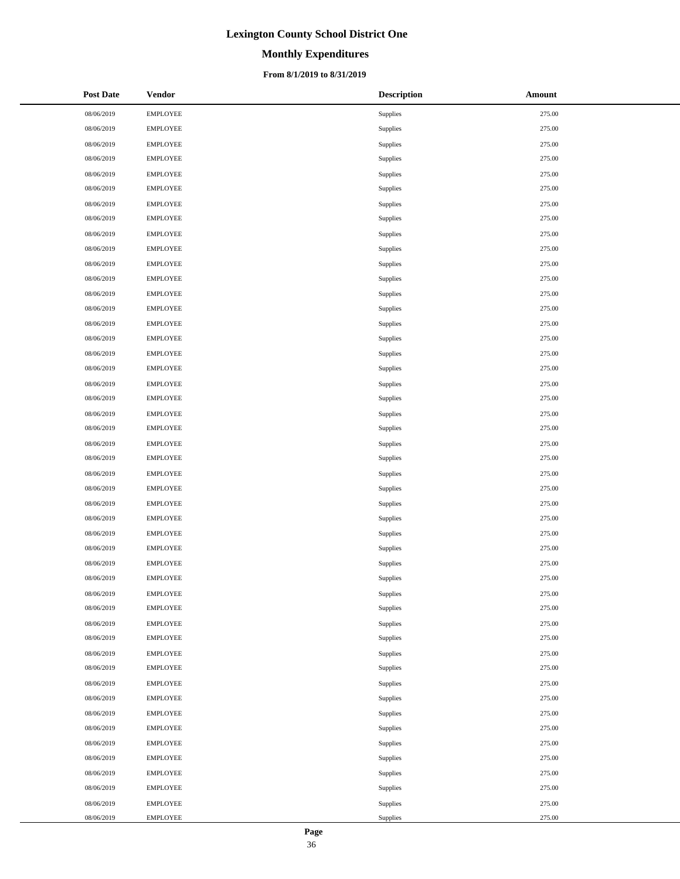# **Monthly Expenditures**

### **From 8/1/2019 to 8/31/2019**

| <b>Post Date</b> | <b>Vendor</b>   | <b>Description</b> | Amount |
|------------------|-----------------|--------------------|--------|
| 08/06/2019       | <b>EMPLOYEE</b> | Supplies           | 275.00 |
| 08/06/2019       | <b>EMPLOYEE</b> | Supplies           | 275.00 |
| 08/06/2019       | <b>EMPLOYEE</b> | Supplies           | 275.00 |
| 08/06/2019       | <b>EMPLOYEE</b> | Supplies           | 275.00 |
| 08/06/2019       | <b>EMPLOYEE</b> | Supplies           | 275.00 |
| 08/06/2019       | <b>EMPLOYEE</b> | Supplies           | 275.00 |
| 08/06/2019       | <b>EMPLOYEE</b> | Supplies           | 275.00 |
| 08/06/2019       | <b>EMPLOYEE</b> | Supplies           | 275.00 |
| 08/06/2019       | <b>EMPLOYEE</b> | Supplies           | 275.00 |
| 08/06/2019       | <b>EMPLOYEE</b> | Supplies           | 275.00 |
| 08/06/2019       | <b>EMPLOYEE</b> | Supplies           | 275.00 |
| 08/06/2019       | <b>EMPLOYEE</b> | Supplies           | 275.00 |
| 08/06/2019       | <b>EMPLOYEE</b> | Supplies           | 275.00 |
| 08/06/2019       | <b>EMPLOYEE</b> | Supplies           | 275.00 |
| 08/06/2019       | <b>EMPLOYEE</b> | Supplies           | 275.00 |
| 08/06/2019       | <b>EMPLOYEE</b> | Supplies           | 275.00 |
| 08/06/2019       | <b>EMPLOYEE</b> | Supplies           | 275.00 |
| 08/06/2019       | <b>EMPLOYEE</b> | Supplies           | 275.00 |
| 08/06/2019       | <b>EMPLOYEE</b> | Supplies           | 275.00 |
| 08/06/2019       | <b>EMPLOYEE</b> | Supplies           | 275.00 |
| 08/06/2019       | <b>EMPLOYEE</b> | Supplies           | 275.00 |
| 08/06/2019       | <b>EMPLOYEE</b> | Supplies           | 275.00 |
| 08/06/2019       | <b>EMPLOYEE</b> | Supplies           | 275.00 |
| 08/06/2019       | <b>EMPLOYEE</b> | Supplies           | 275.00 |
| 08/06/2019       | <b>EMPLOYEE</b> | Supplies           | 275.00 |
| 08/06/2019       | <b>EMPLOYEE</b> | Supplies           | 275.00 |
| 08/06/2019       | <b>EMPLOYEE</b> | Supplies           | 275.00 |
| 08/06/2019       | <b>EMPLOYEE</b> | Supplies           | 275.00 |
| 08/06/2019       | <b>EMPLOYEE</b> | Supplies           | 275.00 |
| 08/06/2019       | <b>EMPLOYEE</b> | Supplies           | 275.00 |
| 08/06/2019       | <b>EMPLOYEE</b> | Supplies           | 275.00 |
| 08/06/2019       | <b>EMPLOYEE</b> | Supplies           | 275.00 |
| 08/06/2019       | <b>EMPLOYEE</b> | Supplies           | 275.00 |
| 08/06/2019       | <b>EMPLOYEE</b> | Supplies           | 275.00 |
| 08/06/2019       | <b>EMPLOYEE</b> | Supplies           | 275.00 |
| 08/06/2019       | <b>EMPLOYEE</b> | Supplies           | 275.00 |
| 08/06/2019       | <b>EMPLOYEE</b> | Supplies           | 275.00 |
| 08/06/2019       | <b>EMPLOYEE</b> | Supplies           | 275.00 |
| 08/06/2019       | <b>EMPLOYEE</b> | Supplies           | 275.00 |
| 08/06/2019       | <b>EMPLOYEE</b> | Supplies           | 275.00 |
| 08/06/2019       | <b>EMPLOYEE</b> | Supplies           | 275.00 |
| 08/06/2019       | <b>EMPLOYEE</b> | Supplies           | 275.00 |
| 08/06/2019       | <b>EMPLOYEE</b> | Supplies           | 275.00 |
| 08/06/2019       | <b>EMPLOYEE</b> | Supplies           | 275.00 |
| 08/06/2019       | <b>EMPLOYEE</b> | Supplies           | 275.00 |
| 08/06/2019       | <b>EMPLOYEE</b> | Supplies           | 275.00 |
| 08/06/2019       | <b>EMPLOYEE</b> | Supplies           | 275.00 |
| 08/06/2019       | <b>EMPLOYEE</b> | Supplies           | 275.00 |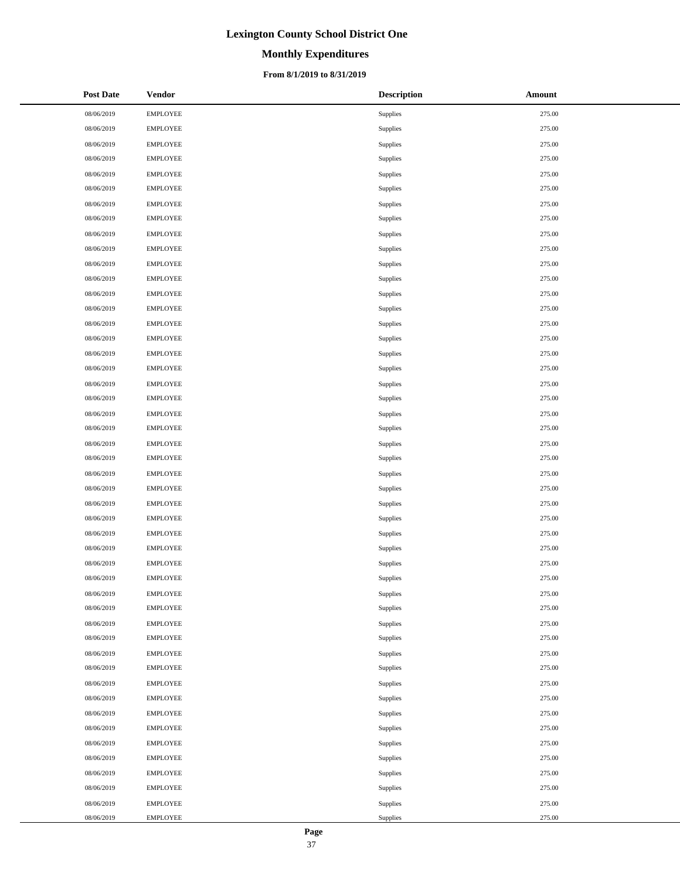# **Monthly Expenditures**

### **From 8/1/2019 to 8/31/2019**

| <b>Post Date</b> | <b>Vendor</b>   | <b>Description</b> | Amount |
|------------------|-----------------|--------------------|--------|
| 08/06/2019       | <b>EMPLOYEE</b> | Supplies           | 275.00 |
| 08/06/2019       | <b>EMPLOYEE</b> | Supplies           | 275.00 |
| 08/06/2019       | <b>EMPLOYEE</b> | Supplies           | 275.00 |
| 08/06/2019       | <b>EMPLOYEE</b> | Supplies           | 275.00 |
| 08/06/2019       | <b>EMPLOYEE</b> | Supplies           | 275.00 |
| 08/06/2019       | <b>EMPLOYEE</b> | Supplies           | 275.00 |
| 08/06/2019       | <b>EMPLOYEE</b> | Supplies           | 275.00 |
| 08/06/2019       | <b>EMPLOYEE</b> | <b>Supplies</b>    | 275.00 |
| 08/06/2019       | <b>EMPLOYEE</b> | Supplies           | 275.00 |
| 08/06/2019       | <b>EMPLOYEE</b> | Supplies           | 275.00 |
| 08/06/2019       | <b>EMPLOYEE</b> | Supplies           | 275.00 |
| 08/06/2019       | <b>EMPLOYEE</b> | <b>Supplies</b>    | 275.00 |
| 08/06/2019       | <b>EMPLOYEE</b> | Supplies           | 275.00 |
| 08/06/2019       | <b>EMPLOYEE</b> | Supplies           | 275.00 |
| 08/06/2019       | <b>EMPLOYEE</b> | Supplies           | 275.00 |
| 08/06/2019       | <b>EMPLOYEE</b> | <b>Supplies</b>    | 275.00 |
| 08/06/2019       | <b>EMPLOYEE</b> | Supplies           | 275.00 |
| 08/06/2019       | <b>EMPLOYEE</b> | Supplies           | 275.00 |
| 08/06/2019       | <b>EMPLOYEE</b> | Supplies           | 275.00 |
| 08/06/2019       | <b>EMPLOYEE</b> | Supplies           | 275.00 |
| 08/06/2019       | <b>EMPLOYEE</b> | Supplies           | 275.00 |
| 08/06/2019       | <b>EMPLOYEE</b> | Supplies           | 275.00 |
| 08/06/2019       | <b>EMPLOYEE</b> | Supplies           | 275.00 |
| 08/06/2019       | <b>EMPLOYEE</b> | Supplies           | 275.00 |
| 08/06/2019       | <b>EMPLOYEE</b> | Supplies           | 275.00 |
| 08/06/2019       | <b>EMPLOYEE</b> | Supplies           | 275.00 |
| 08/06/2019       | <b>EMPLOYEE</b> | Supplies           | 275.00 |
| 08/06/2019       | <b>EMPLOYEE</b> | <b>Supplies</b>    | 275.00 |
| 08/06/2019       | <b>EMPLOYEE</b> | Supplies           | 275.00 |
| 08/06/2019       | <b>EMPLOYEE</b> | Supplies           | 275.00 |
| 08/06/2019       | <b>EMPLOYEE</b> | Supplies           | 275.00 |
| 08/06/2019       | <b>EMPLOYEE</b> | Supplies           | 275.00 |
| 08/06/2019       | <b>EMPLOYEE</b> | Supplies           | 275.00 |
| 08/06/2019       | <b>EMPLOYEE</b> | Supplies           | 275.00 |
| 08/06/2019       | <b>EMPLOYEE</b> | Supplies           | 275.00 |
| 08/06/2019       | <b>EMPLOYEE</b> | Supplies           | 275.00 |
| 08/06/2019       | <b>EMPLOYEE</b> | Supplies           | 275.00 |
| 08/06/2019       | <b>EMPLOYEE</b> | Supplies           | 275.00 |
| 08/06/2019       | <b>EMPLOYEE</b> | Supplies           | 275.00 |
| 08/06/2019       | <b>EMPLOYEE</b> | Supplies           | 275.00 |
| 08/06/2019       | <b>EMPLOYEE</b> | Supplies           | 275.00 |
| 08/06/2019       | <b>EMPLOYEE</b> | Supplies           | 275.00 |
| 08/06/2019       | <b>EMPLOYEE</b> | Supplies           | 275.00 |
| 08/06/2019       | <b>EMPLOYEE</b> | Supplies           | 275.00 |
| 08/06/2019       | <b>EMPLOYEE</b> | Supplies           | 275.00 |
| 08/06/2019       | <b>EMPLOYEE</b> | Supplies           | 275.00 |
| 08/06/2019       | <b>EMPLOYEE</b> | Supplies           | 275.00 |
| 08/06/2019       | <b>EMPLOYEE</b> | Supplies           | 275.00 |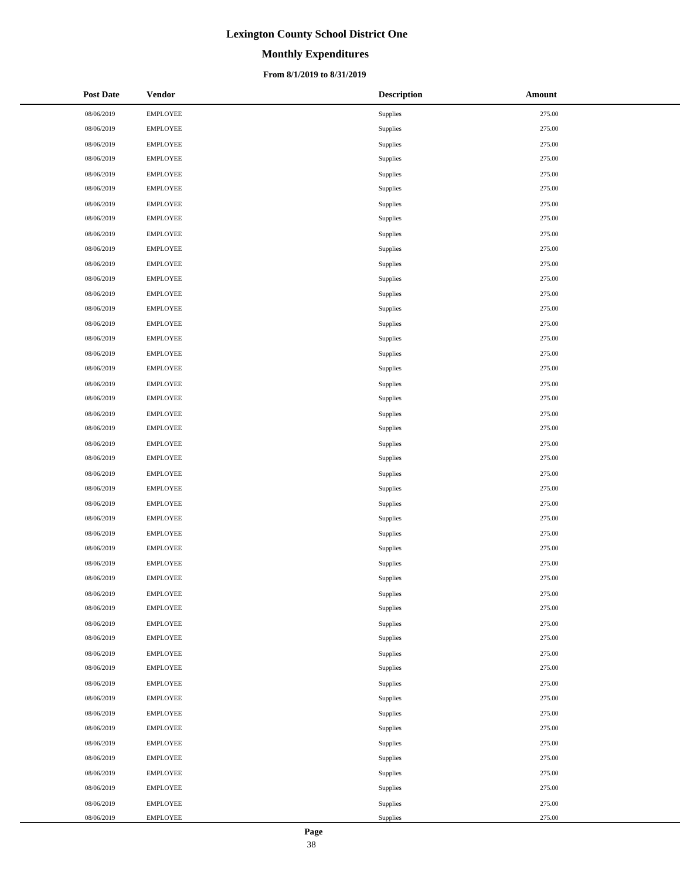# **Monthly Expenditures**

### **From 8/1/2019 to 8/31/2019**

| <b>Post Date</b> | <b>Vendor</b>   | <b>Description</b> | Amount |
|------------------|-----------------|--------------------|--------|
| 08/06/2019       | <b>EMPLOYEE</b> | Supplies           | 275.00 |
| 08/06/2019       | <b>EMPLOYEE</b> | Supplies           | 275.00 |
| 08/06/2019       | <b>EMPLOYEE</b> | Supplies           | 275.00 |
| 08/06/2019       | <b>EMPLOYEE</b> | Supplies           | 275.00 |
| 08/06/2019       | <b>EMPLOYEE</b> | Supplies           | 275.00 |
| 08/06/2019       | <b>EMPLOYEE</b> | Supplies           | 275.00 |
| 08/06/2019       | <b>EMPLOYEE</b> | Supplies           | 275.00 |
| 08/06/2019       | <b>EMPLOYEE</b> | <b>Supplies</b>    | 275.00 |
| 08/06/2019       | <b>EMPLOYEE</b> | Supplies           | 275.00 |
| 08/06/2019       | <b>EMPLOYEE</b> | Supplies           | 275.00 |
| 08/06/2019       | <b>EMPLOYEE</b> | Supplies           | 275.00 |
| 08/06/2019       | <b>EMPLOYEE</b> | <b>Supplies</b>    | 275.00 |
| 08/06/2019       | <b>EMPLOYEE</b> | Supplies           | 275.00 |
| 08/06/2019       | <b>EMPLOYEE</b> | Supplies           | 275.00 |
| 08/06/2019       | <b>EMPLOYEE</b> | Supplies           | 275.00 |
| 08/06/2019       | <b>EMPLOYEE</b> | <b>Supplies</b>    | 275.00 |
| 08/06/2019       | <b>EMPLOYEE</b> | Supplies           | 275.00 |
| 08/06/2019       | <b>EMPLOYEE</b> | Supplies           | 275.00 |
| 08/06/2019       | <b>EMPLOYEE</b> | Supplies           | 275.00 |
| 08/06/2019       | <b>EMPLOYEE</b> | Supplies           | 275.00 |
| 08/06/2019       | <b>EMPLOYEE</b> | Supplies           | 275.00 |
| 08/06/2019       | <b>EMPLOYEE</b> | Supplies           | 275.00 |
| 08/06/2019       | <b>EMPLOYEE</b> | Supplies           | 275.00 |
| 08/06/2019       | <b>EMPLOYEE</b> | Supplies           | 275.00 |
| 08/06/2019       | <b>EMPLOYEE</b> | Supplies           | 275.00 |
| 08/06/2019       | <b>EMPLOYEE</b> | Supplies           | 275.00 |
| 08/06/2019       | <b>EMPLOYEE</b> | Supplies           | 275.00 |
| 08/06/2019       | <b>EMPLOYEE</b> | <b>Supplies</b>    | 275.00 |
| 08/06/2019       | <b>EMPLOYEE</b> | Supplies           | 275.00 |
| 08/06/2019       | <b>EMPLOYEE</b> | Supplies           | 275.00 |
| 08/06/2019       | <b>EMPLOYEE</b> | Supplies           | 275.00 |
| 08/06/2019       | <b>EMPLOYEE</b> | Supplies           | 275.00 |
| 08/06/2019       | <b>EMPLOYEE</b> | Supplies           | 275.00 |
| 08/06/2019       | <b>EMPLOYEE</b> | Supplies           | 275.00 |
| 08/06/2019       | <b>EMPLOYEE</b> | Supplies           | 275.00 |
| 08/06/2019       | <b>EMPLOYEE</b> | Supplies           | 275.00 |
| 08/06/2019       | <b>EMPLOYEE</b> | Supplies           | 275.00 |
| 08/06/2019       | <b>EMPLOYEE</b> | Supplies           | 275.00 |
| 08/06/2019       | <b>EMPLOYEE</b> | Supplies           | 275.00 |
| 08/06/2019       | <b>EMPLOYEE</b> | Supplies           | 275.00 |
| 08/06/2019       | <b>EMPLOYEE</b> | Supplies           | 275.00 |
| 08/06/2019       | <b>EMPLOYEE</b> | Supplies           | 275.00 |
| 08/06/2019       | <b>EMPLOYEE</b> | Supplies           | 275.00 |
| 08/06/2019       | <b>EMPLOYEE</b> | Supplies           | 275.00 |
| 08/06/2019       | <b>EMPLOYEE</b> | Supplies           | 275.00 |
| 08/06/2019       | <b>EMPLOYEE</b> | Supplies           | 275.00 |
| 08/06/2019       | <b>EMPLOYEE</b> | Supplies           | 275.00 |
| 08/06/2019       | <b>EMPLOYEE</b> | Supplies           | 275.00 |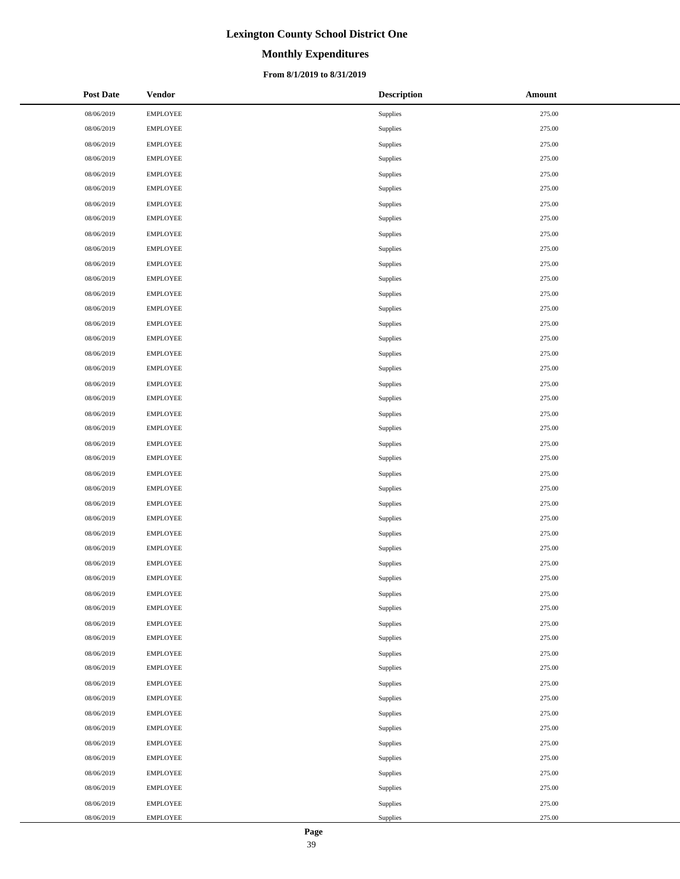# **Monthly Expenditures**

### **From 8/1/2019 to 8/31/2019**

| <b>Post Date</b> | <b>Vendor</b>   | <b>Description</b> | Amount |
|------------------|-----------------|--------------------|--------|
| 08/06/2019       | <b>EMPLOYEE</b> | Supplies           | 275.00 |
| 08/06/2019       | <b>EMPLOYEE</b> | Supplies           | 275.00 |
| 08/06/2019       | <b>EMPLOYEE</b> | Supplies           | 275.00 |
| 08/06/2019       | <b>EMPLOYEE</b> | Supplies           | 275.00 |
| 08/06/2019       | <b>EMPLOYEE</b> | Supplies           | 275.00 |
| 08/06/2019       | <b>EMPLOYEE</b> | Supplies           | 275.00 |
| 08/06/2019       | <b>EMPLOYEE</b> | Supplies           | 275.00 |
| 08/06/2019       | <b>EMPLOYEE</b> | <b>Supplies</b>    | 275.00 |
| 08/06/2019       | <b>EMPLOYEE</b> | Supplies           | 275.00 |
| 08/06/2019       | <b>EMPLOYEE</b> | Supplies           | 275.00 |
| 08/06/2019       | <b>EMPLOYEE</b> | Supplies           | 275.00 |
| 08/06/2019       | <b>EMPLOYEE</b> | <b>Supplies</b>    | 275.00 |
| 08/06/2019       | <b>EMPLOYEE</b> | Supplies           | 275.00 |
| 08/06/2019       | <b>EMPLOYEE</b> | Supplies           | 275.00 |
| 08/06/2019       | <b>EMPLOYEE</b> | Supplies           | 275.00 |
| 08/06/2019       | <b>EMPLOYEE</b> | <b>Supplies</b>    | 275.00 |
| 08/06/2019       | <b>EMPLOYEE</b> | Supplies           | 275.00 |
| 08/06/2019       | <b>EMPLOYEE</b> | Supplies           | 275.00 |
| 08/06/2019       | <b>EMPLOYEE</b> | Supplies           | 275.00 |
| 08/06/2019       | <b>EMPLOYEE</b> | Supplies           | 275.00 |
| 08/06/2019       | <b>EMPLOYEE</b> | Supplies           | 275.00 |
| 08/06/2019       | <b>EMPLOYEE</b> | Supplies           | 275.00 |
| 08/06/2019       | <b>EMPLOYEE</b> | Supplies           | 275.00 |
| 08/06/2019       | <b>EMPLOYEE</b> | Supplies           | 275.00 |
| 08/06/2019       | <b>EMPLOYEE</b> | Supplies           | 275.00 |
| 08/06/2019       | <b>EMPLOYEE</b> | Supplies           | 275.00 |
| 08/06/2019       | <b>EMPLOYEE</b> | Supplies           | 275.00 |
| 08/06/2019       | <b>EMPLOYEE</b> | <b>Supplies</b>    | 275.00 |
| 08/06/2019       | <b>EMPLOYEE</b> | Supplies           | 275.00 |
| 08/06/2019       | <b>EMPLOYEE</b> | Supplies           | 275.00 |
| 08/06/2019       | <b>EMPLOYEE</b> | Supplies           | 275.00 |
| 08/06/2019       | <b>EMPLOYEE</b> | Supplies           | 275.00 |
| 08/06/2019       | <b>EMPLOYEE</b> | Supplies           | 275.00 |
| 08/06/2019       | <b>EMPLOYEE</b> | Supplies           | 275.00 |
| 08/06/2019       | <b>EMPLOYEE</b> | Supplies           | 275.00 |
| 08/06/2019       | <b>EMPLOYEE</b> | Supplies           | 275.00 |
| 08/06/2019       | <b>EMPLOYEE</b> | Supplies           | 275.00 |
| 08/06/2019       | <b>EMPLOYEE</b> | Supplies           | 275.00 |
| 08/06/2019       | <b>EMPLOYEE</b> | Supplies           | 275.00 |
| 08/06/2019       | <b>EMPLOYEE</b> | Supplies           | 275.00 |
| 08/06/2019       | <b>EMPLOYEE</b> | Supplies           | 275.00 |
| 08/06/2019       | <b>EMPLOYEE</b> | Supplies           | 275.00 |
| 08/06/2019       | <b>EMPLOYEE</b> | Supplies           | 275.00 |
| 08/06/2019       | <b>EMPLOYEE</b> | Supplies           | 275.00 |
| 08/06/2019       | <b>EMPLOYEE</b> | Supplies           | 275.00 |
| 08/06/2019       | <b>EMPLOYEE</b> | Supplies           | 275.00 |
| 08/06/2019       | <b>EMPLOYEE</b> | Supplies           | 275.00 |
| 08/06/2019       | <b>EMPLOYEE</b> | Supplies           | 275.00 |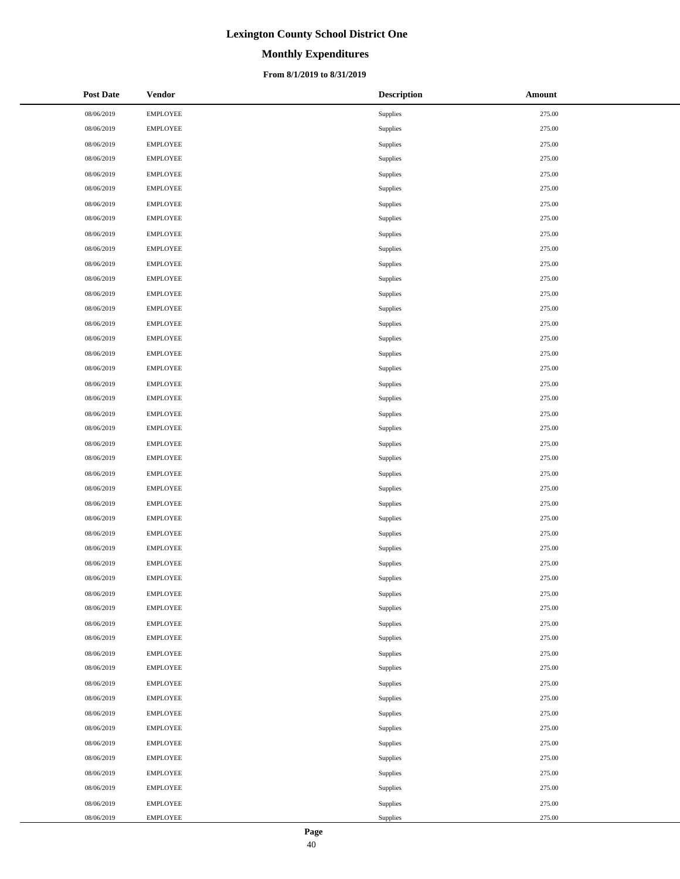# **Monthly Expenditures**

### **From 8/1/2019 to 8/31/2019**

| <b>Post Date</b> | <b>Vendor</b>   | <b>Description</b> | Amount |
|------------------|-----------------|--------------------|--------|
| 08/06/2019       | <b>EMPLOYEE</b> | Supplies           | 275.00 |
| 08/06/2019       | <b>EMPLOYEE</b> | Supplies           | 275.00 |
| 08/06/2019       | <b>EMPLOYEE</b> | Supplies           | 275.00 |
| 08/06/2019       | <b>EMPLOYEE</b> | Supplies           | 275.00 |
| 08/06/2019       | <b>EMPLOYEE</b> | Supplies           | 275.00 |
| 08/06/2019       | <b>EMPLOYEE</b> | Supplies           | 275.00 |
| 08/06/2019       | <b>EMPLOYEE</b> | Supplies           | 275.00 |
| 08/06/2019       | <b>EMPLOYEE</b> | <b>Supplies</b>    | 275.00 |
| 08/06/2019       | <b>EMPLOYEE</b> | Supplies           | 275.00 |
| 08/06/2019       | <b>EMPLOYEE</b> | Supplies           | 275.00 |
| 08/06/2019       | <b>EMPLOYEE</b> | Supplies           | 275.00 |
| 08/06/2019       | <b>EMPLOYEE</b> | <b>Supplies</b>    | 275.00 |
| 08/06/2019       | <b>EMPLOYEE</b> | Supplies           | 275.00 |
| 08/06/2019       | <b>EMPLOYEE</b> | Supplies           | 275.00 |
| 08/06/2019       | <b>EMPLOYEE</b> | Supplies           | 275.00 |
| 08/06/2019       | <b>EMPLOYEE</b> | <b>Supplies</b>    | 275.00 |
| 08/06/2019       | <b>EMPLOYEE</b> | Supplies           | 275.00 |
| 08/06/2019       | <b>EMPLOYEE</b> | Supplies           | 275.00 |
| 08/06/2019       | <b>EMPLOYEE</b> | Supplies           | 275.00 |
| 08/06/2019       | <b>EMPLOYEE</b> | Supplies           | 275.00 |
| 08/06/2019       | <b>EMPLOYEE</b> | Supplies           | 275.00 |
| 08/06/2019       | <b>EMPLOYEE</b> | Supplies           | 275.00 |
| 08/06/2019       | <b>EMPLOYEE</b> | Supplies           | 275.00 |
| 08/06/2019       | <b>EMPLOYEE</b> | Supplies           | 275.00 |
| 08/06/2019       | <b>EMPLOYEE</b> | Supplies           | 275.00 |
| 08/06/2019       | <b>EMPLOYEE</b> | Supplies           | 275.00 |
| 08/06/2019       | <b>EMPLOYEE</b> | Supplies           | 275.00 |
| 08/06/2019       | <b>EMPLOYEE</b> | <b>Supplies</b>    | 275.00 |
| 08/06/2019       | <b>EMPLOYEE</b> | Supplies           | 275.00 |
| 08/06/2019       | <b>EMPLOYEE</b> | Supplies           | 275.00 |
| 08/06/2019       | <b>EMPLOYEE</b> | Supplies           | 275.00 |
| 08/06/2019       | <b>EMPLOYEE</b> | Supplies           | 275.00 |
| 08/06/2019       | <b>EMPLOYEE</b> | Supplies           | 275.00 |
| 08/06/2019       | <b>EMPLOYEE</b> | Supplies           | 275.00 |
| 08/06/2019       | <b>EMPLOYEE</b> | Supplies           | 275.00 |
| 08/06/2019       | <b>EMPLOYEE</b> | Supplies           | 275.00 |
| 08/06/2019       | <b>EMPLOYEE</b> | Supplies           | 275.00 |
| 08/06/2019       | <b>EMPLOYEE</b> | Supplies           | 275.00 |
| 08/06/2019       | <b>EMPLOYEE</b> | Supplies           | 275.00 |
| 08/06/2019       | <b>EMPLOYEE</b> | Supplies           | 275.00 |
| 08/06/2019       | <b>EMPLOYEE</b> | Supplies           | 275.00 |
| 08/06/2019       | <b>EMPLOYEE</b> | Supplies           | 275.00 |
| 08/06/2019       | <b>EMPLOYEE</b> | Supplies           | 275.00 |
| 08/06/2019       | <b>EMPLOYEE</b> | Supplies           | 275.00 |
| 08/06/2019       | <b>EMPLOYEE</b> | Supplies           | 275.00 |
| 08/06/2019       | <b>EMPLOYEE</b> | Supplies           | 275.00 |
| 08/06/2019       | <b>EMPLOYEE</b> | Supplies           | 275.00 |
| 08/06/2019       | <b>EMPLOYEE</b> | Supplies           | 275.00 |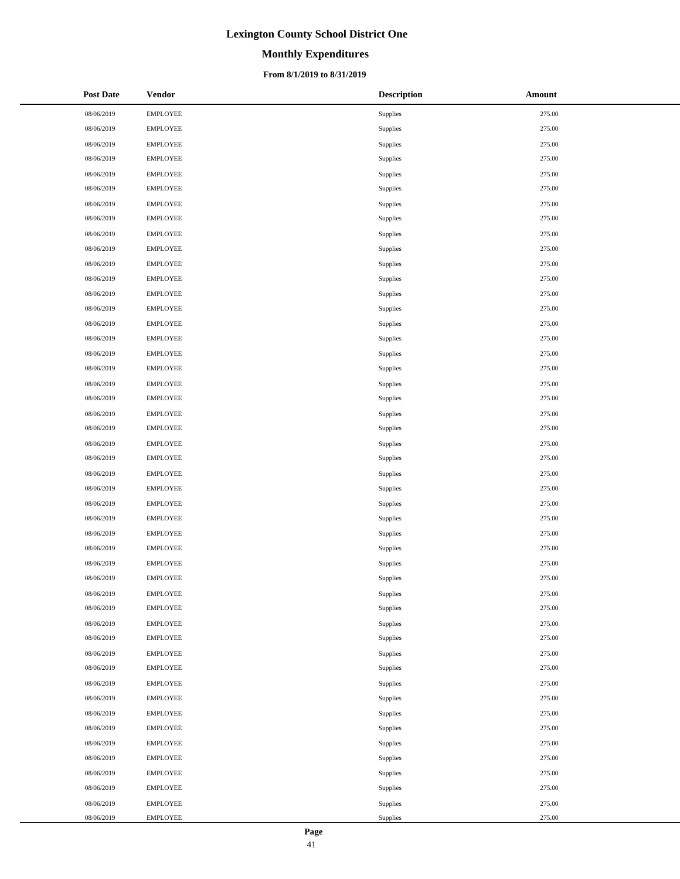# **Monthly Expenditures**

### **From 8/1/2019 to 8/31/2019**

| <b>Post Date</b> | <b>Vendor</b>   | <b>Description</b> | Amount |
|------------------|-----------------|--------------------|--------|
| 08/06/2019       | <b>EMPLOYEE</b> | Supplies           | 275.00 |
| 08/06/2019       | <b>EMPLOYEE</b> | Supplies           | 275.00 |
| 08/06/2019       | <b>EMPLOYEE</b> | Supplies           | 275.00 |
| 08/06/2019       | <b>EMPLOYEE</b> | Supplies           | 275.00 |
| 08/06/2019       | <b>EMPLOYEE</b> | Supplies           | 275.00 |
| 08/06/2019       | <b>EMPLOYEE</b> | Supplies           | 275.00 |
| 08/06/2019       | <b>EMPLOYEE</b> | Supplies           | 275.00 |
| 08/06/2019       | <b>EMPLOYEE</b> | Supplies           | 275.00 |
| 08/06/2019       | <b>EMPLOYEE</b> | Supplies           | 275.00 |
| 08/06/2019       | <b>EMPLOYEE</b> | Supplies           | 275.00 |
| 08/06/2019       | <b>EMPLOYEE</b> | Supplies           | 275.00 |
| 08/06/2019       | <b>EMPLOYEE</b> | Supplies           | 275.00 |
| 08/06/2019       | <b>EMPLOYEE</b> | Supplies           | 275.00 |
| 08/06/2019       | <b>EMPLOYEE</b> | Supplies           | 275.00 |
| 08/06/2019       | <b>EMPLOYEE</b> | Supplies           | 275.00 |
| 08/06/2019       | <b>EMPLOYEE</b> | Supplies           | 275.00 |
| 08/06/2019       | <b>EMPLOYEE</b> | Supplies           | 275.00 |
| 08/06/2019       | <b>EMPLOYEE</b> | Supplies           | 275.00 |
| 08/06/2019       | <b>EMPLOYEE</b> | Supplies           | 275.00 |
| 08/06/2019       | <b>EMPLOYEE</b> | Supplies           | 275.00 |
| 08/06/2019       | <b>EMPLOYEE</b> | Supplies           | 275.00 |
| 08/06/2019       | <b>EMPLOYEE</b> | Supplies           | 275.00 |
| 08/06/2019       | <b>EMPLOYEE</b> | Supplies           | 275.00 |
| 08/06/2019       | <b>EMPLOYEE</b> | Supplies           | 275.00 |
| 08/06/2019       | <b>EMPLOYEE</b> | Supplies           | 275.00 |
| 08/06/2019       | <b>EMPLOYEE</b> | Supplies           | 275.00 |
| 08/06/2019       | <b>EMPLOYEE</b> | Supplies           | 275.00 |
| 08/06/2019       | <b>EMPLOYEE</b> | Supplies           | 275.00 |
| 08/06/2019       | <b>EMPLOYEE</b> | Supplies           | 275.00 |
| 08/06/2019       | <b>EMPLOYEE</b> | Supplies           | 275.00 |
| 08/06/2019       | <b>EMPLOYEE</b> | Supplies           | 275.00 |
| 08/06/2019       | <b>EMPLOYEE</b> | Supplies           | 275.00 |
| 08/06/2019       | <b>EMPLOYEE</b> | Supplies           | 275.00 |
| 08/06/2019       | <b>EMPLOYEE</b> | Supplies           | 275.00 |
| 08/06/2019       | <b>EMPLOYEE</b> | Supplies           | 275.00 |
| 08/06/2019       | <b>EMPLOYEE</b> | Supplies           | 275.00 |
| 08/06/2019       | <b>EMPLOYEE</b> | Supplies           | 275.00 |
| 08/06/2019       | <b>EMPLOYEE</b> | Supplies           | 275.00 |
| 08/06/2019       | <b>EMPLOYEE</b> | Supplies           | 275.00 |
| 08/06/2019       | <b>EMPLOYEE</b> | <b>Supplies</b>    | 275.00 |
| 08/06/2019       | <b>EMPLOYEE</b> | Supplies           | 275.00 |
| 08/06/2019       | <b>EMPLOYEE</b> | Supplies           | 275.00 |
| 08/06/2019       | <b>EMPLOYEE</b> | Supplies           | 275.00 |
| 08/06/2019       | <b>EMPLOYEE</b> | Supplies           | 275.00 |
| 08/06/2019       | <b>EMPLOYEE</b> | Supplies           | 275.00 |
| 08/06/2019       | <b>EMPLOYEE</b> | Supplies           | 275.00 |
| 08/06/2019       | <b>EMPLOYEE</b> | Supplies           | 275.00 |
| 08/06/2019       | <b>EMPLOYEE</b> | Supplies           | 275.00 |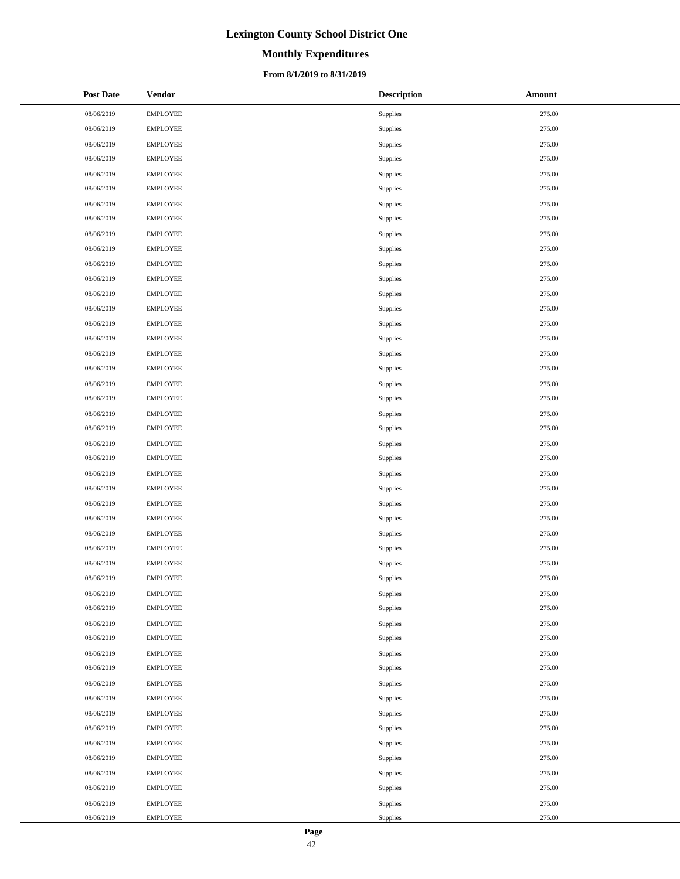# **Monthly Expenditures**

### **From 8/1/2019 to 8/31/2019**

| <b>Post Date</b> | <b>Vendor</b>   | <b>Description</b> | Amount |
|------------------|-----------------|--------------------|--------|
| 08/06/2019       | <b>EMPLOYEE</b> | Supplies           | 275.00 |
| 08/06/2019       | <b>EMPLOYEE</b> | Supplies           | 275.00 |
| 08/06/2019       | <b>EMPLOYEE</b> | Supplies           | 275.00 |
| 08/06/2019       | <b>EMPLOYEE</b> | Supplies           | 275.00 |
| 08/06/2019       | <b>EMPLOYEE</b> | Supplies           | 275.00 |
| 08/06/2019       | <b>EMPLOYEE</b> | Supplies           | 275.00 |
| 08/06/2019       | <b>EMPLOYEE</b> | Supplies           | 275.00 |
| 08/06/2019       | <b>EMPLOYEE</b> | <b>Supplies</b>    | 275.00 |
| 08/06/2019       | <b>EMPLOYEE</b> | Supplies           | 275.00 |
| 08/06/2019       | <b>EMPLOYEE</b> | Supplies           | 275.00 |
| 08/06/2019       | <b>EMPLOYEE</b> | Supplies           | 275.00 |
| 08/06/2019       | <b>EMPLOYEE</b> | Supplies           | 275.00 |
| 08/06/2019       | <b>EMPLOYEE</b> | Supplies           | 275.00 |
| 08/06/2019       | <b>EMPLOYEE</b> | Supplies           | 275.00 |
| 08/06/2019       | <b>EMPLOYEE</b> | Supplies           | 275.00 |
| 08/06/2019       | <b>EMPLOYEE</b> | Supplies           | 275.00 |
| 08/06/2019       | <b>EMPLOYEE</b> | Supplies           | 275.00 |
| 08/06/2019       | <b>EMPLOYEE</b> | Supplies           | 275.00 |
| 08/06/2019       | <b>EMPLOYEE</b> | Supplies           | 275.00 |
| 08/06/2019       | <b>EMPLOYEE</b> | Supplies           | 275.00 |
| 08/06/2019       | <b>EMPLOYEE</b> | Supplies           | 275.00 |
| 08/06/2019       | <b>EMPLOYEE</b> | Supplies           | 275.00 |
| 08/06/2019       | <b>EMPLOYEE</b> | Supplies           | 275.00 |
| 08/06/2019       | <b>EMPLOYEE</b> | Supplies           | 275.00 |
| 08/06/2019       | <b>EMPLOYEE</b> | Supplies           | 275.00 |
| 08/06/2019       | <b>EMPLOYEE</b> | Supplies           | 275.00 |
| 08/06/2019       | <b>EMPLOYEE</b> | Supplies           | 275.00 |
| 08/06/2019       | <b>EMPLOYEE</b> | Supplies           | 275.00 |
| 08/06/2019       | <b>EMPLOYEE</b> | Supplies           | 275.00 |
| 08/06/2019       | <b>EMPLOYEE</b> | Supplies           | 275.00 |
| 08/06/2019       | <b>EMPLOYEE</b> | Supplies           | 275.00 |
| 08/06/2019       | <b>EMPLOYEE</b> | Supplies           | 275.00 |
| 08/06/2019       | <b>EMPLOYEE</b> | Supplies           | 275.00 |
| 08/06/2019       | <b>EMPLOYEE</b> | Supplies           | 275.00 |
| 08/06/2019       | <b>EMPLOYEE</b> | Supplies           | 275.00 |
| 08/06/2019       | <b>EMPLOYEE</b> | Supplies           | 275.00 |
| 08/06/2019       | <b>EMPLOYEE</b> | Supplies           | 275.00 |
| 08/06/2019       | <b>EMPLOYEE</b> | Supplies           | 275.00 |
| 08/06/2019       | <b>EMPLOYEE</b> | Supplies           | 275.00 |
| 08/06/2019       | <b>EMPLOYEE</b> | Supplies           | 275.00 |
| 08/06/2019       | <b>EMPLOYEE</b> | Supplies           | 275.00 |
| 08/06/2019       | <b>EMPLOYEE</b> | Supplies           | 275.00 |
| 08/06/2019       | <b>EMPLOYEE</b> | Supplies           | 275.00 |
| 08/06/2019       | <b>EMPLOYEE</b> | Supplies           | 275.00 |
| 08/06/2019       | <b>EMPLOYEE</b> | Supplies           | 275.00 |
| 08/06/2019       | <b>EMPLOYEE</b> | Supplies           | 275.00 |
| 08/06/2019       | <b>EMPLOYEE</b> | Supplies           | 275.00 |
| 08/06/2019       | <b>EMPLOYEE</b> | Supplies           | 275.00 |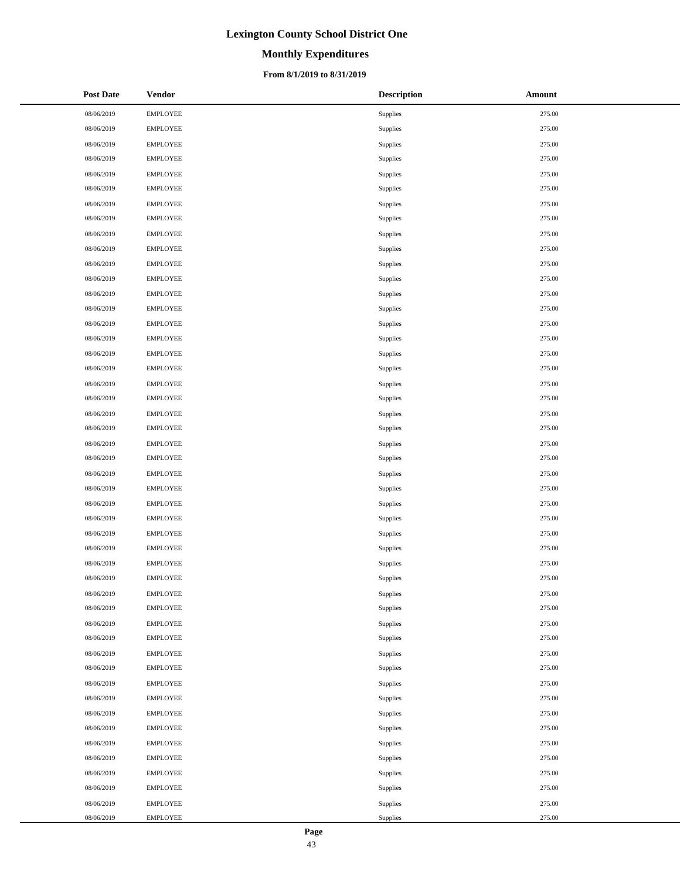# **Monthly Expenditures**

### **From 8/1/2019 to 8/31/2019**

| <b>Post Date</b> | <b>Vendor</b>   | <b>Description</b> | Amount |
|------------------|-----------------|--------------------|--------|
| 08/06/2019       | <b>EMPLOYEE</b> | Supplies           | 275.00 |
| 08/06/2019       | <b>EMPLOYEE</b> | Supplies           | 275.00 |
| 08/06/2019       | <b>EMPLOYEE</b> | Supplies           | 275.00 |
| 08/06/2019       | <b>EMPLOYEE</b> | Supplies           | 275.00 |
| 08/06/2019       | <b>EMPLOYEE</b> | Supplies           | 275.00 |
| 08/06/2019       | <b>EMPLOYEE</b> | Supplies           | 275.00 |
| 08/06/2019       | <b>EMPLOYEE</b> | Supplies           | 275.00 |
| 08/06/2019       | <b>EMPLOYEE</b> | Supplies           | 275.00 |
| 08/06/2019       | <b>EMPLOYEE</b> | Supplies           | 275.00 |
| 08/06/2019       | <b>EMPLOYEE</b> | Supplies           | 275.00 |
| 08/06/2019       | <b>EMPLOYEE</b> | Supplies           | 275.00 |
| 08/06/2019       | <b>EMPLOYEE</b> | Supplies           | 275.00 |
| 08/06/2019       | <b>EMPLOYEE</b> | Supplies           | 275.00 |
| 08/06/2019       | <b>EMPLOYEE</b> | Supplies           | 275.00 |
| 08/06/2019       | <b>EMPLOYEE</b> | Supplies           | 275.00 |
| 08/06/2019       | <b>EMPLOYEE</b> | Supplies           | 275.00 |
| 08/06/2019       | <b>EMPLOYEE</b> | Supplies           | 275.00 |
| 08/06/2019       | <b>EMPLOYEE</b> | Supplies           | 275.00 |
| 08/06/2019       | <b>EMPLOYEE</b> | Supplies           | 275.00 |
| 08/06/2019       | <b>EMPLOYEE</b> | Supplies           | 275.00 |
| 08/06/2019       | <b>EMPLOYEE</b> | Supplies           | 275.00 |
| 08/06/2019       | <b>EMPLOYEE</b> | Supplies           | 275.00 |
| 08/06/2019       | <b>EMPLOYEE</b> | Supplies           | 275.00 |
| 08/06/2019       | <b>EMPLOYEE</b> | Supplies           | 275.00 |
| 08/06/2019       | <b>EMPLOYEE</b> | Supplies           | 275.00 |
| 08/06/2019       | <b>EMPLOYEE</b> | Supplies           | 275.00 |
| 08/06/2019       | <b>EMPLOYEE</b> | Supplies           | 275.00 |
| 08/06/2019       | <b>EMPLOYEE</b> | Supplies           | 275.00 |
| 08/06/2019       | <b>EMPLOYEE</b> | Supplies           | 275.00 |
| 08/06/2019       | <b>EMPLOYEE</b> | Supplies           | 275.00 |
| 08/06/2019       | <b>EMPLOYEE</b> | Supplies           | 275.00 |
| 08/06/2019       | <b>EMPLOYEE</b> | Supplies           | 275.00 |
| 08/06/2019       | <b>EMPLOYEE</b> | Supplies           | 275.00 |
| 08/06/2019       | <b>EMPLOYEE</b> | Supplies           | 275.00 |
| 08/06/2019       | <b>EMPLOYEE</b> | Supplies           | 275.00 |
| 08/06/2019       | <b>EMPLOYEE</b> | Supplies           | 275.00 |
| 08/06/2019       | <b>EMPLOYEE</b> | Supplies           | 275.00 |
| 08/06/2019       | <b>EMPLOYEE</b> | Supplies           | 275.00 |
| 08/06/2019       | <b>EMPLOYEE</b> | Supplies           | 275.00 |
| 08/06/2019       | <b>EMPLOYEE</b> | Supplies           | 275.00 |
| 08/06/2019       | <b>EMPLOYEE</b> | Supplies           | 275.00 |
| 08/06/2019       | <b>EMPLOYEE</b> | Supplies           | 275.00 |
| 08/06/2019       | <b>EMPLOYEE</b> | Supplies           | 275.00 |
| 08/06/2019       | <b>EMPLOYEE</b> | Supplies           | 275.00 |
| 08/06/2019       | <b>EMPLOYEE</b> | Supplies           | 275.00 |
| 08/06/2019       | <b>EMPLOYEE</b> | Supplies           | 275.00 |
| 08/06/2019       | <b>EMPLOYEE</b> | Supplies           | 275.00 |
| 08/06/2019       | <b>EMPLOYEE</b> | Supplies           | 275.00 |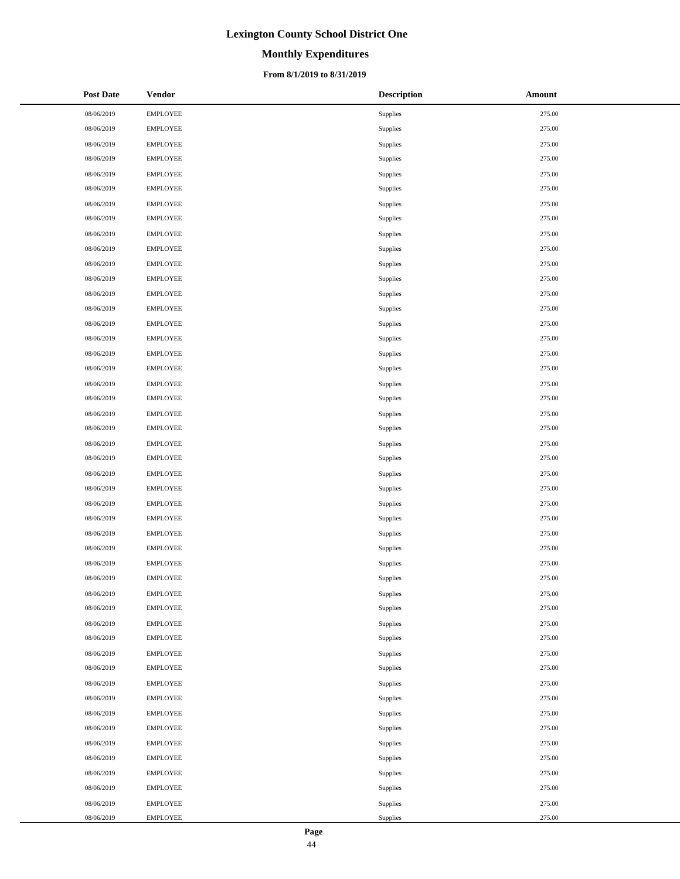# **Monthly Expenditures**

### **From 8/1/2019 to 8/31/2019**

| <b>Post Date</b> | <b>Vendor</b>   | <b>Description</b> | Amount |
|------------------|-----------------|--------------------|--------|
| 08/06/2019       | <b>EMPLOYEE</b> | Supplies           | 275.00 |
| 08/06/2019       | <b>EMPLOYEE</b> | Supplies           | 275.00 |
| 08/06/2019       | <b>EMPLOYEE</b> | Supplies           | 275.00 |
| 08/06/2019       | <b>EMPLOYEE</b> | Supplies           | 275.00 |
| 08/06/2019       | <b>EMPLOYEE</b> | Supplies           | 275.00 |
| 08/06/2019       | <b>EMPLOYEE</b> | Supplies           | 275.00 |
| 08/06/2019       | <b>EMPLOYEE</b> | Supplies           | 275.00 |
| 08/06/2019       | <b>EMPLOYEE</b> | Supplies           | 275.00 |
| 08/06/2019       | <b>EMPLOYEE</b> | Supplies           | 275.00 |
| 08/06/2019       | <b>EMPLOYEE</b> | Supplies           | 275.00 |
| 08/06/2019       | <b>EMPLOYEE</b> | Supplies           | 275.00 |
| 08/06/2019       | <b>EMPLOYEE</b> | Supplies           | 275.00 |
| 08/06/2019       | <b>EMPLOYEE</b> | Supplies           | 275.00 |
| 08/06/2019       | <b>EMPLOYEE</b> | Supplies           | 275.00 |
| 08/06/2019       | <b>EMPLOYEE</b> | Supplies           | 275.00 |
| 08/06/2019       | <b>EMPLOYEE</b> | Supplies           | 275.00 |
| 08/06/2019       | <b>EMPLOYEE</b> | Supplies           | 275.00 |
| 08/06/2019       | <b>EMPLOYEE</b> | Supplies           | 275.00 |
| 08/06/2019       | <b>EMPLOYEE</b> | Supplies           | 275.00 |
| 08/06/2019       | <b>EMPLOYEE</b> | Supplies           | 275.00 |
| 08/06/2019       | <b>EMPLOYEE</b> | Supplies           | 275.00 |
| 08/06/2019       | <b>EMPLOYEE</b> | Supplies           | 275.00 |
| 08/06/2019       | <b>EMPLOYEE</b> | Supplies           | 275.00 |
| 08/06/2019       | <b>EMPLOYEE</b> | Supplies           | 275.00 |
| 08/06/2019       | <b>EMPLOYEE</b> | Supplies           | 275.00 |
| 08/06/2019       | <b>EMPLOYEE</b> | Supplies           | 275.00 |
| 08/06/2019       | <b>EMPLOYEE</b> | Supplies           | 275.00 |
| 08/06/2019       | <b>EMPLOYEE</b> | Supplies           | 275.00 |
| 08/06/2019       | <b>EMPLOYEE</b> | Supplies           | 275.00 |
| 08/06/2019       | <b>EMPLOYEE</b> | Supplies           | 275.00 |
| 08/06/2019       | <b>EMPLOYEE</b> | Supplies           | 275.00 |
| 08/06/2019       | <b>EMPLOYEE</b> | Supplies           | 275.00 |
| 08/06/2019       | <b>EMPLOYEE</b> | Supplies           | 275.00 |
| 08/06/2019       | <b>EMPLOYEE</b> | Supplies           | 275.00 |
| 08/06/2019       | <b>EMPLOYEE</b> | Supplies           | 275.00 |
| 08/06/2019       | <b>EMPLOYEE</b> | Supplies           | 275.00 |
| 08/06/2019       | <b>EMPLOYEE</b> | Supplies           | 275.00 |
| 08/06/2019       | <b>EMPLOYEE</b> | Supplies           | 275.00 |
| 08/06/2019       | <b>EMPLOYEE</b> | Supplies           | 275.00 |
| 08/06/2019       | <b>EMPLOYEE</b> | Supplies           | 275.00 |
| 08/06/2019       | <b>EMPLOYEE</b> | Supplies           | 275.00 |
| 08/06/2019       | <b>EMPLOYEE</b> | Supplies           | 275.00 |
| 08/06/2019       | <b>EMPLOYEE</b> | Supplies           | 275.00 |
| 08/06/2019       | <b>EMPLOYEE</b> | Supplies           | 275.00 |
| 08/06/2019       | <b>EMPLOYEE</b> | Supplies           | 275.00 |
| 08/06/2019       | <b>EMPLOYEE</b> | Supplies           | 275.00 |
| 08/06/2019       | <b>EMPLOYEE</b> | Supplies           | 275.00 |
| 08/06/2019       | <b>EMPLOYEE</b> | Supplies           | 275.00 |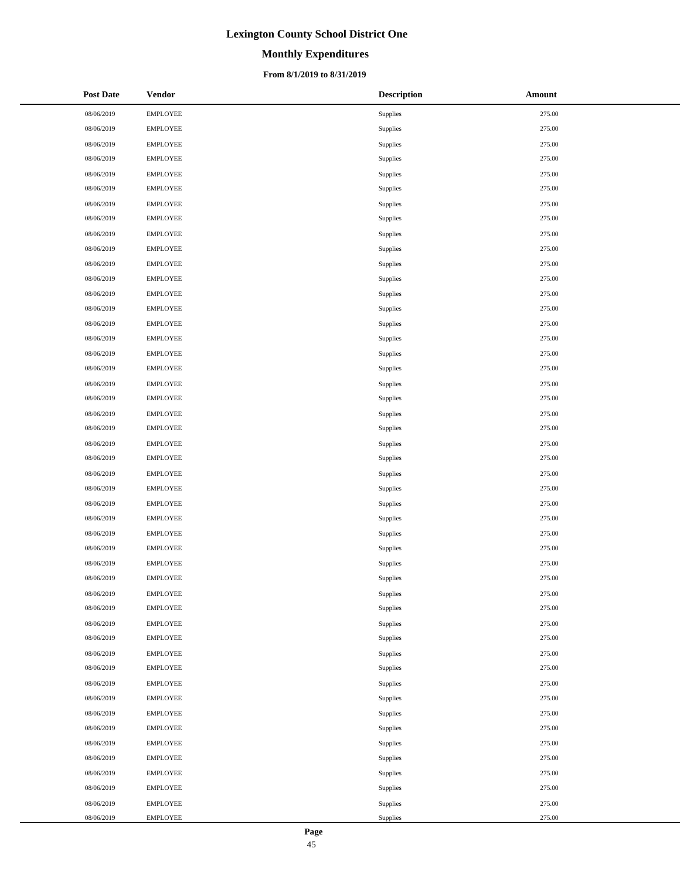# **Monthly Expenditures**

### **From 8/1/2019 to 8/31/2019**

| <b>Post Date</b> | <b>Vendor</b>   | <b>Description</b> | Amount |
|------------------|-----------------|--------------------|--------|
| 08/06/2019       | <b>EMPLOYEE</b> | Supplies           | 275.00 |
| 08/06/2019       | <b>EMPLOYEE</b> | Supplies           | 275.00 |
| 08/06/2019       | <b>EMPLOYEE</b> | Supplies           | 275.00 |
| 08/06/2019       | <b>EMPLOYEE</b> | Supplies           | 275.00 |
| 08/06/2019       | <b>EMPLOYEE</b> | Supplies           | 275.00 |
| 08/06/2019       | <b>EMPLOYEE</b> | Supplies           | 275.00 |
| 08/06/2019       | <b>EMPLOYEE</b> | Supplies           | 275.00 |
| 08/06/2019       | <b>EMPLOYEE</b> | Supplies           | 275.00 |
| 08/06/2019       | <b>EMPLOYEE</b> | Supplies           | 275.00 |
| 08/06/2019       | <b>EMPLOYEE</b> | Supplies           | 275.00 |
| 08/06/2019       | <b>EMPLOYEE</b> | Supplies           | 275.00 |
| 08/06/2019       | <b>EMPLOYEE</b> | Supplies           | 275.00 |
| 08/06/2019       | <b>EMPLOYEE</b> | Supplies           | 275.00 |
| 08/06/2019       | <b>EMPLOYEE</b> | Supplies           | 275.00 |
| 08/06/2019       | <b>EMPLOYEE</b> | Supplies           | 275.00 |
| 08/06/2019       | <b>EMPLOYEE</b> | Supplies           | 275.00 |
| 08/06/2019       | <b>EMPLOYEE</b> | Supplies           | 275.00 |
| 08/06/2019       | <b>EMPLOYEE</b> | Supplies           | 275.00 |
| 08/06/2019       | <b>EMPLOYEE</b> | Supplies           | 275.00 |
| 08/06/2019       | <b>EMPLOYEE</b> | Supplies           | 275.00 |
| 08/06/2019       | <b>EMPLOYEE</b> | Supplies           | 275.00 |
| 08/06/2019       | <b>EMPLOYEE</b> | Supplies           | 275.00 |
| 08/06/2019       | <b>EMPLOYEE</b> | Supplies           | 275.00 |
| 08/06/2019       | <b>EMPLOYEE</b> | Supplies           | 275.00 |
| 08/06/2019       | <b>EMPLOYEE</b> | Supplies           | 275.00 |
| 08/06/2019       | <b>EMPLOYEE</b> | Supplies           | 275.00 |
| 08/06/2019       | <b>EMPLOYEE</b> | Supplies           | 275.00 |
| 08/06/2019       | <b>EMPLOYEE</b> | Supplies           | 275.00 |
| 08/06/2019       | <b>EMPLOYEE</b> | Supplies           | 275.00 |
| 08/06/2019       | <b>EMPLOYEE</b> | Supplies           | 275.00 |
| 08/06/2019       | <b>EMPLOYEE</b> | Supplies           | 275.00 |
| 08/06/2019       | <b>EMPLOYEE</b> | Supplies           | 275.00 |
| 08/06/2019       | <b>EMPLOYEE</b> | Supplies           | 275.00 |
| 08/06/2019       | <b>EMPLOYEE</b> | Supplies           | 275.00 |
| 08/06/2019       | <b>EMPLOYEE</b> | Supplies           | 275.00 |
| 08/06/2019       | <b>EMPLOYEE</b> | Supplies           | 275.00 |
| 08/06/2019       | <b>EMPLOYEE</b> | Supplies           | 275.00 |
| 08/06/2019       | <b>EMPLOYEE</b> | Supplies           | 275.00 |
| 08/06/2019       | <b>EMPLOYEE</b> | Supplies           | 275.00 |
| 08/06/2019       | <b>EMPLOYEE</b> | Supplies           | 275.00 |
| 08/06/2019       | <b>EMPLOYEE</b> | Supplies           | 275.00 |
| 08/06/2019       | <b>EMPLOYEE</b> | Supplies           | 275.00 |
| 08/06/2019       | <b>EMPLOYEE</b> | Supplies           | 275.00 |
| 08/06/2019       | <b>EMPLOYEE</b> | Supplies           | 275.00 |
| 08/06/2019       | <b>EMPLOYEE</b> | Supplies           | 275.00 |
| 08/06/2019       | <b>EMPLOYEE</b> | Supplies           | 275.00 |
| 08/06/2019       | <b>EMPLOYEE</b> | Supplies           | 275.00 |
| 08/06/2019       | <b>EMPLOYEE</b> | Supplies           | 275.00 |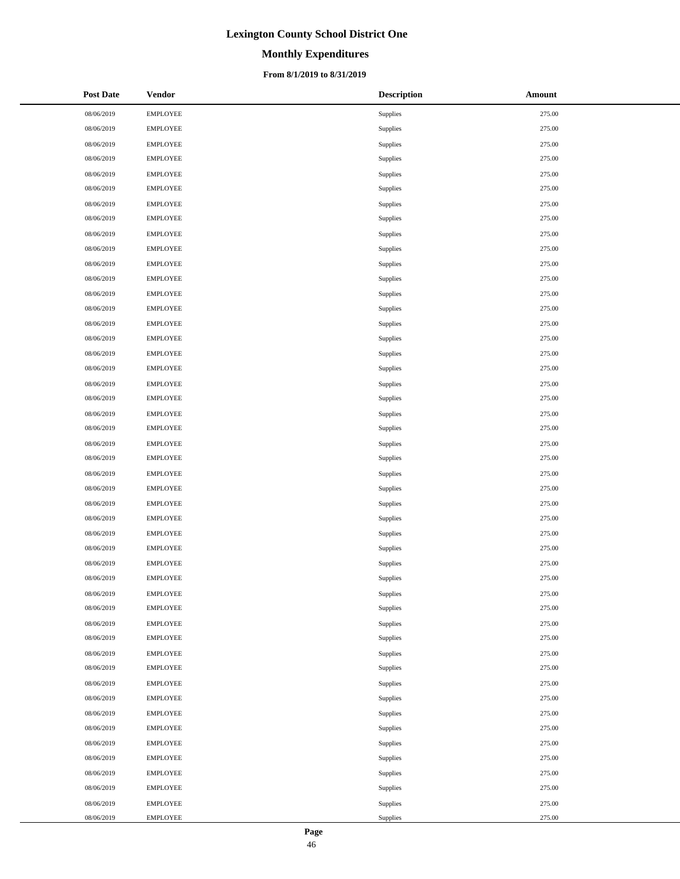# **Monthly Expenditures**

### **From 8/1/2019 to 8/31/2019**

| <b>Post Date</b> | <b>Vendor</b>   | <b>Description</b> | Amount |
|------------------|-----------------|--------------------|--------|
| 08/06/2019       | <b>EMPLOYEE</b> | Supplies           | 275.00 |
| 08/06/2019       | <b>EMPLOYEE</b> | Supplies           | 275.00 |
| 08/06/2019       | <b>EMPLOYEE</b> | Supplies           | 275.00 |
| 08/06/2019       | <b>EMPLOYEE</b> | Supplies           | 275.00 |
| 08/06/2019       | <b>EMPLOYEE</b> | Supplies           | 275.00 |
| 08/06/2019       | <b>EMPLOYEE</b> | Supplies           | 275.00 |
| 08/06/2019       | <b>EMPLOYEE</b> | Supplies           | 275.00 |
| 08/06/2019       | <b>EMPLOYEE</b> | Supplies           | 275.00 |
| 08/06/2019       | <b>EMPLOYEE</b> | Supplies           | 275.00 |
| 08/06/2019       | <b>EMPLOYEE</b> | Supplies           | 275.00 |
| 08/06/2019       | <b>EMPLOYEE</b> | Supplies           | 275.00 |
| 08/06/2019       | <b>EMPLOYEE</b> | Supplies           | 275.00 |
| 08/06/2019       | <b>EMPLOYEE</b> | Supplies           | 275.00 |
| 08/06/2019       | <b>EMPLOYEE</b> | Supplies           | 275.00 |
| 08/06/2019       | <b>EMPLOYEE</b> | Supplies           | 275.00 |
| 08/06/2019       | <b>EMPLOYEE</b> | Supplies           | 275.00 |
| 08/06/2019       | <b>EMPLOYEE</b> | Supplies           | 275.00 |
| 08/06/2019       | <b>EMPLOYEE</b> | Supplies           | 275.00 |
| 08/06/2019       | <b>EMPLOYEE</b> | Supplies           | 275.00 |
| 08/06/2019       | <b>EMPLOYEE</b> | Supplies           | 275.00 |
| 08/06/2019       | <b>EMPLOYEE</b> | Supplies           | 275.00 |
| 08/06/2019       | <b>EMPLOYEE</b> | Supplies           | 275.00 |
| 08/06/2019       | <b>EMPLOYEE</b> | Supplies           | 275.00 |
| 08/06/2019       | <b>EMPLOYEE</b> | Supplies           | 275.00 |
| 08/06/2019       | <b>EMPLOYEE</b> | Supplies           | 275.00 |
| 08/06/2019       | <b>EMPLOYEE</b> | Supplies           | 275.00 |
| 08/06/2019       | <b>EMPLOYEE</b> | Supplies           | 275.00 |
| 08/06/2019       | <b>EMPLOYEE</b> | Supplies           | 275.00 |
| 08/06/2019       | <b>EMPLOYEE</b> | Supplies           | 275.00 |
| 08/06/2019       | <b>EMPLOYEE</b> | Supplies           | 275.00 |
| 08/06/2019       | <b>EMPLOYEE</b> | Supplies           | 275.00 |
| 08/06/2019       | <b>EMPLOYEE</b> | Supplies           | 275.00 |
| 08/06/2019       | <b>EMPLOYEE</b> | Supplies           | 275.00 |
| 08/06/2019       | <b>EMPLOYEE</b> | Supplies           | 275.00 |
| 08/06/2019       | <b>EMPLOYEE</b> | Supplies           | 275.00 |
| 08/06/2019       | <b>EMPLOYEE</b> | Supplies           | 275.00 |
| 08/06/2019       | <b>EMPLOYEE</b> | Supplies           | 275.00 |
| 08/06/2019       | <b>EMPLOYEE</b> | Supplies           | 275.00 |
| 08/06/2019       | <b>EMPLOYEE</b> | Supplies           | 275.00 |
| 08/06/2019       | <b>EMPLOYEE</b> | Supplies           | 275.00 |
| 08/06/2019       | <b>EMPLOYEE</b> | Supplies           | 275.00 |
| 08/06/2019       | <b>EMPLOYEE</b> | Supplies           | 275.00 |
| 08/06/2019       | <b>EMPLOYEE</b> | Supplies           | 275.00 |
| 08/06/2019       | <b>EMPLOYEE</b> | Supplies           | 275.00 |
| 08/06/2019       | <b>EMPLOYEE</b> | Supplies           | 275.00 |
| 08/06/2019       | <b>EMPLOYEE</b> | Supplies           | 275.00 |
| 08/06/2019       | <b>EMPLOYEE</b> | Supplies           | 275.00 |
| 08/06/2019       | <b>EMPLOYEE</b> | Supplies           | 275.00 |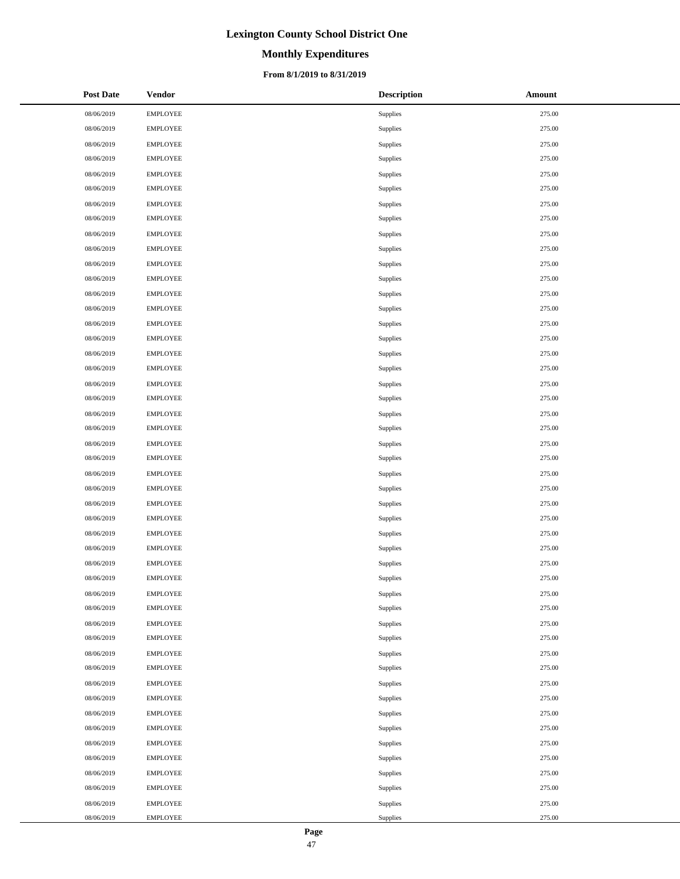# **Monthly Expenditures**

### **From 8/1/2019 to 8/31/2019**

| <b>Post Date</b> | <b>Vendor</b>   | <b>Description</b> | Amount |
|------------------|-----------------|--------------------|--------|
| 08/06/2019       | <b>EMPLOYEE</b> | Supplies           | 275.00 |
| 08/06/2019       | <b>EMPLOYEE</b> | Supplies           | 275.00 |
| 08/06/2019       | <b>EMPLOYEE</b> | Supplies           | 275.00 |
| 08/06/2019       | <b>EMPLOYEE</b> | Supplies           | 275.00 |
| 08/06/2019       | <b>EMPLOYEE</b> | Supplies           | 275.00 |
| 08/06/2019       | <b>EMPLOYEE</b> | Supplies           | 275.00 |
| 08/06/2019       | <b>EMPLOYEE</b> | Supplies           | 275.00 |
| 08/06/2019       | <b>EMPLOYEE</b> | Supplies           | 275.00 |
| 08/06/2019       | <b>EMPLOYEE</b> | Supplies           | 275.00 |
| 08/06/2019       | <b>EMPLOYEE</b> | Supplies           | 275.00 |
| 08/06/2019       | <b>EMPLOYEE</b> | Supplies           | 275.00 |
| 08/06/2019       | <b>EMPLOYEE</b> | Supplies           | 275.00 |
| 08/06/2019       | <b>EMPLOYEE</b> | Supplies           | 275.00 |
| 08/06/2019       | <b>EMPLOYEE</b> | Supplies           | 275.00 |
| 08/06/2019       | <b>EMPLOYEE</b> | Supplies           | 275.00 |
| 08/06/2019       | <b>EMPLOYEE</b> | Supplies           | 275.00 |
| 08/06/2019       | <b>EMPLOYEE</b> | Supplies           | 275.00 |
| 08/06/2019       | <b>EMPLOYEE</b> | Supplies           | 275.00 |
| 08/06/2019       | <b>EMPLOYEE</b> | Supplies           | 275.00 |
| 08/06/2019       | <b>EMPLOYEE</b> | Supplies           | 275.00 |
| 08/06/2019       | <b>EMPLOYEE</b> | Supplies           | 275.00 |
| 08/06/2019       | <b>EMPLOYEE</b> | Supplies           | 275.00 |
| 08/06/2019       | <b>EMPLOYEE</b> | Supplies           | 275.00 |
| 08/06/2019       | <b>EMPLOYEE</b> | Supplies           | 275.00 |
| 08/06/2019       | <b>EMPLOYEE</b> | Supplies           | 275.00 |
| 08/06/2019       | <b>EMPLOYEE</b> | Supplies           | 275.00 |
| 08/06/2019       | <b>EMPLOYEE</b> | Supplies           | 275.00 |
| 08/06/2019       | <b>EMPLOYEE</b> | Supplies           | 275.00 |
| 08/06/2019       | <b>EMPLOYEE</b> | Supplies           | 275.00 |
| 08/06/2019       | <b>EMPLOYEE</b> | Supplies           | 275.00 |
| 08/06/2019       | <b>EMPLOYEE</b> | Supplies           | 275.00 |
| 08/06/2019       | <b>EMPLOYEE</b> | Supplies           | 275.00 |
| 08/06/2019       | <b>EMPLOYEE</b> | Supplies           | 275.00 |
| 08/06/2019       | <b>EMPLOYEE</b> | Supplies           | 275.00 |
| 08/06/2019       | <b>EMPLOYEE</b> | Supplies           | 275.00 |
| 08/06/2019       | <b>EMPLOYEE</b> | Supplies           | 275.00 |
| 08/06/2019       | <b>EMPLOYEE</b> | Supplies           | 275.00 |
| 08/06/2019       | <b>EMPLOYEE</b> | Supplies           | 275.00 |
| 08/06/2019       | <b>EMPLOYEE</b> | Supplies           | 275.00 |
| 08/06/2019       | <b>EMPLOYEE</b> | Supplies           | 275.00 |
| 08/06/2019       | <b>EMPLOYEE</b> | Supplies           | 275.00 |
| 08/06/2019       | <b>EMPLOYEE</b> | Supplies           | 275.00 |
| 08/06/2019       | <b>EMPLOYEE</b> | Supplies           | 275.00 |
| 08/06/2019       | <b>EMPLOYEE</b> | Supplies           | 275.00 |
| 08/06/2019       | <b>EMPLOYEE</b> | Supplies           | 275.00 |
| 08/06/2019       | <b>EMPLOYEE</b> | Supplies           | 275.00 |
| 08/06/2019       | <b>EMPLOYEE</b> | Supplies           | 275.00 |
| 08/06/2019       | <b>EMPLOYEE</b> | Supplies           | 275.00 |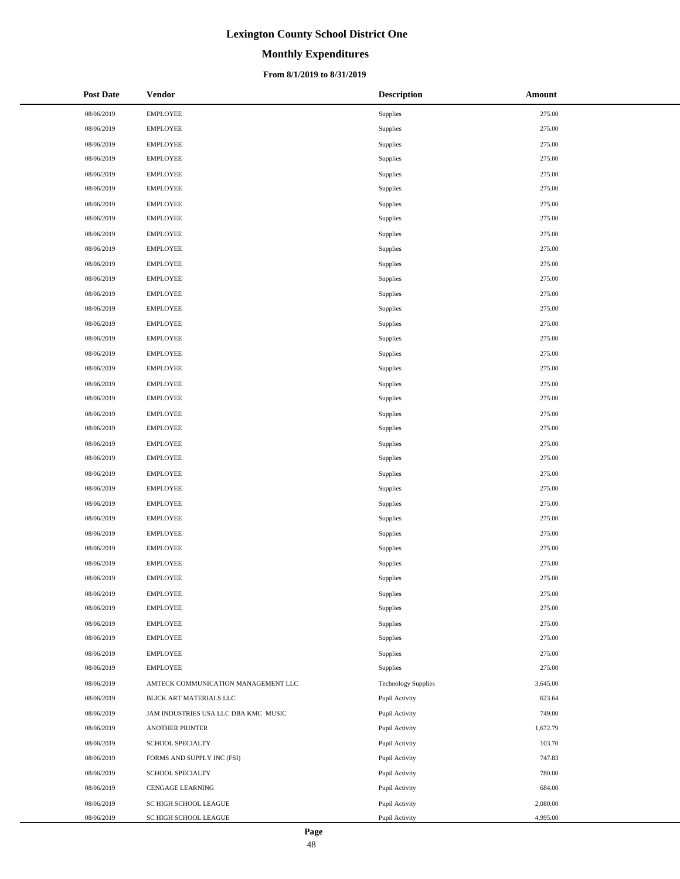# **Monthly Expenditures**

### **From 8/1/2019 to 8/31/2019**

| Post Date  | <b>Vendor</b>                        | <b>Description</b>         | Amount   |
|------------|--------------------------------------|----------------------------|----------|
| 08/06/2019 | <b>EMPLOYEE</b>                      | Supplies                   | 275.00   |
| 08/06/2019 | <b>EMPLOYEE</b>                      | Supplies                   | 275.00   |
| 08/06/2019 | <b>EMPLOYEE</b>                      | Supplies                   | 275.00   |
| 08/06/2019 | <b>EMPLOYEE</b>                      | Supplies                   | 275.00   |
| 08/06/2019 | <b>EMPLOYEE</b>                      | Supplies                   | 275.00   |
| 08/06/2019 | <b>EMPLOYEE</b>                      | Supplies                   | 275.00   |
| 08/06/2019 | <b>EMPLOYEE</b>                      | Supplies                   | 275.00   |
| 08/06/2019 | <b>EMPLOYEE</b>                      | Supplies                   | 275.00   |
| 08/06/2019 | <b>EMPLOYEE</b>                      | Supplies                   | 275.00   |
| 08/06/2019 | <b>EMPLOYEE</b>                      | Supplies                   | 275.00   |
| 08/06/2019 | <b>EMPLOYEE</b>                      | Supplies                   | 275.00   |
| 08/06/2019 | <b>EMPLOYEE</b>                      | Supplies                   | 275.00   |
| 08/06/2019 | <b>EMPLOYEE</b>                      | Supplies                   | 275.00   |
| 08/06/2019 | <b>EMPLOYEE</b>                      | Supplies                   | 275.00   |
| 08/06/2019 | <b>EMPLOYEE</b>                      | Supplies                   | 275.00   |
| 08/06/2019 | <b>EMPLOYEE</b>                      | Supplies                   | 275.00   |
| 08/06/2019 | <b>EMPLOYEE</b>                      | Supplies                   | 275.00   |
| 08/06/2019 | <b>EMPLOYEE</b>                      | Supplies                   | 275.00   |
| 08/06/2019 | <b>EMPLOYEE</b>                      | Supplies                   | 275.00   |
| 08/06/2019 | <b>EMPLOYEE</b>                      | Supplies                   | 275.00   |
| 08/06/2019 | <b>EMPLOYEE</b>                      | Supplies                   | 275.00   |
| 08/06/2019 | <b>EMPLOYEE</b>                      | Supplies                   | 275.00   |
| 08/06/2019 | <b>EMPLOYEE</b>                      | Supplies                   | 275.00   |
| 08/06/2019 | <b>EMPLOYEE</b>                      | Supplies                   | 275.00   |
| 08/06/2019 | <b>EMPLOYEE</b>                      | Supplies                   | 275.00   |
| 08/06/2019 | <b>EMPLOYEE</b>                      | Supplies                   | 275.00   |
| 08/06/2019 | <b>EMPLOYEE</b>                      | Supplies                   | 275.00   |
| 08/06/2019 | <b>EMPLOYEE</b>                      | Supplies                   | 275.00   |
| 08/06/2019 | <b>EMPLOYEE</b>                      | Supplies                   | 275.00   |
| 08/06/2019 | <b>EMPLOYEE</b>                      | Supplies                   | 275.00   |
| 08/06/2019 | <b>EMPLOYEE</b>                      | Supplies                   | 275.00   |
| 08/06/2019 | <b>EMPLOYEE</b>                      | Supplies                   | 275.00   |
| 08/06/2019 | <b>EMPLOYEE</b>                      | Supplies                   | 275.00   |
| 08/06/2019 | <b>EMPLOYEE</b>                      | Supplies                   | 275.00   |
| 08/06/2019 | <b>EMPLOYEE</b>                      | Supplies                   | 275.00   |
| 08/06/2019 | <b>EMPLOYEE</b>                      | Supplies                   | 275.00   |
| 08/06/2019 | <b>EMPLOYEE</b>                      | Supplies                   | 275.00   |
| 08/06/2019 | <b>EMPLOYEE</b>                      | Supplies                   | 275.00   |
| 08/06/2019 | AMTECK COMMUNICATION MANAGEMENT LLC  | <b>Technology Supplies</b> | 3,645.00 |
| 08/06/2019 | BLICK ART MATERIALS LLC              | Pupil Activity             | 623.64   |
| 08/06/2019 | JAM INDUSTRIES USA LLC DBA KMC MUSIC | Pupil Activity             | 749.00   |
| 08/06/2019 | ANOTHER PRINTER                      | Pupil Activity             | 1,672.79 |
| 08/06/2019 | SCHOOL SPECIALTY                     | Pupil Activity             | 103.70   |
| 08/06/2019 | FORMS AND SUPPLY INC (FSI)           | Pupil Activity             | 747.83   |
| 08/06/2019 | SCHOOL SPECIALTY                     | Pupil Activity             | 780.00   |
| 08/06/2019 | CENGAGE LEARNING                     | Pupil Activity             | 684.00   |
| 08/06/2019 | SC HIGH SCHOOL LEAGUE                | Pupil Activity             | 2,080.00 |
| 08/06/2019 | SC HIGH SCHOOL LEAGUE                | Pupil Activity             | 4,995.00 |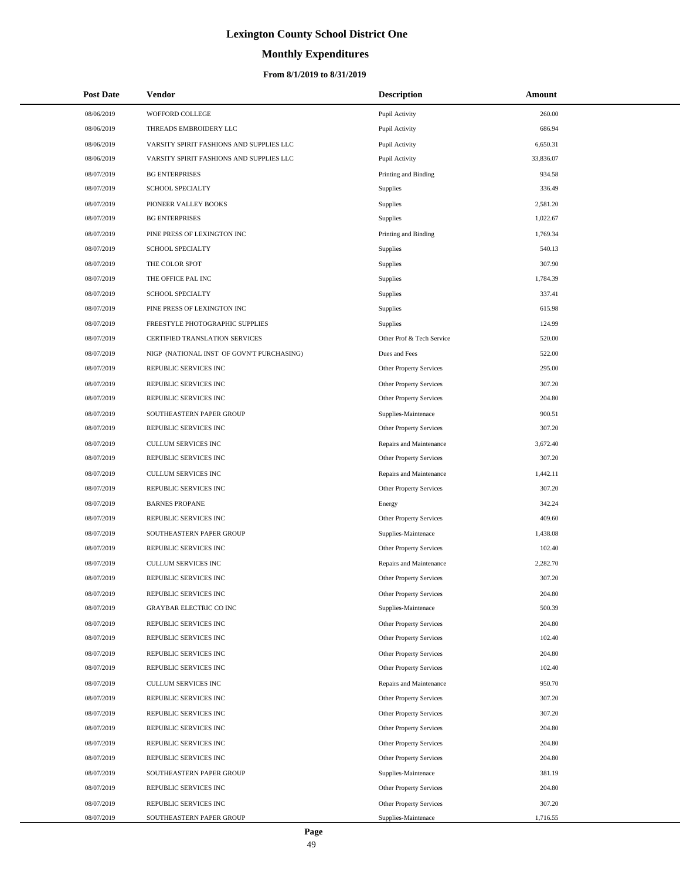# **Monthly Expenditures**

| <b>Post Date</b> | Vendor                                    | <b>Description</b>             | Amount    |
|------------------|-------------------------------------------|--------------------------------|-----------|
| 08/06/2019       | WOFFORD COLLEGE                           | Pupil Activity                 | 260.00    |
| 08/06/2019       | THREADS EMBROIDERY LLC                    | Pupil Activity                 | 686.94    |
| 08/06/2019       | VARSITY SPIRIT FASHIONS AND SUPPLIES LLC  | Pupil Activity                 | 6,650.31  |
| 08/06/2019       | VARSITY SPIRIT FASHIONS AND SUPPLIES LLC  | Pupil Activity                 | 33,836.07 |
| 08/07/2019       | <b>BG ENTERPRISES</b>                     | Printing and Binding           | 934.58    |
| 08/07/2019       | <b>SCHOOL SPECIALTY</b>                   | Supplies                       | 336.49    |
| 08/07/2019       | PIONEER VALLEY BOOKS                      | Supplies                       | 2,581.20  |
| 08/07/2019       | <b>BG ENTERPRISES</b>                     | Supplies                       | 1,022.67  |
| 08/07/2019       | PINE PRESS OF LEXINGTON INC               | Printing and Binding           | 1,769.34  |
| 08/07/2019       | SCHOOL SPECIALTY                          | Supplies                       | 540.13    |
| 08/07/2019       | THE COLOR SPOT                            | Supplies                       | 307.90    |
| 08/07/2019       | THE OFFICE PAL INC                        | Supplies                       | 1,784.39  |
| 08/07/2019       | <b>SCHOOL SPECIALTY</b>                   | Supplies                       | 337.41    |
| 08/07/2019       | PINE PRESS OF LEXINGTON INC               | Supplies                       | 615.98    |
| 08/07/2019       | FREESTYLE PHOTOGRAPHIC SUPPLIES           | Supplies                       | 124.99    |
| 08/07/2019       | CERTIFIED TRANSLATION SERVICES            | Other Prof & Tech Service      | 520.00    |
| 08/07/2019       | NIGP (NATIONAL INST OF GOVN'T PURCHASING) | Dues and Fees                  | 522.00    |
| 08/07/2019       | REPUBLIC SERVICES INC                     | Other Property Services        | 295.00    |
| 08/07/2019       | REPUBLIC SERVICES INC                     | Other Property Services        | 307.20    |
| 08/07/2019       | REPUBLIC SERVICES INC                     | Other Property Services        | 204.80    |
| 08/07/2019       | SOUTHEASTERN PAPER GROUP                  | Supplies-Maintenace            | 900.51    |
| 08/07/2019       | REPUBLIC SERVICES INC                     | Other Property Services        | 307.20    |
| 08/07/2019       | CULLUM SERVICES INC                       | Repairs and Maintenance        | 3,672.40  |
| 08/07/2019       | REPUBLIC SERVICES INC                     | Other Property Services        | 307.20    |
| 08/07/2019       | CULLUM SERVICES INC                       | Repairs and Maintenance        | 1,442.11  |
| 08/07/2019       | REPUBLIC SERVICES INC                     | Other Property Services        | 307.20    |
| 08/07/2019       | <b>BARNES PROPANE</b>                     | Energy                         | 342.24    |
| 08/07/2019       | REPUBLIC SERVICES INC                     | Other Property Services        | 409.60    |
| 08/07/2019       | SOUTHEASTERN PAPER GROUP                  | Supplies-Maintenace            | 1,438.08  |
| 08/07/2019       | REPUBLIC SERVICES INC                     | Other Property Services        | 102.40    |
| 08/07/2019       | CULLUM SERVICES INC                       | Repairs and Maintenance        | 2,282.70  |
| 08/07/2019       | REPUBLIC SERVICES INC                     | Other Property Services        | 307.20    |
| 08/07/2019       | REPUBLIC SERVICES INC                     | Other Property Services        | 204.80    |
| 08/07/2019       | <b>GRAYBAR ELECTRIC CO INC</b>            | Supplies-Maintenace            | 500.39    |
| 08/07/2019       | REPUBLIC SERVICES INC                     | Other Property Services        | 204.80    |
| 08/07/2019       | REPUBLIC SERVICES INC                     | <b>Other Property Services</b> | 102.40    |
| 08/07/2019       | REPUBLIC SERVICES INC                     | Other Property Services        | 204.80    |
| 08/07/2019       | REPUBLIC SERVICES INC                     | Other Property Services        | 102.40    |
| 08/07/2019       | CULLUM SERVICES INC                       | Repairs and Maintenance        | 950.70    |
| 08/07/2019       | REPUBLIC SERVICES INC                     | Other Property Services        | 307.20    |
| 08/07/2019       | REPUBLIC SERVICES INC                     | Other Property Services        | 307.20    |
| 08/07/2019       | REPUBLIC SERVICES INC                     | Other Property Services        | 204.80    |
| 08/07/2019       | REPUBLIC SERVICES INC                     | Other Property Services        | 204.80    |
| 08/07/2019       | REPUBLIC SERVICES INC                     | Other Property Services        | 204.80    |
| 08/07/2019       | SOUTHEASTERN PAPER GROUP                  | Supplies-Maintenace            | 381.19    |
| 08/07/2019       | REPUBLIC SERVICES INC                     | Other Property Services        | 204.80    |
| 08/07/2019       | REPUBLIC SERVICES INC                     | Other Property Services        | 307.20    |
| 08/07/2019       | SOUTHEASTERN PAPER GROUP                  | Supplies-Maintenace            | 1,716.55  |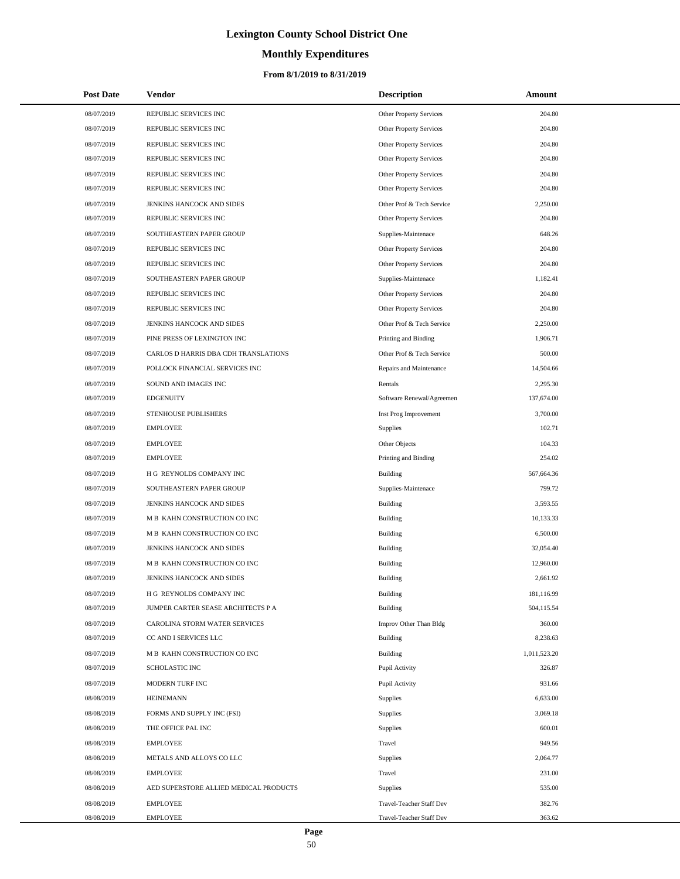# **Monthly Expenditures**

## **From 8/1/2019 to 8/31/2019**

| <b>Post Date</b> | Vendor                                 | <b>Description</b>             | Amount       |
|------------------|----------------------------------------|--------------------------------|--------------|
| 08/07/2019       | REPUBLIC SERVICES INC                  | Other Property Services        | 204.80       |
| 08/07/2019       | REPUBLIC SERVICES INC                  | Other Property Services        | 204.80       |
| 08/07/2019       | REPUBLIC SERVICES INC                  | Other Property Services        | 204.80       |
| 08/07/2019       | REPUBLIC SERVICES INC                  | Other Property Services        | 204.80       |
| 08/07/2019       | REPUBLIC SERVICES INC                  | Other Property Services        | 204.80       |
| 08/07/2019       | REPUBLIC SERVICES INC                  | Other Property Services        | 204.80       |
| 08/07/2019       | JENKINS HANCOCK AND SIDES              | Other Prof & Tech Service      | 2,250.00     |
| 08/07/2019       | REPUBLIC SERVICES INC                  | Other Property Services        | 204.80       |
| 08/07/2019       | SOUTHEASTERN PAPER GROUP               | Supplies-Maintenace            | 648.26       |
| 08/07/2019       | REPUBLIC SERVICES INC                  | <b>Other Property Services</b> | 204.80       |
| 08/07/2019       | REPUBLIC SERVICES INC                  | Other Property Services        | 204.80       |
| 08/07/2019       | SOUTHEASTERN PAPER GROUP               | Supplies-Maintenace            | 1,182.41     |
| 08/07/2019       | REPUBLIC SERVICES INC                  | Other Property Services        | 204.80       |
| 08/07/2019       | REPUBLIC SERVICES INC                  | Other Property Services        | 204.80       |
| 08/07/2019       | JENKINS HANCOCK AND SIDES              | Other Prof & Tech Service      | 2,250.00     |
| 08/07/2019       | PINE PRESS OF LEXINGTON INC            | Printing and Binding           | 1,906.71     |
| 08/07/2019       | CARLOS D HARRIS DBA CDH TRANSLATIONS   | Other Prof & Tech Service      | 500.00       |
| 08/07/2019       | POLLOCK FINANCIAL SERVICES INC         | Repairs and Maintenance        | 14,504.66    |
| 08/07/2019       | SOUND AND IMAGES INC                   | Rentals                        | 2,295.30     |
| 08/07/2019       | <b>EDGENUITY</b>                       | Software Renewal/Agreemen      | 137,674.00   |
| 08/07/2019       | STENHOUSE PUBLISHERS                   | Inst Prog Improvement          | 3,700.00     |
| 08/07/2019       | <b>EMPLOYEE</b>                        | Supplies                       | 102.71       |
| 08/07/2019       | <b>EMPLOYEE</b>                        | Other Objects                  | 104.33       |
| 08/07/2019       | <b>EMPLOYEE</b>                        | Printing and Binding           | 254.02       |
| 08/07/2019       | H G REYNOLDS COMPANY INC               | <b>Building</b>                | 567,664.36   |
| 08/07/2019       | SOUTHEASTERN PAPER GROUP               | Supplies-Maintenace            | 799.72       |
| 08/07/2019       | JENKINS HANCOCK AND SIDES              | <b>Building</b>                | 3,593.55     |
| 08/07/2019       | M B KAHN CONSTRUCTION CO INC           | <b>Building</b>                | 10,133.33    |
| 08/07/2019       | M B KAHN CONSTRUCTION CO INC           | <b>Building</b>                | 6,500.00     |
| 08/07/2019       | JENKINS HANCOCK AND SIDES              | <b>Building</b>                | 32,054.40    |
| 08/07/2019       | M B KAHN CONSTRUCTION CO INC           | <b>Building</b>                | 12,960.00    |
| 08/07/2019       | JENKINS HANCOCK AND SIDES              | <b>Building</b>                | 2.661.92     |
| 08/07/2019       | H G REYNOLDS COMPANY INC               | <b>Building</b>                | 181,116.99   |
| 08/07/2019       | JUMPER CARTER SEASE ARCHITECTS P A     | <b>Building</b>                | 504,115.54   |
| 08/07/2019       | CAROLINA STORM WATER SERVICES          | Improv Other Than Bldg         | 360.00       |
| 08/07/2019       | CC AND I SERVICES LLC                  | Building                       | 8,238.63     |
| 08/07/2019       | M B KAHN CONSTRUCTION CO INC           | <b>Building</b>                | 1,011,523.20 |
| 08/07/2019       | SCHOLASTIC INC                         | Pupil Activity                 | 326.87       |
| 08/07/2019       | MODERN TURF INC                        | Pupil Activity                 | 931.66       |
| 08/08/2019       | <b>HEINEMANN</b>                       | Supplies                       | 6,633.00     |
| 08/08/2019       | FORMS AND SUPPLY INC (FSI)             | Supplies                       | 3,069.18     |
| 08/08/2019       | THE OFFICE PAL INC                     | Supplies                       | 600.01       |
| 08/08/2019       | <b>EMPLOYEE</b>                        | Travel                         | 949.56       |
| 08/08/2019       | METALS AND ALLOYS CO LLC               | Supplies                       | 2,064.77     |
| 08/08/2019       | <b>EMPLOYEE</b>                        | Travel                         | 231.00       |
| 08/08/2019       | AED SUPERSTORE ALLIED MEDICAL PRODUCTS | Supplies                       | 535.00       |
| 08/08/2019       | <b>EMPLOYEE</b>                        | Travel-Teacher Staff Dev       | 382.76       |
| 08/08/2019       | EMPLOYEE                               | Travel-Teacher Staff Dev       | 363.62       |

 $\overline{\phantom{0}}$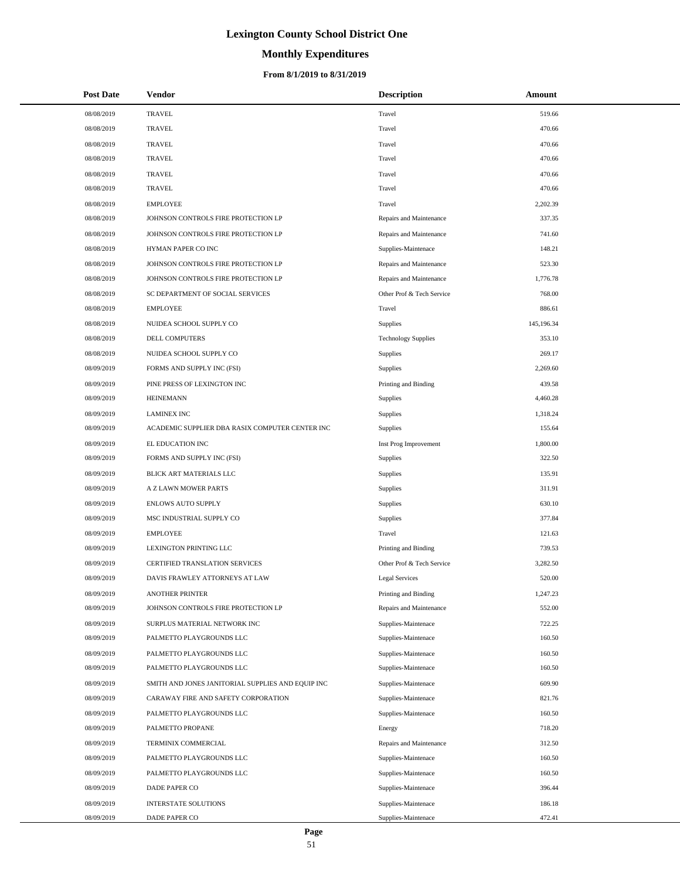# **Monthly Expenditures**

### **From 8/1/2019 to 8/31/2019**

| <b>Post Date</b> | Vendor                                            | <b>Description</b>         | Amount     |
|------------------|---------------------------------------------------|----------------------------|------------|
| 08/08/2019       | <b>TRAVEL</b>                                     | Travel                     | 519.66     |
| 08/08/2019       | <b>TRAVEL</b>                                     | Travel                     | 470.66     |
| 08/08/2019       | <b>TRAVEL</b>                                     | Travel                     | 470.66     |
| 08/08/2019       | TRAVEL                                            | Travel                     | 470.66     |
| 08/08/2019       | <b>TRAVEL</b>                                     | Travel                     | 470.66     |
| 08/08/2019       | <b>TRAVEL</b>                                     | Travel                     | 470.66     |
| 08/08/2019       | <b>EMPLOYEE</b>                                   | Travel                     | 2,202.39   |
| 08/08/2019       | JOHNSON CONTROLS FIRE PROTECTION LP               | Repairs and Maintenance    | 337.35     |
| 08/08/2019       | JOHNSON CONTROLS FIRE PROTECTION LP               | Repairs and Maintenance    | 741.60     |
| 08/08/2019       | HYMAN PAPER CO INC                                | Supplies-Maintenace        | 148.21     |
| 08/08/2019       | JOHNSON CONTROLS FIRE PROTECTION LP               | Repairs and Maintenance    | 523.30     |
| 08/08/2019       | JOHNSON CONTROLS FIRE PROTECTION LP               | Repairs and Maintenance    | 1,776.78   |
| 08/08/2019       | SC DEPARTMENT OF SOCIAL SERVICES                  | Other Prof & Tech Service  | 768.00     |
| 08/08/2019       | <b>EMPLOYEE</b>                                   | Travel                     | 886.61     |
| 08/08/2019       | NUIDEA SCHOOL SUPPLY CO                           | Supplies                   | 145,196.34 |
| 08/08/2019       | DELL COMPUTERS                                    | <b>Technology Supplies</b> | 353.10     |
| 08/08/2019       | NUIDEA SCHOOL SUPPLY CO                           | Supplies                   | 269.17     |
| 08/09/2019       | FORMS AND SUPPLY INC (FSI)                        | Supplies                   | 2,269.60   |
| 08/09/2019       | PINE PRESS OF LEXINGTON INC                       | Printing and Binding       | 439.58     |
| 08/09/2019       | <b>HEINEMANN</b>                                  | Supplies                   | 4,460.28   |
| 08/09/2019       | <b>LAMINEX INC</b>                                | Supplies                   | 1,318.24   |
| 08/09/2019       | ACADEMIC SUPPLIER DBA RASIX COMPUTER CENTER INC   | Supplies                   | 155.64     |
| 08/09/2019       | EL EDUCATION INC                                  | Inst Prog Improvement      | 1,800.00   |
| 08/09/2019       | FORMS AND SUPPLY INC (FSI)                        | Supplies                   | 322.50     |
| 08/09/2019       | BLICK ART MATERIALS LLC                           | Supplies                   | 135.91     |
| 08/09/2019       | A Z LAWN MOWER PARTS                              | Supplies                   | 311.91     |
| 08/09/2019       | ENLOWS AUTO SUPPLY                                | Supplies                   | 630.10     |
| 08/09/2019       | MSC INDUSTRIAL SUPPLY CO                          | Supplies                   | 377.84     |
| 08/09/2019       | <b>EMPLOYEE</b>                                   | Travel                     | 121.63     |
| 08/09/2019       | LEXINGTON PRINTING LLC                            | Printing and Binding       | 739.53     |
| 08/09/2019       | CERTIFIED TRANSLATION SERVICES                    | Other Prof & Tech Service  | 3,282.50   |
| 08/09/2019       | DAVIS FRAWLEY ATTORNEYS AT LAW                    | Legal Services             | 520.00     |
| 08/09/2019       | <b>ANOTHER PRINTER</b>                            | Printing and Binding       | 1,247.23   |
| 08/09/2019       | JOHNSON CONTROLS FIRE PROTECTION LP               | Repairs and Maintenance    | 552.00     |
| 08/09/2019       | SURPLUS MATERIAL NETWORK INC                      | Supplies-Maintenace        | 722.25     |
| 08/09/2019       | PALMETTO PLAYGROUNDS LLC                          | Supplies-Maintenace        | 160.50     |
| 08/09/2019       | PALMETTO PLAYGROUNDS LLC                          | Supplies-Maintenace        | 160.50     |
| 08/09/2019       | PALMETTO PLAYGROUNDS LLC                          | Supplies-Maintenace        | 160.50     |
| 08/09/2019       | SMITH AND JONES JANITORIAL SUPPLIES AND EQUIP INC | Supplies-Maintenace        | 609.90     |
| 08/09/2019       | CARAWAY FIRE AND SAFETY CORPORATION               | Supplies-Maintenace        | 821.76     |
| 08/09/2019       | PALMETTO PLAYGROUNDS LLC                          | Supplies-Maintenace        | 160.50     |
| 08/09/2019       | PALMETTO PROPANE                                  | Energy                     | 718.20     |
| 08/09/2019       | TERMINIX COMMERCIAL                               | Repairs and Maintenance    | 312.50     |
| 08/09/2019       | PALMETTO PLAYGROUNDS LLC                          | Supplies-Maintenace        | 160.50     |
| 08/09/2019       | PALMETTO PLAYGROUNDS LLC                          | Supplies-Maintenace        | 160.50     |
| 08/09/2019       | DADE PAPER CO                                     | Supplies-Maintenace        | 396.44     |
| 08/09/2019       | <b>INTERSTATE SOLUTIONS</b>                       | Supplies-Maintenace        | 186.18     |
| 08/09/2019       | DADE PAPER CO                                     | Supplies-Maintenace        | 472.41     |

 $\overline{\phantom{a}}$  $\overline{\phantom{a}}$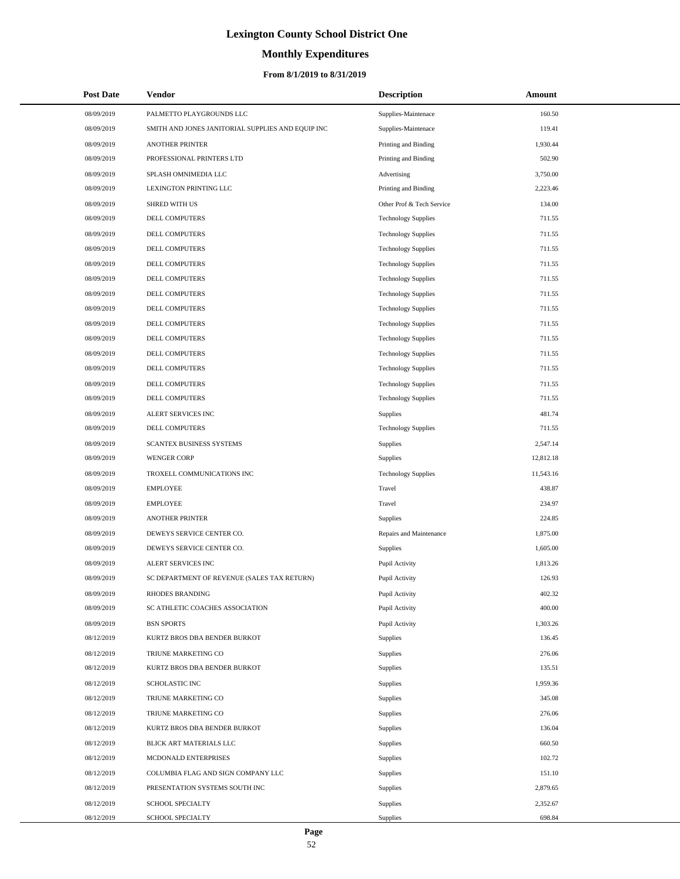# **Monthly Expenditures**

## **From 8/1/2019 to 8/31/2019**

| <b>Post Date</b> | <b>Vendor</b>                                     | <b>Description</b>         | Amount    |  |
|------------------|---------------------------------------------------|----------------------------|-----------|--|
| 08/09/2019       | PALMETTO PLAYGROUNDS LLC                          | Supplies-Maintenace        | 160.50    |  |
| 08/09/2019       | SMITH AND JONES JANITORIAL SUPPLIES AND EQUIP INC | Supplies-Maintenace        | 119.41    |  |
| 08/09/2019       | <b>ANOTHER PRINTER</b>                            | Printing and Binding       | 1,930.44  |  |
| 08/09/2019       | PROFESSIONAL PRINTERS LTD                         | Printing and Binding       | 502.90    |  |
| 08/09/2019       | SPLASH OMNIMEDIA LLC                              | Advertising                | 3,750.00  |  |
| 08/09/2019       | LEXINGTON PRINTING LLC                            | Printing and Binding       | 2,223.46  |  |
| 08/09/2019       | <b>SHRED WITH US</b>                              | Other Prof & Tech Service  | 134.00    |  |
| 08/09/2019       | DELL COMPUTERS                                    | <b>Technology Supplies</b> | 711.55    |  |
| 08/09/2019       | DELL COMPUTERS                                    | <b>Technology Supplies</b> | 711.55    |  |
| 08/09/2019       | <b>DELL COMPUTERS</b>                             | <b>Technology Supplies</b> | 711.55    |  |
| 08/09/2019       | DELL COMPUTERS                                    | <b>Technology Supplies</b> | 711.55    |  |
| 08/09/2019       | DELL COMPUTERS                                    | <b>Technology Supplies</b> | 711.55    |  |
| 08/09/2019       | DELL COMPUTERS                                    | <b>Technology Supplies</b> | 711.55    |  |
| 08/09/2019       | DELL COMPUTERS                                    | <b>Technology Supplies</b> | 711.55    |  |
| 08/09/2019       | DELL COMPUTERS                                    | <b>Technology Supplies</b> | 711.55    |  |
| 08/09/2019       | DELL COMPUTERS                                    | <b>Technology Supplies</b> | 711.55    |  |
| 08/09/2019       | DELL COMPUTERS                                    | <b>Technology Supplies</b> | 711.55    |  |
| 08/09/2019       | DELL COMPUTERS                                    | <b>Technology Supplies</b> | 711.55    |  |
| 08/09/2019       | DELL COMPUTERS                                    | <b>Technology Supplies</b> | 711.55    |  |
| 08/09/2019       | DELL COMPUTERS                                    | <b>Technology Supplies</b> | 711.55    |  |
| 08/09/2019       | ALERT SERVICES INC                                | Supplies                   | 481.74    |  |
| 08/09/2019       | DELL COMPUTERS                                    | <b>Technology Supplies</b> | 711.55    |  |
| 08/09/2019       | SCANTEX BUSINESS SYSTEMS                          | Supplies                   | 2,547.14  |  |
| 08/09/2019       | <b>WENGER CORP</b>                                | Supplies                   | 12,812.18 |  |
| 08/09/2019       | TROXELL COMMUNICATIONS INC                        | <b>Technology Supplies</b> | 11,543.16 |  |
| 08/09/2019       | <b>EMPLOYEE</b>                                   | Travel                     | 438.87    |  |
| 08/09/2019       | <b>EMPLOYEE</b>                                   | Travel                     | 234.97    |  |
| 08/09/2019       | <b>ANOTHER PRINTER</b>                            | Supplies                   | 224.85    |  |
| 08/09/2019       | DEWEYS SERVICE CENTER CO.                         | Repairs and Maintenance    | 1,875.00  |  |
| 08/09/2019       | DEWEYS SERVICE CENTER CO.                         | Supplies                   | 1,605.00  |  |
| 08/09/2019       | ALERT SERVICES INC                                | Pupil Activity             | 1,813.26  |  |
| 08/09/2019       | SC DEPARTMENT OF REVENUE (SALES TAX RETURN)       | Pupil Activity             | 126.93    |  |
| 08/09/2019       | <b>RHODES BRANDING</b>                            | Pupil Activity             | 402.32    |  |
| 08/09/2019       | SC ATHLETIC COACHES ASSOCIATION                   | Pupil Activity             | 400.00    |  |
| 08/09/2019       | <b>BSN SPORTS</b>                                 | Pupil Activity             | 1,303.26  |  |
| 08/12/2019       | KURTZ BROS DBA BENDER BURKOT                      | Supplies                   | 136.45    |  |
| 08/12/2019       | TRIUNE MARKETING CO                               | Supplies                   | 276.06    |  |
| 08/12/2019       | KURTZ BROS DBA BENDER BURKOT                      | Supplies                   | 135.51    |  |
| 08/12/2019       | SCHOLASTIC INC                                    | Supplies                   | 1,959.36  |  |
| 08/12/2019       | TRIUNE MARKETING CO                               | Supplies                   | 345.08    |  |
| 08/12/2019       | TRIUNE MARKETING CO                               | Supplies                   | 276.06    |  |
| 08/12/2019       | KURTZ BROS DBA BENDER BURKOT                      | Supplies                   | 136.04    |  |
| 08/12/2019       | BLICK ART MATERIALS LLC                           | Supplies                   | 660.50    |  |
| 08/12/2019       | MCDONALD ENTERPRISES                              | Supplies                   | 102.72    |  |
| 08/12/2019       | COLUMBIA FLAG AND SIGN COMPANY LLC                | Supplies                   | 151.10    |  |
| 08/12/2019       | PRESENTATION SYSTEMS SOUTH INC                    | Supplies                   | 2,879.65  |  |
| 08/12/2019       | SCHOOL SPECIALTY                                  | Supplies                   | 2,352.67  |  |
| 08/12/2019       | SCHOOL SPECIALTY                                  | Supplies                   | 698.84    |  |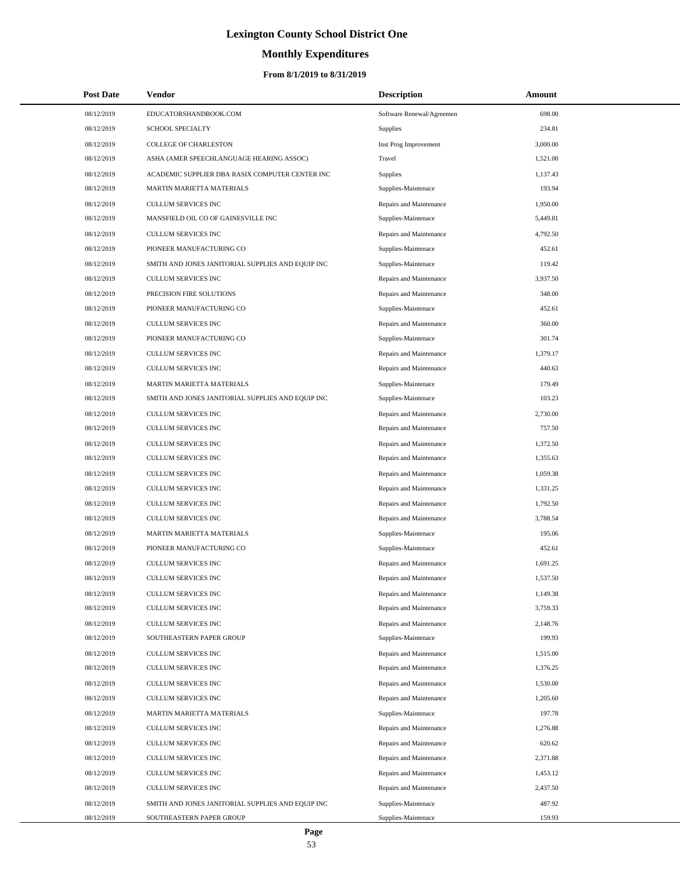# **Monthly Expenditures**

| <b>Post Date</b> | Vendor                                            | <b>Description</b>        | Amount   |
|------------------|---------------------------------------------------|---------------------------|----------|
| 08/12/2019       | EDUCATORSHANDBOOK.COM                             | Software Renewal/Agreemen | 698.00   |
| 08/12/2019       | SCHOOL SPECIALTY                                  | <b>Supplies</b>           | 234.81   |
| 08/12/2019       | COLLEGE OF CHARLESTON                             | Inst Prog Improvement     | 3,000.00 |
| 08/12/2019       | ASHA (AMER SPEECHLANGUAGE HEARING ASSOC)          | Travel                    | 1,521.00 |
| 08/12/2019       | ACADEMIC SUPPLIER DBA RASIX COMPUTER CENTER INC   | <b>Supplies</b>           | 1,137.43 |
| 08/12/2019       | MARTIN MARIETTA MATERIALS                         | Supplies-Maintenace       | 193.94   |
| 08/12/2019       | CULLUM SERVICES INC                               | Repairs and Maintenance   | 1,950.00 |
| 08/12/2019       | MANSFIELD OIL CO OF GAINESVILLE INC               | Supplies-Maintenace       | 5,449.81 |
| 08/12/2019       | CULLUM SERVICES INC                               | Repairs and Maintenance   | 4,792.50 |
| 08/12/2019       | PIONEER MANUFACTURING CO                          | Supplies-Maintenace       | 452.61   |
| 08/12/2019       | SMITH AND JONES JANITORIAL SUPPLIES AND EQUIP INC | Supplies-Maintenace       | 119.42   |
| 08/12/2019       | CULLUM SERVICES INC                               | Repairs and Maintenance   | 3,937.50 |
| 08/12/2019       | PRECISION FIRE SOLUTIONS                          | Repairs and Maintenance   | 348.00   |
| 08/12/2019       | PIONEER MANUFACTURING CO                          | Supplies-Maintenace       | 452.61   |
| 08/12/2019       | CULLUM SERVICES INC                               | Repairs and Maintenance   | 360.00   |
| 08/12/2019       | PIONEER MANUFACTURING CO                          | Supplies-Maintenace       | 301.74   |
| 08/12/2019       | CULLUM SERVICES INC                               | Repairs and Maintenance   | 1,379.17 |
| 08/12/2019       | CULLUM SERVICES INC                               | Repairs and Maintenance   | 440.63   |
| 08/12/2019       | MARTIN MARIETTA MATERIALS                         | Supplies-Maintenace       | 179.49   |
| 08/12/2019       | SMITH AND JONES JANITORIAL SUPPLIES AND EQUIP INC | Supplies-Maintenace       | 103.23   |
| 08/12/2019       | CULLUM SERVICES INC                               | Repairs and Maintenance   | 2,730.00 |
| 08/12/2019       | CULLUM SERVICES INC                               | Repairs and Maintenance   | 757.50   |
| 08/12/2019       | CULLUM SERVICES INC                               | Repairs and Maintenance   | 1,372.50 |
| 08/12/2019       | CULLUM SERVICES INC                               | Repairs and Maintenance   | 1,355.63 |
| 08/12/2019       | CULLUM SERVICES INC                               | Repairs and Maintenance   | 1,059.38 |
| 08/12/2019       | CULLUM SERVICES INC                               | Repairs and Maintenance   | 1,331.25 |
| 08/12/2019       | CULLUM SERVICES INC                               | Repairs and Maintenance   | 1,792.50 |
| 08/12/2019       | CULLUM SERVICES INC                               | Repairs and Maintenance   | 3,788.54 |
| 08/12/2019       | MARTIN MARIETTA MATERIALS                         | Supplies-Maintenace       | 195.06   |
| 08/12/2019       | PIONEER MANUFACTURING CO                          | Supplies-Maintenace       | 452.61   |
| 08/12/2019       | <b>CULLUM SERVICES INC</b>                        | Repairs and Maintenance   | 1,691.25 |
| 08/12/2019       | CULLUM SERVICES INC                               | Repairs and Maintenance   | 1,537.50 |
| 08/12/2019       | CULLUM SERVICES INC                               | Repairs and Maintenance   | 1,149.38 |
| 08/12/2019       | CULLUM SERVICES INC                               | Repairs and Maintenance   | 3,759.33 |
| 08/12/2019       | CULLUM SERVICES INC                               | Repairs and Maintenance   | 2,148.76 |
| 08/12/2019       | SOUTHEASTERN PAPER GROUP                          | Supplies-Maintenace       | 199.93   |
| 08/12/2019       | CULLUM SERVICES INC                               | Repairs and Maintenance   | 1,515.00 |
| 08/12/2019       | CULLUM SERVICES INC                               | Repairs and Maintenance   | 1,376.25 |
| 08/12/2019       | CULLUM SERVICES INC                               | Repairs and Maintenance   | 1,530.00 |
| 08/12/2019       | <b>CULLUM SERVICES INC</b>                        | Repairs and Maintenance   | 1,205.60 |
| 08/12/2019       | MARTIN MARIETTA MATERIALS                         | Supplies-Maintenace       | 197.78   |
| 08/12/2019       | CULLUM SERVICES INC                               | Repairs and Maintenance   | 1,276.88 |
| 08/12/2019       | CULLUM SERVICES INC                               | Repairs and Maintenance   | 620.62   |
| 08/12/2019       | CULLUM SERVICES INC                               | Repairs and Maintenance   | 2,371.88 |
| 08/12/2019       | CULLUM SERVICES INC                               | Repairs and Maintenance   | 1,453.12 |
| 08/12/2019       | CULLUM SERVICES INC                               | Repairs and Maintenance   | 2,437.50 |
| 08/12/2019       | SMITH AND JONES JANITORIAL SUPPLIES AND EQUIP INC | Supplies-Maintenace       | 487.92   |
| 08/12/2019       | SOUTHEASTERN PAPER GROUP                          | Supplies-Maintenace       | 159.93   |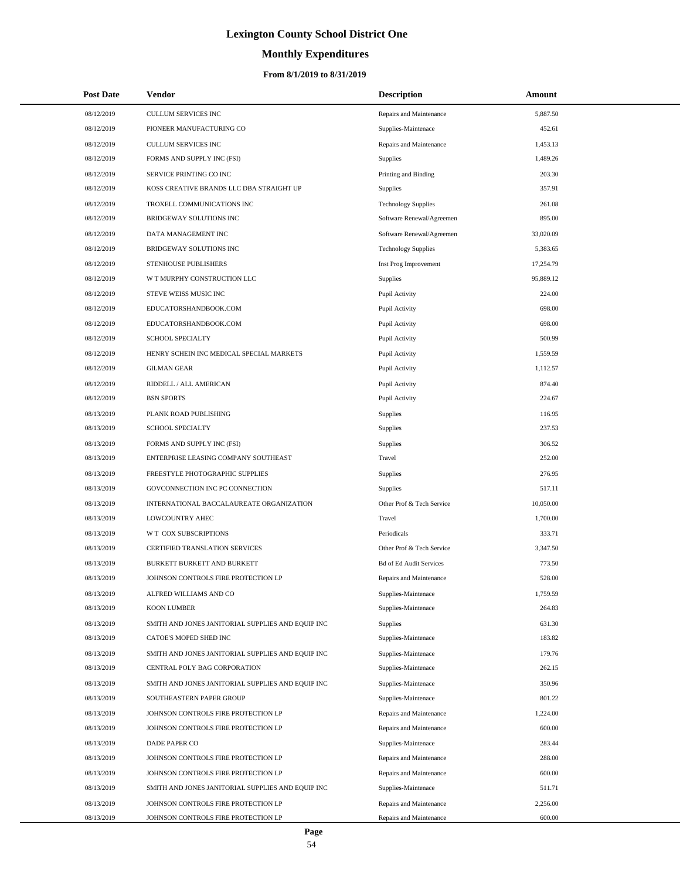# **Monthly Expenditures**

## **From 8/1/2019 to 8/31/2019**

| <b>Post Date</b> | Vendor                                            | <b>Description</b>             | Amount    |
|------------------|---------------------------------------------------|--------------------------------|-----------|
| 08/12/2019       | CULLUM SERVICES INC                               | Repairs and Maintenance        | 5,887.50  |
| 08/12/2019       | PIONEER MANUFACTURING CO                          | Supplies-Maintenace            | 452.61    |
| 08/12/2019       | <b>CULLUM SERVICES INC</b>                        | Repairs and Maintenance        | 1,453.13  |
| 08/12/2019       | FORMS AND SUPPLY INC (FSI)                        | Supplies                       | 1.489.26  |
| 08/12/2019       | SERVICE PRINTING CO INC                           | Printing and Binding           | 203.30    |
| 08/12/2019       | KOSS CREATIVE BRANDS LLC DBA STRAIGHT UP          | <b>Supplies</b>                | 357.91    |
| 08/12/2019       | TROXELL COMMUNICATIONS INC                        | <b>Technology Supplies</b>     | 261.08    |
| 08/12/2019       | BRIDGEWAY SOLUTIONS INC                           | Software Renewal/Agreemen      | 895.00    |
| 08/12/2019       | DATA MANAGEMENT INC                               | Software Renewal/Agreemen      | 33.020.09 |
| 08/12/2019       | BRIDGEWAY SOLUTIONS INC                           | <b>Technology Supplies</b>     | 5,383.65  |
| 08/12/2019       | STENHOUSE PUBLISHERS                              | Inst Prog Improvement          | 17,254.79 |
| 08/12/2019       | W T MURPHY CONSTRUCTION LLC                       | Supplies                       | 95,889.12 |
| 08/12/2019       | STEVE WEISS MUSIC INC                             | Pupil Activity                 | 224.00    |
| 08/12/2019       | EDUCATORSHANDBOOK.COM                             | Pupil Activity                 | 698.00    |
| 08/12/2019       | EDUCATORSHANDBOOK.COM                             | Pupil Activity                 | 698.00    |
| 08/12/2019       | <b>SCHOOL SPECIALTY</b>                           | Pupil Activity                 | 500.99    |
| 08/12/2019       | HENRY SCHEIN INC MEDICAL SPECIAL MARKETS          | Pupil Activity                 | 1,559.59  |
| 08/12/2019       | <b>GILMAN GEAR</b>                                | Pupil Activity                 | 1,112.57  |
| 08/12/2019       | RIDDELL / ALL AMERICAN                            | Pupil Activity                 | 874.40    |
| 08/12/2019       | <b>BSN SPORTS</b>                                 | Pupil Activity                 | 224.67    |
| 08/13/2019       | PLANK ROAD PUBLISHING                             | Supplies                       | 116.95    |
| 08/13/2019       | SCHOOL SPECIALTY                                  | Supplies                       | 237.53    |
| 08/13/2019       | FORMS AND SUPPLY INC (FSI)                        | Supplies                       | 306.52    |
| 08/13/2019       | ENTERPRISE LEASING COMPANY SOUTHEAST              | Travel                         | 252.00    |
| 08/13/2019       | FREESTYLE PHOTOGRAPHIC SUPPLIES                   | Supplies                       | 276.95    |
| 08/13/2019       | GOVCONNECTION INC PC CONNECTION                   | Supplies                       | 517.11    |
| 08/13/2019       | INTERNATIONAL BACCALAUREATE ORGANIZATION          | Other Prof & Tech Service      | 10,050.00 |
| 08/13/2019       | LOWCOUNTRY AHEC                                   | Travel                         | 1,700.00  |
| 08/13/2019       | W T COX SUBSCRIPTIONS                             | Periodicals                    | 333.71    |
| 08/13/2019       | <b>CERTIFIED TRANSLATION SERVICES</b>             | Other Prof & Tech Service      | 3,347.50  |
| 08/13/2019       | BURKETT BURKETT AND BURKETT                       | <b>Bd of Ed Audit Services</b> | 773.50    |
| 08/13/2019       | JOHNSON CONTROLS FIRE PROTECTION LP               | Repairs and Maintenance        | 528.00    |
| 08/13/2019       | ALFRED WILLIAMS AND CO                            | Supplies-Maintenace            | 1,759.59  |
| 08/13/2019       | <b>KOON LUMBER</b>                                | Supplies-Maintenace            | 264.83    |
| 08/13/2019       | SMITH AND JONES JANITORIAL SUPPLIES AND EQUIP INC | Supplies                       | 631.30    |
| 08/13/2019       | CATOE'S MOPED SHED INC                            | Supplies-Maintenace            | 183.82    |
| 08/13/2019       | SMITH AND JONES JANITORIAL SUPPLIES AND EQUIP INC | Supplies-Maintenace            | 179.76    |
| 08/13/2019       | CENTRAL POLY BAG CORPORATION                      | Supplies-Maintenace            | 262.15    |
| 08/13/2019       | SMITH AND JONES JANITORIAL SUPPLIES AND EQUIP INC | Supplies-Maintenace            | 350.96    |
| 08/13/2019       | SOUTHEASTERN PAPER GROUP                          | Supplies-Maintenace            | 801.22    |
| 08/13/2019       | JOHNSON CONTROLS FIRE PROTECTION LP               | Repairs and Maintenance        | 1,224.00  |
| 08/13/2019       | JOHNSON CONTROLS FIRE PROTECTION LP               | Repairs and Maintenance        | 600.00    |
| 08/13/2019       | DADE PAPER CO                                     | Supplies-Maintenace            | 283.44    |
| 08/13/2019       | JOHNSON CONTROLS FIRE PROTECTION LP               | Repairs and Maintenance        | 288.00    |
| 08/13/2019       | JOHNSON CONTROLS FIRE PROTECTION LP               | Repairs and Maintenance        | 600.00    |
| 08/13/2019       | SMITH AND JONES JANITORIAL SUPPLIES AND EQUIP INC | Supplies-Maintenace            | 511.71    |
| 08/13/2019       | JOHNSON CONTROLS FIRE PROTECTION LP               | Repairs and Maintenance        | 2,256.00  |
| 08/13/2019       | JOHNSON CONTROLS FIRE PROTECTION LP               | Repairs and Maintenance        | 600.00    |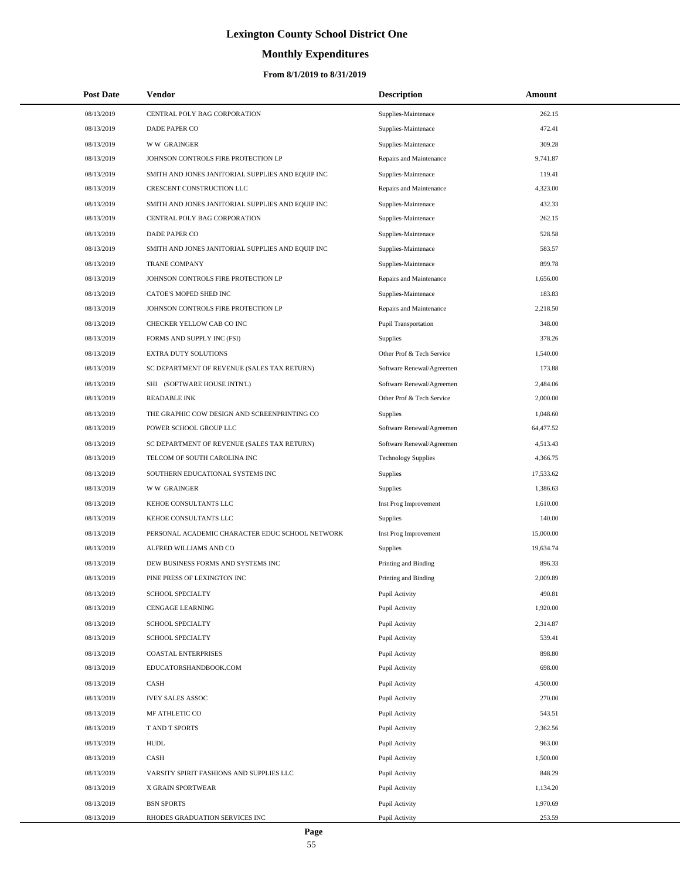# **Monthly Expenditures**

## **From 8/1/2019 to 8/31/2019**

| <b>Post Date</b> | Vendor                                            | <b>Description</b>          | Amount    |  |
|------------------|---------------------------------------------------|-----------------------------|-----------|--|
| 08/13/2019       | CENTRAL POLY BAG CORPORATION                      | Supplies-Maintenace         | 262.15    |  |
| 08/13/2019       | DADE PAPER CO                                     | Supplies-Maintenace         | 472.41    |  |
| 08/13/2019       | <b>WW GRAINGER</b>                                | Supplies-Maintenace         | 309.28    |  |
| 08/13/2019       | JOHNSON CONTROLS FIRE PROTECTION LP               | Repairs and Maintenance     | 9,741.87  |  |
| 08/13/2019       | SMITH AND JONES JANITORIAL SUPPLIES AND EQUIP INC | Supplies-Maintenace         | 119.41    |  |
| 08/13/2019       | CRESCENT CONSTRUCTION LLC                         | Repairs and Maintenance     | 4,323.00  |  |
| 08/13/2019       | SMITH AND JONES JANITORIAL SUPPLIES AND EQUIP INC | Supplies-Maintenace         | 432.33    |  |
| 08/13/2019       | CENTRAL POLY BAG CORPORATION                      | Supplies-Maintenace         | 262.15    |  |
| 08/13/2019       | <b>DADE PAPER CO</b>                              | Supplies-Maintenace         | 528.58    |  |
| 08/13/2019       | SMITH AND JONES JANITORIAL SUPPLIES AND EQUIP INC | Supplies-Maintenace         | 583.57    |  |
| 08/13/2019       | <b>TRANE COMPANY</b>                              | Supplies-Maintenace         | 899.78    |  |
| 08/13/2019       | JOHNSON CONTROLS FIRE PROTECTION LP               | Repairs and Maintenance     | 1,656.00  |  |
| 08/13/2019       | CATOE'S MOPED SHED INC                            | Supplies-Maintenace         | 183.83    |  |
| 08/13/2019       | JOHNSON CONTROLS FIRE PROTECTION LP               | Repairs and Maintenance     | 2,218.50  |  |
| 08/13/2019       | CHECKER YELLOW CAB CO INC                         | <b>Pupil Transportation</b> | 348.00    |  |
| 08/13/2019       | FORMS AND SUPPLY INC (FSI)                        | <b>Supplies</b>             | 378.26    |  |
| 08/13/2019       | EXTRA DUTY SOLUTIONS                              | Other Prof & Tech Service   | 1,540.00  |  |
| 08/13/2019       | SC DEPARTMENT OF REVENUE (SALES TAX RETURN)       | Software Renewal/Agreemen   | 173.88    |  |
| 08/13/2019       | SHI (SOFTWARE HOUSE INTN'L)                       | Software Renewal/Agreemen   | 2,484.06  |  |
| 08/13/2019       | <b>READABLE INK</b>                               | Other Prof & Tech Service   | 2,000.00  |  |
| 08/13/2019       | THE GRAPHIC COW DESIGN AND SCREENPRINTING CO      | Supplies                    | 1,048.60  |  |
| 08/13/2019       | POWER SCHOOL GROUP LLC                            | Software Renewal/Agreemen   | 64,477.52 |  |
| 08/13/2019       | SC DEPARTMENT OF REVENUE (SALES TAX RETURN)       | Software Renewal/Agreemen   | 4,513.43  |  |
| 08/13/2019       | TELCOM OF SOUTH CAROLINA INC                      | <b>Technology Supplies</b>  | 4,366.75  |  |
| 08/13/2019       | SOUTHERN EDUCATIONAL SYSTEMS INC                  | Supplies                    | 17,533.62 |  |
| 08/13/2019       | <b>WW GRAINGER</b>                                | <b>Supplies</b>             | 1,386.63  |  |
| 08/13/2019       | KEHOE CONSULTANTS LLC                             | Inst Prog Improvement       | 1,610.00  |  |
| 08/13/2019       | KEHOE CONSULTANTS LLC                             | Supplies                    | 140.00    |  |
| 08/13/2019       | PERSONAL ACADEMIC CHARACTER EDUC SCHOOL NETWORK   | Inst Prog Improvement       | 15,000.00 |  |
| 08/13/2019       | ALFRED WILLIAMS AND CO                            | Supplies                    | 19,634.74 |  |
| 08/13/2019       | DEW BUSINESS FORMS AND SYSTEMS INC                | Printing and Binding        | 896.33    |  |
| 08/13/2019       | PINE PRESS OF LEXINGTON INC                       | Printing and Binding        | 2,009.89  |  |
| 08/13/2019       | <b>SCHOOL SPECIALTY</b>                           | Pupil Activity              | 490.81    |  |
| 08/13/2019       | <b>CENGAGE LEARNING</b>                           | Pupil Activity              | 1,920.00  |  |
| 08/13/2019       | SCHOOL SPECIALTY                                  | Pupil Activity              | 2,314.87  |  |
| 08/13/2019       | SCHOOL SPECIALTY                                  | Pupil Activity              | 539.41    |  |
| 08/13/2019       | COASTAL ENTERPRISES                               | Pupil Activity              | 898.80    |  |
| 08/13/2019       | EDUCATORSHANDBOOK.COM                             | Pupil Activity              | 698.00    |  |
| 08/13/2019       | CASH                                              | Pupil Activity              | 4,500.00  |  |
| 08/13/2019       | <b>IVEY SALES ASSOC</b>                           | Pupil Activity              | 270.00    |  |
| 08/13/2019       | MF ATHLETIC CO                                    | Pupil Activity              | 543.51    |  |
| 08/13/2019       | T AND T SPORTS                                    | Pupil Activity              | 2,362.56  |  |
| 08/13/2019       | <b>HUDL</b>                                       | Pupil Activity              | 963.00    |  |
| 08/13/2019       | CASH                                              | Pupil Activity              | 1,500.00  |  |
| 08/13/2019       | VARSITY SPIRIT FASHIONS AND SUPPLIES LLC          | Pupil Activity              | 848.29    |  |
| 08/13/2019       | X GRAIN SPORTWEAR                                 | Pupil Activity              | 1,134.20  |  |
| 08/13/2019       | <b>BSN SPORTS</b>                                 | Pupil Activity              | 1,970.69  |  |
| 08/13/2019       | RHODES GRADUATION SERVICES INC                    | Pupil Activity              | 253.59    |  |

÷.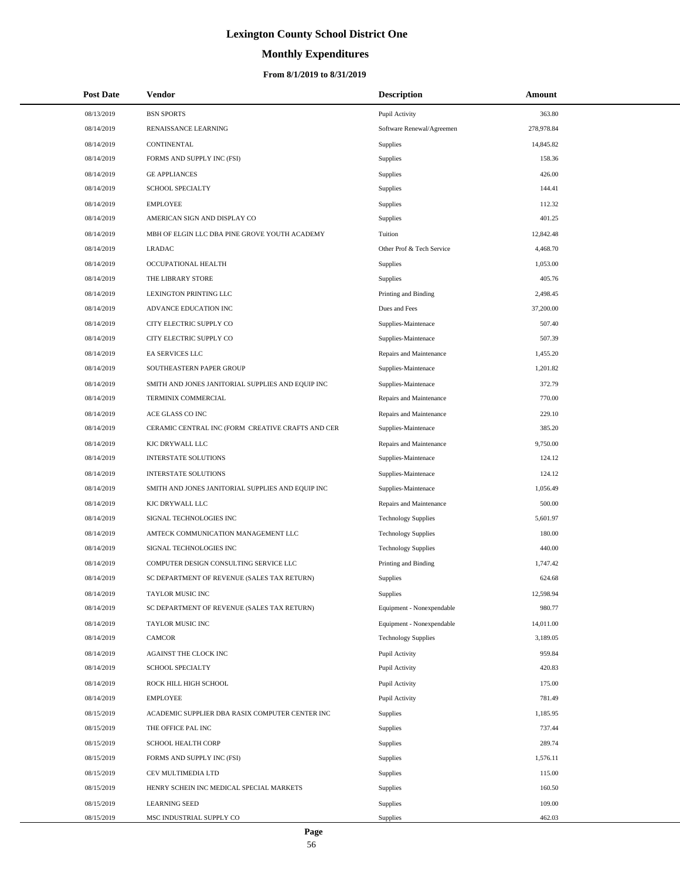# **Monthly Expenditures**

## **From 8/1/2019 to 8/31/2019**

| <b>Post Date</b> | <b>Vendor</b>                                     | <b>Description</b>         | Amount     |
|------------------|---------------------------------------------------|----------------------------|------------|
| 08/13/2019       | <b>BSN SPORTS</b>                                 | Pupil Activity             | 363.80     |
| 08/14/2019       | RENAISSANCE LEARNING                              | Software Renewal/Agreemen  | 278,978.84 |
| 08/14/2019       | CONTINENTAL                                       | Supplies                   | 14,845.82  |
| 08/14/2019       | FORMS AND SUPPLY INC (FSI)                        | Supplies                   | 158.36     |
| 08/14/2019       | <b>GE APPLIANCES</b>                              | Supplies                   | 426.00     |
| 08/14/2019       | SCHOOL SPECIALTY                                  | Supplies                   | 144.41     |
| 08/14/2019       | <b>EMPLOYEE</b>                                   | Supplies                   | 112.32     |
| 08/14/2019       | AMERICAN SIGN AND DISPLAY CO                      | Supplies                   | 401.25     |
| 08/14/2019       | MBH OF ELGIN LLC DBA PINE GROVE YOUTH ACADEMY     | Tuition                    | 12,842.48  |
| 08/14/2019       | <b>LRADAC</b>                                     | Other Prof & Tech Service  | 4,468.70   |
| 08/14/2019       | OCCUPATIONAL HEALTH                               | Supplies                   | 1,053.00   |
| 08/14/2019       | THE LIBRARY STORE                                 | Supplies                   | 405.76     |
| 08/14/2019       | LEXINGTON PRINTING LLC                            | Printing and Binding       | 2,498.45   |
| 08/14/2019       | ADVANCE EDUCATION INC                             | Dues and Fees              | 37,200.00  |
| 08/14/2019       | CITY ELECTRIC SUPPLY CO                           | Supplies-Maintenace        | 507.40     |
| 08/14/2019       | CITY ELECTRIC SUPPLY CO                           | Supplies-Maintenace        | 507.39     |
| 08/14/2019       | EA SERVICES LLC                                   | Repairs and Maintenance    | 1,455.20   |
| 08/14/2019       | SOUTHEASTERN PAPER GROUP                          | Supplies-Maintenace        | 1,201.82   |
| 08/14/2019       | SMITH AND JONES JANITORIAL SUPPLIES AND EQUIP INC | Supplies-Maintenace        | 372.79     |
| 08/14/2019       | TERMINIX COMMERCIAL                               | Repairs and Maintenance    | 770.00     |
| 08/14/2019       | ACE GLASS CO INC                                  | Repairs and Maintenance    | 229.10     |
| 08/14/2019       | CERAMIC CENTRAL INC (FORM CREATIVE CRAFTS AND CER | Supplies-Maintenace        | 385.20     |
| 08/14/2019       | KJC DRYWALL LLC                                   | Repairs and Maintenance    | 9,750.00   |
| 08/14/2019       | <b>INTERSTATE SOLUTIONS</b>                       | Supplies-Maintenace        | 124.12     |
| 08/14/2019       | <b>INTERSTATE SOLUTIONS</b>                       | Supplies-Maintenace        | 124.12     |
| 08/14/2019       | SMITH AND JONES JANITORIAL SUPPLIES AND EQUIP INC | Supplies-Maintenace        | 1,056.49   |
| 08/14/2019       | KJC DRYWALL LLC                                   | Repairs and Maintenance    | 500.00     |
| 08/14/2019       | SIGNAL TECHNOLOGIES INC                           | <b>Technology Supplies</b> | 5,601.97   |
| 08/14/2019       | AMTECK COMMUNICATION MANAGEMENT LLC               | <b>Technology Supplies</b> | 180.00     |
| 08/14/2019       | SIGNAL TECHNOLOGIES INC                           | <b>Technology Supplies</b> | 440.00     |
| 08/14/2019       | COMPUTER DESIGN CONSULTING SERVICE LLC            | Printing and Binding       | 1,747.42   |
| 08/14/2019       | SC DEPARTMENT OF REVENUE (SALES TAX RETURN)       | <b>Supplies</b>            | 624.68     |
| 08/14/2019       | TAYLOR MUSIC INC                                  | Supplies                   | 12,598.94  |
| 08/14/2019       | SC DEPARTMENT OF REVENUE (SALES TAX RETURN)       | Equipment - Nonexpendable  | 980.77     |
| 08/14/2019       | TAYLOR MUSIC INC                                  | Equipment - Nonexpendable  | 14,011.00  |
| 08/14/2019       | CAMCOR                                            | <b>Technology Supplies</b> | 3,189.05   |
| 08/14/2019       | AGAINST THE CLOCK INC                             | Pupil Activity             | 959.84     |
| 08/14/2019       | SCHOOL SPECIALTY                                  | Pupil Activity             | 420.83     |
| 08/14/2019       | ROCK HILL HIGH SCHOOL                             | Pupil Activity             | 175.00     |
| 08/14/2019       | <b>EMPLOYEE</b>                                   | Pupil Activity             | 781.49     |
| 08/15/2019       | ACADEMIC SUPPLIER DBA RASIX COMPUTER CENTER INC   | Supplies                   | 1,185.95   |
| 08/15/2019       | THE OFFICE PAL INC                                | Supplies                   | 737.44     |
| 08/15/2019       | SCHOOL HEALTH CORP                                | Supplies                   | 289.74     |
| 08/15/2019       | FORMS AND SUPPLY INC (FSI)                        | Supplies                   | 1,576.11   |
| 08/15/2019       | CEV MULTIMEDIA LTD                                | Supplies                   | 115.00     |
| 08/15/2019       | HENRY SCHEIN INC MEDICAL SPECIAL MARKETS          | Supplies                   | 160.50     |
| 08/15/2019       | <b>LEARNING SEED</b>                              | Supplies                   | 109.00     |
| 08/15/2019       | MSC INDUSTRIAL SUPPLY CO                          | Supplies                   | 462.03     |

 $\overline{\phantom{0}}$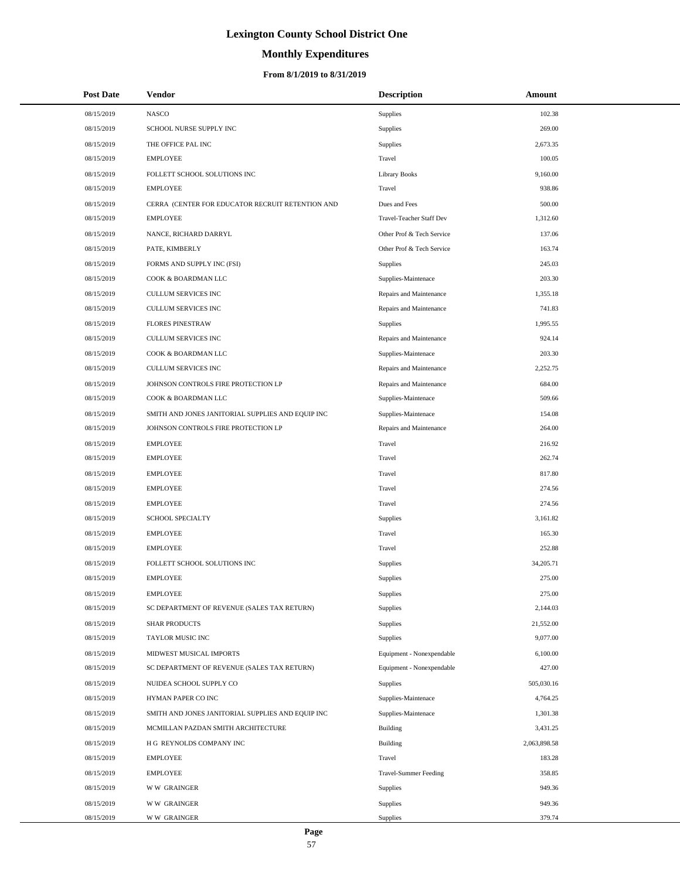# **Monthly Expenditures**

## **From 8/1/2019 to 8/31/2019**

| <b>Post Date</b> | <b>Vendor</b>                                     | <b>Description</b>           | Amount       |
|------------------|---------------------------------------------------|------------------------------|--------------|
| 08/15/2019       | <b>NASCO</b>                                      | <b>Supplies</b>              | 102.38       |
| 08/15/2019       | SCHOOL NURSE SUPPLY INC                           | Supplies                     | 269.00       |
| 08/15/2019       | THE OFFICE PAL INC                                | Supplies                     | 2,673.35     |
| 08/15/2019       | <b>EMPLOYEE</b>                                   | Travel                       | 100.05       |
| 08/15/2019       | FOLLETT SCHOOL SOLUTIONS INC                      | Library Books                | 9,160.00     |
| 08/15/2019       | <b>EMPLOYEE</b>                                   | Travel                       | 938.86       |
| 08/15/2019       | CERRA (CENTER FOR EDUCATOR RECRUIT RETENTION AND  | Dues and Fees                | 500.00       |
| 08/15/2019       | <b>EMPLOYEE</b>                                   | Travel-Teacher Staff Dev     | 1,312.60     |
| 08/15/2019       | NANCE, RICHARD DARRYL                             | Other Prof & Tech Service    | 137.06       |
| 08/15/2019       | PATE, KIMBERLY                                    | Other Prof & Tech Service    | 163.74       |
| 08/15/2019       | FORMS AND SUPPLY INC (FSI)                        | Supplies                     | 245.03       |
| 08/15/2019       | COOK & BOARDMAN LLC                               | Supplies-Maintenace          | 203.30       |
| 08/15/2019       | CULLUM SERVICES INC                               | Repairs and Maintenance      | 1,355.18     |
| 08/15/2019       | CULLUM SERVICES INC                               | Repairs and Maintenance      | 741.83       |
| 08/15/2019       | <b>FLORES PINESTRAW</b>                           | Supplies                     | 1,995.55     |
| 08/15/2019       | CULLUM SERVICES INC                               | Repairs and Maintenance      | 924.14       |
| 08/15/2019       | COOK & BOARDMAN LLC                               | Supplies-Maintenace          | 203.30       |
| 08/15/2019       | CULLUM SERVICES INC                               | Repairs and Maintenance      | 2,252.75     |
| 08/15/2019       | JOHNSON CONTROLS FIRE PROTECTION LP               | Repairs and Maintenance      | 684.00       |
| 08/15/2019       | COOK & BOARDMAN LLC                               | Supplies-Maintenace          | 509.66       |
| 08/15/2019       | SMITH AND JONES JANITORIAL SUPPLIES AND EQUIP INC | Supplies-Maintenace          | 154.08       |
| 08/15/2019       | JOHNSON CONTROLS FIRE PROTECTION LP               | Repairs and Maintenance      | 264.00       |
| 08/15/2019       | <b>EMPLOYEE</b>                                   | Travel                       | 216.92       |
| 08/15/2019       | <b>EMPLOYEE</b>                                   | Travel                       | 262.74       |
| 08/15/2019       | <b>EMPLOYEE</b>                                   | Travel                       | 817.80       |
| 08/15/2019       | <b>EMPLOYEE</b>                                   | Travel                       | 274.56       |
| 08/15/2019       | <b>EMPLOYEE</b>                                   | Travel                       | 274.56       |
| 08/15/2019       | <b>SCHOOL SPECIALTY</b>                           | Supplies                     | 3,161.82     |
| 08/15/2019       | <b>EMPLOYEE</b>                                   | Travel                       | 165.30       |
| 08/15/2019       | <b>EMPLOYEE</b>                                   | Travel                       | 252.88       |
| 08/15/2019       | FOLLETT SCHOOL SOLUTIONS INC                      | Supplies                     | 34,205.71    |
| 08/15/2019       | <b>EMPLOYEE</b>                                   | Supplies                     | 275.00       |
| 08/15/2019       | <b>EMPLOYEE</b>                                   | Supplies                     | 275.00       |
| 08/15/2019       | SC DEPARTMENT OF REVENUE (SALES TAX RETURN)       | <b>Supplies</b>              | 2,144.03     |
| 08/15/2019       | <b>SHAR PRODUCTS</b>                              | Supplies                     | 21,552.00    |
| 08/15/2019       | TAYLOR MUSIC INC                                  | <b>Supplies</b>              | 9,077.00     |
| 08/15/2019       | MIDWEST MUSICAL IMPORTS                           | Equipment - Nonexpendable    | 6,100.00     |
| 08/15/2019       | SC DEPARTMENT OF REVENUE (SALES TAX RETURN)       | Equipment - Nonexpendable    | 427.00       |
| 08/15/2019       | NUIDEA SCHOOL SUPPLY CO                           | Supplies                     | 505,030.16   |
| 08/15/2019       | HYMAN PAPER CO INC                                | Supplies-Maintenace          | 4,764.25     |
| 08/15/2019       | SMITH AND JONES JANITORIAL SUPPLIES AND EQUIP INC | Supplies-Maintenace          | 1,301.38     |
| 08/15/2019       | MCMILLAN PAZDAN SMITH ARCHITECTURE                | <b>Building</b>              | 3,431.25     |
| 08/15/2019       | H G REYNOLDS COMPANY INC                          | Building                     | 2,063,898.58 |
| 08/15/2019       | <b>EMPLOYEE</b>                                   | Travel                       | 183.28       |
| 08/15/2019       | <b>EMPLOYEE</b>                                   | <b>Travel-Summer Feeding</b> | 358.85       |
| 08/15/2019       | <b>WW GRAINGER</b>                                | <b>Supplies</b>              | 949.36       |
| 08/15/2019       | <b>WW GRAINGER</b>                                | Supplies                     | 949.36       |
| 08/15/2019       | <b>WW GRAINGER</b>                                | Supplies                     | 379.74       |

 $\overline{\phantom{0}}$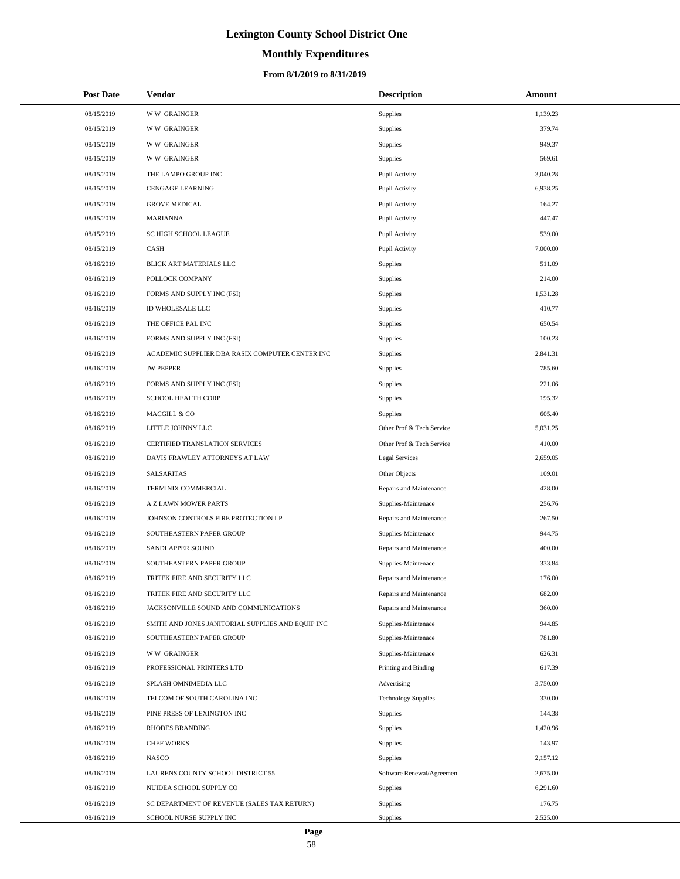# **Monthly Expenditures**

| <b>Post Date</b> | Vendor                                            | <b>Description</b>         | <b>Amount</b> |
|------------------|---------------------------------------------------|----------------------------|---------------|
| 08/15/2019       | <b>WW GRAINGER</b>                                | Supplies                   | 1,139.23      |
| 08/15/2019       | <b>WW GRAINGER</b>                                | Supplies                   | 379.74        |
| 08/15/2019       | <b>WW GRAINGER</b>                                | Supplies                   | 949.37        |
| 08/15/2019       | <b>WW GRAINGER</b>                                | Supplies                   | 569.61        |
| 08/15/2019       | THE LAMPO GROUP INC                               | Pupil Activity             | 3,040.28      |
| 08/15/2019       | <b>CENGAGE LEARNING</b>                           | Pupil Activity             | 6,938.25      |
| 08/15/2019       | <b>GROVE MEDICAL</b>                              | Pupil Activity             | 164.27        |
| 08/15/2019       | <b>MARIANNA</b>                                   | Pupil Activity             | 447.47        |
| 08/15/2019       | <b>SC HIGH SCHOOL LEAGUE</b>                      | Pupil Activity             | 539.00        |
| 08/15/2019       | CASH                                              | Pupil Activity             | 7,000.00      |
| 08/16/2019       | BLICK ART MATERIALS LLC                           | Supplies                   | 511.09        |
| 08/16/2019       | POLLOCK COMPANY                                   | Supplies                   | 214.00        |
| 08/16/2019       | FORMS AND SUPPLY INC (FSI)                        | Supplies                   | 1,531.28      |
| 08/16/2019       | ID WHOLESALE LLC                                  | Supplies                   | 410.77        |
| 08/16/2019       | THE OFFICE PAL INC                                | Supplies                   | 650.54        |
| 08/16/2019       | FORMS AND SUPPLY INC (FSI)                        | Supplies                   | 100.23        |
| 08/16/2019       | ACADEMIC SUPPLIER DBA RASIX COMPUTER CENTER INC   | Supplies                   | 2,841.31      |
| 08/16/2019       | <b>JW PEPPER</b>                                  | Supplies                   | 785.60        |
| 08/16/2019       | FORMS AND SUPPLY INC (FSI)                        | Supplies                   | 221.06        |
| 08/16/2019       | <b>SCHOOL HEALTH CORP</b>                         | Supplies                   | 195.32        |
| 08/16/2019       | MACGILL & CO                                      | Supplies                   | 605.40        |
| 08/16/2019       | LITTLE JOHNNY LLC                                 | Other Prof & Tech Service  | 5,031.25      |
| 08/16/2019       | CERTIFIED TRANSLATION SERVICES                    | Other Prof & Tech Service  | 410.00        |
| 08/16/2019       | DAVIS FRAWLEY ATTORNEYS AT LAW                    | <b>Legal Services</b>      | 2,659.05      |
| 08/16/2019       | SALSARITAS                                        | Other Objects              | 109.01        |
| 08/16/2019       | TERMINIX COMMERCIAL                               | Repairs and Maintenance    | 428.00        |
| 08/16/2019       | A Z LAWN MOWER PARTS                              | Supplies-Maintenace        | 256.76        |
| 08/16/2019       | JOHNSON CONTROLS FIRE PROTECTION LP               | Repairs and Maintenance    | 267.50        |
| 08/16/2019       | SOUTHEASTERN PAPER GROUP                          | Supplies-Maintenace        | 944.75        |
| 08/16/2019       | <b>SANDLAPPER SOUND</b>                           | Repairs and Maintenance    | 400.00        |
| 08/16/2019       | SOUTHEASTERN PAPER GROUP                          | Supplies-Maintenace        | 333.84        |
| 08/16/2019       | TRITEK FIRE AND SECURITY LLC                      | Repairs and Maintenance    | 176.00        |
| 08/16/2019       | TRITEK FIRE AND SECURITY LLC                      | Repairs and Maintenance    | 682.00        |
| 08/16/2019       | JACKSONVILLE SOUND AND COMMUNICATIONS             | Repairs and Maintenance    | 360.00        |
| 08/16/2019       | SMITH AND JONES JANITORIAL SUPPLIES AND EQUIP INC | Supplies-Maintenace        | 944.85        |
| 08/16/2019       | SOUTHEASTERN PAPER GROUP                          | Supplies-Maintenace        | 781.80        |
| 08/16/2019       | <b>WW GRAINGER</b>                                | Supplies-Maintenace        | 626.31        |
| 08/16/2019       | PROFESSIONAL PRINTERS LTD                         | Printing and Binding       | 617.39        |
| 08/16/2019       | SPLASH OMNIMEDIA LLC                              | Advertising                | 3,750.00      |
| 08/16/2019       | TELCOM OF SOUTH CAROLINA INC                      | <b>Technology Supplies</b> | 330.00        |
| 08/16/2019       | PINE PRESS OF LEXINGTON INC                       | Supplies                   | 144.38        |
| 08/16/2019       | RHODES BRANDING                                   | Supplies                   | 1,420.96      |
| 08/16/2019       | <b>CHEF WORKS</b>                                 | Supplies                   | 143.97        |
| 08/16/2019       | <b>NASCO</b>                                      | Supplies                   | 2,157.12      |
| 08/16/2019       | LAURENS COUNTY SCHOOL DISTRICT 55                 | Software Renewal/Agreemen  | 2,675.00      |
| 08/16/2019       | NUIDEA SCHOOL SUPPLY CO                           | Supplies                   | 6,291.60      |
| 08/16/2019       | SC DEPARTMENT OF REVENUE (SALES TAX RETURN)       | Supplies                   | 176.75        |
| 08/16/2019       | SCHOOL NURSE SUPPLY INC                           | Supplies                   | 2,525.00      |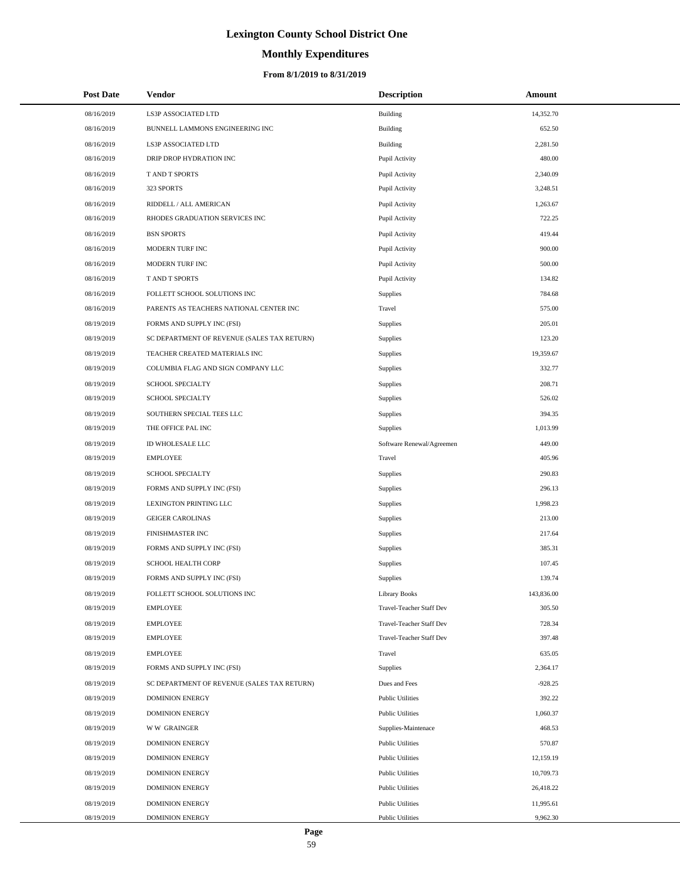# **Monthly Expenditures**

## **From 8/1/2019 to 8/31/2019**

| <b>Post Date</b> | Vendor                                      | <b>Description</b>              | Amount     |
|------------------|---------------------------------------------|---------------------------------|------------|
| 08/16/2019       | LS3P ASSOCIATED LTD                         | <b>Building</b>                 | 14,352.70  |
| 08/16/2019       | BUNNELL LAMMONS ENGINEERING INC             | <b>Building</b>                 | 652.50     |
| 08/16/2019       | LS3P ASSOCIATED LTD                         | <b>Building</b>                 | 2,281.50   |
| 08/16/2019       | DRIP DROP HYDRATION INC                     | Pupil Activity                  | 480.00     |
| 08/16/2019       | T AND T SPORTS                              | Pupil Activity                  | 2,340.09   |
| 08/16/2019       | 323 SPORTS                                  | Pupil Activity                  | 3,248.51   |
| 08/16/2019       | RIDDELL / ALL AMERICAN                      | Pupil Activity                  | 1,263.67   |
| 08/16/2019       | RHODES GRADUATION SERVICES INC              | Pupil Activity                  | 722.25     |
| 08/16/2019       | <b>BSN SPORTS</b>                           | Pupil Activity                  | 419.44     |
| 08/16/2019       | MODERN TURF INC                             | Pupil Activity                  | 900.00     |
| 08/16/2019       | MODERN TURF INC                             | Pupil Activity                  | 500.00     |
| 08/16/2019       | T AND T SPORTS                              | Pupil Activity                  | 134.82     |
| 08/16/2019       | FOLLETT SCHOOL SOLUTIONS INC                | Supplies                        | 784.68     |
| 08/16/2019       | PARENTS AS TEACHERS NATIONAL CENTER INC     | Travel                          | 575.00     |
| 08/19/2019       | FORMS AND SUPPLY INC (FSI)                  | Supplies                        | 205.01     |
| 08/19/2019       | SC DEPARTMENT OF REVENUE (SALES TAX RETURN) | Supplies                        | 123.20     |
| 08/19/2019       | TEACHER CREATED MATERIALS INC               | <b>Supplies</b>                 | 19,359.67  |
| 08/19/2019       | COLUMBIA FLAG AND SIGN COMPANY LLC          | <b>Supplies</b>                 | 332.77     |
| 08/19/2019       | <b>SCHOOL SPECIALTY</b>                     | <b>Supplies</b>                 | 208.71     |
| 08/19/2019       | SCHOOL SPECIALTY                            | <b>Supplies</b>                 | 526.02     |
| 08/19/2019       | SOUTHERN SPECIAL TEES LLC                   | <b>Supplies</b>                 | 394.35     |
| 08/19/2019       | THE OFFICE PAL INC                          | Supplies                        | 1,013.99   |
| 08/19/2019       | ID WHOLESALE LLC                            | Software Renewal/Agreemen       | 449.00     |
| 08/19/2019       | <b>EMPLOYEE</b>                             | Travel                          | 405.96     |
| 08/19/2019       | SCHOOL SPECIALTY                            | <b>Supplies</b>                 | 290.83     |
| 08/19/2019       | FORMS AND SUPPLY INC (FSI)                  | <b>Supplies</b>                 | 296.13     |
| 08/19/2019       | LEXINGTON PRINTING LLC                      | <b>Supplies</b>                 | 1,998.23   |
| 08/19/2019       | <b>GEIGER CAROLINAS</b>                     | <b>Supplies</b>                 | 213.00     |
| 08/19/2019       | <b>FINISHMASTER INC</b>                     | <b>Supplies</b>                 | 217.64     |
| 08/19/2019       | FORMS AND SUPPLY INC (FSI)                  | <b>Supplies</b>                 | 385.31     |
| 08/19/2019       | SCHOOL HEALTH CORP                          | Supplies                        | 107.45     |
| 08/19/2019       | FORMS AND SUPPLY INC (FSI)                  | <b>Supplies</b>                 | 139.74     |
| 08/19/2019       | FOLLETT SCHOOL SOLUTIONS INC                | <b>Library Books</b>            | 143,836.00 |
| 08/19/2019       | <b>EMPLOYEE</b>                             | Travel-Teacher Staff Dev        | 305.50     |
| 08/19/2019       | <b>EMPLOYEE</b>                             | Travel-Teacher Staff Dev        | 728.34     |
| 08/19/2019       | <b>EMPLOYEE</b>                             | <b>Travel-Teacher Staff Dev</b> | 397.48     |
| 08/19/2019       | <b>EMPLOYEE</b>                             | Travel                          | 635.05     |
| 08/19/2019       | FORMS AND SUPPLY INC (FSI)                  | <b>Supplies</b>                 | 2,364.17   |
| 08/19/2019       | SC DEPARTMENT OF REVENUE (SALES TAX RETURN) | Dues and Fees                   | $-928.25$  |
| 08/19/2019       | <b>DOMINION ENERGY</b>                      | <b>Public Utilities</b>         | 392.22     |
| 08/19/2019       | <b>DOMINION ENERGY</b>                      | <b>Public Utilities</b>         | 1,060.37   |
| 08/19/2019       | <b>WW GRAINGER</b>                          | Supplies-Maintenace             | 468.53     |
| 08/19/2019       | <b>DOMINION ENERGY</b>                      | <b>Public Utilities</b>         | 570.87     |
| 08/19/2019       | <b>DOMINION ENERGY</b>                      | <b>Public Utilities</b>         | 12,159.19  |
| 08/19/2019       | <b>DOMINION ENERGY</b>                      | <b>Public Utilities</b>         | 10,709.73  |
| 08/19/2019       | <b>DOMINION ENERGY</b>                      | <b>Public Utilities</b>         | 26,418.22  |
| 08/19/2019       | <b>DOMINION ENERGY</b>                      | <b>Public Utilities</b>         | 11,995.61  |
| 08/19/2019       | <b>DOMINION ENERGY</b>                      | <b>Public Utilities</b>         | 9,962.30   |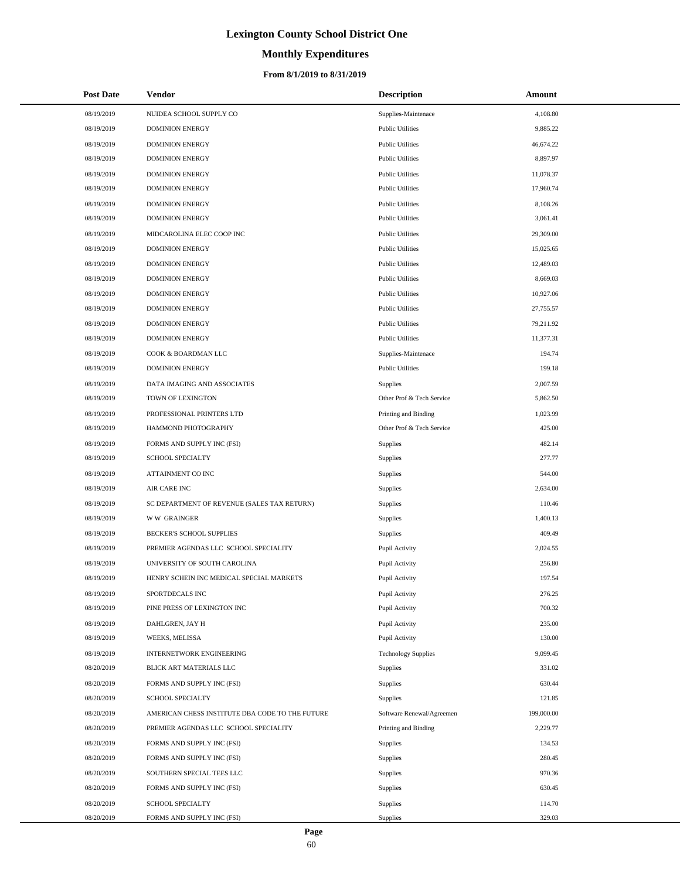# **Monthly Expenditures**

## **From 8/1/2019 to 8/31/2019**

| <b>Post Date</b> | Vendor                                          | <b>Description</b>         | Amount     |
|------------------|-------------------------------------------------|----------------------------|------------|
| 08/19/2019       | NUIDEA SCHOOL SUPPLY CO                         | Supplies-Maintenace        | 4,108.80   |
| 08/19/2019       | <b>DOMINION ENERGY</b>                          | <b>Public Utilities</b>    | 9,885.22   |
| 08/19/2019       | <b>DOMINION ENERGY</b>                          | <b>Public Utilities</b>    | 46,674.22  |
| 08/19/2019       | <b>DOMINION ENERGY</b>                          | <b>Public Utilities</b>    | 8,897.97   |
| 08/19/2019       | <b>DOMINION ENERGY</b>                          | <b>Public Utilities</b>    | 11,078.37  |
| 08/19/2019       | <b>DOMINION ENERGY</b>                          | <b>Public Utilities</b>    | 17,960.74  |
| 08/19/2019       | <b>DOMINION ENERGY</b>                          | <b>Public Utilities</b>    | 8,108.26   |
| 08/19/2019       | <b>DOMINION ENERGY</b>                          | <b>Public Utilities</b>    | 3,061.41   |
| 08/19/2019       | MIDCAROLINA ELEC COOP INC                       | <b>Public Utilities</b>    | 29,309.00  |
| 08/19/2019       | <b>DOMINION ENERGY</b>                          | <b>Public Utilities</b>    | 15,025.65  |
| 08/19/2019       | <b>DOMINION ENERGY</b>                          | <b>Public Utilities</b>    | 12,489.03  |
| 08/19/2019       | <b>DOMINION ENERGY</b>                          | <b>Public Utilities</b>    | 8,669.03   |
| 08/19/2019       | <b>DOMINION ENERGY</b>                          | <b>Public Utilities</b>    | 10,927.06  |
| 08/19/2019       | <b>DOMINION ENERGY</b>                          | <b>Public Utilities</b>    | 27,755.57  |
| 08/19/2019       | <b>DOMINION ENERGY</b>                          | <b>Public Utilities</b>    | 79,211.92  |
| 08/19/2019       | <b>DOMINION ENERGY</b>                          | <b>Public Utilities</b>    | 11,377.31  |
| 08/19/2019       | COOK & BOARDMAN LLC                             | Supplies-Maintenace        | 194.74     |
| 08/19/2019       | <b>DOMINION ENERGY</b>                          | <b>Public Utilities</b>    | 199.18     |
| 08/19/2019       | DATA IMAGING AND ASSOCIATES                     | Supplies                   | 2,007.59   |
| 08/19/2019       | TOWN OF LEXINGTON                               | Other Prof & Tech Service  | 5,862.50   |
| 08/19/2019       | PROFESSIONAL PRINTERS LTD                       | Printing and Binding       | 1,023.99   |
| 08/19/2019       | HAMMOND PHOTOGRAPHY                             | Other Prof & Tech Service  | 425.00     |
| 08/19/2019       | FORMS AND SUPPLY INC (FSI)                      | Supplies                   | 482.14     |
| 08/19/2019       | SCHOOL SPECIALTY                                | Supplies                   | 277.77     |
| 08/19/2019       | ATTAINMENT CO INC                               | Supplies                   | 544.00     |
| 08/19/2019       | AIR CARE INC                                    | Supplies                   | 2,634.00   |
| 08/19/2019       | SC DEPARTMENT OF REVENUE (SALES TAX RETURN)     | Supplies                   | 110.46     |
| 08/19/2019       | <b>WW GRAINGER</b>                              | Supplies                   | 1,400.13   |
| 08/19/2019       | BECKER'S SCHOOL SUPPLIES                        | Supplies                   | 409.49     |
| 08/19/2019       | PREMIER AGENDAS LLC SCHOOL SPECIALITY           | Pupil Activity             | 2,024.55   |
| 08/19/2019       | UNIVERSITY OF SOUTH CAROLINA                    | Pupil Activity             | 256.80     |
| 08/19/2019       | HENRY SCHEIN INC MEDICAL SPECIAL MARKETS        | Pupil Activity             | 197.54     |
| 08/19/2019       | SPORTDECALS INC                                 | Pupil Activity             | 276.25     |
| 08/19/2019       | PINE PRESS OF LEXINGTON INC                     | Pupil Activity             | 700.32     |
| 08/19/2019       | DAHLGREN, JAY H                                 | Pupil Activity             | 235.00     |
| 08/19/2019       | WEEKS, MELISSA                                  | Pupil Activity             | 130.00     |
| 08/19/2019       | INTERNETWORK ENGINEERING                        | <b>Technology Supplies</b> | 9,099.45   |
| 08/20/2019       | BLICK ART MATERIALS LLC                         | Supplies                   | 331.02     |
| 08/20/2019       | FORMS AND SUPPLY INC (FSI)                      | Supplies                   | 630.44     |
| 08/20/2019       | <b>SCHOOL SPECIALTY</b>                         | Supplies                   | 121.85     |
| 08/20/2019       | AMERICAN CHESS INSTITUTE DBA CODE TO THE FUTURE | Software Renewal/Agreemen  | 199,000.00 |
| 08/20/2019       | PREMIER AGENDAS LLC SCHOOL SPECIALITY           | Printing and Binding       | 2,229.77   |
| 08/20/2019       | FORMS AND SUPPLY INC (FSI)                      | Supplies                   | 134.53     |
| 08/20/2019       | FORMS AND SUPPLY INC (FSI)                      | Supplies                   | 280.45     |
| 08/20/2019       | SOUTHERN SPECIAL TEES LLC                       | Supplies                   | 970.36     |
| 08/20/2019       | FORMS AND SUPPLY INC (FSI)                      | Supplies                   | 630.45     |
| 08/20/2019       | <b>SCHOOL SPECIALTY</b>                         | Supplies                   | 114.70     |
| 08/20/2019       | FORMS AND SUPPLY INC (FSI)                      | Supplies                   | 329.03     |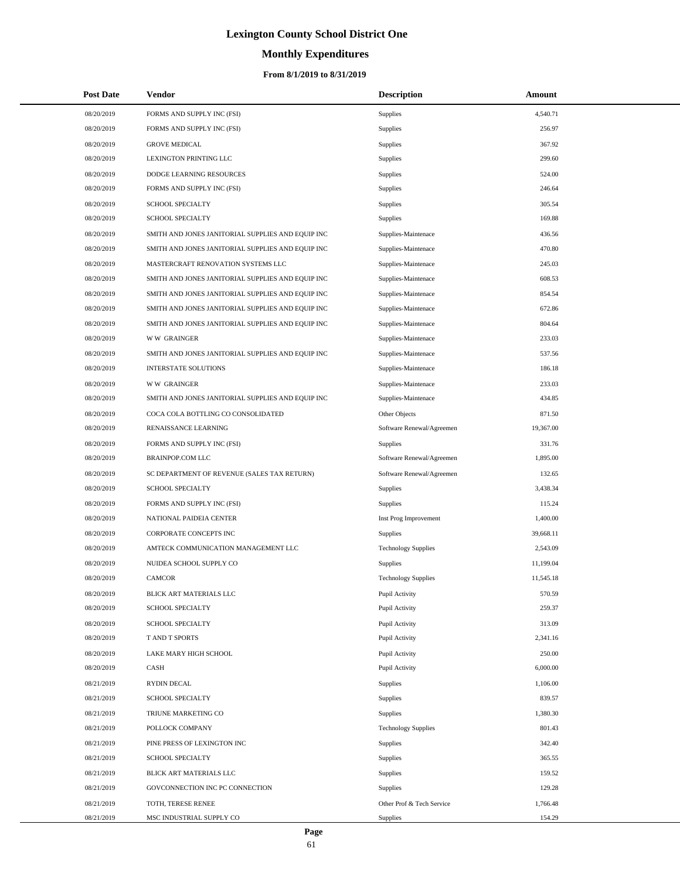# **Monthly Expenditures**

## **From 8/1/2019 to 8/31/2019**

| <b>Post Date</b> | <b>Vendor</b>                                     | <b>Description</b>         | Amount    |  |
|------------------|---------------------------------------------------|----------------------------|-----------|--|
| 08/20/2019       | FORMS AND SUPPLY INC (FSI)                        | Supplies                   | 4,540.71  |  |
| 08/20/2019       | FORMS AND SUPPLY INC (FSI)                        | Supplies                   | 256.97    |  |
| 08/20/2019       | <b>GROVE MEDICAL</b>                              | Supplies                   | 367.92    |  |
| 08/20/2019       | LEXINGTON PRINTING LLC                            | Supplies                   | 299.60    |  |
| 08/20/2019       | DODGE LEARNING RESOURCES                          | Supplies                   | 524.00    |  |
| 08/20/2019       | FORMS AND SUPPLY INC (FSI)                        | Supplies                   | 246.64    |  |
| 08/20/2019       | <b>SCHOOL SPECIALTY</b>                           | Supplies                   | 305.54    |  |
| 08/20/2019       | <b>SCHOOL SPECIALTY</b>                           | <b>Supplies</b>            | 169.88    |  |
| 08/20/2019       | SMITH AND JONES JANITORIAL SUPPLIES AND EQUIP INC | Supplies-Maintenace        | 436.56    |  |
| 08/20/2019       | SMITH AND JONES JANITORIAL SUPPLIES AND EQUIP INC | Supplies-Maintenace        | 470.80    |  |
| 08/20/2019       | MASTERCRAFT RENOVATION SYSTEMS LLC                | Supplies-Maintenace        | 245.03    |  |
| 08/20/2019       | SMITH AND JONES JANITORIAL SUPPLIES AND EQUIP INC | Supplies-Maintenace        | 608.53    |  |
| 08/20/2019       | SMITH AND JONES JANITORIAL SUPPLIES AND EQUIP INC | Supplies-Maintenace        | 854.54    |  |
| 08/20/2019       | SMITH AND JONES JANITORIAL SUPPLIES AND EQUIP INC | Supplies-Maintenace        | 672.86    |  |
| 08/20/2019       | SMITH AND JONES JANITORIAL SUPPLIES AND EQUIP INC | Supplies-Maintenace        | 804.64    |  |
| 08/20/2019       | <b>WW GRAINGER</b>                                | Supplies-Maintenace        | 233.03    |  |
| 08/20/2019       | SMITH AND JONES JANITORIAL SUPPLIES AND EQUIP INC | Supplies-Maintenace        | 537.56    |  |
| 08/20/2019       | <b>INTERSTATE SOLUTIONS</b>                       | Supplies-Maintenace        | 186.18    |  |
| 08/20/2019       | <b>WW GRAINGER</b>                                | Supplies-Maintenace        | 233.03    |  |
| 08/20/2019       | SMITH AND JONES JANITORIAL SUPPLIES AND EQUIP INC | Supplies-Maintenace        | 434.85    |  |
| 08/20/2019       | COCA COLA BOTTLING CO CONSOLIDATED                | Other Objects              | 871.50    |  |
| 08/20/2019       | RENAISSANCE LEARNING                              | Software Renewal/Agreemen  | 19,367.00 |  |
| 08/20/2019       | FORMS AND SUPPLY INC (FSI)                        | <b>Supplies</b>            | 331.76    |  |
| 08/20/2019       | <b>BRAINPOP.COM LLC</b>                           | Software Renewal/Agreemen  | 1,895.00  |  |
| 08/20/2019       | SC DEPARTMENT OF REVENUE (SALES TAX RETURN)       | Software Renewal/Agreemen  | 132.65    |  |
| 08/20/2019       | SCHOOL SPECIALTY                                  | Supplies                   | 3,438.34  |  |
| 08/20/2019       | FORMS AND SUPPLY INC (FSI)                        | Supplies                   | 115.24    |  |
| 08/20/2019       | NATIONAL PAIDEIA CENTER                           | Inst Prog Improvement      | 1,400.00  |  |
| 08/20/2019       | CORPORATE CONCEPTS INC                            | <b>Supplies</b>            | 39,668.11 |  |
| 08/20/2019       | AMTECK COMMUNICATION MANAGEMENT LLC               | <b>Technology Supplies</b> | 2,543.09  |  |
| 08/20/2019       | NUIDEA SCHOOL SUPPLY CO                           | <b>Supplies</b>            | 11,199.04 |  |
| 08/20/2019       | <b>CAMCOR</b>                                     | <b>Technology Supplies</b> | 11,545.18 |  |
| 08/20/2019       | BLICK ART MATERIALS LLC                           | Pupil Activity             | 570.59    |  |
| 08/20/2019       | SCHOOL SPECIALTY                                  | Pupil Activity             | 259.37    |  |
| 08/20/2019       | <b>SCHOOL SPECIALTY</b>                           | Pupil Activity             | 313.09    |  |
| 08/20/2019       | T AND T SPORTS                                    | Pupil Activity             | 2,341.16  |  |
| 08/20/2019       | LAKE MARY HIGH SCHOOL                             | Pupil Activity             | 250.00    |  |
| 08/20/2019       | CASH                                              | Pupil Activity             | 6,000.00  |  |
| 08/21/2019       | <b>RYDIN DECAL</b>                                | Supplies                   | 1,106.00  |  |
| 08/21/2019       | SCHOOL SPECIALTY                                  | Supplies                   | 839.57    |  |
| 08/21/2019       | TRIUNE MARKETING CO                               | Supplies                   | 1,380.30  |  |
| 08/21/2019       | POLLOCK COMPANY                                   | <b>Technology Supplies</b> | 801.43    |  |
| 08/21/2019       | PINE PRESS OF LEXINGTON INC                       | Supplies                   | 342.40    |  |
| 08/21/2019       | SCHOOL SPECIALTY                                  | Supplies                   | 365.55    |  |
| 08/21/2019       | BLICK ART MATERIALS LLC                           | <b>Supplies</b>            | 159.52    |  |
| 08/21/2019       | GOVCONNECTION INC PC CONNECTION                   | Supplies                   | 129.28    |  |
| 08/21/2019       | TOTH, TERESE RENEE                                | Other Prof & Tech Service  | 1,766.48  |  |
| 08/21/2019       | MSC INDUSTRIAL SUPPLY CO                          | Supplies                   | 154.29    |  |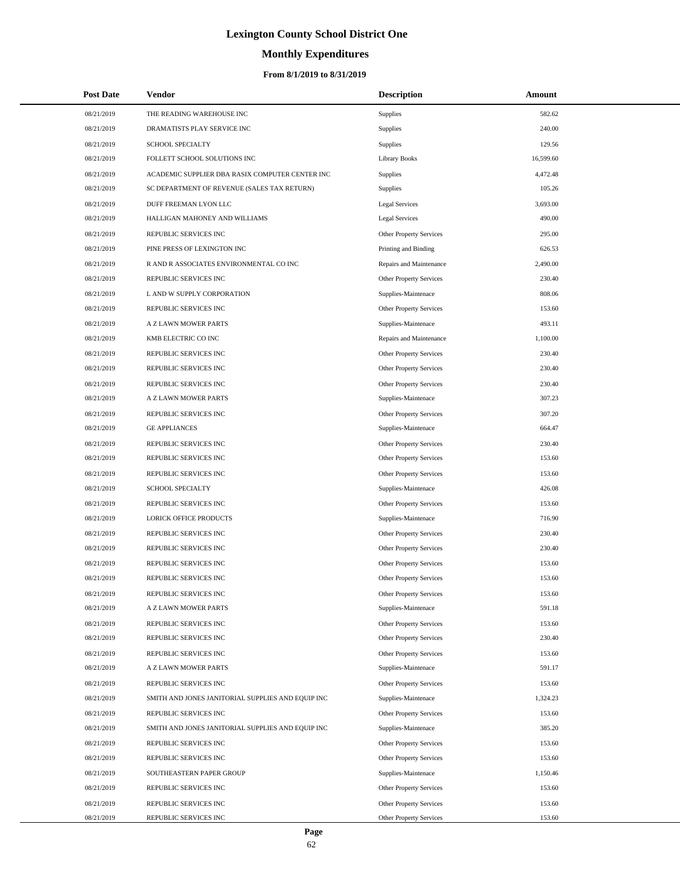# **Monthly Expenditures**

## **From 8/1/2019 to 8/31/2019**

| <b>Post Date</b> | Vendor                                            | <b>Description</b>             | Amount    |  |
|------------------|---------------------------------------------------|--------------------------------|-----------|--|
| 08/21/2019       | THE READING WAREHOUSE INC                         | <b>Supplies</b>                | 582.62    |  |
| 08/21/2019       | DRAMATISTS PLAY SERVICE INC                       | Supplies                       | 240.00    |  |
| 08/21/2019       | SCHOOL SPECIALTY                                  | <b>Supplies</b>                | 129.56    |  |
| 08/21/2019       | FOLLETT SCHOOL SOLUTIONS INC                      | <b>Library Books</b>           | 16,599.60 |  |
| 08/21/2019       | ACADEMIC SUPPLIER DBA RASIX COMPUTER CENTER INC   | <b>Supplies</b>                | 4,472.48  |  |
| 08/21/2019       | SC DEPARTMENT OF REVENUE (SALES TAX RETURN)       | <b>Supplies</b>                | 105.26    |  |
| 08/21/2019       | DUFF FREEMAN LYON LLC                             | <b>Legal Services</b>          | 3,693.00  |  |
| 08/21/2019       | HALLIGAN MAHONEY AND WILLIAMS                     | Legal Services                 | 490.00    |  |
| 08/21/2019       | REPUBLIC SERVICES INC                             | Other Property Services        | 295.00    |  |
| 08/21/2019       | PINE PRESS OF LEXINGTON INC                       | Printing and Binding           | 626.53    |  |
| 08/21/2019       | R AND R ASSOCIATES ENVIRONMENTAL CO INC           | Repairs and Maintenance        | 2,490.00  |  |
| 08/21/2019       | REPUBLIC SERVICES INC                             | Other Property Services        | 230.40    |  |
| 08/21/2019       | L AND W SUPPLY CORPORATION                        | Supplies-Maintenace            | 808.06    |  |
| 08/21/2019       | REPUBLIC SERVICES INC                             | Other Property Services        | 153.60    |  |
| 08/21/2019       | A Z LAWN MOWER PARTS                              | Supplies-Maintenace            | 493.11    |  |
| 08/21/2019       | KMB ELECTRIC CO INC                               | Repairs and Maintenance        | 1,100.00  |  |
| 08/21/2019       | REPUBLIC SERVICES INC                             | Other Property Services        | 230.40    |  |
| 08/21/2019       | REPUBLIC SERVICES INC                             | Other Property Services        | 230.40    |  |
| 08/21/2019       | REPUBLIC SERVICES INC                             | Other Property Services        | 230.40    |  |
| 08/21/2019       | A Z LAWN MOWER PARTS                              | Supplies-Maintenace            | 307.23    |  |
| 08/21/2019       | REPUBLIC SERVICES INC                             | Other Property Services        | 307.20    |  |
| 08/21/2019       | <b>GE APPLIANCES</b>                              | Supplies-Maintenace            | 664.47    |  |
| 08/21/2019       | REPUBLIC SERVICES INC                             | Other Property Services        | 230.40    |  |
| 08/21/2019       | REPUBLIC SERVICES INC                             | Other Property Services        | 153.60    |  |
| 08/21/2019       | REPUBLIC SERVICES INC                             | Other Property Services        | 153.60    |  |
| 08/21/2019       | SCHOOL SPECIALTY                                  | Supplies-Maintenace            | 426.08    |  |
| 08/21/2019       | REPUBLIC SERVICES INC                             | Other Property Services        | 153.60    |  |
| 08/21/2019       | <b>LORICK OFFICE PRODUCTS</b>                     | Supplies-Maintenace            | 716.90    |  |
| 08/21/2019       | REPUBLIC SERVICES INC                             | <b>Other Property Services</b> | 230.40    |  |
| 08/21/2019       | REPUBLIC SERVICES INC                             | Other Property Services        | 230.40    |  |
| 08/21/2019       | REPUBLIC SERVICES INC                             | <b>Other Property Services</b> | 153.60    |  |
| 08/21/2019       | REPUBLIC SERVICES INC                             | Other Property Services        | 153.60    |  |
| 08/21/2019       | REPUBLIC SERVICES INC                             | <b>Other Property Services</b> | 153.60    |  |
| 08/21/2019       | A Z LAWN MOWER PARTS                              | Supplies-Maintenace            | 591.18    |  |
| 08/21/2019       | REPUBLIC SERVICES INC                             | Other Property Services        | 153.60    |  |
| 08/21/2019       | REPUBLIC SERVICES INC                             | Other Property Services        | 230.40    |  |
| 08/21/2019       | REPUBLIC SERVICES INC                             | Other Property Services        | 153.60    |  |
| 08/21/2019       | A Z LAWN MOWER PARTS                              | Supplies-Maintenace            | 591.17    |  |
| 08/21/2019       | REPUBLIC SERVICES INC                             | Other Property Services        | 153.60    |  |
| 08/21/2019       | SMITH AND JONES JANITORIAL SUPPLIES AND EQUIP INC | Supplies-Maintenace            | 1,324.23  |  |
| 08/21/2019       | REPUBLIC SERVICES INC                             | Other Property Services        | 153.60    |  |
| 08/21/2019       | SMITH AND JONES JANITORIAL SUPPLIES AND EQUIP INC | Supplies-Maintenace            | 385.20    |  |
| 08/21/2019       | REPUBLIC SERVICES INC                             | Other Property Services        | 153.60    |  |
| 08/21/2019       | REPUBLIC SERVICES INC                             | Other Property Services        | 153.60    |  |
| 08/21/2019       | SOUTHEASTERN PAPER GROUP                          | Supplies-Maintenace            | 1,150.46  |  |
| 08/21/2019       | REPUBLIC SERVICES INC                             | Other Property Services        | 153.60    |  |
| 08/21/2019       | REPUBLIC SERVICES INC                             | Other Property Services        | 153.60    |  |
| 08/21/2019       | REPUBLIC SERVICES INC                             | Other Property Services        | 153.60    |  |

 $\overline{\phantom{0}}$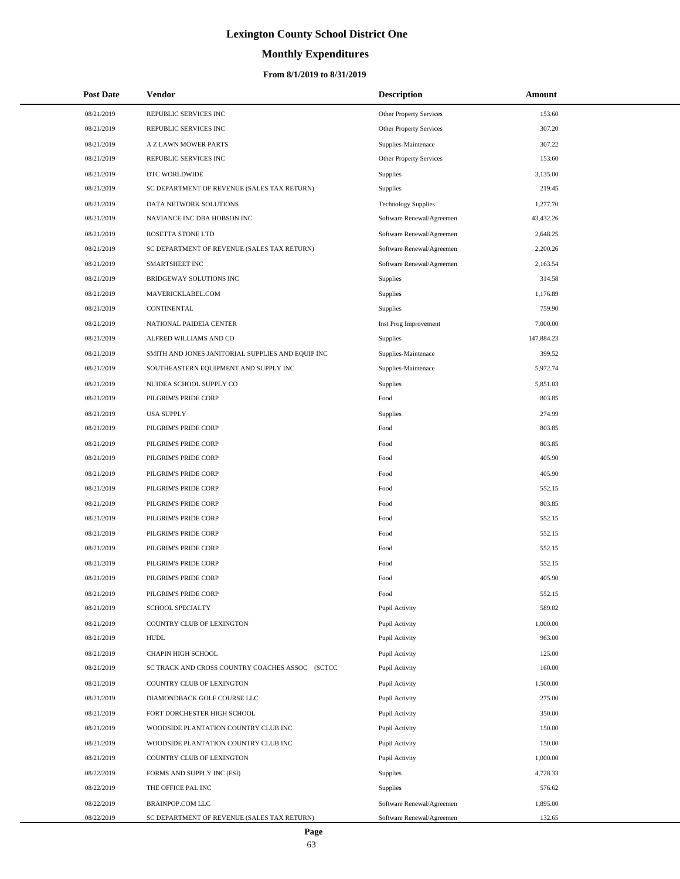# **Monthly Expenditures**

## **From 8/1/2019 to 8/31/2019**

| <b>Post Date</b> | Vendor                                            | <b>Description</b>             | Amount     |
|------------------|---------------------------------------------------|--------------------------------|------------|
| 08/21/2019       | REPUBLIC SERVICES INC                             | Other Property Services        | 153.60     |
| 08/21/2019       | REPUBLIC SERVICES INC                             | <b>Other Property Services</b> | 307.20     |
| 08/21/2019       | A Z LAWN MOWER PARTS                              | Supplies-Maintenace            | 307.22     |
| 08/21/2019       | REPUBLIC SERVICES INC                             | Other Property Services        | 153.60     |
| 08/21/2019       | DTC WORLDWIDE                                     | <b>Supplies</b>                | 3,135.00   |
| 08/21/2019       | SC DEPARTMENT OF REVENUE (SALES TAX RETURN)       | <b>Supplies</b>                | 219.45     |
| 08/21/2019       | DATA NETWORK SOLUTIONS                            | <b>Technology Supplies</b>     | 1,277.70   |
| 08/21/2019       | NAVIANCE INC DBA HOBSON INC                       | Software Renewal/Agreemen      | 43,432.26  |
| 08/21/2019       | ROSETTA STONE LTD                                 | Software Renewal/Agreemen      | 2,648.25   |
| 08/21/2019       | SC DEPARTMENT OF REVENUE (SALES TAX RETURN)       | Software Renewal/Agreemen      | 2,200.26   |
| 08/21/2019       | SMARTSHEET INC                                    | Software Renewal/Agreemen      | 2,163.54   |
| 08/21/2019       | BRIDGEWAY SOLUTIONS INC                           | Supplies                       | 314.58     |
| 08/21/2019       | MAVERICKLABEL.COM                                 | <b>Supplies</b>                | 1,176.89   |
| 08/21/2019       | CONTINENTAL                                       | <b>Supplies</b>                | 759.90     |
| 08/21/2019       | NATIONAL PAIDEIA CENTER                           | Inst Prog Improvement          | 7,000.00   |
| 08/21/2019       | ALFRED WILLIAMS AND CO                            | <b>Supplies</b>                | 147,884.23 |
| 08/21/2019       | SMITH AND JONES JANITORIAL SUPPLIES AND EQUIP INC | Supplies-Maintenace            | 399.52     |
| 08/21/2019       | SOUTHEASTERN EQUIPMENT AND SUPPLY INC             | Supplies-Maintenace            | 5,972.74   |
| 08/21/2019       | NUIDEA SCHOOL SUPPLY CO                           | Supplies                       | 5,851.03   |
| 08/21/2019       | PILGRIM'S PRIDE CORP                              | Food                           | 803.85     |
| 08/21/2019       | <b>USA SUPPLY</b>                                 | <b>Supplies</b>                | 274.99     |
| 08/21/2019       | PILGRIM'S PRIDE CORP                              | Food                           | 803.85     |
| 08/21/2019       | PILGRIM'S PRIDE CORP                              | Food                           | 803.85     |
| 08/21/2019       | PILGRIM'S PRIDE CORP                              | Food                           | 405.90     |
| 08/21/2019       | PILGRIM'S PRIDE CORP                              | Food                           | 405.90     |
| 08/21/2019       | PILGRIM'S PRIDE CORP                              | Food                           | 552.15     |
| 08/21/2019       | PILGRIM'S PRIDE CORP                              | Food                           | 803.85     |
| 08/21/2019       | PILGRIM'S PRIDE CORP                              | Food                           | 552.15     |
| 08/21/2019       | PILGRIM'S PRIDE CORP                              | Food                           | 552.15     |
| 08/21/2019       | PILGRIM'S PRIDE CORP                              | Food                           | 552.15     |
| 08/21/2019       | PILGRIM'S PRIDE CORP                              | Food                           | 552.15     |
| 08/21/2019       | PILGRIM'S PRIDE CORP                              | Food                           | 405.90     |
| 08/21/2019       | PILGRIM'S PRIDE CORP                              | Food                           | 552.15     |
| 08/21/2019       | <b>SCHOOL SPECIALTY</b>                           | Pupil Activity                 | 589.02     |
| 08/21/2019       | COUNTRY CLUB OF LEXINGTON                         | Pupil Activity                 | 1,000.00   |
| 08/21/2019       | <b>HUDL</b>                                       | Pupil Activity                 | 963.00     |
| 08/21/2019       | CHAPIN HIGH SCHOOL                                | Pupil Activity                 | 125.00     |
| 08/21/2019       | SC TRACK AND CROSS COUNTRY COACHES ASSOC (SCTCC   | Pupil Activity                 | 160.00     |
| 08/21/2019       | COUNTRY CLUB OF LEXINGTON                         | Pupil Activity                 | 1,500.00   |
| 08/21/2019       | DIAMONDBACK GOLF COURSE LLC                       | Pupil Activity                 | 275.00     |
| 08/21/2019       | FORT DORCHESTER HIGH SCHOOL                       | Pupil Activity                 | 350.00     |
| 08/21/2019       | WOODSIDE PLANTATION COUNTRY CLUB INC              | Pupil Activity                 | 150.00     |
| 08/21/2019       | WOODSIDE PLANTATION COUNTRY CLUB INC              | Pupil Activity                 | 150.00     |
| 08/21/2019       | COUNTRY CLUB OF LEXINGTON                         | Pupil Activity                 | 1,000.00   |
| 08/22/2019       | FORMS AND SUPPLY INC (FSI)                        | <b>Supplies</b>                | 4,728.33   |
| 08/22/2019       | THE OFFICE PAL INC                                | <b>Supplies</b>                | 576.62     |
| 08/22/2019       | BRAINPOP.COM LLC                                  | Software Renewal/Agreemen      | 1,895.00   |
| 08/22/2019       | SC DEPARTMENT OF REVENUE (SALES TAX RETURN)       | Software Renewal/Agreemen      | 132.65     |

 $\overline{\phantom{0}}$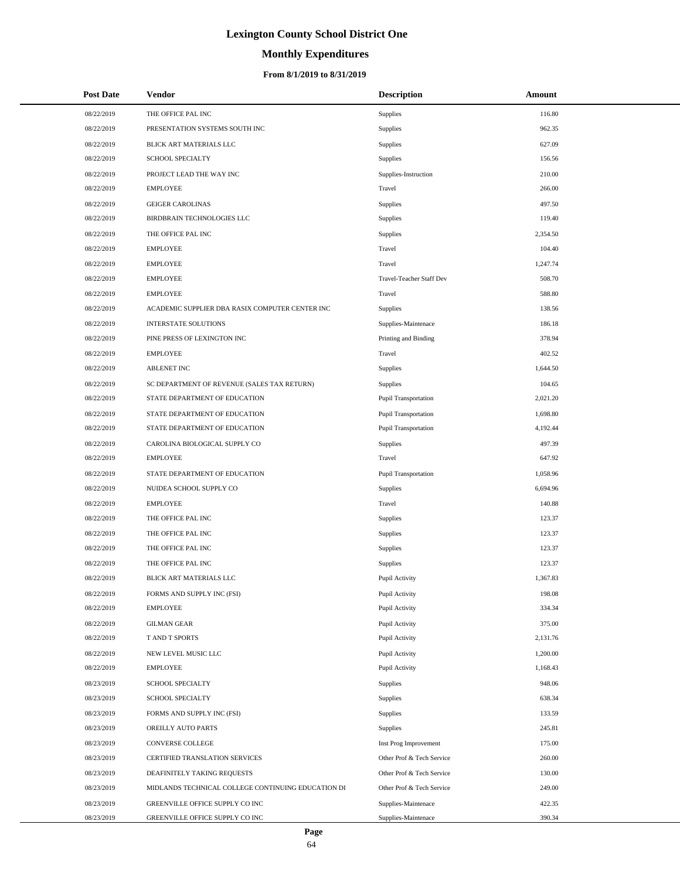# **Monthly Expenditures**

## **From 8/1/2019 to 8/31/2019**

| <b>Post Date</b> | Vendor                                             | <b>Description</b>          | Amount   |  |
|------------------|----------------------------------------------------|-----------------------------|----------|--|
| 08/22/2019       | THE OFFICE PAL INC                                 | <b>Supplies</b>             | 116.80   |  |
| 08/22/2019       | PRESENTATION SYSTEMS SOUTH INC                     | Supplies                    | 962.35   |  |
| 08/22/2019       | BLICK ART MATERIALS LLC                            | Supplies                    | 627.09   |  |
| 08/22/2019       | <b>SCHOOL SPECIALTY</b>                            | Supplies                    | 156.56   |  |
| 08/22/2019       | PROJECT LEAD THE WAY INC                           | Supplies-Instruction        | 210.00   |  |
| 08/22/2019       | <b>EMPLOYEE</b>                                    | Travel                      | 266.00   |  |
| 08/22/2019       | <b>GEIGER CAROLINAS</b>                            | Supplies                    | 497.50   |  |
| 08/22/2019       | BIRDBRAIN TECHNOLOGIES LLC                         | Supplies                    | 119.40   |  |
| 08/22/2019       | THE OFFICE PAL INC                                 | <b>Supplies</b>             | 2.354.50 |  |
| 08/22/2019       | <b>EMPLOYEE</b>                                    | Travel                      | 104.40   |  |
| 08/22/2019       | <b>EMPLOYEE</b>                                    | Travel                      | 1,247.74 |  |
| 08/22/2019       | <b>EMPLOYEE</b>                                    | Travel-Teacher Staff Dev    | 508.70   |  |
| 08/22/2019       | <b>EMPLOYEE</b>                                    | Travel                      | 588.80   |  |
| 08/22/2019       | ACADEMIC SUPPLIER DBA RASIX COMPUTER CENTER INC    | Supplies                    | 138.56   |  |
| 08/22/2019       | <b>INTERSTATE SOLUTIONS</b>                        | Supplies-Maintenace         | 186.18   |  |
| 08/22/2019       | PINE PRESS OF LEXINGTON INC                        | Printing and Binding        | 378.94   |  |
| 08/22/2019       | <b>EMPLOYEE</b>                                    | Travel                      | 402.52   |  |
| 08/22/2019       | <b>ABLENET INC</b>                                 | Supplies                    | 1,644.50 |  |
| 08/22/2019       | SC DEPARTMENT OF REVENUE (SALES TAX RETURN)        | <b>Supplies</b>             | 104.65   |  |
| 08/22/2019       | STATE DEPARTMENT OF EDUCATION                      | Pupil Transportation        | 2,021.20 |  |
| 08/22/2019       | STATE DEPARTMENT OF EDUCATION                      | <b>Pupil Transportation</b> | 1,698.80 |  |
| 08/22/2019       | STATE DEPARTMENT OF EDUCATION                      | Pupil Transportation        | 4,192.44 |  |
| 08/22/2019       | CAROLINA BIOLOGICAL SUPPLY CO                      | <b>Supplies</b>             | 497.39   |  |
| 08/22/2019       | <b>EMPLOYEE</b>                                    | Travel                      | 647.92   |  |
| 08/22/2019       | STATE DEPARTMENT OF EDUCATION                      | <b>Pupil Transportation</b> | 1,058.96 |  |
| 08/22/2019       | NUIDEA SCHOOL SUPPLY CO                            | Supplies                    | 6,694.96 |  |
| 08/22/2019       | <b>EMPLOYEE</b>                                    | Travel                      | 140.88   |  |
| 08/22/2019       | THE OFFICE PAL INC                                 | Supplies                    | 123.37   |  |
| 08/22/2019       | THE OFFICE PAL INC                                 | Supplies                    | 123.37   |  |
| 08/22/2019       | THE OFFICE PAL INC                                 | Supplies                    | 123.37   |  |
| 08/22/2019       | THE OFFICE PAL INC                                 | <b>Supplies</b>             | 123.37   |  |
| 08/22/2019       | <b>BLICK ART MATERIALS LLC</b>                     | Pupil Activity              | 1,367.83 |  |
| 08/22/2019       | FORMS AND SUPPLY INC (FSI)                         | Pupil Activity              | 198.08   |  |
| 08/22/2019       | <b>EMPLOYEE</b>                                    | Pupil Activity              | 334.34   |  |
| 08/22/2019       | <b>GILMAN GEAR</b>                                 | Pupil Activity              | 375.00   |  |
| 08/22/2019       | T AND T SPORTS                                     | Pupil Activity              | 2,131.76 |  |
| 08/22/2019       | NEW LEVEL MUSIC LLC                                | Pupil Activity              | 1,200.00 |  |
| 08/22/2019       | <b>EMPLOYEE</b>                                    | Pupil Activity              | 1,168.43 |  |
| 08/23/2019       | SCHOOL SPECIALTY                                   | <b>Supplies</b>             | 948.06   |  |
| 08/23/2019       | <b>SCHOOL SPECIALTY</b>                            | <b>Supplies</b>             | 638.34   |  |
| 08/23/2019       | FORMS AND SUPPLY INC (FSI)                         | <b>Supplies</b>             | 133.59   |  |
| 08/23/2019       | OREILLY AUTO PARTS                                 | <b>Supplies</b>             | 245.81   |  |
| 08/23/2019       | CONVERSE COLLEGE                                   | Inst Prog Improvement       | 175.00   |  |
| 08/23/2019       | CERTIFIED TRANSLATION SERVICES                     | Other Prof & Tech Service   | 260.00   |  |
| 08/23/2019       | DEAFINITELY TAKING REQUESTS                        | Other Prof & Tech Service   | 130.00   |  |
| 08/23/2019       | MIDLANDS TECHNICAL COLLEGE CONTINUING EDUCATION DI | Other Prof & Tech Service   | 249.00   |  |
| 08/23/2019       | GREENVILLE OFFICE SUPPLY CO INC                    | Supplies-Maintenace         | 422.35   |  |
| 08/23/2019       | GREENVILLE OFFICE SUPPLY CO INC                    | Supplies-Maintenace         | 390.34   |  |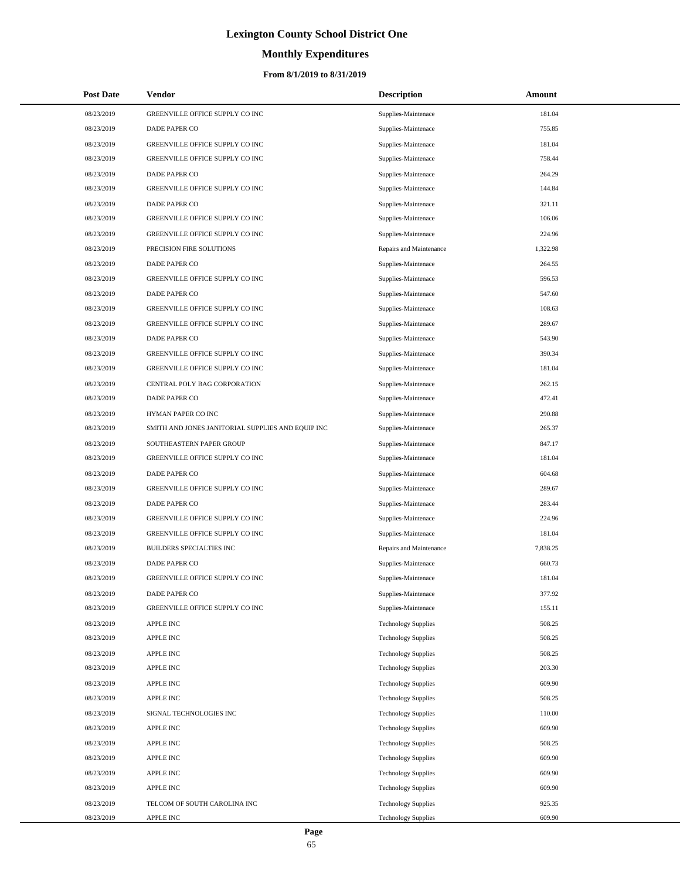# **Monthly Expenditures**

| <b>Post Date</b> | <b>Vendor</b>                                     | <b>Description</b>         | Amount   |
|------------------|---------------------------------------------------|----------------------------|----------|
| 08/23/2019       | GREENVILLE OFFICE SUPPLY CO INC                   | Supplies-Maintenace        | 181.04   |
| 08/23/2019       | DADE PAPER CO                                     | Supplies-Maintenace        | 755.85   |
| 08/23/2019       | GREENVILLE OFFICE SUPPLY CO INC                   | Supplies-Maintenace        | 181.04   |
| 08/23/2019       | GREENVILLE OFFICE SUPPLY CO INC                   | Supplies-Maintenace        | 758.44   |
| 08/23/2019       | DADE PAPER CO                                     | Supplies-Maintenace        | 264.29   |
| 08/23/2019       | GREENVILLE OFFICE SUPPLY CO INC                   | Supplies-Maintenace        | 144.84   |
| 08/23/2019       | DADE PAPER CO                                     | Supplies-Maintenace        | 321.11   |
| 08/23/2019       | GREENVILLE OFFICE SUPPLY CO INC                   | Supplies-Maintenace        | 106.06   |
| 08/23/2019       | GREENVILLE OFFICE SUPPLY CO INC                   | Supplies-Maintenace        | 224.96   |
| 08/23/2019       | PRECISION FIRE SOLUTIONS                          | Repairs and Maintenance    | 1,322.98 |
| 08/23/2019       | DADE PAPER CO                                     | Supplies-Maintenace        | 264.55   |
| 08/23/2019       | GREENVILLE OFFICE SUPPLY CO INC                   | Supplies-Maintenace        | 596.53   |
| 08/23/2019       | DADE PAPER CO                                     | Supplies-Maintenace        | 547.60   |
| 08/23/2019       | GREENVILLE OFFICE SUPPLY CO INC                   | Supplies-Maintenace        | 108.63   |
| 08/23/2019       | GREENVILLE OFFICE SUPPLY CO INC                   | Supplies-Maintenace        | 289.67   |
| 08/23/2019       | DADE PAPER CO                                     | Supplies-Maintenace        | 543.90   |
| 08/23/2019       | GREENVILLE OFFICE SUPPLY CO INC                   | Supplies-Maintenace        | 390.34   |
| 08/23/2019       | GREENVILLE OFFICE SUPPLY CO INC                   | Supplies-Maintenace        | 181.04   |
| 08/23/2019       | CENTRAL POLY BAG CORPORATION                      | Supplies-Maintenace        | 262.15   |
| 08/23/2019       | DADE PAPER CO                                     | Supplies-Maintenace        | 472.41   |
| 08/23/2019       | HYMAN PAPER CO INC                                | Supplies-Maintenace        | 290.88   |
| 08/23/2019       | SMITH AND JONES JANITORIAL SUPPLIES AND EQUIP INC | Supplies-Maintenace        | 265.37   |
| 08/23/2019       | SOUTHEASTERN PAPER GROUP                          | Supplies-Maintenace        | 847.17   |
| 08/23/2019       | GREENVILLE OFFICE SUPPLY CO INC                   | Supplies-Maintenace        | 181.04   |
| 08/23/2019       | DADE PAPER CO                                     | Supplies-Maintenace        | 604.68   |
| 08/23/2019       | GREENVILLE OFFICE SUPPLY CO INC                   | Supplies-Maintenace        | 289.67   |
| 08/23/2019       | DADE PAPER CO                                     | Supplies-Maintenace        | 283.44   |
| 08/23/2019       | GREENVILLE OFFICE SUPPLY CO INC                   | Supplies-Maintenace        | 224.96   |
| 08/23/2019       | GREENVILLE OFFICE SUPPLY CO INC                   | Supplies-Maintenace        | 181.04   |
| 08/23/2019       | <b>BUILDERS SPECIALTIES INC</b>                   | Repairs and Maintenance    | 7,838.25 |
| 08/23/2019       | DADE PAPER CO                                     | Supplies-Maintenace        | 660.73   |
| 08/23/2019       | GREENVILLE OFFICE SUPPLY CO INC                   | Supplies-Maintenace        | 181.04   |
| 08/23/2019       | DADE PAPER CO                                     | Supplies-Maintenace        | 377.92   |
| 08/23/2019       | GREENVILLE OFFICE SUPPLY CO INC                   | Supplies-Maintenace        | 155.11   |
| 08/23/2019       | APPLE INC                                         | <b>Technology Supplies</b> | 508.25   |
| 08/23/2019       | APPLE INC                                         | <b>Technology Supplies</b> | 508.25   |
| 08/23/2019       | APPLE INC                                         | <b>Technology Supplies</b> | 508.25   |
| 08/23/2019       | APPLE INC                                         | <b>Technology Supplies</b> | 203.30   |
| 08/23/2019       | APPLE INC                                         | <b>Technology Supplies</b> | 609.90   |
| 08/23/2019       | APPLE INC                                         | <b>Technology Supplies</b> | 508.25   |
| 08/23/2019       | SIGNAL TECHNOLOGIES INC                           | <b>Technology Supplies</b> | 110.00   |
| 08/23/2019       | APPLE INC                                         | <b>Technology Supplies</b> | 609.90   |
| 08/23/2019       | APPLE INC                                         | <b>Technology Supplies</b> | 508.25   |
| 08/23/2019       | <b>APPLE INC</b>                                  | <b>Technology Supplies</b> | 609.90   |
| 08/23/2019       | <b>APPLE INC</b>                                  | <b>Technology Supplies</b> | 609.90   |
| 08/23/2019       | <b>APPLE INC</b>                                  | <b>Technology Supplies</b> | 609.90   |
| 08/23/2019       | TELCOM OF SOUTH CAROLINA INC                      | <b>Technology Supplies</b> | 925.35   |
| 08/23/2019       | APPLE INC                                         | <b>Technology Supplies</b> | 609.90   |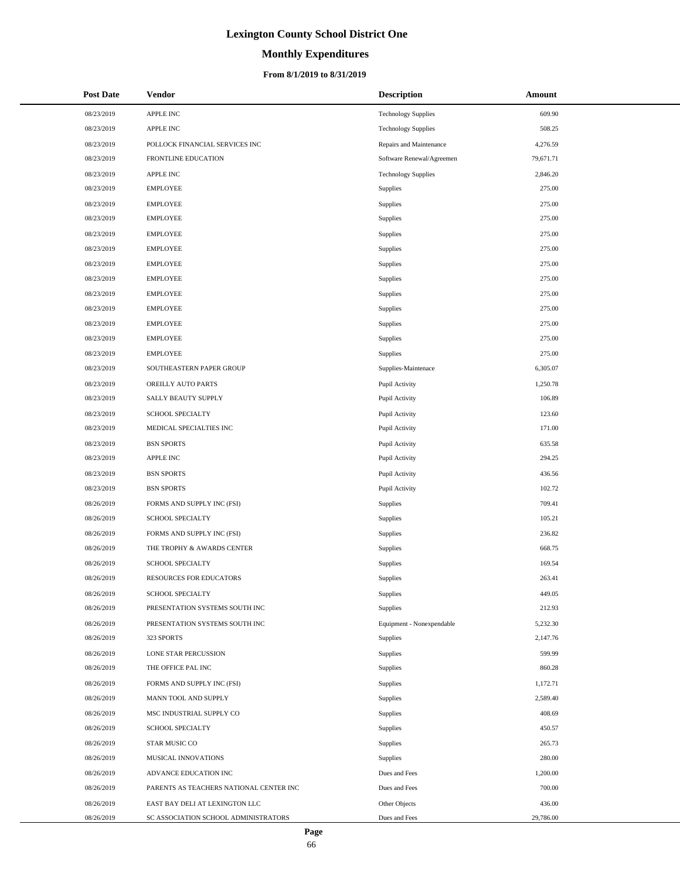# **Monthly Expenditures**

| <b>Post Date</b> | Vendor                                  | <b>Description</b>         | Amount    |
|------------------|-----------------------------------------|----------------------------|-----------|
| 08/23/2019       | <b>APPLE INC</b>                        | <b>Technology Supplies</b> | 609.90    |
| 08/23/2019       | <b>APPLE INC</b>                        | <b>Technology Supplies</b> | 508.25    |
| 08/23/2019       | POLLOCK FINANCIAL SERVICES INC          | Repairs and Maintenance    | 4,276.59  |
| 08/23/2019       | FRONTLINE EDUCATION                     | Software Renewal/Agreemen  | 79,671.71 |
| 08/23/2019       | APPLE INC                               | <b>Technology Supplies</b> | 2,846.20  |
| 08/23/2019       | <b>EMPLOYEE</b>                         | Supplies                   | 275.00    |
| 08/23/2019       | <b>EMPLOYEE</b>                         | <b>Supplies</b>            | 275.00    |
| 08/23/2019       | <b>EMPLOYEE</b>                         | Supplies                   | 275.00    |
| 08/23/2019       | <b>EMPLOYEE</b>                         | Supplies                   | 275.00    |
| 08/23/2019       | <b>EMPLOYEE</b>                         | Supplies                   | 275.00    |
| 08/23/2019       | <b>EMPLOYEE</b>                         | Supplies                   | 275.00    |
| 08/23/2019       | <b>EMPLOYEE</b>                         | Supplies                   | 275.00    |
| 08/23/2019       | <b>EMPLOYEE</b>                         | Supplies                   | 275.00    |
| 08/23/2019       | <b>EMPLOYEE</b>                         | Supplies                   | 275.00    |
| 08/23/2019       | <b>EMPLOYEE</b>                         | <b>Supplies</b>            | 275.00    |
| 08/23/2019       | <b>EMPLOYEE</b>                         | Supplies                   | 275.00    |
| 08/23/2019       | <b>EMPLOYEE</b>                         | <b>Supplies</b>            | 275.00    |
| 08/23/2019       | SOUTHEASTERN PAPER GROUP                | Supplies-Maintenace        | 6,305.07  |
| 08/23/2019       | OREILLY AUTO PARTS                      | Pupil Activity             | 1,250.78  |
| 08/23/2019       | SALLY BEAUTY SUPPLY                     | Pupil Activity             | 106.89    |
| 08/23/2019       | SCHOOL SPECIALTY                        | Pupil Activity             | 123.60    |
| 08/23/2019       | MEDICAL SPECIALTIES INC                 | Pupil Activity             | 171.00    |
| 08/23/2019       | <b>BSN SPORTS</b>                       | Pupil Activity             | 635.58    |
| 08/23/2019       | <b>APPLE INC</b>                        | Pupil Activity             | 294.25    |
| 08/23/2019       | <b>BSN SPORTS</b>                       | Pupil Activity             | 436.56    |
| 08/23/2019       | <b>BSN SPORTS</b>                       | Pupil Activity             | 102.72    |
| 08/26/2019       | FORMS AND SUPPLY INC (FSI)              | Supplies                   | 709.41    |
| 08/26/2019       | SCHOOL SPECIALTY                        | Supplies                   | 105.21    |
| 08/26/2019       | FORMS AND SUPPLY INC (FSI)              | Supplies                   | 236.82    |
| 08/26/2019       | THE TROPHY & AWARDS CENTER              | Supplies                   | 668.75    |
| 08/26/2019       | SCHOOL SPECIALTY                        | <b>Supplies</b>            | 169.54    |
| 08/26/2019       | <b>RESOURCES FOR EDUCATORS</b>          | <b>Supplies</b>            | 263.41    |
| 08/26/2019       | SCHOOL SPECIALTY                        | Supplies                   | 449.05    |
| 08/26/2019       | PRESENTATION SYSTEMS SOUTH INC          | Supplies                   | 212.93    |
| 08/26/2019       | PRESENTATION SYSTEMS SOUTH INC          | Equipment - Nonexpendable  | 5,232.30  |
| 08/26/2019       | 323 SPORTS                              | Supplies                   | 2,147.76  |
| 08/26/2019       | <b>LONE STAR PERCUSSION</b>             | Supplies                   | 599.99    |
| 08/26/2019       | THE OFFICE PAL INC                      | Supplies                   | 860.28    |
| 08/26/2019       | FORMS AND SUPPLY INC (FSI)              | Supplies                   | 1,172.71  |
| 08/26/2019       | MANN TOOL AND SUPPLY                    | Supplies                   | 2,589.40  |
| 08/26/2019       | MSC INDUSTRIAL SUPPLY CO                | Supplies                   | 408.69    |
| 08/26/2019       | SCHOOL SPECIALTY                        | Supplies                   | 450.57    |
| 08/26/2019       | STAR MUSIC CO                           | Supplies                   | 265.73    |
| 08/26/2019       | MUSICAL INNOVATIONS                     | Supplies                   | 280.00    |
| 08/26/2019       | ADVANCE EDUCATION INC                   | Dues and Fees              | 1,200.00  |
| 08/26/2019       | PARENTS AS TEACHERS NATIONAL CENTER INC | Dues and Fees              | 700.00    |
| 08/26/2019       | EAST BAY DELI AT LEXINGTON LLC          | Other Objects              | 436.00    |
| 08/26/2019       | SC ASSOCIATION SCHOOL ADMINISTRATORS    | Dues and Fees              | 29,786.00 |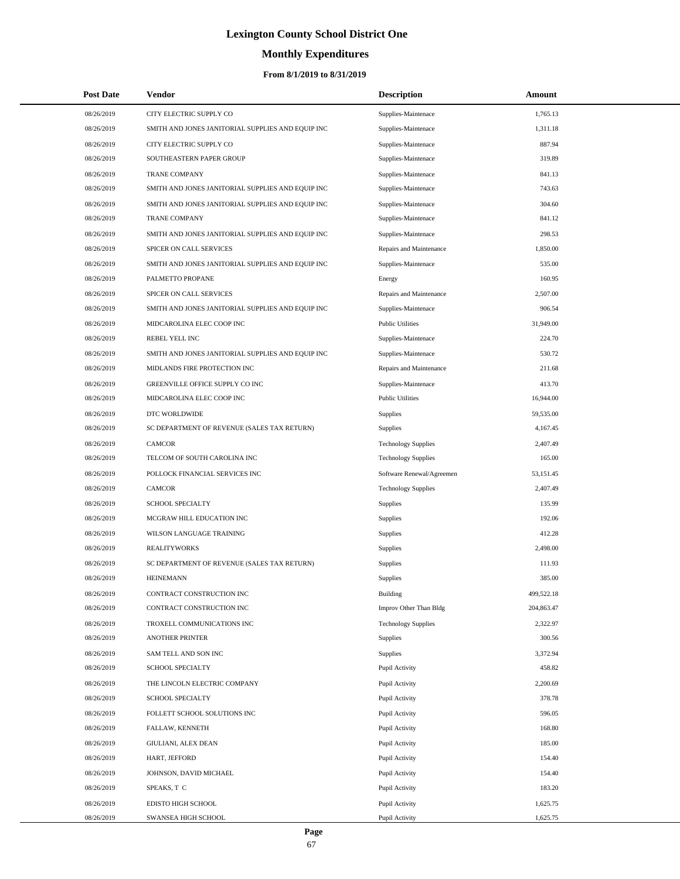# **Monthly Expenditures**

| <b>Post Date</b> | <b>Vendor</b>                                     | <b>Description</b>         | Amount     |
|------------------|---------------------------------------------------|----------------------------|------------|
| 08/26/2019       | CITY ELECTRIC SUPPLY CO                           | Supplies-Maintenace        | 1,765.13   |
| 08/26/2019       | SMITH AND JONES JANITORIAL SUPPLIES AND EQUIP INC | Supplies-Maintenace        | 1,311.18   |
| 08/26/2019       | CITY ELECTRIC SUPPLY CO                           | Supplies-Maintenace        | 887.94     |
| 08/26/2019       | SOUTHEASTERN PAPER GROUP                          | Supplies-Maintenace        | 319.89     |
| 08/26/2019       | <b>TRANE COMPANY</b>                              | Supplies-Maintenace        | 841.13     |
| 08/26/2019       | SMITH AND JONES JANITORIAL SUPPLIES AND EQUIP INC | Supplies-Maintenace        | 743.63     |
| 08/26/2019       | SMITH AND JONES JANITORIAL SUPPLIES AND EQUIP INC | Supplies-Maintenace        | 304.60     |
| 08/26/2019       | <b>TRANE COMPANY</b>                              | Supplies-Maintenace        | 841.12     |
| 08/26/2019       | SMITH AND JONES JANITORIAL SUPPLIES AND EQUIP INC | Supplies-Maintenace        | 298.53     |
| 08/26/2019       | SPICER ON CALL SERVICES                           | Repairs and Maintenance    | 1,850.00   |
| 08/26/2019       | SMITH AND JONES JANITORIAL SUPPLIES AND EQUIP INC | Supplies-Maintenace        | 535.00     |
| 08/26/2019       | PALMETTO PROPANE                                  | Energy                     | 160.95     |
| 08/26/2019       | SPICER ON CALL SERVICES                           | Repairs and Maintenance    | 2,507.00   |
| 08/26/2019       | SMITH AND JONES JANITORIAL SUPPLIES AND EQUIP INC | Supplies-Maintenace        | 906.54     |
| 08/26/2019       | MIDCAROLINA ELEC COOP INC                         | <b>Public Utilities</b>    | 31,949.00  |
| 08/26/2019       | REBEL YELL INC                                    | Supplies-Maintenace        | 224.70     |
| 08/26/2019       | SMITH AND JONES JANITORIAL SUPPLIES AND EQUIP INC | Supplies-Maintenace        | 530.72     |
| 08/26/2019       | MIDLANDS FIRE PROTECTION INC                      | Repairs and Maintenance    | 211.68     |
| 08/26/2019       | GREENVILLE OFFICE SUPPLY CO INC                   | Supplies-Maintenace        | 413.70     |
| 08/26/2019       | MIDCAROLINA ELEC COOP INC                         | <b>Public Utilities</b>    | 16,944.00  |
| 08/26/2019       | DTC WORLDWIDE                                     | Supplies                   | 59,535.00  |
| 08/26/2019       | SC DEPARTMENT OF REVENUE (SALES TAX RETURN)       | Supplies                   | 4,167.45   |
| 08/26/2019       | <b>CAMCOR</b>                                     | <b>Technology Supplies</b> | 2,407.49   |
| 08/26/2019       | TELCOM OF SOUTH CAROLINA INC                      | <b>Technology Supplies</b> | 165.00     |
| 08/26/2019       | POLLOCK FINANCIAL SERVICES INC                    | Software Renewal/Agreemen  | 53,151.45  |
| 08/26/2019       | <b>CAMCOR</b>                                     | <b>Technology Supplies</b> | 2,407.49   |
| 08/26/2019       | <b>SCHOOL SPECIALTY</b>                           | Supplies                   | 135.99     |
| 08/26/2019       | MCGRAW HILL EDUCATION INC                         | Supplies                   | 192.06     |
| 08/26/2019       | WILSON LANGUAGE TRAINING                          | Supplies                   | 412.28     |
| 08/26/2019       | <b>REALITYWORKS</b>                               | Supplies                   | 2,498.00   |
| 08/26/2019       | SC DEPARTMENT OF REVENUE (SALES TAX RETURN)       | Supplies                   | 111.93     |
| 08/26/2019       | <b>HEINEMANN</b>                                  | Supplies                   | 385.00     |
| 08/26/2019       | CONTRACT CONSTRUCTION INC                         | <b>Building</b>            | 499,522.18 |
| 08/26/2019       | CONTRACT CONSTRUCTION INC                         | Improv Other Than Bldg     | 204,863.47 |
| 08/26/2019       | TROXELL COMMUNICATIONS INC                        | <b>Technology Supplies</b> | 2,322.97   |
| 08/26/2019       | ANOTHER PRINTER                                   | Supplies                   | 300.56     |
| 08/26/2019       | SAM TELL AND SON INC                              | Supplies                   | 3,372.94   |
| 08/26/2019       | SCHOOL SPECIALTY                                  | Pupil Activity             | 458.82     |
| 08/26/2019       | THE LINCOLN ELECTRIC COMPANY                      | Pupil Activity             | 2,200.69   |
| 08/26/2019       | <b>SCHOOL SPECIALTY</b>                           | Pupil Activity             | 378.78     |
| 08/26/2019       | FOLLETT SCHOOL SOLUTIONS INC                      | Pupil Activity             | 596.05     |
| 08/26/2019       | FALLAW, KENNETH                                   | Pupil Activity             | 168.80     |
| 08/26/2019       | GIULIANI, ALEX DEAN                               | Pupil Activity             | 185.00     |
| 08/26/2019       | HART, JEFFORD                                     | Pupil Activity             | 154.40     |
| 08/26/2019       | JOHNSON, DAVID MICHAEL                            | Pupil Activity             | 154.40     |
| 08/26/2019       | SPEAKS, T C                                       | Pupil Activity             | 183.20     |
| 08/26/2019       | EDISTO HIGH SCHOOL                                | Pupil Activity             | 1,625.75   |
| 08/26/2019       | SWANSEA HIGH SCHOOL                               | Pupil Activity             | 1,625.75   |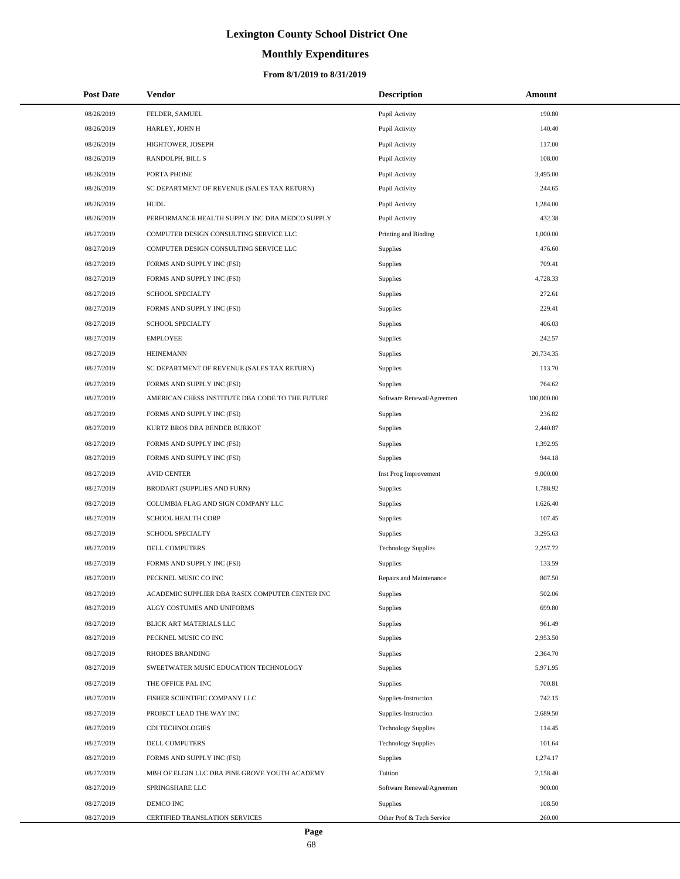# **Monthly Expenditures**

| <b>Post Date</b> | Vendor                                          | <b>Description</b>         | Amount     |
|------------------|-------------------------------------------------|----------------------------|------------|
| 08/26/2019       | FELDER, SAMUEL                                  | Pupil Activity             | 190.80     |
| 08/26/2019       | HARLEY, JOHN H                                  | Pupil Activity             | 140.40     |
| 08/26/2019       | HIGHTOWER, JOSEPH                               | Pupil Activity             | 117.00     |
| 08/26/2019       | RANDOLPH, BILL S                                | Pupil Activity             | 108.00     |
| 08/26/2019       | PORTA PHONE                                     | Pupil Activity             | 3,495.00   |
| 08/26/2019       | SC DEPARTMENT OF REVENUE (SALES TAX RETURN)     | Pupil Activity             | 244.65     |
| 08/26/2019       | <b>HUDL</b>                                     | Pupil Activity             | 1,284.00   |
| 08/26/2019       | PERFORMANCE HEALTH SUPPLY INC DBA MEDCO SUPPLY  | Pupil Activity             | 432.38     |
| 08/27/2019       | COMPUTER DESIGN CONSULTING SERVICE LLC          | Printing and Binding       | 1,000.00   |
| 08/27/2019       | COMPUTER DESIGN CONSULTING SERVICE LLC          | Supplies                   | 476.60     |
| 08/27/2019       | FORMS AND SUPPLY INC (FSI)                      | Supplies                   | 709.41     |
| 08/27/2019       | FORMS AND SUPPLY INC (FSI)                      | Supplies                   | 4,728.33   |
| 08/27/2019       | SCHOOL SPECIALTY                                | <b>Supplies</b>            | 272.61     |
| 08/27/2019       | FORMS AND SUPPLY INC (FSI)                      | Supplies                   | 229.41     |
| 08/27/2019       | SCHOOL SPECIALTY                                | Supplies                   | 406.03     |
| 08/27/2019       | <b>EMPLOYEE</b>                                 | Supplies                   | 242.57     |
| 08/27/2019       | <b>HEINEMANN</b>                                | <b>Supplies</b>            | 20,734.35  |
| 08/27/2019       | SC DEPARTMENT OF REVENUE (SALES TAX RETURN)     | Supplies                   | 113.70     |
| 08/27/2019       | FORMS AND SUPPLY INC (FSI)                      | Supplies                   | 764.62     |
| 08/27/2019       | AMERICAN CHESS INSTITUTE DBA CODE TO THE FUTURE | Software Renewal/Agreemen  | 100,000.00 |
| 08/27/2019       | FORMS AND SUPPLY INC (FSI)                      | Supplies                   | 236.82     |
| 08/27/2019       | KURTZ BROS DBA BENDER BURKOT                    | Supplies                   | 2,440.87   |
| 08/27/2019       | FORMS AND SUPPLY INC (FSI)                      | Supplies                   | 1,392.95   |
| 08/27/2019       | FORMS AND SUPPLY INC (FSI)                      | Supplies                   | 944.18     |
| 08/27/2019       | <b>AVID CENTER</b>                              | Inst Prog Improvement      | 9,000.00   |
| 08/27/2019       | BRODART (SUPPLIES AND FURN)                     | Supplies                   | 1,788.92   |
| 08/27/2019       | COLUMBIA FLAG AND SIGN COMPANY LLC              | Supplies                   | 1,626.40   |
| 08/27/2019       | SCHOOL HEALTH CORP                              | Supplies                   | 107.45     |
| 08/27/2019       | SCHOOL SPECIALTY                                | <b>Supplies</b>            | 3,295.63   |
| 08/27/2019       | DELL COMPUTERS                                  | <b>Technology Supplies</b> | 2,257.72   |
| 08/27/2019       | FORMS AND SUPPLY INC (FSI)                      | Supplies                   | 133.59     |
| 08/27/2019       | PECKNEL MUSIC CO INC                            | Repairs and Maintenance    | 807.50     |
| 08/27/2019       | ACADEMIC SUPPLIER DBA RASIX COMPUTER CENTER INC | Supplies                   | 502.06     |
| 08/27/2019       | ALGY COSTUMES AND UNIFORMS                      | Supplies                   | 699.80     |
| 08/27/2019       | BLICK ART MATERIALS LLC                         | Supplies                   | 961.49     |
| 08/27/2019       | PECKNEL MUSIC CO INC                            | Supplies                   | 2,953.50   |
| 08/27/2019       | RHODES BRANDING                                 | <b>Supplies</b>            | 2,364.70   |
| 08/27/2019       | SWEETWATER MUSIC EDUCATION TECHNOLOGY           | Supplies                   | 5,971.95   |
| 08/27/2019       | THE OFFICE PAL INC                              | Supplies                   | 700.81     |
| 08/27/2019       | FISHER SCIENTIFIC COMPANY LLC                   | Supplies-Instruction       | 742.15     |
| 08/27/2019       | PROJECT LEAD THE WAY INC                        | Supplies-Instruction       | 2,689.50   |
| 08/27/2019       | CDI TECHNOLOGIES                                | <b>Technology Supplies</b> | 114.45     |
| 08/27/2019       | DELL COMPUTERS                                  | <b>Technology Supplies</b> | 101.64     |
| 08/27/2019       | FORMS AND SUPPLY INC (FSI)                      | Supplies                   | 1,274.17   |
| 08/27/2019       | MBH OF ELGIN LLC DBA PINE GROVE YOUTH ACADEMY   | Tuition                    | 2,158.40   |
| 08/27/2019       | SPRINGSHARE LLC                                 | Software Renewal/Agreemen  | 900.00     |
| 08/27/2019       | DEMCO INC                                       | <b>Supplies</b>            | 108.50     |
| 08/27/2019       | CERTIFIED TRANSLATION SERVICES                  | Other Prof & Tech Service  | 260.00     |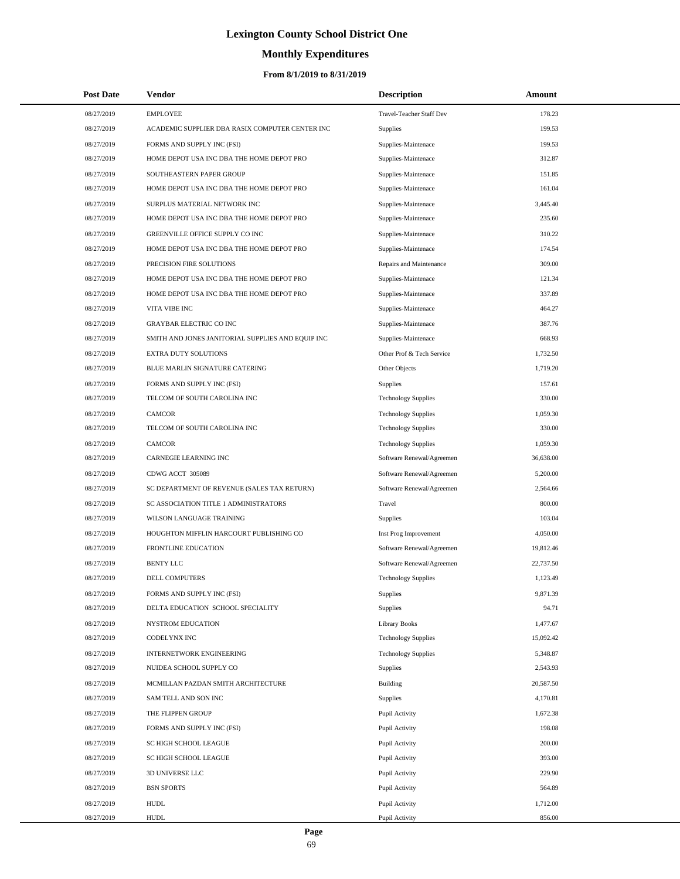# **Monthly Expenditures**

| <b>Post Date</b> | <b>Vendor</b>                                     | <b>Description</b>         | Amount    |
|------------------|---------------------------------------------------|----------------------------|-----------|
| 08/27/2019       | <b>EMPLOYEE</b>                                   | Travel-Teacher Staff Dev   | 178.23    |
| 08/27/2019       | ACADEMIC SUPPLIER DBA RASIX COMPUTER CENTER INC   | Supplies                   | 199.53    |
| 08/27/2019       | FORMS AND SUPPLY INC (FSI)                        | Supplies-Maintenace        | 199.53    |
| 08/27/2019       | HOME DEPOT USA INC DBA THE HOME DEPOT PRO         | Supplies-Maintenace        | 312.87    |
| 08/27/2019       | SOUTHEASTERN PAPER GROUP                          | Supplies-Maintenace        | 151.85    |
| 08/27/2019       | HOME DEPOT USA INC DBA THE HOME DEPOT PRO         | Supplies-Maintenace        | 161.04    |
| 08/27/2019       | SURPLUS MATERIAL NETWORK INC                      | Supplies-Maintenace        | 3,445.40  |
| 08/27/2019       | HOME DEPOT USA INC DBA THE HOME DEPOT PRO         | Supplies-Maintenace        | 235.60    |
| 08/27/2019       | GREENVILLE OFFICE SUPPLY CO INC                   | Supplies-Maintenace        | 310.22    |
| 08/27/2019       | HOME DEPOT USA INC DBA THE HOME DEPOT PRO         | Supplies-Maintenace        | 174.54    |
| 08/27/2019       | PRECISION FIRE SOLUTIONS                          | Repairs and Maintenance    | 309.00    |
| 08/27/2019       | HOME DEPOT USA INC DBA THE HOME DEPOT PRO         | Supplies-Maintenace        | 121.34    |
| 08/27/2019       | HOME DEPOT USA INC DBA THE HOME DEPOT PRO         | Supplies-Maintenace        | 337.89    |
| 08/27/2019       | VITA VIBE INC                                     | Supplies-Maintenace        | 464.27    |
| 08/27/2019       | <b>GRAYBAR ELECTRIC CO INC</b>                    | Supplies-Maintenace        | 387.76    |
| 08/27/2019       | SMITH AND JONES JANITORIAL SUPPLIES AND EQUIP INC | Supplies-Maintenace        | 668.93    |
| 08/27/2019       | EXTRA DUTY SOLUTIONS                              | Other Prof & Tech Service  | 1,732.50  |
| 08/27/2019       | BLUE MARLIN SIGNATURE CATERING                    | Other Objects              | 1,719.20  |
| 08/27/2019       | FORMS AND SUPPLY INC (FSI)                        | Supplies                   | 157.61    |
| 08/27/2019       | TELCOM OF SOUTH CAROLINA INC                      | <b>Technology Supplies</b> | 330.00    |
| 08/27/2019       | <b>CAMCOR</b>                                     | <b>Technology Supplies</b> | 1,059.30  |
| 08/27/2019       | TELCOM OF SOUTH CAROLINA INC                      | <b>Technology Supplies</b> | 330.00    |
| 08/27/2019       | <b>CAMCOR</b>                                     | <b>Technology Supplies</b> | 1,059.30  |
| 08/27/2019       | CARNEGIE LEARNING INC                             | Software Renewal/Agreemen  | 36,638.00 |
| 08/27/2019       | CDWG ACCT 305089                                  | Software Renewal/Agreemen  | 5,200.00  |
| 08/27/2019       | SC DEPARTMENT OF REVENUE (SALES TAX RETURN)       | Software Renewal/Agreemen  | 2,564.66  |
| 08/27/2019       | SC ASSOCIATION TITLE 1 ADMINISTRATORS             | Travel                     | 800.00    |
| 08/27/2019       | WILSON LANGUAGE TRAINING                          | <b>Supplies</b>            | 103.04    |
| 08/27/2019       | HOUGHTON MIFFLIN HARCOURT PUBLISHING CO           | Inst Prog Improvement      | 4,050.00  |
| 08/27/2019       | <b>FRONTLINE EDUCATION</b>                        | Software Renewal/Agreemen  | 19,812.46 |
| 08/27/2019       | <b>BENTY LLC</b>                                  | Software Renewal/Agreemen  | 22,737.50 |
| 08/27/2019       | <b>DELL COMPUTERS</b>                             | <b>Technology Supplies</b> | 1,123.49  |
| 08/27/2019       | FORMS AND SUPPLY INC (FSI)                        | <b>Supplies</b>            | 9,871.39  |
| 08/27/2019       | DELTA EDUCATION SCHOOL SPECIALITY                 | Supplies                   | 94.71     |
| 08/27/2019       | NYSTROM EDUCATION                                 | <b>Library Books</b>       | 1,477.67  |
| 08/27/2019       | CODELYNX INC                                      | <b>Technology Supplies</b> | 15,092.42 |
| 08/27/2019       | INTERNETWORK ENGINEERING                          | <b>Technology Supplies</b> | 5,348.87  |
| 08/27/2019       | NUIDEA SCHOOL SUPPLY CO                           | Supplies                   | 2,543.93  |
| 08/27/2019       | MCMILLAN PAZDAN SMITH ARCHITECTURE                | Building                   | 20,587.50 |
| 08/27/2019       | SAM TELL AND SON INC                              | <b>Supplies</b>            | 4,170.81  |
| 08/27/2019       | THE FLIPPEN GROUP                                 | Pupil Activity             | 1,672.38  |
| 08/27/2019       | FORMS AND SUPPLY INC (FSI)                        | Pupil Activity             | 198.08    |
| 08/27/2019       | SC HIGH SCHOOL LEAGUE                             | Pupil Activity             | 200.00    |
| 08/27/2019       | SC HIGH SCHOOL LEAGUE                             | Pupil Activity             | 393.00    |
| 08/27/2019       | 3D UNIVERSE LLC                                   | Pupil Activity             | 229.90    |
| 08/27/2019       | <b>BSN SPORTS</b>                                 | Pupil Activity             | 564.89    |
| 08/27/2019       | <b>HUDL</b>                                       | Pupil Activity             | 1,712.00  |
| 08/27/2019       | <b>HUDL</b>                                       | Pupil Activity             | 856.00    |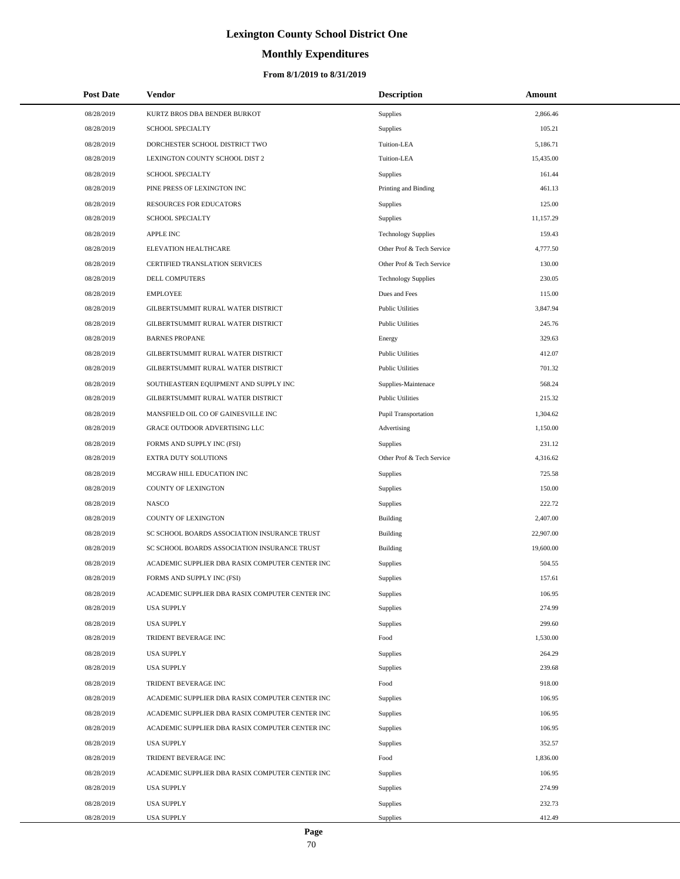# **Monthly Expenditures**

## **From 8/1/2019 to 8/31/2019**

| <b>Post Date</b> | Vendor                                          | <b>Description</b>         | Amount    |
|------------------|-------------------------------------------------|----------------------------|-----------|
| 08/28/2019       | KURTZ BROS DBA BENDER BURKOT                    | Supplies                   | 2,866.46  |
| 08/28/2019       | <b>SCHOOL SPECIALTY</b>                         | Supplies                   | 105.21    |
| 08/28/2019       | DORCHESTER SCHOOL DISTRICT TWO                  | Tuition-LEA                | 5,186.71  |
| 08/28/2019       | LEXINGTON COUNTY SCHOOL DIST 2                  | Tuition-LEA                | 15,435.00 |
| 08/28/2019       | <b>SCHOOL SPECIALTY</b>                         | Supplies                   | 161.44    |
| 08/28/2019       | PINE PRESS OF LEXINGTON INC                     | Printing and Binding       | 461.13    |
| 08/28/2019       | <b>RESOURCES FOR EDUCATORS</b>                  | Supplies                   | 125.00    |
| 08/28/2019       | SCHOOL SPECIALTY                                | Supplies                   | 11,157.29 |
| 08/28/2019       | <b>APPLE INC</b>                                | <b>Technology Supplies</b> | 159.43    |
| 08/28/2019       | ELEVATION HEALTHCARE                            | Other Prof & Tech Service  | 4,777.50  |
| 08/28/2019       | <b>CERTIFIED TRANSLATION SERVICES</b>           | Other Prof & Tech Service  | 130.00    |
| 08/28/2019       | DELL COMPUTERS                                  | <b>Technology Supplies</b> | 230.05    |
| 08/28/2019       | <b>EMPLOYEE</b>                                 | Dues and Fees              | 115.00    |
| 08/28/2019       | GILBERTSUMMIT RURAL WATER DISTRICT              | <b>Public Utilities</b>    | 3,847.94  |
| 08/28/2019       | GILBERTSUMMIT RURAL WATER DISTRICT              | <b>Public Utilities</b>    | 245.76    |
| 08/28/2019       | <b>BARNES PROPANE</b>                           | Energy                     | 329.63    |
| 08/28/2019       | GILBERTSUMMIT RURAL WATER DISTRICT              | <b>Public Utilities</b>    | 412.07    |
| 08/28/2019       | GILBERTSUMMIT RURAL WATER DISTRICT              | <b>Public Utilities</b>    | 701.32    |
| 08/28/2019       | SOUTHEASTERN EQUIPMENT AND SUPPLY INC           | Supplies-Maintenace        | 568.24    |
| 08/28/2019       | GILBERTSUMMIT RURAL WATER DISTRICT              | <b>Public Utilities</b>    | 215.32    |
| 08/28/2019       | MANSFIELD OIL CO OF GAINESVILLE INC             | Pupil Transportation       | 1,304.62  |
| 08/28/2019       | GRACE OUTDOOR ADVERTISING LLC                   | Advertising                | 1,150.00  |
| 08/28/2019       | FORMS AND SUPPLY INC (FSI)                      | Supplies                   | 231.12    |
| 08/28/2019       | <b>EXTRA DUTY SOLUTIONS</b>                     | Other Prof & Tech Service  | 4,316.62  |
| 08/28/2019       | MCGRAW HILL EDUCATION INC                       | Supplies                   | 725.58    |
| 08/28/2019       | COUNTY OF LEXINGTON                             | Supplies                   | 150.00    |
| 08/28/2019       | <b>NASCO</b>                                    | Supplies                   | 222.72    |
| 08/28/2019       | COUNTY OF LEXINGTON                             | Building                   | 2,407.00  |
| 08/28/2019       | SC SCHOOL BOARDS ASSOCIATION INSURANCE TRUST    | <b>Building</b>            | 22,907.00 |
| 08/28/2019       | SC SCHOOL BOARDS ASSOCIATION INSURANCE TRUST    | Building                   | 19,600.00 |
| 08/28/2019       | ACADEMIC SUPPLIER DBA RASIX COMPUTER CENTER INC | Supplies                   | 504.55    |
| 08/28/2019       | FORMS AND SUPPLY INC (FSI)                      | Supplies                   | 157.61    |
| 08/28/2019       | ACADEMIC SUPPLIER DBA RASIX COMPUTER CENTER INC | Supplies                   | 106.95    |
| 08/28/2019       | <b>USA SUPPLY</b>                               | <b>Supplies</b>            | 274.99    |
| 08/28/2019       | <b>USA SUPPLY</b>                               | Supplies                   | 299.60    |
| 08/28/2019       | TRIDENT BEVERAGE INC                            | Food                       | 1,530.00  |
| 08/28/2019       | <b>USA SUPPLY</b>                               | Supplies                   | 264.29    |
| 08/28/2019       | <b>USA SUPPLY</b>                               | Supplies                   | 239.68    |
| 08/28/2019       | TRIDENT BEVERAGE INC                            | Food                       | 918.00    |
| 08/28/2019       | ACADEMIC SUPPLIER DBA RASIX COMPUTER CENTER INC | Supplies                   | 106.95    |
| 08/28/2019       | ACADEMIC SUPPLIER DBA RASIX COMPUTER CENTER INC | Supplies                   | 106.95    |
| 08/28/2019       | ACADEMIC SUPPLIER DBA RASIX COMPUTER CENTER INC | Supplies                   | 106.95    |
| 08/28/2019       | <b>USA SUPPLY</b>                               | Supplies                   | 352.57    |
| 08/28/2019       | TRIDENT BEVERAGE INC                            | Food                       | 1,836.00  |
| 08/28/2019       | ACADEMIC SUPPLIER DBA RASIX COMPUTER CENTER INC | Supplies                   | 106.95    |
| 08/28/2019       | <b>USA SUPPLY</b>                               | Supplies                   | 274.99    |
| 08/28/2019       | <b>USA SUPPLY</b>                               | Supplies                   | 232.73    |
| 08/28/2019       | <b>USA SUPPLY</b>                               | Supplies                   | 412.49    |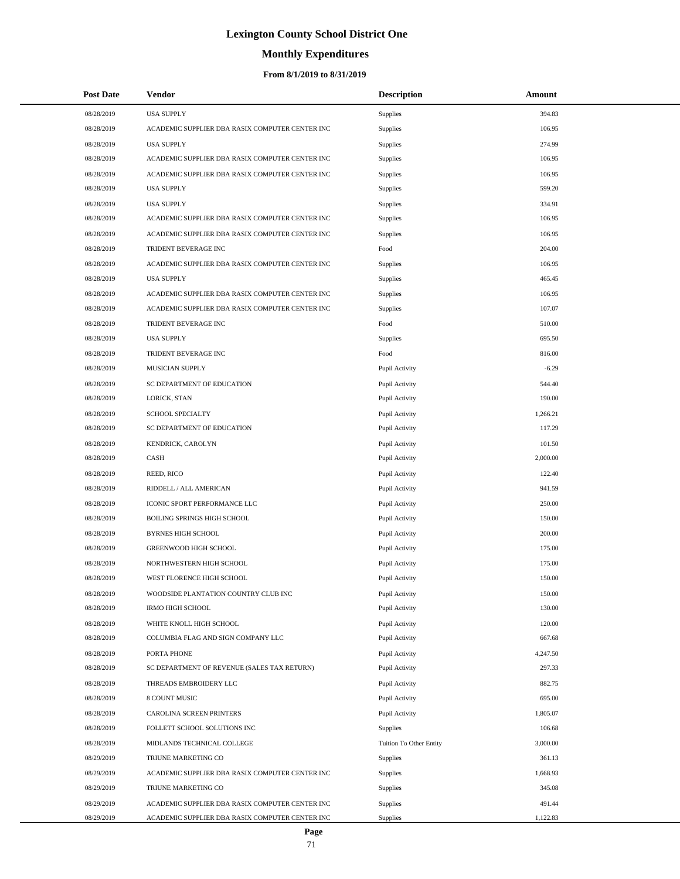# **Monthly Expenditures**

| <b>Post Date</b> | Vendor                                          | <b>Description</b>      | Amount   |
|------------------|-------------------------------------------------|-------------------------|----------|
| 08/28/2019       | <b>USA SUPPLY</b>                               | Supplies                | 394.83   |
| 08/28/2019       | ACADEMIC SUPPLIER DBA RASIX COMPUTER CENTER INC | Supplies                | 106.95   |
| 08/28/2019       | <b>USA SUPPLY</b>                               | Supplies                | 274.99   |
| 08/28/2019       | ACADEMIC SUPPLIER DBA RASIX COMPUTER CENTER INC | Supplies                | 106.95   |
| 08/28/2019       | ACADEMIC SUPPLIER DBA RASIX COMPUTER CENTER INC | Supplies                | 106.95   |
| 08/28/2019       | <b>USA SUPPLY</b>                               | Supplies                | 599.20   |
| 08/28/2019       | <b>USA SUPPLY</b>                               | Supplies                | 334.91   |
| 08/28/2019       | ACADEMIC SUPPLIER DBA RASIX COMPUTER CENTER INC | Supplies                | 106.95   |
| 08/28/2019       | ACADEMIC SUPPLIER DBA RASIX COMPUTER CENTER INC | Supplies                | 106.95   |
| 08/28/2019       | TRIDENT BEVERAGE INC                            | Food                    | 204.00   |
| 08/28/2019       | ACADEMIC SUPPLIER DBA RASIX COMPUTER CENTER INC | Supplies                | 106.95   |
| 08/28/2019       | <b>USA SUPPLY</b>                               | Supplies                | 465.45   |
| 08/28/2019       | ACADEMIC SUPPLIER DBA RASIX COMPUTER CENTER INC | Supplies                | 106.95   |
| 08/28/2019       | ACADEMIC SUPPLIER DBA RASIX COMPUTER CENTER INC | Supplies                | 107.07   |
| 08/28/2019       | <b>TRIDENT BEVERAGE INC</b>                     | Food                    | 510.00   |
| 08/28/2019       | <b>USA SUPPLY</b>                               | Supplies                | 695.50   |
| 08/28/2019       | TRIDENT BEVERAGE INC                            | Food                    | 816.00   |
| 08/28/2019       | MUSICIAN SUPPLY                                 | Pupil Activity          | $-6.29$  |
| 08/28/2019       | SC DEPARTMENT OF EDUCATION                      | Pupil Activity          | 544.40   |
| 08/28/2019       | LORICK, STAN                                    | Pupil Activity          | 190.00   |
| 08/28/2019       | SCHOOL SPECIALTY                                | Pupil Activity          | 1,266.21 |
| 08/28/2019       | SC DEPARTMENT OF EDUCATION                      | Pupil Activity          | 117.29   |
| 08/28/2019       | KENDRICK, CAROLYN                               | Pupil Activity          | 101.50   |
| 08/28/2019       | CASH                                            | Pupil Activity          | 2,000.00 |
| 08/28/2019       | REED, RICO                                      | Pupil Activity          | 122.40   |
| 08/28/2019       | RIDDELL / ALL AMERICAN                          | Pupil Activity          | 941.59   |
| 08/28/2019       | ICONIC SPORT PERFORMANCE LLC                    | Pupil Activity          | 250.00   |
| 08/28/2019       | BOILING SPRINGS HIGH SCHOOL                     | Pupil Activity          | 150.00   |
| 08/28/2019       | <b>BYRNES HIGH SCHOOL</b>                       | Pupil Activity          | 200.00   |
| 08/28/2019       | GREENWOOD HIGH SCHOOL                           | Pupil Activity          | 175.00   |
| 08/28/2019       | NORTHWESTERN HIGH SCHOOL                        | Pupil Activity          | 175.00   |
| 08/28/2019       | WEST FLORENCE HIGH SCHOOL                       | Pupil Activity          | 150.00   |
| 08/28/2019       | WOODSIDE PLANTATION COUNTRY CLUB INC            | Pupil Activity          | 150.00   |
| 08/28/2019       | <b>IRMO HIGH SCHOOL</b>                         | Pupil Activity          | 130.00   |
| 08/28/2019       | WHITE KNOLL HIGH SCHOOL                         | Pupil Activity          | 120.00   |
| 08/28/2019       | COLUMBIA FLAG AND SIGN COMPANY LLC              | Pupil Activity          | 667.68   |
| 08/28/2019       | PORTA PHONE                                     | Pupil Activity          | 4,247.50 |
| 08/28/2019       | SC DEPARTMENT OF REVENUE (SALES TAX RETURN)     | Pupil Activity          | 297.33   |
| 08/28/2019       | THREADS EMBROIDERY LLC                          | Pupil Activity          | 882.75   |
| 08/28/2019       | 8 COUNT MUSIC                                   | Pupil Activity          | 695.00   |
| 08/28/2019       | CAROLINA SCREEN PRINTERS                        | Pupil Activity          | 1,805.07 |
| 08/28/2019       | FOLLETT SCHOOL SOLUTIONS INC                    | Supplies                | 106.68   |
| 08/28/2019       | MIDLANDS TECHNICAL COLLEGE                      | Tuition To Other Entity | 3,000.00 |
| 08/29/2019       | TRIUNE MARKETING CO                             | Supplies                | 361.13   |
| 08/29/2019       | ACADEMIC SUPPLIER DBA RASIX COMPUTER CENTER INC | Supplies                | 1,668.93 |
| 08/29/2019       | TRIUNE MARKETING CO                             | Supplies                | 345.08   |
| 08/29/2019       | ACADEMIC SUPPLIER DBA RASIX COMPUTER CENTER INC | Supplies                | 491.44   |
| 08/29/2019       | ACADEMIC SUPPLIER DBA RASIX COMPUTER CENTER INC | Supplies                | 1,122.83 |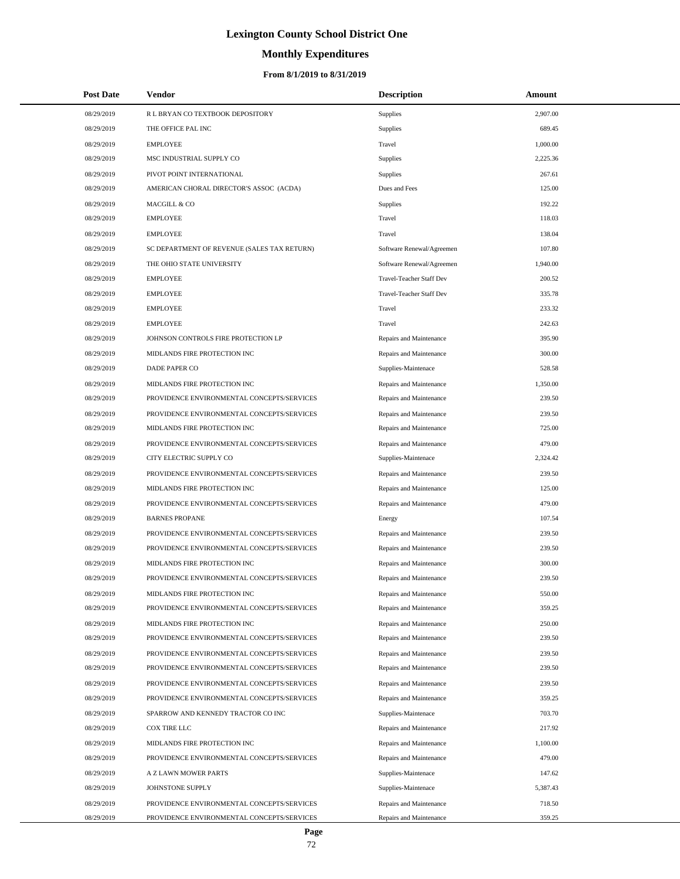# **Monthly Expenditures**

| <b>Post Date</b> | Vendor                                      | <b>Description</b>        | Amount   |
|------------------|---------------------------------------------|---------------------------|----------|
| 08/29/2019       | R L BRYAN CO TEXTBOOK DEPOSITORY            | Supplies                  | 2,907.00 |
| 08/29/2019       | THE OFFICE PAL INC                          | Supplies                  | 689.45   |
| 08/29/2019       | <b>EMPLOYEE</b>                             | Travel                    | 1,000.00 |
| 08/29/2019       | MSC INDUSTRIAL SUPPLY CO                    | Supplies                  | 2,225.36 |
| 08/29/2019       | PIVOT POINT INTERNATIONAL                   | Supplies                  | 267.61   |
| 08/29/2019       | AMERICAN CHORAL DIRECTOR'S ASSOC (ACDA)     | Dues and Fees             | 125.00   |
| 08/29/2019       | MACGILL & CO                                | Supplies                  | 192.22   |
| 08/29/2019       | <b>EMPLOYEE</b>                             | Travel                    | 118.03   |
| 08/29/2019       | <b>EMPLOYEE</b>                             | Travel                    | 138.04   |
| 08/29/2019       | SC DEPARTMENT OF REVENUE (SALES TAX RETURN) | Software Renewal/Agreemen | 107.80   |
| 08/29/2019       | THE OHIO STATE UNIVERSITY                   | Software Renewal/Agreemen | 1,940.00 |
| 08/29/2019       | <b>EMPLOYEE</b>                             | Travel-Teacher Staff Dev  | 200.52   |
| 08/29/2019       | <b>EMPLOYEE</b>                             | Travel-Teacher Staff Dev  | 335.78   |
| 08/29/2019       | <b>EMPLOYEE</b>                             | Travel                    | 233.32   |
| 08/29/2019       | <b>EMPLOYEE</b>                             | Travel                    | 242.63   |
| 08/29/2019       | JOHNSON CONTROLS FIRE PROTECTION LP         | Repairs and Maintenance   | 395.90   |
| 08/29/2019       | MIDLANDS FIRE PROTECTION INC                | Repairs and Maintenance   | 300.00   |
| 08/29/2019       | <b>DADE PAPER CO</b>                        | Supplies-Maintenace       | 528.58   |
| 08/29/2019       | MIDLANDS FIRE PROTECTION INC                | Repairs and Maintenance   | 1,350.00 |
| 08/29/2019       | PROVIDENCE ENVIRONMENTAL CONCEPTS/SERVICES  | Repairs and Maintenance   | 239.50   |
| 08/29/2019       | PROVIDENCE ENVIRONMENTAL CONCEPTS/SERVICES  | Repairs and Maintenance   | 239.50   |
| 08/29/2019       | MIDLANDS FIRE PROTECTION INC                | Repairs and Maintenance   | 725.00   |
| 08/29/2019       | PROVIDENCE ENVIRONMENTAL CONCEPTS/SERVICES  | Repairs and Maintenance   | 479.00   |
| 08/29/2019       | CITY ELECTRIC SUPPLY CO                     | Supplies-Maintenace       | 2,324.42 |
| 08/29/2019       | PROVIDENCE ENVIRONMENTAL CONCEPTS/SERVICES  | Repairs and Maintenance   | 239.50   |
| 08/29/2019       | MIDLANDS FIRE PROTECTION INC                | Repairs and Maintenance   | 125.00   |
| 08/29/2019       | PROVIDENCE ENVIRONMENTAL CONCEPTS/SERVICES  | Repairs and Maintenance   | 479.00   |
| 08/29/2019       | <b>BARNES PROPANE</b>                       | Energy                    | 107.54   |
| 08/29/2019       | PROVIDENCE ENVIRONMENTAL CONCEPTS/SERVICES  | Repairs and Maintenance   | 239.50   |
| 08/29/2019       | PROVIDENCE ENVIRONMENTAL CONCEPTS/SERVICES  | Repairs and Maintenance   | 239.50   |
| 08/29/2019       | MIDLANDS FIRE PROTECTION INC                | Repairs and Maintenance   | 300.00   |
| 08/29/2019       | PROVIDENCE ENVIRONMENTAL CONCEPTS/SERVICES  | Repairs and Maintenance   | 239.50   |
| 08/29/2019       | MIDLANDS FIRE PROTECTION INC                | Repairs and Maintenance   | 550.00   |
| 08/29/2019       | PROVIDENCE ENVIRONMENTAL CONCEPTS/SERVICES  | Repairs and Maintenance   | 359.25   |
| 08/29/2019       | MIDLANDS FIRE PROTECTION INC                | Repairs and Maintenance   | 250.00   |
| 08/29/2019       | PROVIDENCE ENVIRONMENTAL CONCEPTS/SERVICES  | Repairs and Maintenance   | 239.50   |
| 08/29/2019       | PROVIDENCE ENVIRONMENTAL CONCEPTS/SERVICES  | Repairs and Maintenance   | 239.50   |
| 08/29/2019       | PROVIDENCE ENVIRONMENTAL CONCEPTS/SERVICES  | Repairs and Maintenance   | 239.50   |
| 08/29/2019       | PROVIDENCE ENVIRONMENTAL CONCEPTS/SERVICES  | Repairs and Maintenance   | 239.50   |
| 08/29/2019       | PROVIDENCE ENVIRONMENTAL CONCEPTS/SERVICES  | Repairs and Maintenance   | 359.25   |
| 08/29/2019       | SPARROW AND KENNEDY TRACTOR CO INC          | Supplies-Maintenace       | 703.70   |
| 08/29/2019       | COX TIRE LLC                                | Repairs and Maintenance   | 217.92   |
| 08/29/2019       | MIDLANDS FIRE PROTECTION INC                | Repairs and Maintenance   | 1,100.00 |
| 08/29/2019       | PROVIDENCE ENVIRONMENTAL CONCEPTS/SERVICES  | Repairs and Maintenance   | 479.00   |
| 08/29/2019       | A Z LAWN MOWER PARTS                        | Supplies-Maintenace       | 147.62   |
| 08/29/2019       | JOHNSTONE SUPPLY                            | Supplies-Maintenace       | 5,387.43 |
| 08/29/2019       | PROVIDENCE ENVIRONMENTAL CONCEPTS/SERVICES  | Repairs and Maintenance   | 718.50   |
| 08/29/2019       | PROVIDENCE ENVIRONMENTAL CONCEPTS/SERVICES  | Repairs and Maintenance   | 359.25   |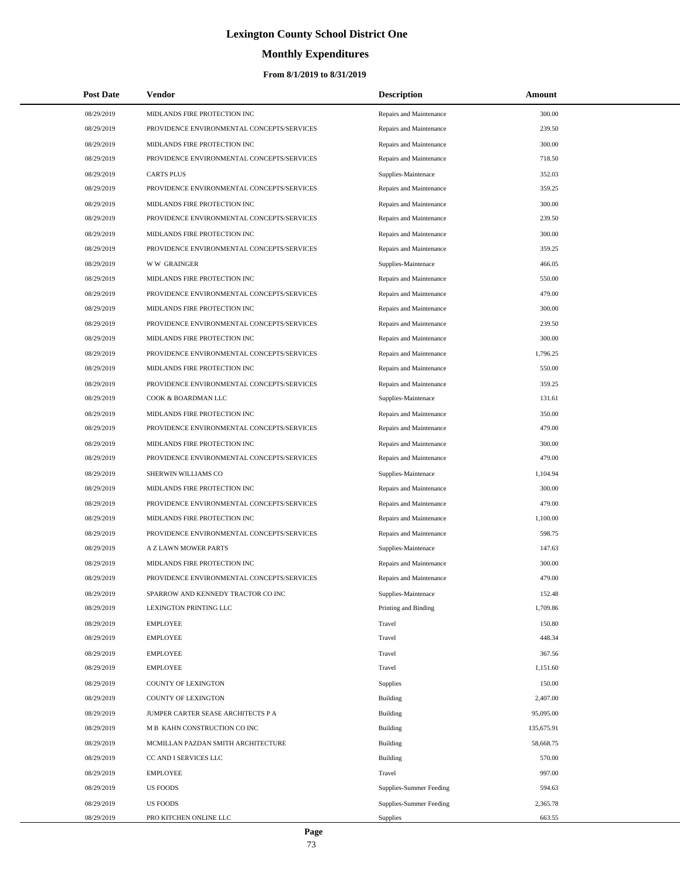# **Lexington County School District One**

# **Monthly Expenditures**

## **From 8/1/2019 to 8/31/2019**

| <b>Post Date</b> | Vendor                                     | <b>Description</b>      | Amount     |
|------------------|--------------------------------------------|-------------------------|------------|
| 08/29/2019       | MIDLANDS FIRE PROTECTION INC               | Repairs and Maintenance | 300.00     |
| 08/29/2019       | PROVIDENCE ENVIRONMENTAL CONCEPTS/SERVICES | Repairs and Maintenance | 239.50     |
| 08/29/2019       | MIDLANDS FIRE PROTECTION INC               | Repairs and Maintenance | 300.00     |
| 08/29/2019       | PROVIDENCE ENVIRONMENTAL CONCEPTS/SERVICES | Repairs and Maintenance | 718.50     |
| 08/29/2019       | <b>CARTS PLUS</b>                          | Supplies-Maintenace     | 352.03     |
| 08/29/2019       | PROVIDENCE ENVIRONMENTAL CONCEPTS/SERVICES | Repairs and Maintenance | 359.25     |
| 08/29/2019       | MIDLANDS FIRE PROTECTION INC               | Repairs and Maintenance | 300.00     |
| 08/29/2019       | PROVIDENCE ENVIRONMENTAL CONCEPTS/SERVICES | Repairs and Maintenance | 239.50     |
| 08/29/2019       | MIDLANDS FIRE PROTECTION INC               | Repairs and Maintenance | 300.00     |
| 08/29/2019       | PROVIDENCE ENVIRONMENTAL CONCEPTS/SERVICES | Repairs and Maintenance | 359.25     |
| 08/29/2019       | <b>WW GRAINGER</b>                         | Supplies-Maintenace     | 466.05     |
| 08/29/2019       | MIDLANDS FIRE PROTECTION INC               | Repairs and Maintenance | 550.00     |
| 08/29/2019       | PROVIDENCE ENVIRONMENTAL CONCEPTS/SERVICES | Repairs and Maintenance | 479.00     |
| 08/29/2019       | MIDLANDS FIRE PROTECTION INC               | Repairs and Maintenance | 300.00     |
| 08/29/2019       | PROVIDENCE ENVIRONMENTAL CONCEPTS/SERVICES | Repairs and Maintenance | 239.50     |
| 08/29/2019       | MIDLANDS FIRE PROTECTION INC               | Repairs and Maintenance | 300.00     |
| 08/29/2019       | PROVIDENCE ENVIRONMENTAL CONCEPTS/SERVICES | Repairs and Maintenance | 1,796.25   |
| 08/29/2019       | MIDLANDS FIRE PROTECTION INC               | Repairs and Maintenance | 550.00     |
| 08/29/2019       | PROVIDENCE ENVIRONMENTAL CONCEPTS/SERVICES | Repairs and Maintenance | 359.25     |
| 08/29/2019       | COOK & BOARDMAN LLC                        | Supplies-Maintenace     | 131.61     |
| 08/29/2019       | MIDLANDS FIRE PROTECTION INC               | Repairs and Maintenance | 350.00     |
| 08/29/2019       | PROVIDENCE ENVIRONMENTAL CONCEPTS/SERVICES | Repairs and Maintenance | 479.00     |
| 08/29/2019       | MIDLANDS FIRE PROTECTION INC               | Repairs and Maintenance | 300.00     |
| 08/29/2019       | PROVIDENCE ENVIRONMENTAL CONCEPTS/SERVICES | Repairs and Maintenance | 479.00     |
| 08/29/2019       | SHERWIN WILLIAMS CO                        | Supplies-Maintenace     | 1,104.94   |
| 08/29/2019       | MIDLANDS FIRE PROTECTION INC               | Repairs and Maintenance | 300.00     |
| 08/29/2019       | PROVIDENCE ENVIRONMENTAL CONCEPTS/SERVICES | Repairs and Maintenance | 479.00     |
| 08/29/2019       | MIDLANDS FIRE PROTECTION INC               | Repairs and Maintenance | 1,100.00   |
| 08/29/2019       | PROVIDENCE ENVIRONMENTAL CONCEPTS/SERVICES | Repairs and Maintenance | 598.75     |
| 08/29/2019       | A Z LAWN MOWER PARTS                       | Supplies-Maintenace     | 147.63     |
| 08/29/2019       | MIDLANDS FIRE PROTECTION INC               | Repairs and Maintenance | 300.00     |
| 08/29/2019       | PROVIDENCE ENVIRONMENTAL CONCEPTS/SERVICES | Repairs and Maintenance | 479.00     |
| 08/29/2019       | SPARROW AND KENNEDY TRACTOR CO INC         | Supplies-Maintenace     | 152.48     |
| 08/29/2019       | LEXINGTON PRINTING LLC                     | Printing and Binding    | 1,709.86   |
| 08/29/2019       | <b>EMPLOYEE</b>                            | Travel                  | 150.80     |
| 08/29/2019       | <b>EMPLOYEE</b>                            | Travel                  | 448.34     |
| 08/29/2019       | <b>EMPLOYEE</b>                            | Travel                  | 367.56     |
| 08/29/2019       | <b>EMPLOYEE</b>                            | Travel                  | 1,151.60   |
| 08/29/2019       | COUNTY OF LEXINGTON                        | <b>Supplies</b>         | 150.00     |
| 08/29/2019       | <b>COUNTY OF LEXINGTON</b>                 | <b>Building</b>         | 2,407.00   |
| 08/29/2019       | JUMPER CARTER SEASE ARCHITECTS P A         | Building                | 95,095.00  |
| 08/29/2019       | M B KAHN CONSTRUCTION CO INC               | Building                | 135,675.91 |
| 08/29/2019       | MCMILLAN PAZDAN SMITH ARCHITECTURE         | <b>Building</b>         | 58,668.75  |
| 08/29/2019       | CC AND I SERVICES LLC                      | <b>Building</b>         | 570.00     |
| 08/29/2019       | <b>EMPLOYEE</b>                            | Travel                  | 997.00     |
| 08/29/2019       | <b>US FOODS</b>                            | Supplies-Summer Feeding | 594.63     |
| 08/29/2019       | <b>US FOODS</b>                            | Supplies-Summer Feeding | 2,365.78   |
| 08/29/2019       | PRO KITCHEN ONLINE LLC                     | Supplies                | 663.55     |

 $\overline{a}$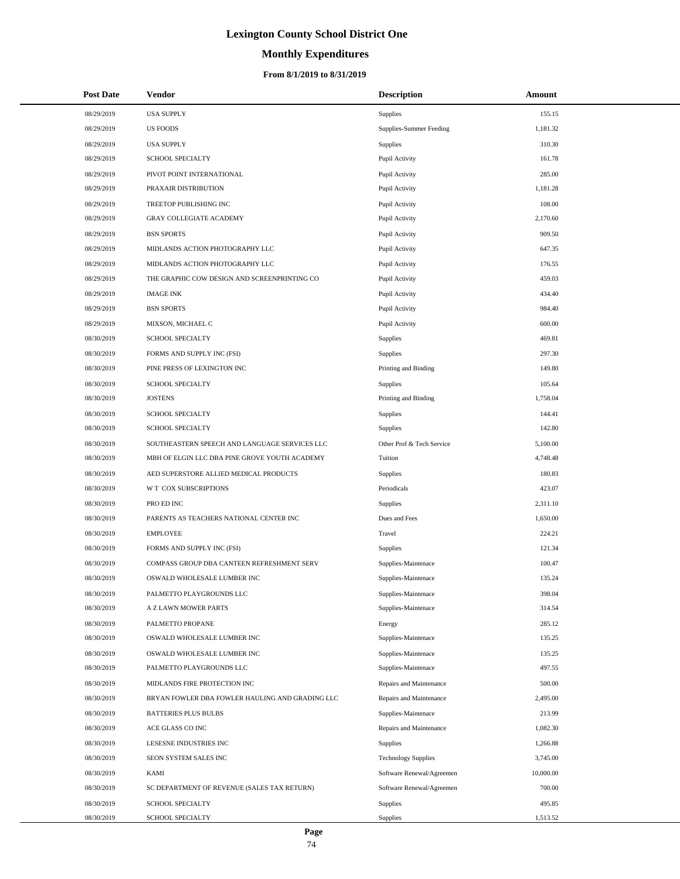# **Lexington County School District One**

# **Monthly Expenditures**

## **From 8/1/2019 to 8/31/2019**

| <b>Post Date</b> | Vendor                                          | <b>Description</b>         | Amount    |
|------------------|-------------------------------------------------|----------------------------|-----------|
| 08/29/2019       | <b>USA SUPPLY</b>                               | Supplies                   | 155.15    |
| 08/29/2019       | <b>US FOODS</b>                                 | Supplies-Summer Feeding    | 1,181.32  |
| 08/29/2019       | <b>USA SUPPLY</b>                               | Supplies                   | 310.30    |
| 08/29/2019       | SCHOOL SPECIALTY                                | Pupil Activity             | 161.78    |
| 08/29/2019       | PIVOT POINT INTERNATIONAL                       | Pupil Activity             | 285.00    |
| 08/29/2019       | PRAXAIR DISTRIBUTION                            | Pupil Activity             | 1,181.28  |
| 08/29/2019       | TREETOP PUBLISHING INC                          | Pupil Activity             | 108.00    |
| 08/29/2019       | <b>GRAY COLLEGIATE ACADEMY</b>                  | Pupil Activity             | 2,170.60  |
| 08/29/2019       | <b>BSN SPORTS</b>                               | Pupil Activity             | 909.50    |
| 08/29/2019       | MIDLANDS ACTION PHOTOGRAPHY LLC                 | Pupil Activity             | 647.35    |
| 08/29/2019       | MIDLANDS ACTION PHOTOGRAPHY LLC                 | Pupil Activity             | 176.55    |
| 08/29/2019       | THE GRAPHIC COW DESIGN AND SCREENPRINTING CO    | Pupil Activity             | 459.03    |
| 08/29/2019       | <b>IMAGE INK</b>                                | Pupil Activity             | 434.40    |
| 08/29/2019       | <b>BSN SPORTS</b>                               | Pupil Activity             | 984.40    |
| 08/29/2019       | MIXSON, MICHAEL C                               | Pupil Activity             | 600.00    |
| 08/30/2019       | SCHOOL SPECIALTY                                | Supplies                   | 469.81    |
| 08/30/2019       | FORMS AND SUPPLY INC (FSI)                      | Supplies                   | 297.30    |
| 08/30/2019       | PINE PRESS OF LEXINGTON INC                     | Printing and Binding       | 149.80    |
| 08/30/2019       | SCHOOL SPECIALTY                                | Supplies                   | 105.64    |
| 08/30/2019       | <b>JOSTENS</b>                                  | Printing and Binding       | 1,758.04  |
| 08/30/2019       | SCHOOL SPECIALTY                                | Supplies                   | 144.41    |
| 08/30/2019       | SCHOOL SPECIALTY                                | Supplies                   | 142.80    |
| 08/30/2019       | SOUTHEASTERN SPEECH AND LANGUAGE SERVICES LLC   | Other Prof & Tech Service  | 5,100.00  |
| 08/30/2019       | MBH OF ELGIN LLC DBA PINE GROVE YOUTH ACADEMY   | Tuition                    | 4,748.48  |
| 08/30/2019       | AED SUPERSTORE ALLIED MEDICAL PRODUCTS          | Supplies                   | 180.83    |
| 08/30/2019       | W T COX SUBSCRIPTIONS                           | Periodicals                | 423.07    |
| 08/30/2019       | PRO ED INC                                      | Supplies                   | 2,311.10  |
| 08/30/2019       | PARENTS AS TEACHERS NATIONAL CENTER INC         | Dues and Fees              | 1,650.00  |
| 08/30/2019       | <b>EMPLOYEE</b>                                 | Travel                     | 224.21    |
| 08/30/2019       | FORMS AND SUPPLY INC (FSI)                      | Supplies                   | 121.34    |
| 08/30/2019       | COMPASS GROUP DBA CANTEEN REFRESHMENT SERV      | Supplies-Maintenace        | 100.47    |
| 08/30/2019       | OSWALD WHOLESALE LUMBER INC                     | Supplies-Maintenace        | 135.24    |
| 08/30/2019       | PALMETTO PLAYGROUNDS LLC                        | Supplies-Maintenace        | 398.04    |
| 08/30/2019       | A Z LAWN MOWER PARTS                            | Supplies-Maintenace        | 314.54    |
| 08/30/2019       | PALMETTO PROPANE                                | Energy                     | 285.12    |
| 08/30/2019       | OSWALD WHOLESALE LUMBER INC                     | Supplies-Maintenace        | 135.25    |
| 08/30/2019       | OSWALD WHOLESALE LUMBER INC                     | Supplies-Maintenace        | 135.25    |
| 08/30/2019       | PALMETTO PLAYGROUNDS LLC                        | Supplies-Maintenace        | 497.55    |
| 08/30/2019       | MIDLANDS FIRE PROTECTION INC                    | Repairs and Maintenance    | 500.00    |
| 08/30/2019       | BRYAN FOWLER DBA FOWLER HAULING AND GRADING LLC | Repairs and Maintenance    | 2,495.00  |
| 08/30/2019       | <b>BATTERIES PLUS BULBS</b>                     | Supplies-Maintenace        | 213.99    |
| 08/30/2019       | ACE GLASS CO INC                                | Repairs and Maintenance    | 1,082.30  |
| 08/30/2019       | LESESNE INDUSTRIES INC                          | <b>Supplies</b>            | 1,266.88  |
| 08/30/2019       | SEON SYSTEM SALES INC                           | <b>Technology Supplies</b> | 3,745.00  |
| 08/30/2019       | KAMI                                            | Software Renewal/Agreemen  | 10,000.00 |
| 08/30/2019       | SC DEPARTMENT OF REVENUE (SALES TAX RETURN)     | Software Renewal/Agreemen  | 700.00    |
| 08/30/2019       | SCHOOL SPECIALTY                                | Supplies                   | 495.85    |
| 08/30/2019       | SCHOOL SPECIALTY                                | Supplies                   | 1,513.52  |